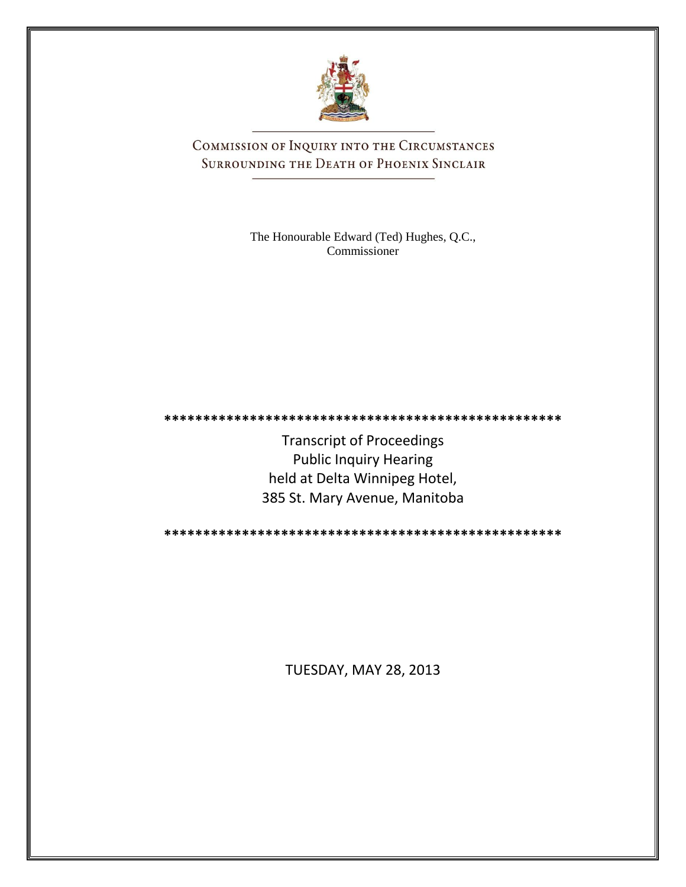

COMMISSION OF INQUIRY INTO THE CIRCUMSTANCES SURROUNDING THE DEATH OF PHOENIX SINCLAIR

> The Honourable Edward (Ted) Hughes, Q.C., Commissioner

**\*\*\*\*\*\*\*\*\*\*\*\*\*\*\*\*\*\*\*\*\*\*\*\*\*\*\*\*\*\*\*\*\*\*\*\*\*\*\*\*\*\*\*\*\*\*\*\*\*\*\***

Transcript of Proceedings Public Inquiry Hearing held at Delta Winnipeg Hotel, 385 St. Mary Avenue, Manitoba

**\*\*\*\*\*\*\*\*\*\*\*\*\*\*\*\*\*\*\*\*\*\*\*\*\*\*\*\*\*\*\*\*\*\*\*\*\*\*\*\*\*\*\*\*\*\*\*\*\*\*\***

TUESDAY, MAY 28, 2013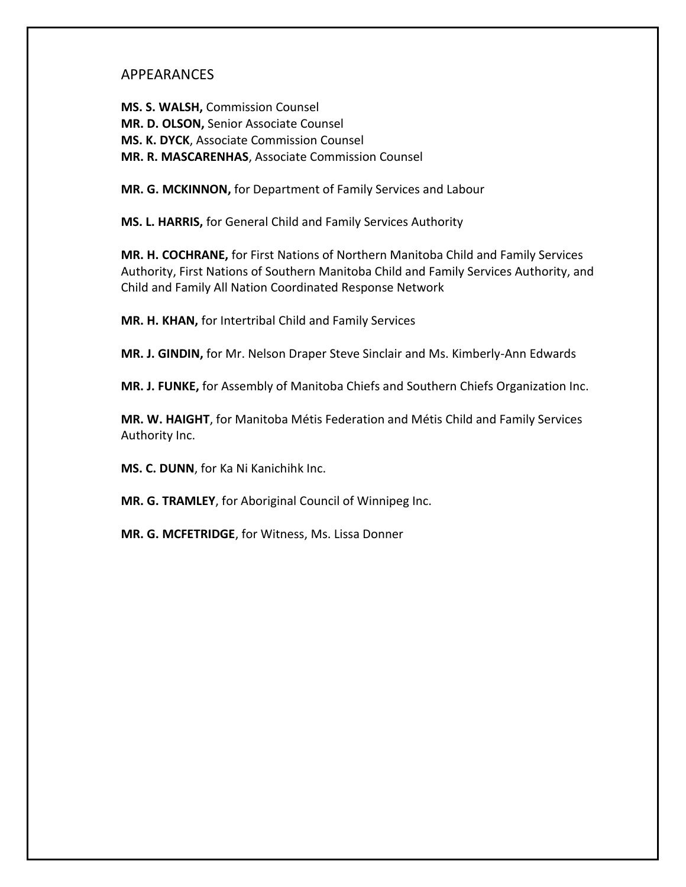## APPEARANCES

**MS. S. WALSH,** Commission Counsel **MR. D. OLSON,** Senior Associate Counsel **MS. K. DYCK**, Associate Commission Counsel **MR. R. MASCARENHAS**, Associate Commission Counsel

**MR. G. MCKINNON,** for Department of Family Services and Labour

**MS. L. HARRIS,** for General Child and Family Services Authority

**MR. H. COCHRANE,** for First Nations of Northern Manitoba Child and Family Services Authority, First Nations of Southern Manitoba Child and Family Services Authority, and Child and Family All Nation Coordinated Response Network

**MR. H. KHAN,** for Intertribal Child and Family Services

**MR. J. GINDIN,** for Mr. Nelson Draper Steve Sinclair and Ms. Kimberly-Ann Edwards

**MR. J. FUNKE,** for Assembly of Manitoba Chiefs and Southern Chiefs Organization Inc.

**MR. W. HAIGHT**, for Manitoba Métis Federation and Métis Child and Family Services Authority Inc.

**MS. C. DUNN**, for Ka Ni Kanichihk Inc.

**MR. G. TRAMLEY**, for Aboriginal Council of Winnipeg Inc.

**MR. G. MCFETRIDGE**, for Witness, Ms. Lissa Donner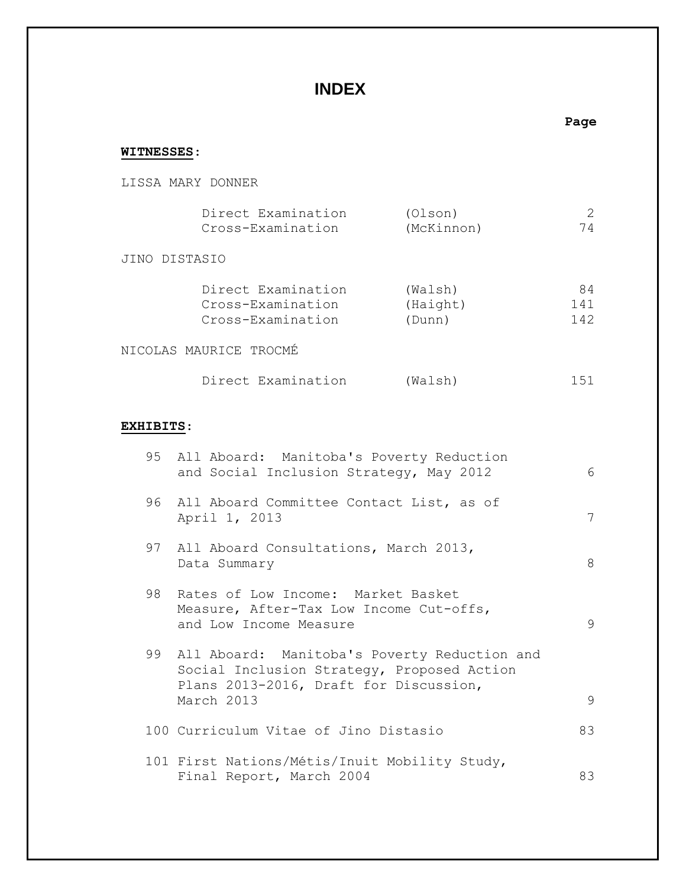## **INDEX**

## **Page WITNESSES**: LISSA MARY DONNER Direct Examination (Olson) 2 Cross-Examination (McKinnon) 74 JINO DISTASIO Direct Examination (Walsh) 84 Cross-Examination (Haight) 141 Cross-Examination (Dunn) 142 NICOLAS MAURICE TROCMÉ Direct Examination (Walsh) 151 **EXHIBITS**: 95 All Aboard: Manitoba's Poverty Reduction and Social Inclusion Strategy, May 2012 6 96 All Aboard Committee Contact List, as of April 1, 2013 7 97 All Aboard Consultations, March 2013, Data Summary 8 98 Rates of Low Income: Market Basket Measure, After-Tax Low Income Cut-offs, and Low Income Measure 9 99 All Aboard: Manitoba's Poverty Reduction and Social Inclusion Strategy, Proposed Action Plans 2013-2016, Draft for Discussion, March 2013 9 100 Curriculum Vitae of Jino Distasio 83 101 First Nations/Métis/Inuit Mobility Study, Final Report, March 2004 83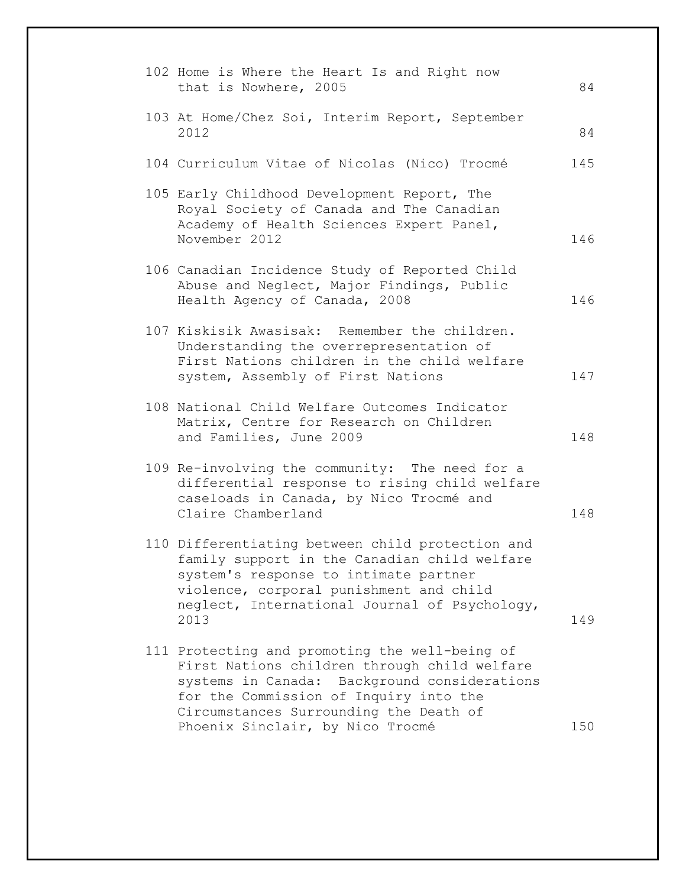| 102 Home is Where the Heart Is and Right now<br>that is Nowhere, 2005                                                                                                                                                                                                  | 84  |
|------------------------------------------------------------------------------------------------------------------------------------------------------------------------------------------------------------------------------------------------------------------------|-----|
| 103 At Home/Chez Soi, Interim Report, September<br>2012                                                                                                                                                                                                                | 84  |
| 104 Curriculum Vitae of Nicolas (Nico) Trocmé                                                                                                                                                                                                                          | 145 |
| 105 Early Childhood Development Report, The<br>Royal Society of Canada and The Canadian<br>Academy of Health Sciences Expert Panel,<br>November 2012                                                                                                                   | 146 |
| 106 Canadian Incidence Study of Reported Child<br>Abuse and Neglect, Major Findings, Public<br>Health Agency of Canada, 2008                                                                                                                                           | 146 |
| 107 Kiskisik Awasisak: Remember the children.<br>Understanding the overrepresentation of<br>First Nations children in the child welfare<br>system, Assembly of First Nations                                                                                           | 147 |
| 108 National Child Welfare Outcomes Indicator<br>Matrix, Centre for Research on Children<br>and Families, June 2009                                                                                                                                                    | 148 |
| 109 Re-involving the community: The need for a<br>differential response to rising child welfare<br>caseloads in Canada, by Nico Trocmé and<br>Claire Chamberland                                                                                                       | 148 |
| 110 Differentiating between child protection and<br>family support in the Canadian child welfare<br>system's response to intimate partner<br>violence, corporal punishment and child<br>neglect, International Journal of Psychology,<br>2013                          | 149 |
| 111 Protecting and promoting the well-being of<br>First Nations children through child welfare<br>systems in Canada: Background considerations<br>for the Commission of Inquiry into the<br>Circumstances Surrounding the Death of<br>Phoenix Sinclair, by Nico Trocmé | 150 |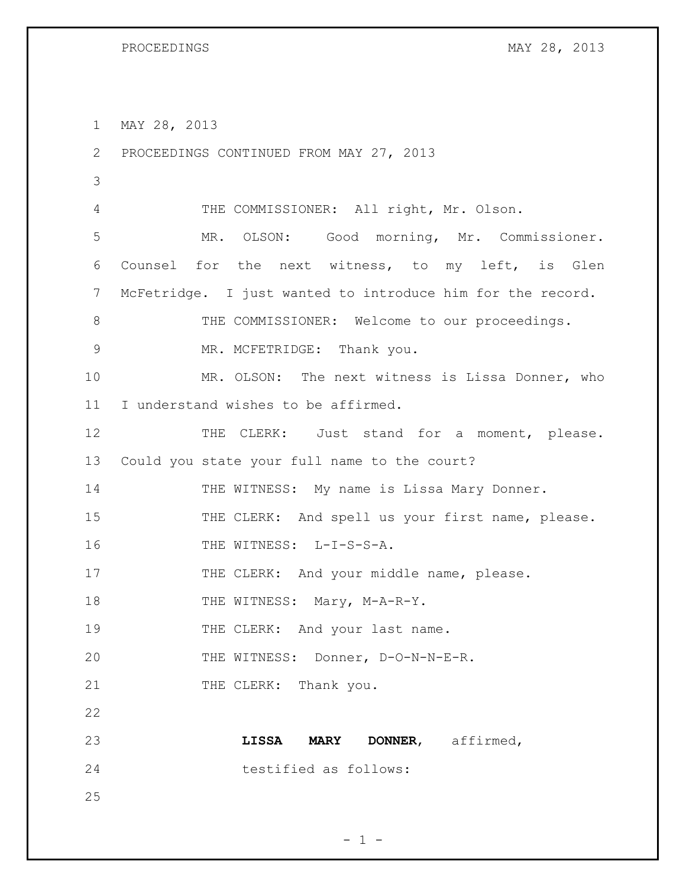1 MAY 28, 2013

2 PROCEEDINGS CONTINUED FROM MAY 27, 2013 3 4 THE COMMISSIONER: All right, Mr. Olson. 5 MR. OLSON: Good morning, Mr. Commissioner. 6 Counsel for the next witness, to my left, is Glen 7 McFetridge. I just wanted to introduce him for the record. 8 THE COMMISSIONER: Welcome to our proceedings. 9 MR. MCFETRIDGE: Thank you. 10 MR. OLSON: The next witness is Lissa Donner, who 11 I understand wishes to be affirmed. 12 THE CLERK: Just stand for a moment, please. 13 Could you state your full name to the court? 14 THE WITNESS: My name is Lissa Mary Donner. 15 THE CLERK: And spell us your first name, please. 16 THE WITNESS: L-I-S-S-A. 17 THE CLERK: And your middle name, please. 18 THE WITNESS: Mary, M-A-R-Y. 19 THE CLERK: And your last name. 20 THE WITNESS: Donner, D-O-N-N-E-R. 21 THE CLERK: Thank you. 22 23 **LISSA MARY DONNER**, affirmed, 24 testified as follows: 25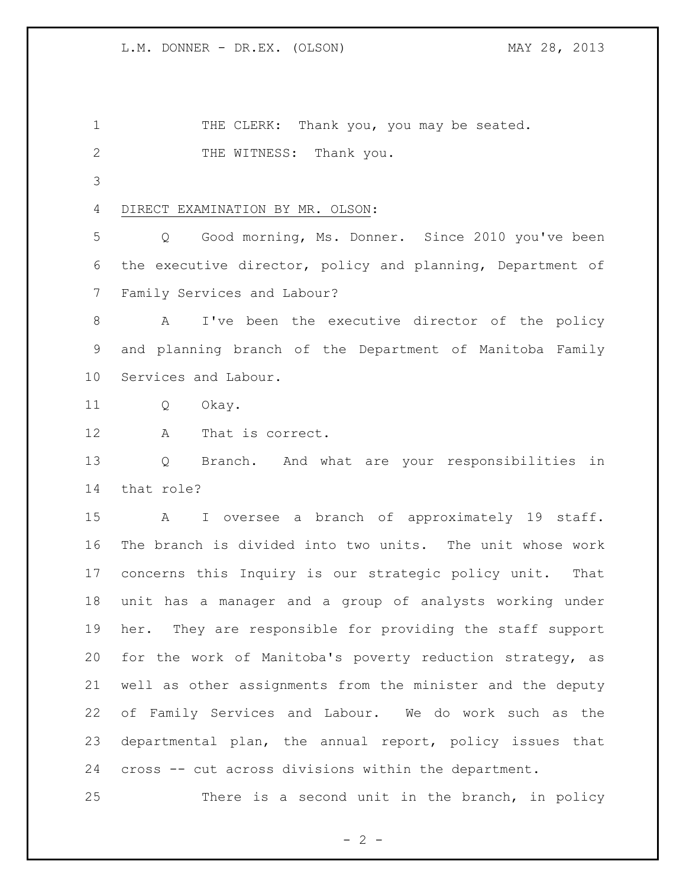1 THE CLERK: Thank you, you may be seated. 2 THE WITNESS: Thank you. DIRECT EXAMINATION BY MR. OLSON: Q Good morning, Ms. Donner. Since 2010 you've been the executive director, policy and planning, Department of Family Services and Labour? 8 A I've been the executive director of the policy and planning branch of the Department of Manitoba Family Services and Labour. Q Okay. A That is correct. Q Branch. And what are your responsibilities in that role? A I oversee a branch of approximately 19 staff. The branch is divided into two units. The unit whose work concerns this Inquiry is our strategic policy unit. That unit has a manager and a group of analysts working under

 her. They are responsible for providing the staff support for the work of Manitoba's poverty reduction strategy, as well as other assignments from the minister and the deputy of Family Services and Labour. We do work such as the departmental plan, the annual report, policy issues that cross -- cut across divisions within the department.

There is a second unit in the branch, in policy

 $- 2 -$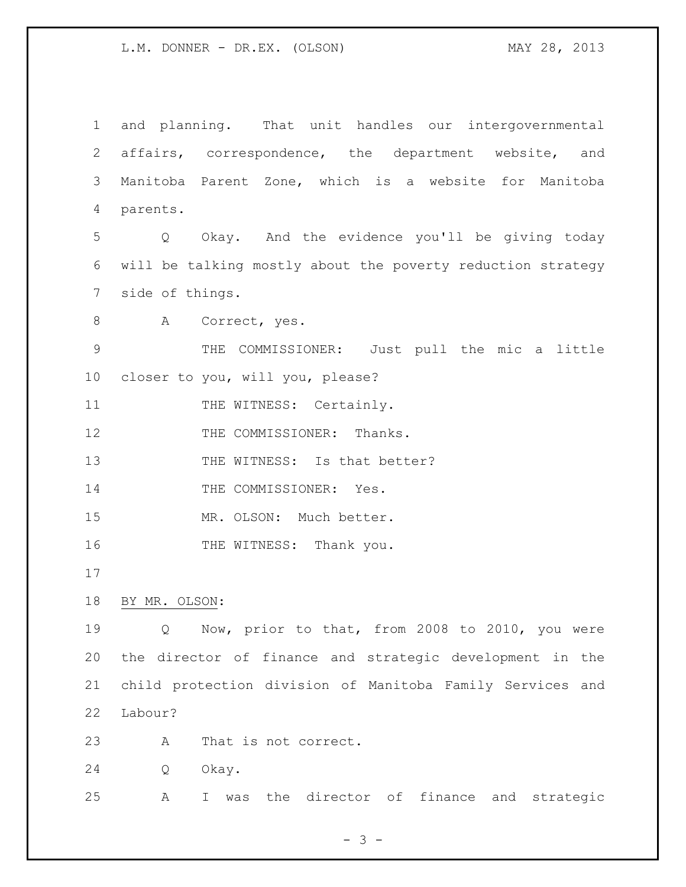and planning. That unit handles our intergovernmental affairs, correspondence, the department website, and Manitoba Parent Zone, which is a website for Manitoba parents. Q Okay. And the evidence you'll be giving today will be talking mostly about the poverty reduction strategy side of things. 8 A Correct, yes. THE COMMISSIONER: Just pull the mic a little closer to you, will you, please? 11 THE WITNESS: Certainly. 12 THE COMMISSIONER: Thanks. 13 THE WITNESS: Is that better? 14 THE COMMISSIONER: Yes. MR. OLSON: Much better. 16 THE WITNESS: Thank you. BY MR. OLSON: Q Now, prior to that, from 2008 to 2010, you were the director of finance and strategic development in the child protection division of Manitoba Family Services and Labour? A That is not correct. Q Okay.

A I was the director of finance and strategic

- 3 -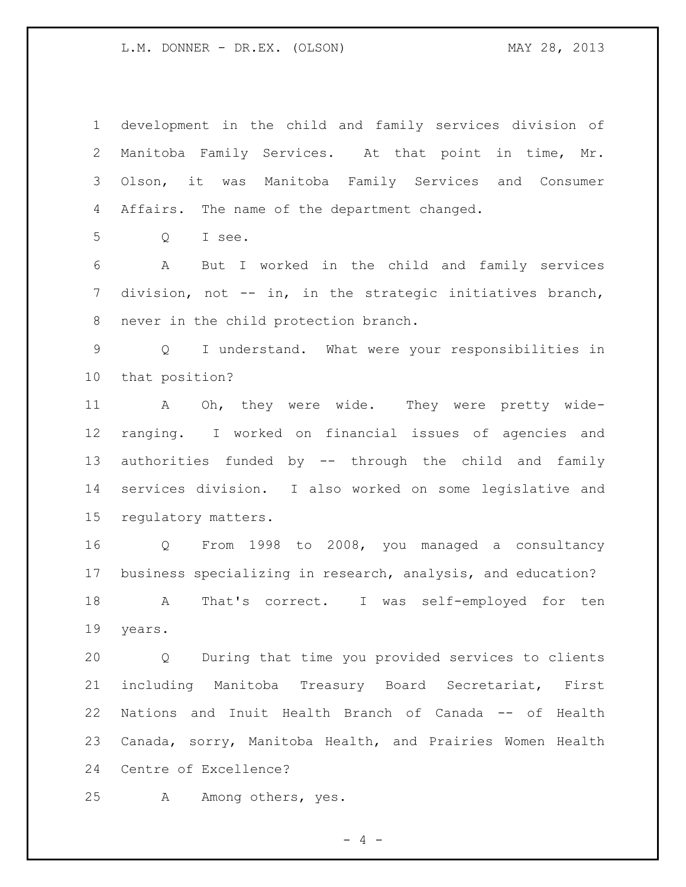development in the child and family services division of Manitoba Family Services. At that point in time, Mr. Olson, it was Manitoba Family Services and Consumer Affairs. The name of the department changed. Q I see. A But I worked in the child and family services division, not -- in, in the strategic initiatives branch, never in the child protection branch. Q I understand. What were your responsibilities in that position? A Oh, they were wide. They were pretty wide- ranging. I worked on financial issues of agencies and authorities funded by -- through the child and family services division. I also worked on some legislative and regulatory matters. Q From 1998 to 2008, you managed a consultancy business specializing in research, analysis, and education? A That's correct. I was self-employed for ten years. Q During that time you provided services to clients including Manitoba Treasury Board Secretariat, First Nations and Inuit Health Branch of Canada -- of Health Canada, sorry, Manitoba Health, and Prairies Women Health

Centre of Excellence?

A Among others, yes.

 $- 4 -$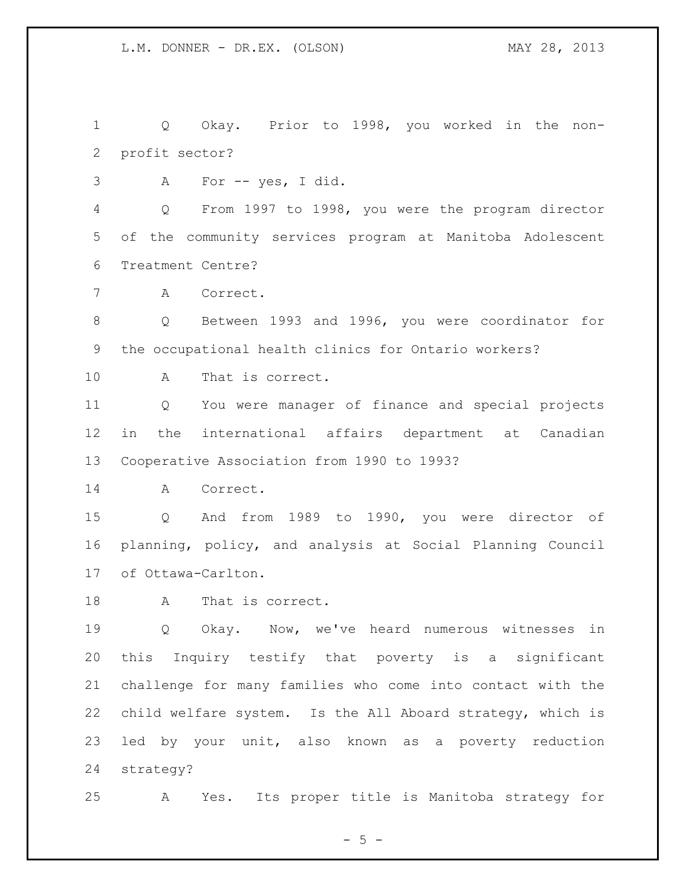Q Okay. Prior to 1998, you worked in the non-profit sector?

A For -- yes, I did.

 Q From 1997 to 1998, you were the program director of the community services program at Manitoba Adolescent Treatment Centre?

A Correct.

 Q Between 1993 and 1996, you were coordinator for the occupational health clinics for Ontario workers?

A That is correct.

 Q You were manager of finance and special projects in the international affairs department at Canadian Cooperative Association from 1990 to 1993?

A Correct.

 Q And from 1989 to 1990, you were director of planning, policy, and analysis at Social Planning Council of Ottawa-Carlton.

A That is correct.

 Q Okay. Now, we've heard numerous witnesses in this Inquiry testify that poverty is a significant challenge for many families who come into contact with the child welfare system. Is the All Aboard strategy, which is led by your unit, also known as a poverty reduction strategy?

A Yes. Its proper title is Manitoba strategy for

 $- 5 -$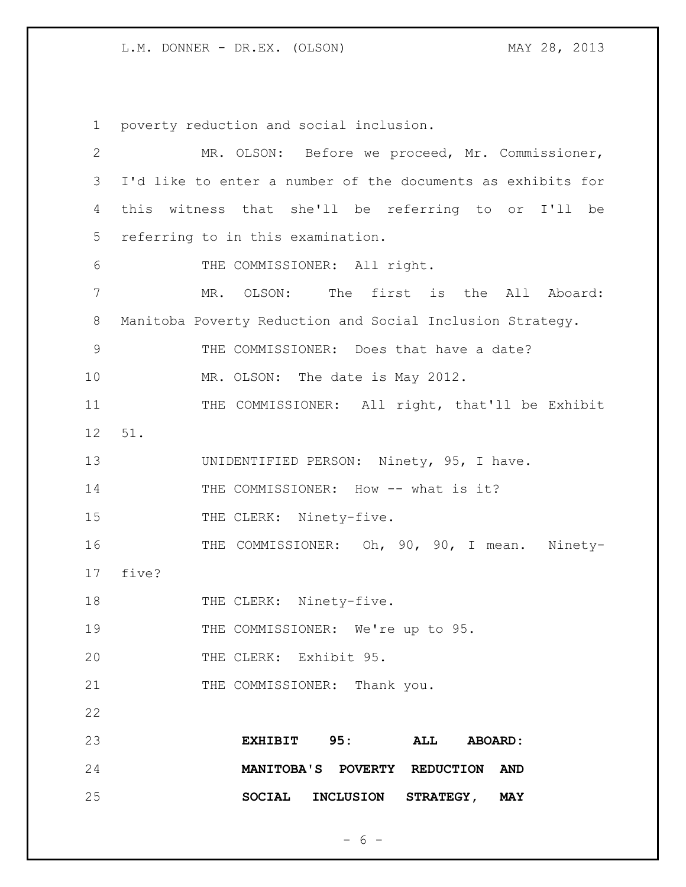1 poverty reduction and social inclusion. 2 MR. OLSON: Before we proceed, Mr. Commissioner, 3 I'd like to enter a number of the documents as exhibits for 4 this witness that she'll be referring to or I'll be 5 referring to in this examination. 6 THE COMMISSIONER: All right. 7 MR. OLSON: The first is the All Aboard: 8 Manitoba Poverty Reduction and Social Inclusion Strategy. 9 THE COMMISSIONER: Does that have a date? 10 MR. OLSON: The date is May 2012. 11 THE COMMISSIONER: All right, that'll be Exhibit 12 51. 13 UNIDENTIFIED PERSON: Ninety, 95, I have. 14 THE COMMISSIONER: How -- what is it? 15 THE CLERK: Ninety-five. 16 THE COMMISSIONER: Oh, 90, 90, I mean. Ninety-17 five? 18 THE CLERK: Ninety-five. 19 THE COMMISSIONER: We're up to 95. 20 THE CLERK: Exhibit 95. 21 THE COMMISSIONER: Thank you. 22 23 **EXHIBIT 95: ALL ABOARD:**  24 **MANITOBA'S POVERTY REDUCTION AND**  25 **SOCIAL INCLUSION STRATEGY, MAY** 

 $- 6 -$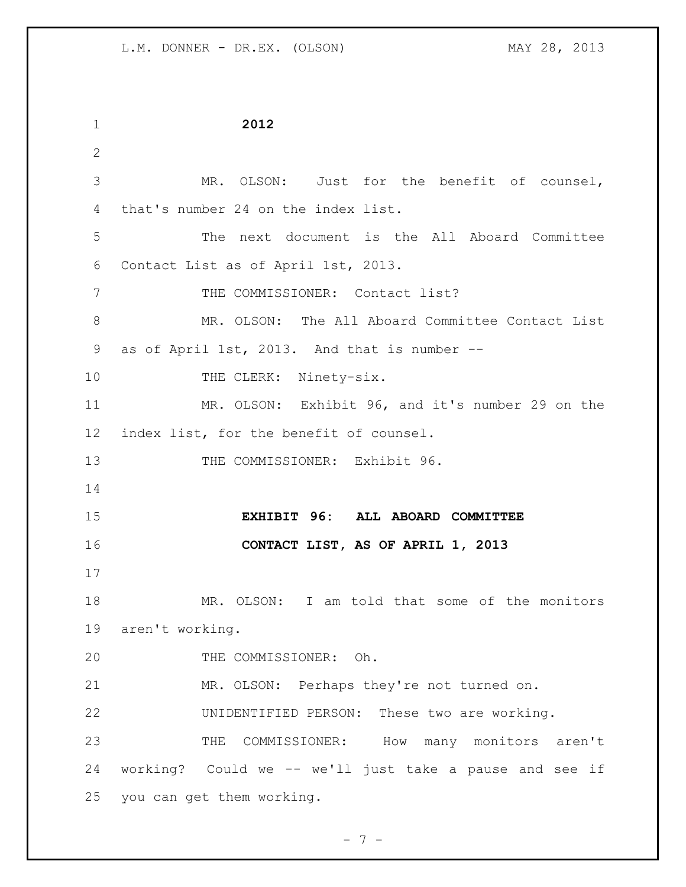| $\mathbf 1$     | 2012                                                    |  |
|-----------------|---------------------------------------------------------|--|
| $\mathbf{2}$    |                                                         |  |
| 3               | MR. OLSON: Just for the benefit of counsel,             |  |
| 4               | that's number 24 on the index list.                     |  |
| 5               | The next document is the All Aboard Committee           |  |
| 6               | Contact List as of April 1st, 2013.                     |  |
| 7               | THE COMMISSIONER: Contact list?                         |  |
| 8               | MR. OLSON: The All Aboard Committee Contact List        |  |
| 9               | as of April 1st, 2013. And that is number --            |  |
| 10              | THE CLERK: Ninety-six.                                  |  |
| 11              | MR. OLSON: Exhibit 96, and it's number 29 on the        |  |
| 12 <sup>°</sup> | index list, for the benefit of counsel.                 |  |
| 13              | THE COMMISSIONER: Exhibit 96.                           |  |
| 14              |                                                         |  |
| 15              | EXHIBIT 96: ALL ABOARD COMMITTEE                        |  |
| 16              | CONTACT LIST, AS OF APRIL 1, 2013                       |  |
| 17              |                                                         |  |
| 18              | MR. OLSON: I am told that some of the monitors          |  |
|                 | 19 aren't working.                                      |  |
| 20              | THE COMMISSIONER: Oh.                                   |  |
| 21              | MR. OLSON: Perhaps they're not turned on.               |  |
| 22              | UNIDENTIFIED PERSON: These two are working.             |  |
| 23              | THE COMMISSIONER: How many monitors aren't              |  |
| 24              | working? Could we -- we'll just take a pause and see if |  |
| 25              | you can get them working.                               |  |

- 7 -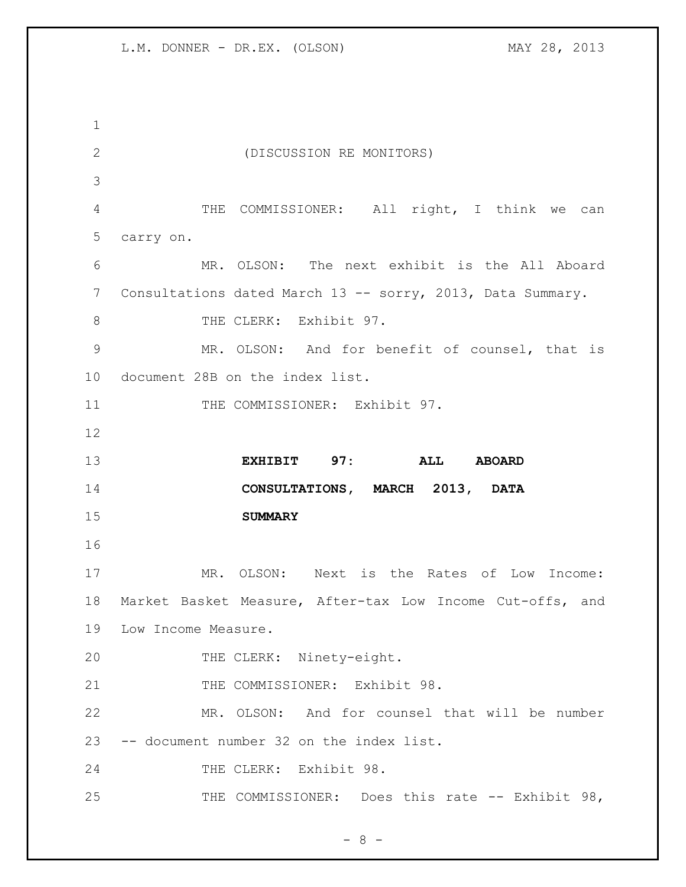(DISCUSSION RE MONITORS) THE COMMISSIONER: All right, I think we can carry on. MR. OLSON: The next exhibit is the All Aboard 7 Consultations dated March 13 -- sorry, 2013, Data Summary. 8 THE CLERK: Exhibit 97. MR. OLSON: And for benefit of counsel, that is document 28B on the index list. 11 THE COMMISSIONER: Exhibit 97. **EXHIBIT 97: ALL ABOARD CONSULTATIONS, MARCH 2013, DATA SUMMARY** MR. OLSON: Next is the Rates of Low Income: Market Basket Measure, After-tax Low Income Cut-offs, and Low Income Measure. THE CLERK: Ninety-eight. 21 THE COMMISSIONER: Exhibit 98. MR. OLSON: And for counsel that will be number -- document number 32 on the index list. 24 THE CLERK: Exhibit 98. 25 THE COMMISSIONER: Does this rate -- Exhibit 98,

- 8 -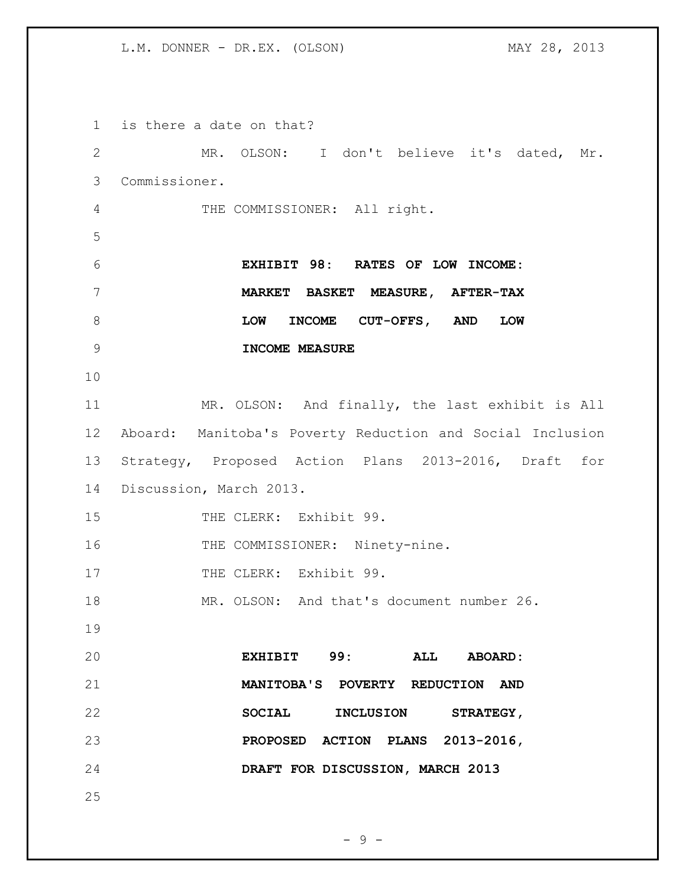is there a date on that? MR. OLSON: I don't believe it's dated, Mr. Commissioner. THE COMMISSIONER: All right. **EXHIBIT 98: RATES OF LOW INCOME: MARKET BASKET MEASURE, AFTER-TAX LOW INCOME CUT-OFFS, AND LOW INCOME MEASURE** MR. OLSON: And finally, the last exhibit is All Aboard: Manitoba's Poverty Reduction and Social Inclusion Strategy, Proposed Action Plans 2013-2016, Draft for Discussion, March 2013. 15 THE CLERK: Exhibit 99. 16 THE COMMISSIONER: Ninety-nine. 17 THE CLERK: Exhibit 99. 18 MR. OLSON: And that's document number 26. **EXHIBIT 99: ALL ABOARD: MANITOBA'S POVERTY REDUCTION AND SOCIAL INCLUSION STRATEGY, PROPOSED ACTION PLANS 2013-2016, DRAFT FOR DISCUSSION, MARCH 2013** 

 $-9 -$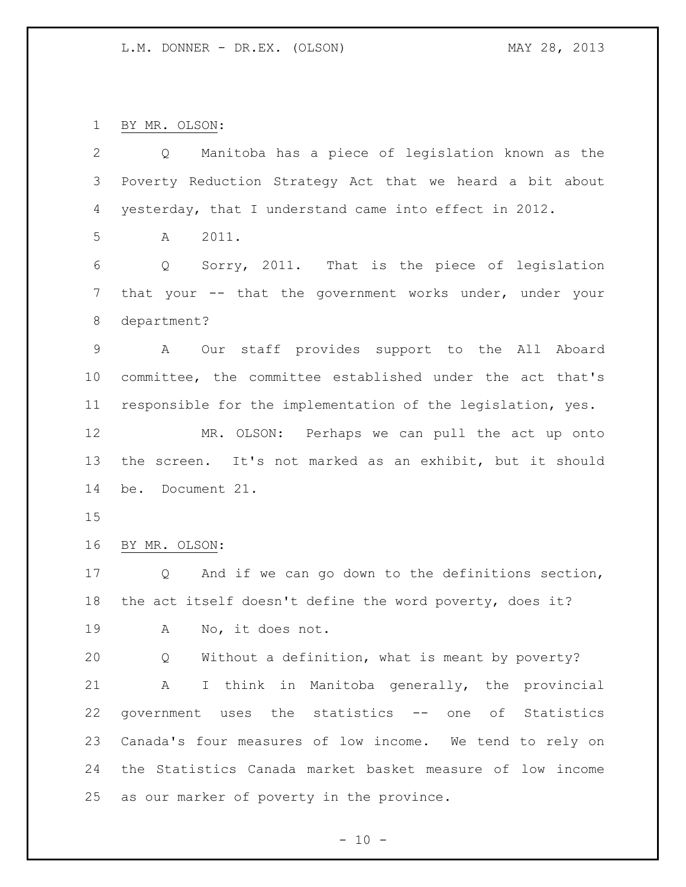BY MR. OLSON:

| 2              | Manitoba has a piece of legislation known as the<br>Q       |  |
|----------------|-------------------------------------------------------------|--|
| 3              | Poverty Reduction Strategy Act that we heard a bit about    |  |
| 4              | yesterday, that I understand came into effect in 2012.      |  |
| 5              | $\mathbb A$<br>2011.                                        |  |
| 6              | Sorry, 2011. That is the piece of legislation<br>Q          |  |
| $\overline{7}$ | that your -- that the government works under, under your    |  |
| 8              | department?                                                 |  |
| $\mathsf 9$    | Our staff provides support to the All Aboard<br>A           |  |
| 10             | committee, the committee established under the act that's   |  |
| 11             | responsible for the implementation of the legislation, yes. |  |
| 12             | MR. OLSON: Perhaps we can pull the act up onto              |  |
| 13             | the screen. It's not marked as an exhibit, but it should    |  |
| 14             | be. Document 21.                                            |  |
| 15             |                                                             |  |
| 16             | BY MR. OLSON:                                               |  |
| 17             | And if we can go down to the definitions section,<br>Q      |  |
| 18             | the act itself doesn't define the word poverty, does it?    |  |
| 19             | No, it does not.<br>A                                       |  |
| 20             | Without a definition, what is meant by poverty?<br>Q        |  |
| 21             | I think in Manitoba generally, the provincial<br>Α          |  |
| 22             | government uses the statistics -- one of Statistics         |  |
| 23             | Canada's four measures of low income. We tend to rely on    |  |
| 24             | the Statistics Canada market basket measure of low income   |  |
| 25             | as our marker of poverty in the province.                   |  |
|                |                                                             |  |

 $- 10 -$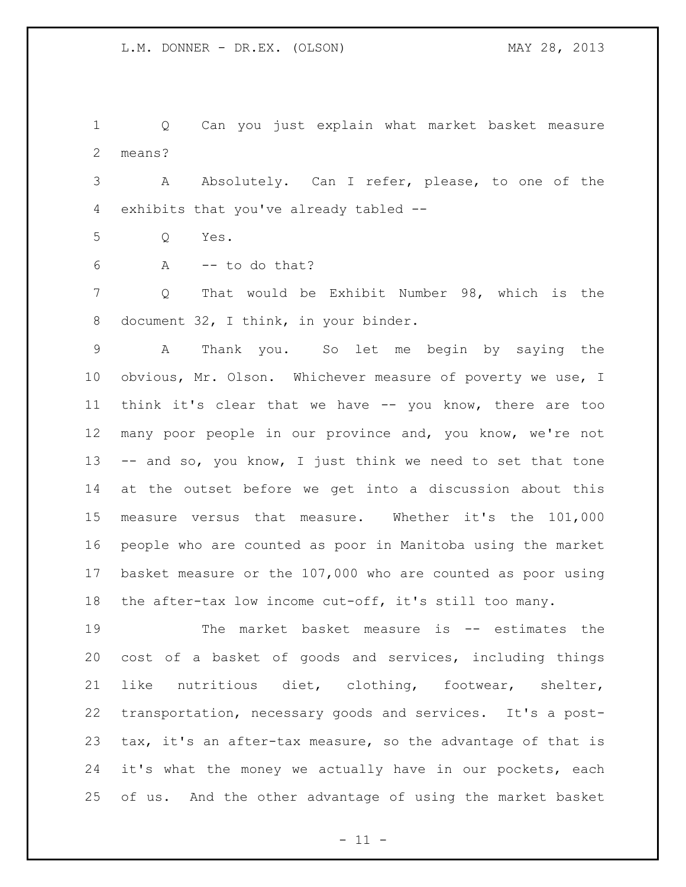Q Can you just explain what market basket measure means?

 A Absolutely. Can I refer, please, to one of the exhibits that you've already tabled --

Q Yes.

A -- to do that?

 Q That would be Exhibit Number 98, which is the document 32, I think, in your binder.

 A Thank you. So let me begin by saying the obvious, Mr. Olson. Whichever measure of poverty we use, I think it's clear that we have -- you know, there are too many poor people in our province and, you know, we're not 13 -- and so, you know, I just think we need to set that tone at the outset before we get into a discussion about this measure versus that measure. Whether it's the 101,000 people who are counted as poor in Manitoba using the market basket measure or the 107,000 who are counted as poor using the after-tax low income cut-off, it's still too many.

 The market basket measure is -- estimates the cost of a basket of goods and services, including things like nutritious diet, clothing, footwear, shelter, transportation, necessary goods and services. It's a post- tax, it's an after-tax measure, so the advantage of that is it's what the money we actually have in our pockets, each of us. And the other advantage of using the market basket

 $-11 -$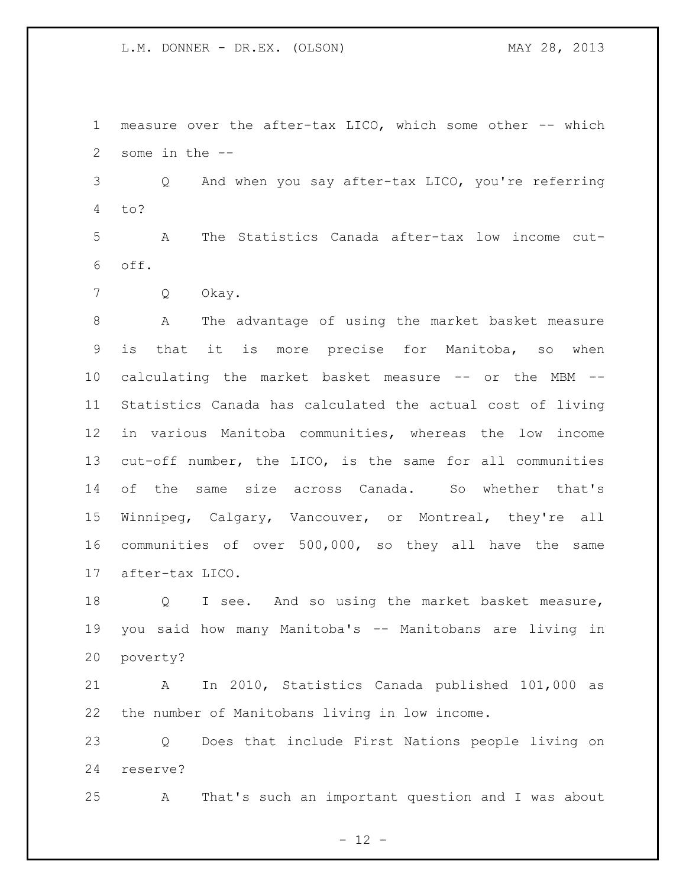measure over the after-tax LICO, which some other -- which some in the --

 Q And when you say after-tax LICO, you're referring to?

 A The Statistics Canada after-tax low income cut-off.

Q Okay.

 A The advantage of using the market basket measure is that it is more precise for Manitoba, so when calculating the market basket measure -- or the MBM -- Statistics Canada has calculated the actual cost of living in various Manitoba communities, whereas the low income cut-off number, the LICO, is the same for all communities of the same size across Canada. So whether that's Winnipeg, Calgary, Vancouver, or Montreal, they're all communities of over 500,000, so they all have the same after-tax LICO.

 Q I see. And so using the market basket measure, you said how many Manitoba's -- Manitobans are living in poverty?

 A In 2010, Statistics Canada published 101,000 as the number of Manitobans living in low income.

 Q Does that include First Nations people living on reserve?

A That's such an important question and I was about

 $- 12 -$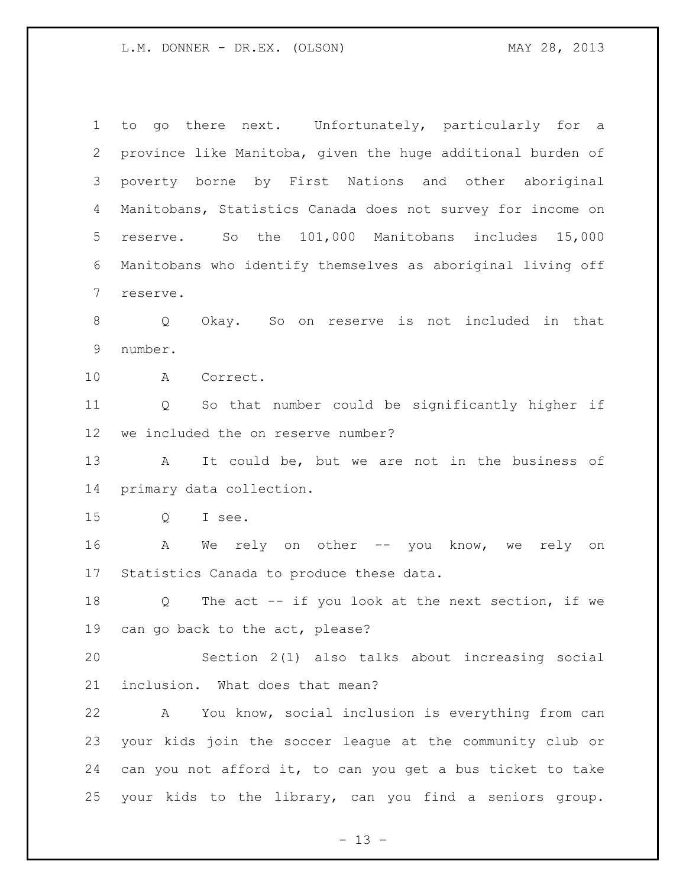to go there next. Unfortunately, particularly for a province like Manitoba, given the huge additional burden of poverty borne by First Nations and other aboriginal Manitobans, Statistics Canada does not survey for income on reserve. So the 101,000 Manitobans includes 15,000 Manitobans who identify themselves as aboriginal living off reserve. Q Okay. So on reserve is not included in that number. A Correct. Q So that number could be significantly higher if we included the on reserve number? A It could be, but we are not in the business of primary data collection. Q I see. A We rely on other -- you know, we rely on Statistics Canada to produce these data. Q The act -- if you look at the next section, if we can go back to the act, please? Section 2(1) also talks about increasing social inclusion. What does that mean? A You know, social inclusion is everything from can your kids join the soccer league at the community club or can you not afford it, to can you get a bus ticket to take your kids to the library, can you find a seniors group.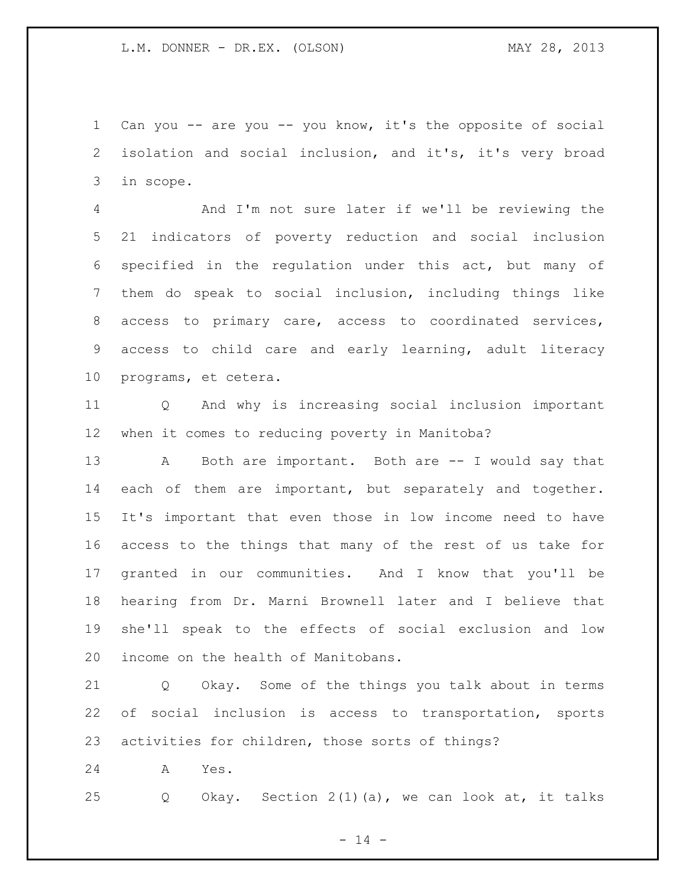Can you -- are you -- you know, it's the opposite of social isolation and social inclusion, and it's, it's very broad in scope.

 And I'm not sure later if we'll be reviewing the 21 indicators of poverty reduction and social inclusion specified in the regulation under this act, but many of them do speak to social inclusion, including things like access to primary care, access to coordinated services, access to child care and early learning, adult literacy programs, et cetera.

 Q And why is increasing social inclusion important when it comes to reducing poverty in Manitoba?

 A Both are important. Both are -- I would say that each of them are important, but separately and together. It's important that even those in low income need to have access to the things that many of the rest of us take for granted in our communities. And I know that you'll be hearing from Dr. Marni Brownell later and I believe that she'll speak to the effects of social exclusion and low income on the health of Manitobans.

 Q Okay. Some of the things you talk about in terms of social inclusion is access to transportation, sports activities for children, those sorts of things?

A Yes.

Q Okay. Section 2(1)(a), we can look at, it talks

 $- 14 -$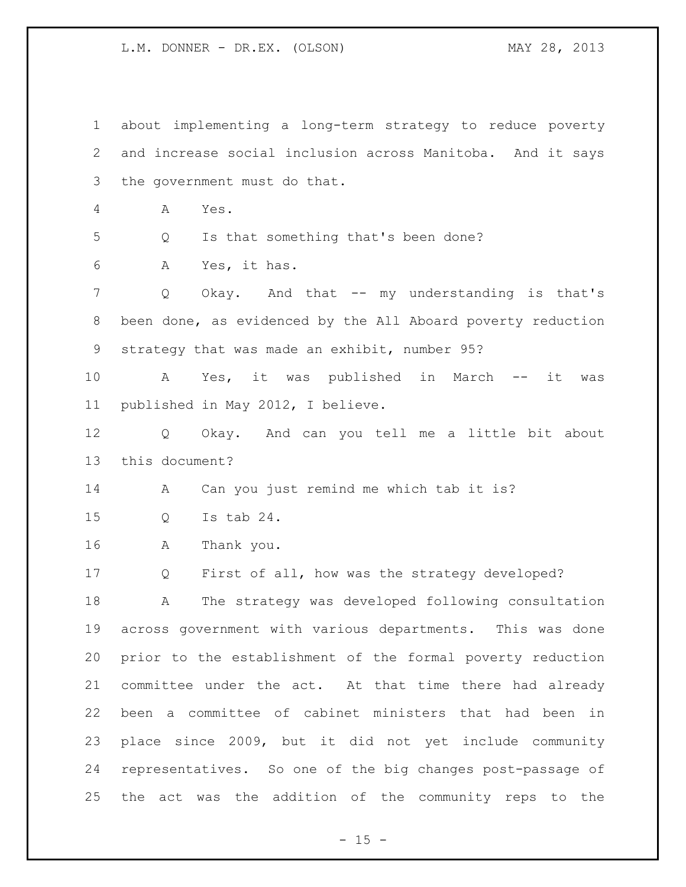about implementing a long-term strategy to reduce poverty and increase social inclusion across Manitoba. And it says the government must do that. A Yes. Q Is that something that's been done? A Yes, it has. Q Okay. And that -- my understanding is that's been done, as evidenced by the All Aboard poverty reduction strategy that was made an exhibit, number 95? A Yes, it was published in March -- it was published in May 2012, I believe. Q Okay. And can you tell me a little bit about this document? A Can you just remind me which tab it is? Q Is tab 24. A Thank you. Q First of all, how was the strategy developed? A The strategy was developed following consultation across government with various departments. This was done prior to the establishment of the formal poverty reduction committee under the act. At that time there had already been a committee of cabinet ministers that had been in place since 2009, but it did not yet include community representatives. So one of the big changes post-passage of the act was the addition of the community reps to the

 $- 15 -$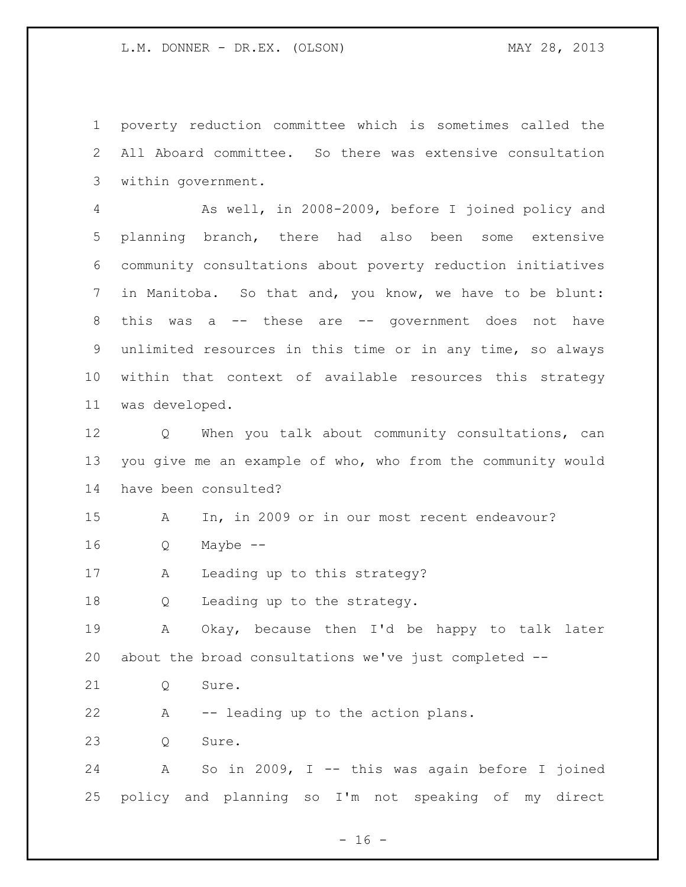poverty reduction committee which is sometimes called the All Aboard committee. So there was extensive consultation within government.

 As well, in 2008-2009, before I joined policy and planning branch, there had also been some extensive community consultations about poverty reduction initiatives in Manitoba. So that and, you know, we have to be blunt: this was a -- these are -- government does not have unlimited resources in this time or in any time, so always within that context of available resources this strategy was developed.

 Q When you talk about community consultations, can you give me an example of who, who from the community would have been consulted?

A In, in 2009 or in our most recent endeavour?

Q Maybe --

A Leading up to this strategy?

Q Leading up to the strategy.

 A Okay, because then I'd be happy to talk later about the broad consultations we've just completed --

21 0 Sure.

A -- leading up to the action plans.

23 0 Sure.

 A So in 2009, I -- this was again before I joined policy and planning so I'm not speaking of my direct

 $- 16 -$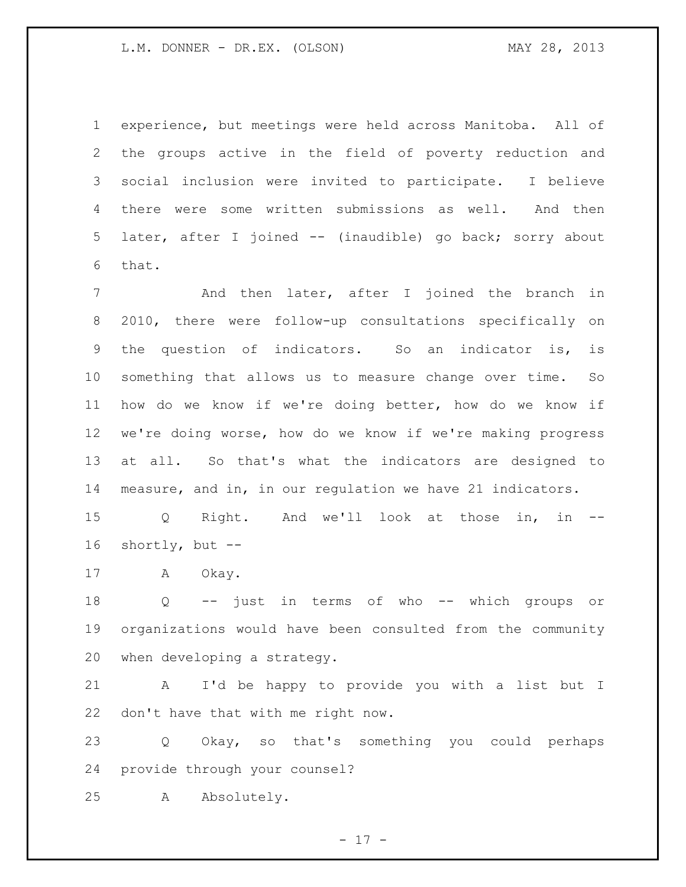experience, but meetings were held across Manitoba. All of the groups active in the field of poverty reduction and social inclusion were invited to participate. I believe there were some written submissions as well. And then later, after I joined -- (inaudible) go back; sorry about that.

7 And then later, after I joined the branch in 2010, there were follow-up consultations specifically on the question of indicators. So an indicator is, is something that allows us to measure change over time. So how do we know if we're doing better, how do we know if we're doing worse, how do we know if we're making progress at all. So that's what the indicators are designed to measure, and in, in our regulation we have 21 indicators.

 Q Right. And we'll look at those in, in -- shortly, but --

17 A Okay.

 Q -- just in terms of who -- which groups or organizations would have been consulted from the community when developing a strategy.

 A I'd be happy to provide you with a list but I don't have that with me right now.

 Q Okay, so that's something you could perhaps provide through your counsel?

A Absolutely.

- 17 -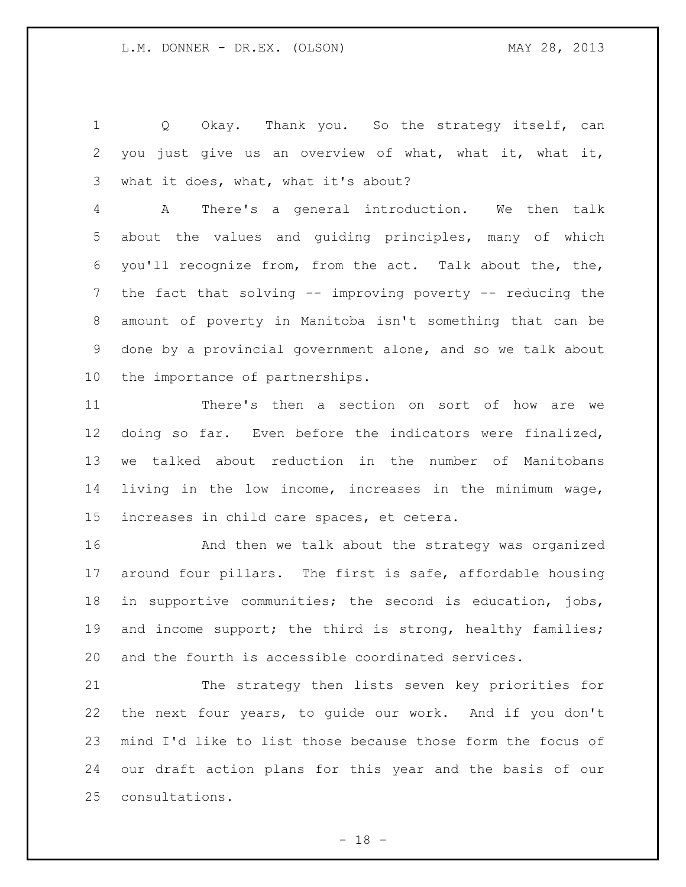1 Q Okay. Thank you. So the strategy itself, can you just give us an overview of what, what it, what it, what it does, what, what it's about?

 A There's a general introduction. We then talk about the values and guiding principles, many of which you'll recognize from, from the act. Talk about the, the, the fact that solving -- improving poverty -- reducing the amount of poverty in Manitoba isn't something that can be done by a provincial government alone, and so we talk about the importance of partnerships.

 There's then a section on sort of how are we doing so far. Even before the indicators were finalized, we talked about reduction in the number of Manitobans living in the low income, increases in the minimum wage, increases in child care spaces, et cetera.

 And then we talk about the strategy was organized around four pillars. The first is safe, affordable housing in supportive communities; the second is education, jobs, 19 and income support; the third is strong, healthy families; and the fourth is accessible coordinated services.

 The strategy then lists seven key priorities for the next four years, to guide our work. And if you don't mind I'd like to list those because those form the focus of our draft action plans for this year and the basis of our consultations.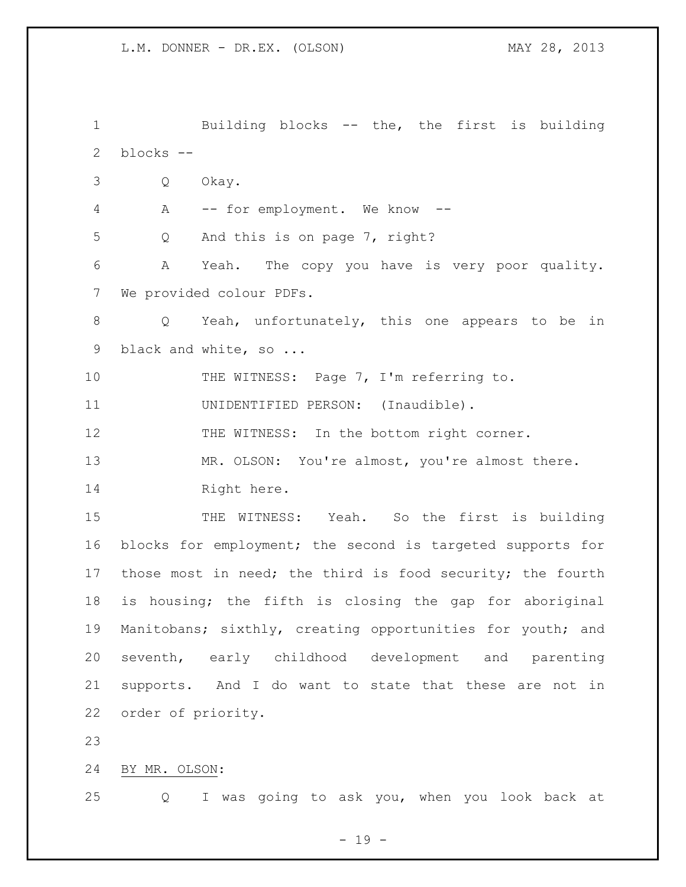Building blocks -- the, the first is building blocks -- Q Okay. A -- for employment. We know -- Q And this is on page 7, right? A Yeah. The copy you have is very poor quality. We provided colour PDFs. Q Yeah, unfortunately, this one appears to be in 9 black and white, so ... 10 THE WITNESS: Page 7, I'm referring to. UNIDENTIFIED PERSON: (Inaudible). 12 THE WITNESS: In the bottom right corner. 13 MR. OLSON: You're almost, you're almost there. 14 Right here. 15 THE WITNESS: Yeah. So the first is building blocks for employment; the second is targeted supports for those most in need; the third is food security; the fourth is housing; the fifth is closing the gap for aboriginal Manitobans; sixthly, creating opportunities for youth; and seventh, early childhood development and parenting supports. And I do want to state that these are not in order of priority. BY MR. OLSON: Q I was going to ask you, when you look back at

- 19 -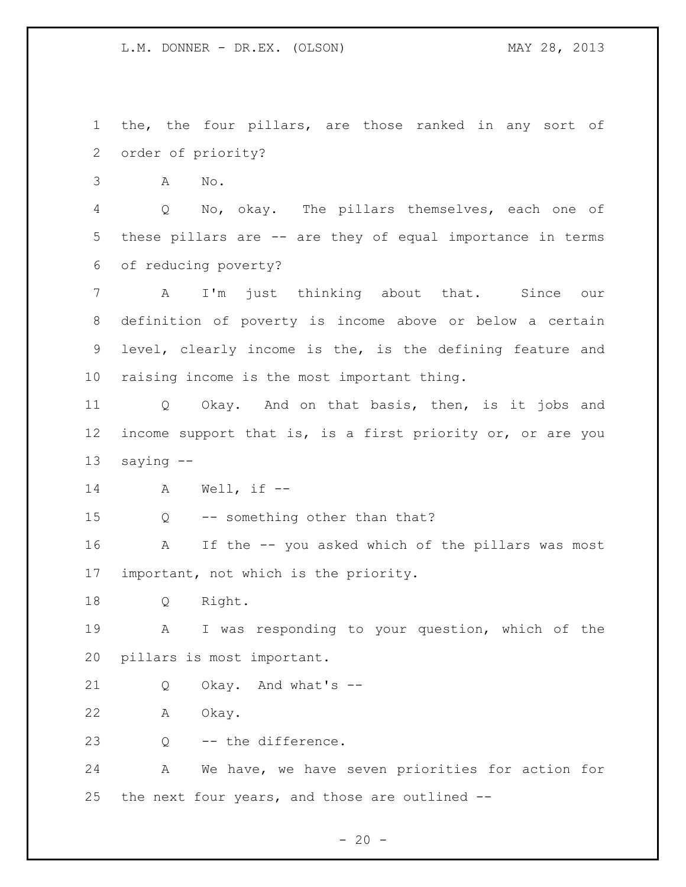the, the four pillars, are those ranked in any sort of order of priority?

A No.

 Q No, okay. The pillars themselves, each one of these pillars are -- are they of equal importance in terms of reducing poverty?

 A I'm just thinking about that. Since our definition of poverty is income above or below a certain level, clearly income is the, is the defining feature and raising income is the most important thing.

 Q Okay. And on that basis, then, is it jobs and income support that is, is a first priority or, or are you saying --

A Well, if --

Q -- something other than that?

 A If the -- you asked which of the pillars was most important, not which is the priority.

Q Right.

 A I was responding to your question, which of the pillars is most important.

Q Okay. And what's --

A Okay.

Q -- the difference.

 A We have, we have seven priorities for action for the next four years, and those are outlined --

 $- 20 -$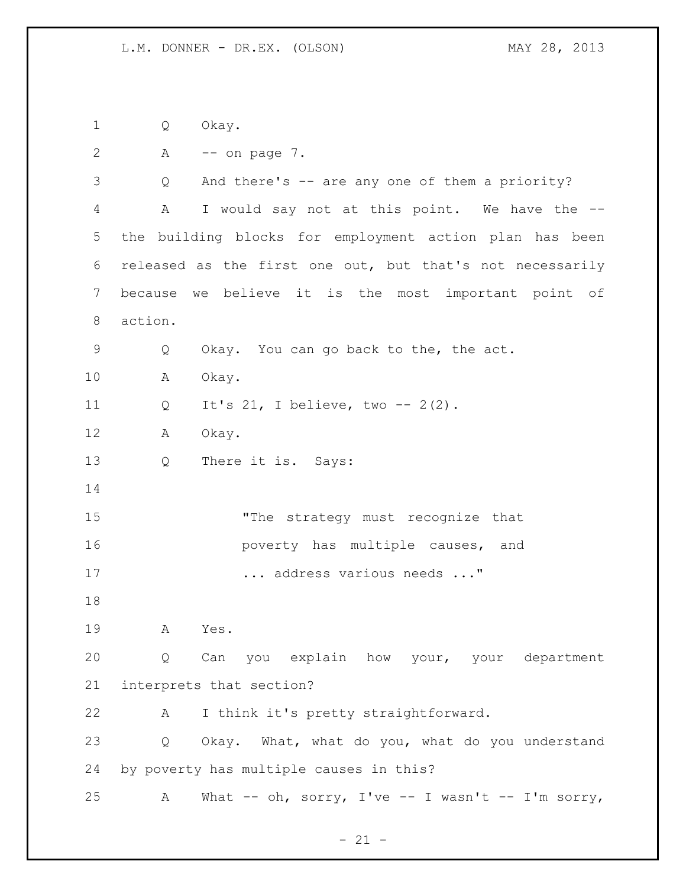Q Okay.

```
2 A -- on page 7.
```
 Q And there's -- are any one of them a priority? A I would say not at this point. We have the -- the building blocks for employment action plan has been released as the first one out, but that's not necessarily because we believe it is the most important point of action. Q Okay. You can go back to the, the act. A Okay. Q It's 21, I believe, two -- 2(2). A Okay. Q There it is. Says: 15 The strategy must recognize that **16 poverty** has multiple causes, and ... address various needs ..." A Yes. Q Can you explain how your, your department interprets that section? A I think it's pretty straightforward. Q Okay. What, what do you, what do you understand by poverty has multiple causes in this? A What -- oh, sorry, I've -- I wasn't -- I'm sorry,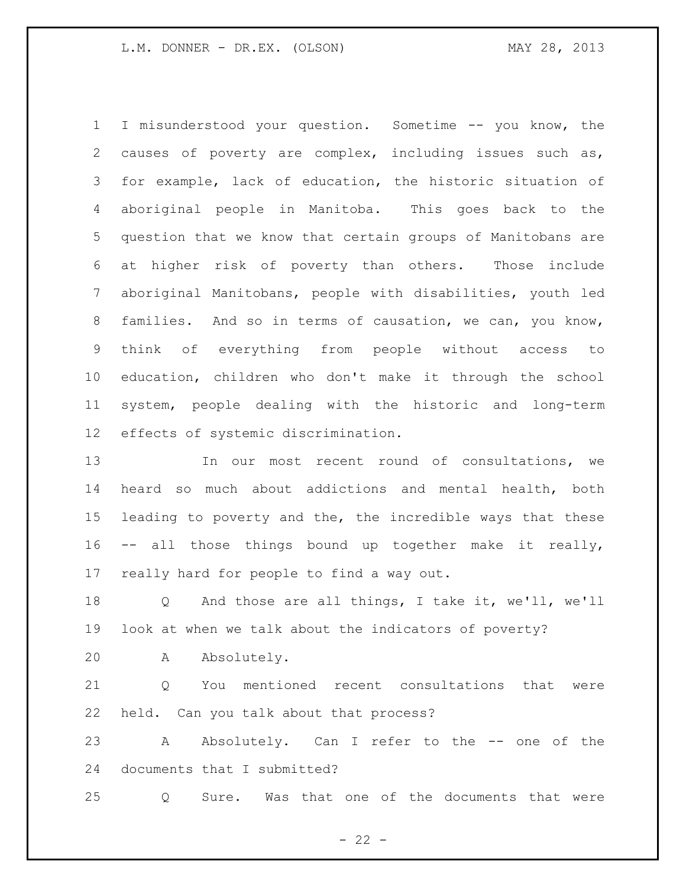I misunderstood your question. Sometime -- you know, the causes of poverty are complex, including issues such as, for example, lack of education, the historic situation of aboriginal people in Manitoba. This goes back to the question that we know that certain groups of Manitobans are at higher risk of poverty than others. Those include aboriginal Manitobans, people with disabilities, youth led families. And so in terms of causation, we can, you know, think of everything from people without access to education, children who don't make it through the school system, people dealing with the historic and long-term effects of systemic discrimination.

 In our most recent round of consultations, we heard so much about addictions and mental health, both leading to poverty and the, the incredible ways that these -- all those things bound up together make it really, really hard for people to find a way out.

 Q And those are all things, I take it, we'll, we'll look at when we talk about the indicators of poverty?

A Absolutely.

21 0 You mentioned recent consultations that were held. Can you talk about that process?

23 A Absolutely. Can I refer to the -- one of the documents that I submitted?

Q Sure. Was that one of the documents that were

 $- 22 -$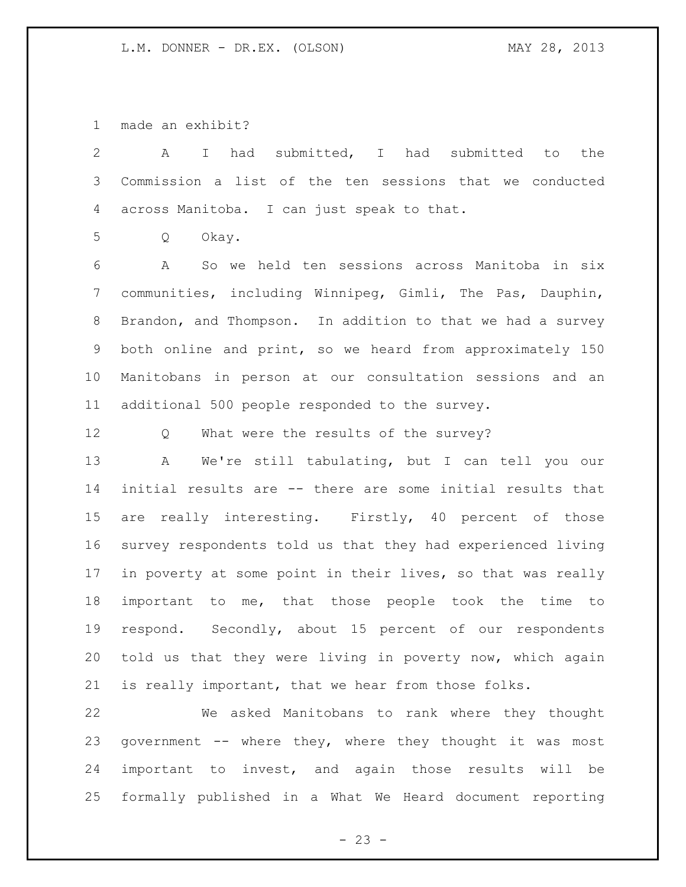made an exhibit?

| $\mathbf{2}$    | had submitted, I had submitted to<br>$\mathbb{I}$<br>the<br>A |
|-----------------|---------------------------------------------------------------|
| 3               | Commission a list of the ten sessions that we conducted       |
| 4               | across Manitoba. I can just speak to that.                    |
| 5               | Q<br>Okay.                                                    |
| 6               | So we held ten sessions across Manitoba in six<br>A           |
| $7\phantom{.0}$ | communities, including Winnipeg, Gimli, The Pas, Dauphin,     |
| 8               | Brandon, and Thompson. In addition to that we had a survey    |
| 9               | both online and print, so we heard from approximately 150     |
| 10              | Manitobans in person at our consultation sessions and an      |
| 11              | additional 500 people responded to the survey.                |
| 12              | What were the results of the survey?<br>Q                     |
| 13              | We're still tabulating, but I can tell you our<br>A           |
| 14              | initial results are -- there are some initial results that    |
| 15              | are really interesting. Firstly, 40 percent of those          |
| 16              | survey respondents told us that they had experienced living   |
| 17              | in poverty at some point in their lives, so that was really   |
| 18              | important to me, that those people took the time to           |
| 19              | respond. Secondly, about 15 percent of our respondents        |
| 20              | told us that they were living in poverty now, which again     |
| 21              | is really important, that we hear from those folks.           |

 We asked Manitobans to rank where they thought government -- where they, where they thought it was most important to invest, and again those results will be formally published in a What We Heard document reporting

- 23 -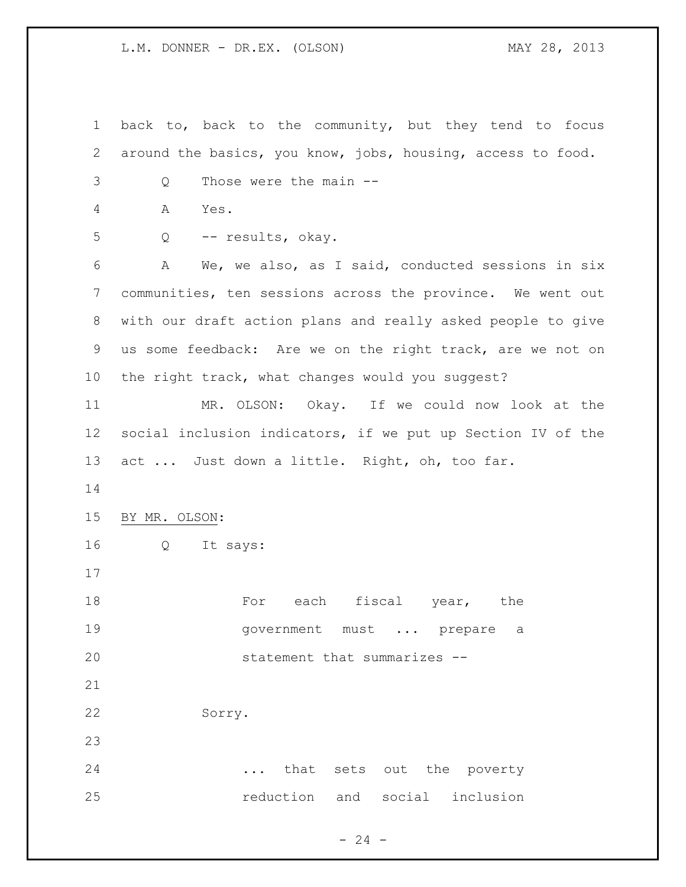back to, back to the community, but they tend to focus around the basics, you know, jobs, housing, access to food. Q Those were the main -- A Yes. Q -- results, okay. A We, we also, as I said, conducted sessions in six communities, ten sessions across the province. We went out with our draft action plans and really asked people to give us some feedback: Are we on the right track, are we not on the right track, what changes would you suggest? MR. OLSON: Okay. If we could now look at the social inclusion indicators, if we put up Section IV of the 13 act ... Just down a little. Right, oh, too far. BY MR. OLSON: Q It says: 18 For each fiscal year, the 19 movernment must ... prepare a statement that summarizes -- Sorry. ... that sets out the poverty reduction and social inclusion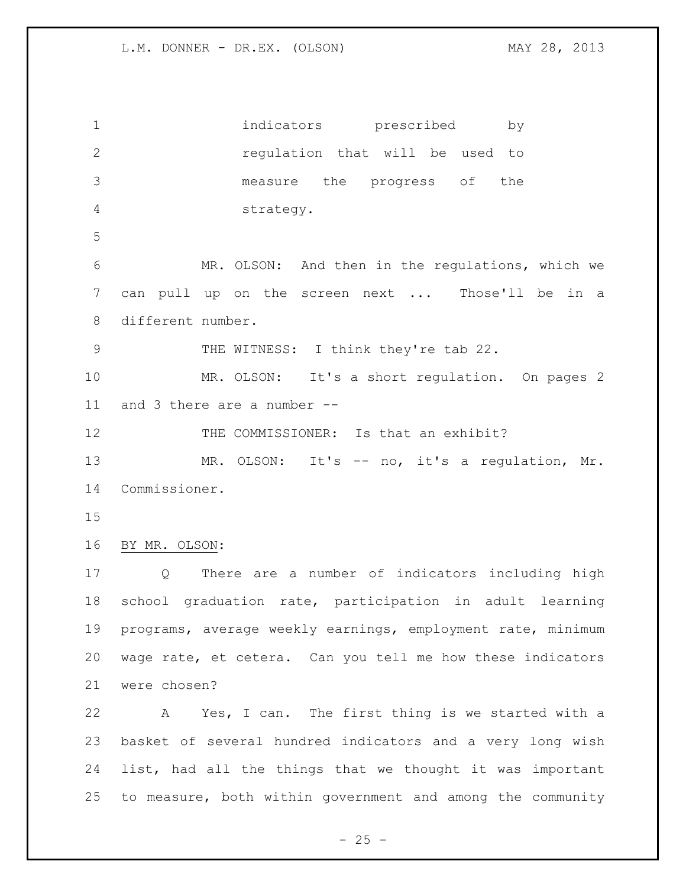indicators prescribed by regulation that will be used to measure the progress of the strategy. MR. OLSON: And then in the regulations, which we can pull up on the screen next ... Those'll be in a different number. 9 THE WITNESS: I think they're tab 22. MR. OLSON: It's a short regulation. On pages 2 and 3 there are a number -- 12 THE COMMISSIONER: Is that an exhibit? 13 MR. OLSON: It's -- no, it's a regulation, Mr. Commissioner. BY MR. OLSON: Q There are a number of indicators including high school graduation rate, participation in adult learning programs, average weekly earnings, employment rate, minimum wage rate, et cetera. Can you tell me how these indicators were chosen? A Yes, I can. The first thing is we started with a basket of several hundred indicators and a very long wish list, had all the things that we thought it was important to measure, both within government and among the community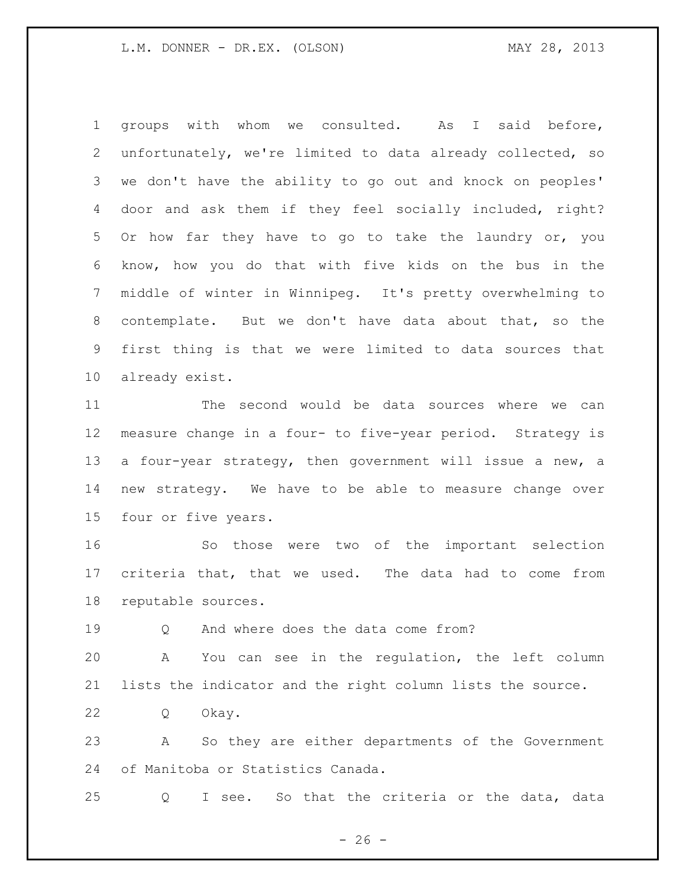groups with whom we consulted. As I said before, unfortunately, we're limited to data already collected, so we don't have the ability to go out and knock on peoples' door and ask them if they feel socially included, right? Or how far they have to go to take the laundry or, you know, how you do that with five kids on the bus in the middle of winter in Winnipeg. It's pretty overwhelming to contemplate. But we don't have data about that, so the first thing is that we were limited to data sources that already exist.

 The second would be data sources where we can measure change in a four- to five-year period. Strategy is a four-year strategy, then government will issue a new, a new strategy. We have to be able to measure change over four or five years.

 So those were two of the important selection criteria that, that we used. The data had to come from reputable sources.

Q And where does the data come from?

 A You can see in the regulation, the left column lists the indicator and the right column lists the source.

Q Okay.

 A So they are either departments of the Government of Manitoba or Statistics Canada.

Q I see. So that the criteria or the data, data

 $- 26 -$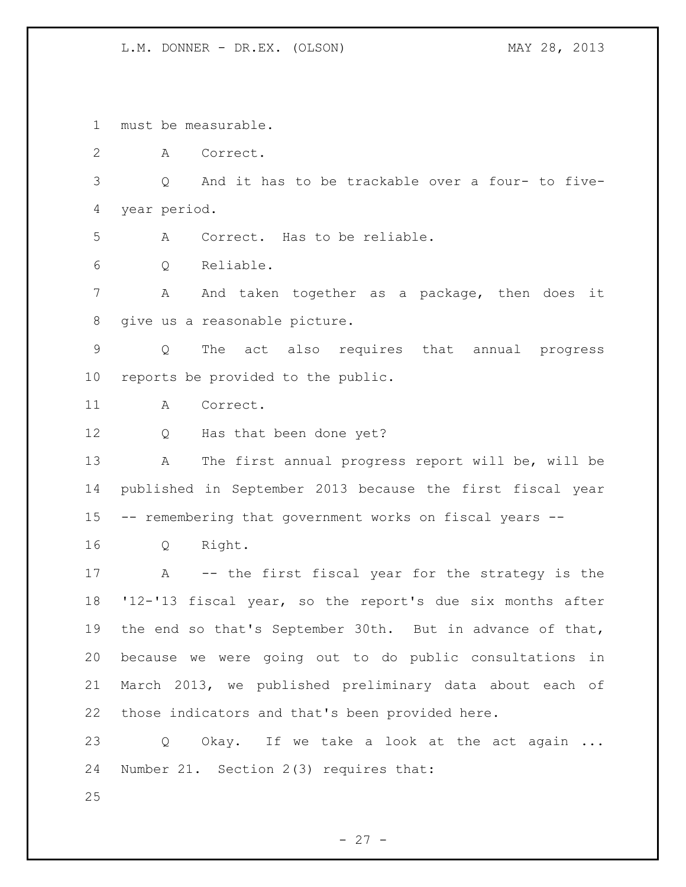must be measurable.

A Correct.

 Q And it has to be trackable over a four- to five-year period.

A Correct. Has to be reliable.

Q Reliable.

 A And taken together as a package, then does it give us a reasonable picture.

 Q The act also requires that annual progress reports be provided to the public.

A Correct.

12 Q Has that been done yet?

 A The first annual progress report will be, will be published in September 2013 because the first fiscal year -- remembering that government works on fiscal years --

Q Right.

 A -- the first fiscal year for the strategy is the '12-'13 fiscal year, so the report's due six months after the end so that's September 30th. But in advance of that, because we were going out to do public consultations in March 2013, we published preliminary data about each of those indicators and that's been provided here.

23 Q Okay. If we take a look at the act again ... Number 21. Section 2(3) requires that:

 $- 27 -$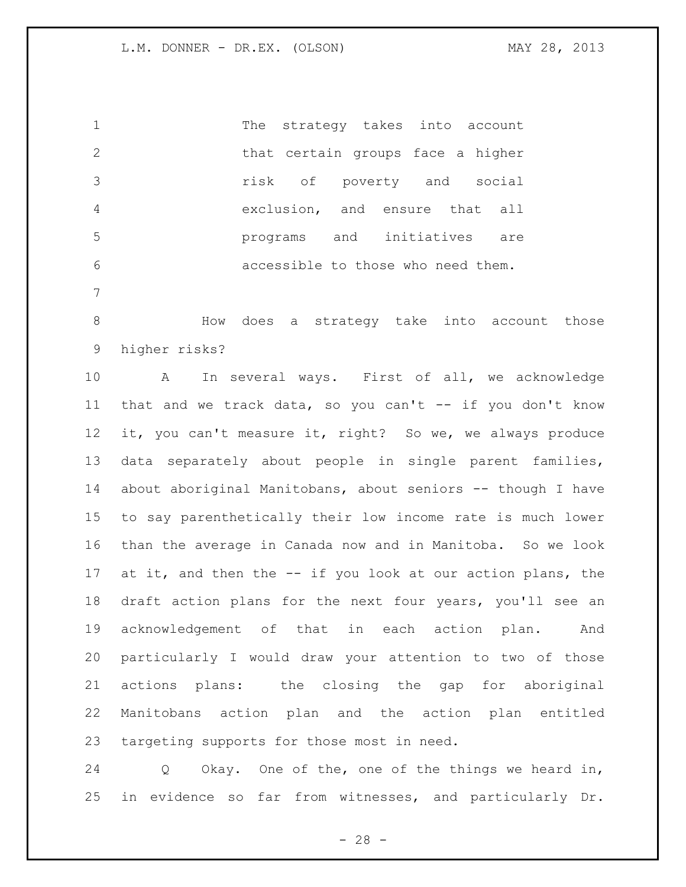The strategy takes into account 2 that certain groups face a higher risk of poverty and social exclusion, and ensure that all programs and initiatives are accessible to those who need them.

 How does a strategy take into account those higher risks?

 A In several ways. First of all, we acknowledge that and we track data, so you can't -- if you don't know it, you can't measure it, right? So we, we always produce data separately about people in single parent families, about aboriginal Manitobans, about seniors -- though I have to say parenthetically their low income rate is much lower than the average in Canada now and in Manitoba. So we look at it, and then the -- if you look at our action plans, the draft action plans for the next four years, you'll see an acknowledgement of that in each action plan. And particularly I would draw your attention to two of those actions plans: the closing the gap for aboriginal Manitobans action plan and the action plan entitled targeting supports for those most in need.

 Q Okay. One of the, one of the things we heard in, in evidence so far from witnesses, and particularly Dr.

 $- 28 -$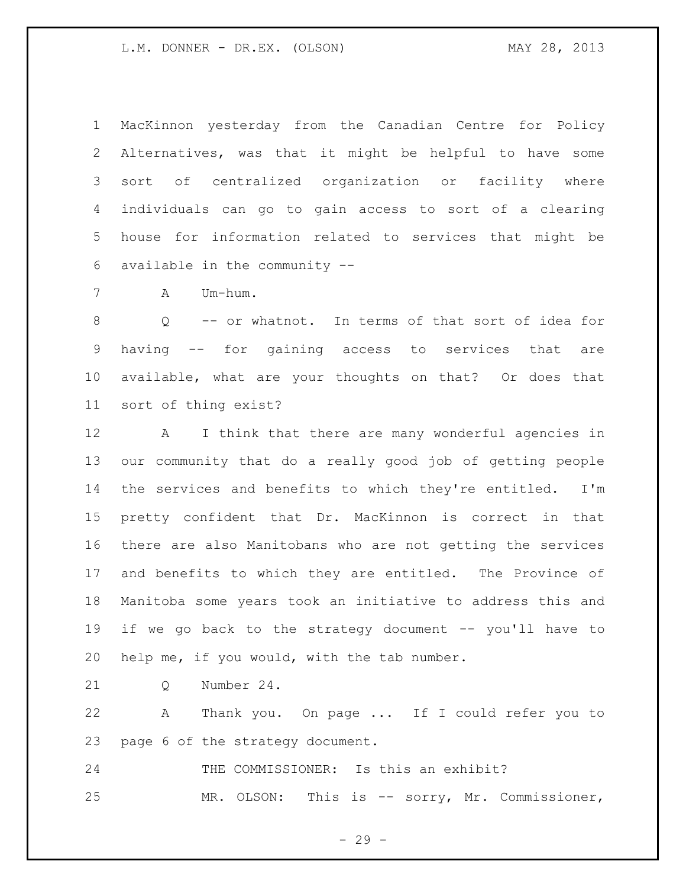MacKinnon yesterday from the Canadian Centre for Policy Alternatives, was that it might be helpful to have some sort of centralized organization or facility where individuals can go to gain access to sort of a clearing house for information related to services that might be available in the community --

A Um-hum.

 Q -- or whatnot. In terms of that sort of idea for having -- for gaining access to services that are available, what are your thoughts on that? Or does that sort of thing exist?

 A I think that there are many wonderful agencies in our community that do a really good job of getting people the services and benefits to which they're entitled. I'm pretty confident that Dr. MacKinnon is correct in that there are also Manitobans who are not getting the services and benefits to which they are entitled. The Province of Manitoba some years took an initiative to address this and if we go back to the strategy document -- you'll have to help me, if you would, with the tab number.

21 O Number 24.

 A Thank you. On page ... If I could refer you to page 6 of the strategy document.

 THE COMMISSIONER: Is this an exhibit? MR. OLSON: This is -- sorry, Mr. Commissioner,

 $- 29 -$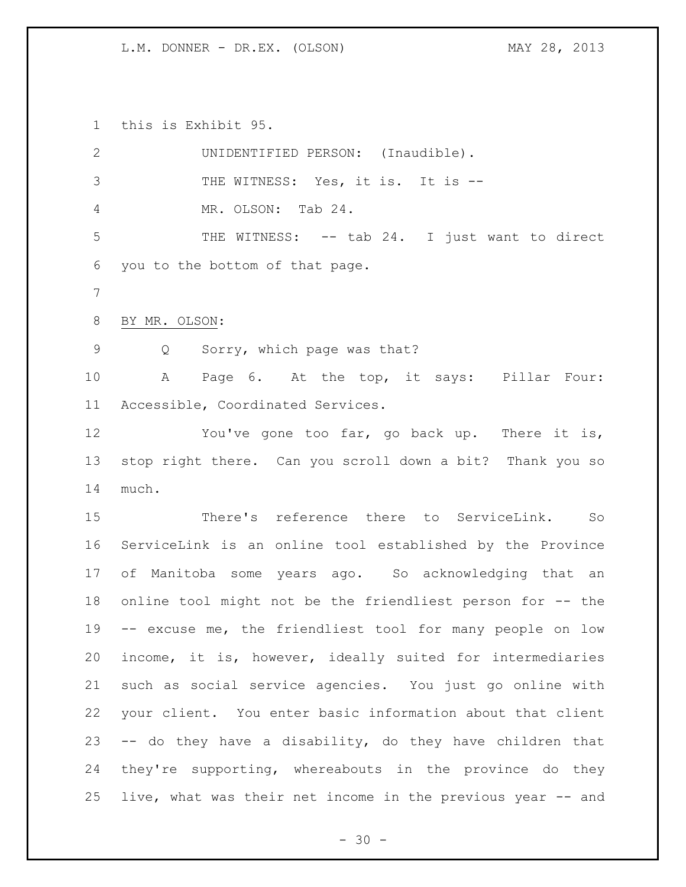this is Exhibit 95.

| $\mathbf{2}$   | UNIDENTIFIED PERSON: (Inaudible).                           |
|----------------|-------------------------------------------------------------|
| 3              | THE WITNESS: Yes, it is. It is --                           |
| $\overline{4}$ | MR. OLSON: Tab 24.                                          |
| 5              | THE WITNESS: -- tab 24. I just want to direct               |
| 6              | you to the bottom of that page.                             |
| 7              |                                                             |
| $8\,$          | BY MR. OLSON:                                               |
| $\mathsf 9$    | Q Sorry, which page was that?                               |
| 10             | A Page 6. At the top, it says: Pillar Four:                 |
| 11             | Accessible, Coordinated Services.                           |
| 12             | You've gone too far, go back up. There it is,               |
| 13             | stop right there. Can you scroll down a bit? Thank you so   |
| 14             | much.                                                       |
| 15             | There's reference there to ServiceLink.<br>So               |
| 16             | ServiceLink is an online tool established by the Province   |
| 17             | of Manitoba some years ago. So acknowledging that an        |
| 18             | online tool might not be the friendliest person for -- the  |
| 19             | -- excuse me, the friendliest tool for many people on low   |
| 20             | income, it is, however, ideally suited for intermediaries   |
| 21             | such as social service agencies. You just go online with    |
| 22             | your client. You enter basic information about that client  |
| 23             | -- do they have a disability, do they have children that    |
| 24             | they're supporting, whereabouts in the province do they     |
| 25             | live, what was their net income in the previous year -- and |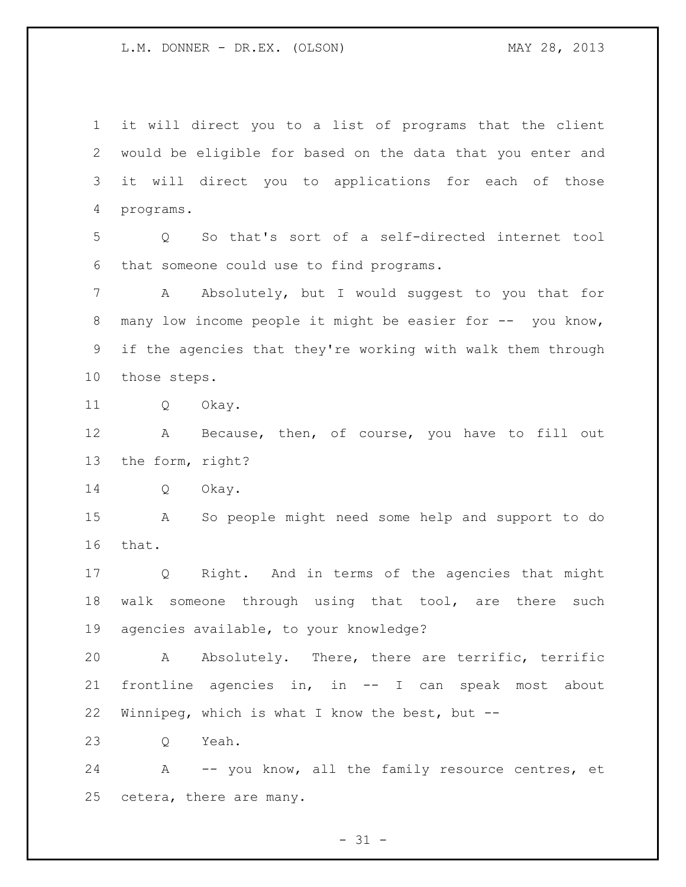it will direct you to a list of programs that the client would be eligible for based on the data that you enter and it will direct you to applications for each of those programs.

 Q So that's sort of a self-directed internet tool that someone could use to find programs.

 A Absolutely, but I would suggest to you that for 8 many low income people it might be easier for -- you know, if the agencies that they're working with walk them through those steps.

Q Okay.

 A Because, then, of course, you have to fill out the form, right?

Q Okay.

 A So people might need some help and support to do that.

 Q Right. And in terms of the agencies that might walk someone through using that tool, are there such agencies available, to your knowledge?

 A Absolutely. There, there are terrific, terrific frontline agencies in, in -- I can speak most about Winnipeg, which is what I know the best, but --

Q Yeah.

 A -- you know, all the family resource centres, et cetera, there are many.

 $- 31 -$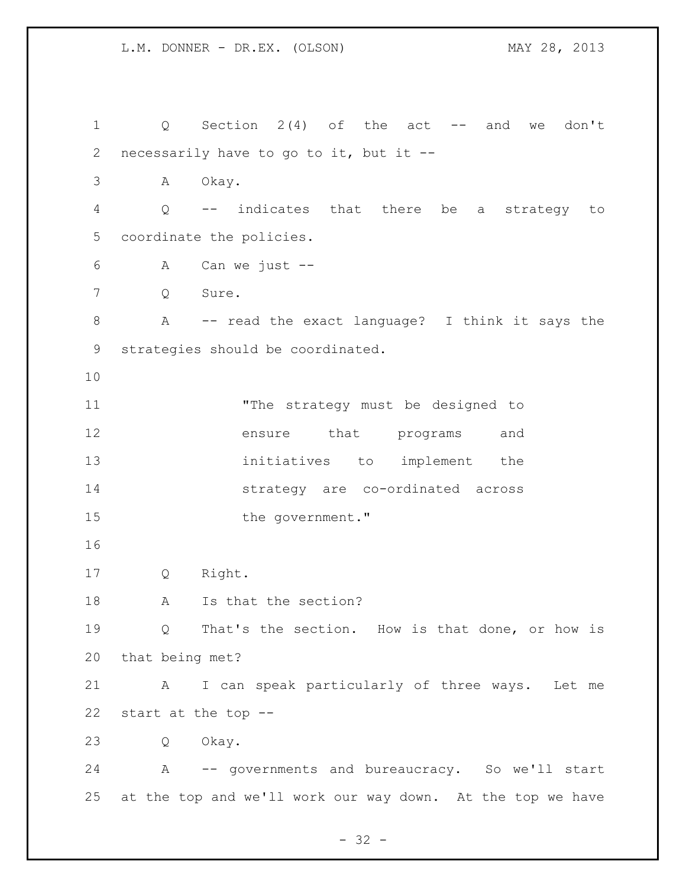| $\mathbf 1$    | $Q \qquad \qquad$                 | Section $2(4)$ of the act -- and<br>don't<br>we            |
|----------------|-----------------------------------|------------------------------------------------------------|
| $\overline{2}$ |                                   | necessarily have to go to it, but it --                    |
| 3              | A                                 | Okay.                                                      |
| 4              | Q                                 | -- indicates that there be<br>strategy<br>a<br>to          |
| 5              |                                   | coordinate the policies.                                   |
| 6              | А                                 | Can we just $--$                                           |
| 7              | Q                                 | Sure.                                                      |
| 8              | $\mathbf{A}$                      | -- read the exact language? I think it says the            |
| 9              | strategies should be coordinated. |                                                            |
| 10             |                                   |                                                            |
| 11             |                                   | "The strategy must be designed to                          |
| 12             |                                   | that programs<br>ensure<br>and                             |
| 13             |                                   | initiatives to implement the                               |
| 14             |                                   | strategy are co-ordinated across                           |
| 15             |                                   | the government."                                           |
| 16             |                                   |                                                            |
| 17             | Q                                 | Right.                                                     |
| 18             | A                                 | Is that the section?                                       |
| 19             |                                   | Q That's the section. How is that done, or how is          |
| 20             | that being met?                   |                                                            |
| 21             | A                                 | I can speak particularly of three ways. Let me             |
| 22             |                                   | start at the top --                                        |
| 23             | Q                                 | Okay.                                                      |
| 24             |                                   | A -- governments and bureaucracy. So we'll start           |
| 25             |                                   | at the top and we'll work our way down. At the top we have |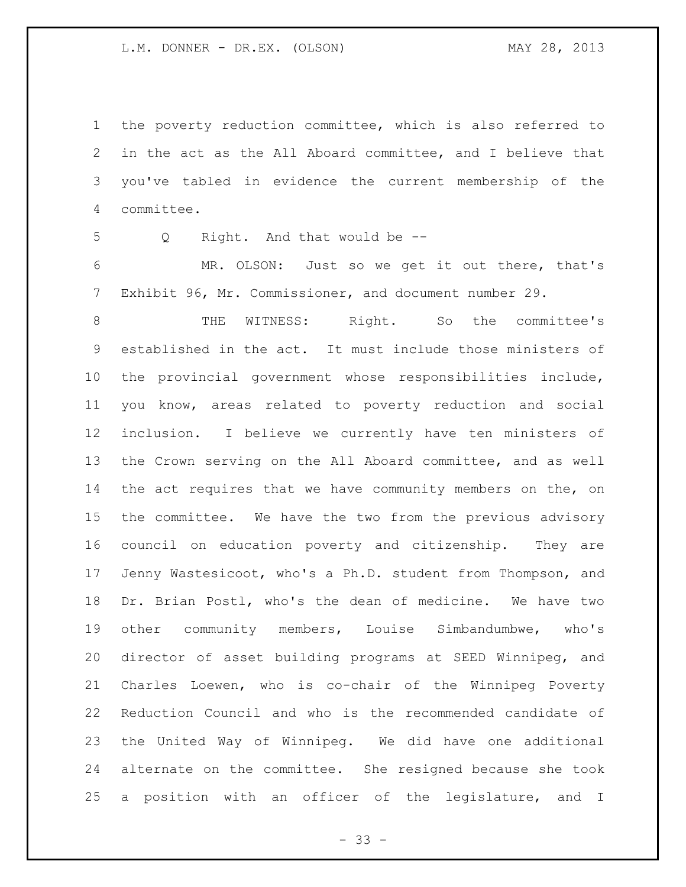the poverty reduction committee, which is also referred to in the act as the All Aboard committee, and I believe that you've tabled in evidence the current membership of the committee.

Q Right. And that would be --

 MR. OLSON: Just so we get it out there, that's Exhibit 96, Mr. Commissioner, and document number 29.

 THE WITNESS: Right. So the committee's established in the act. It must include those ministers of the provincial government whose responsibilities include, you know, areas related to poverty reduction and social inclusion. I believe we currently have ten ministers of the Crown serving on the All Aboard committee, and as well 14 the act requires that we have community members on the, on the committee. We have the two from the previous advisory council on education poverty and citizenship. They are Jenny Wastesicoot, who's a Ph.D. student from Thompson, and Dr. Brian Postl, who's the dean of medicine. We have two other community members, Louise Simbandumbwe, who's director of asset building programs at SEED Winnipeg, and Charles Loewen, who is co-chair of the Winnipeg Poverty Reduction Council and who is the recommended candidate of the United Way of Winnipeg. We did have one additional alternate on the committee. She resigned because she took a position with an officer of the legislature, and I

- 33 -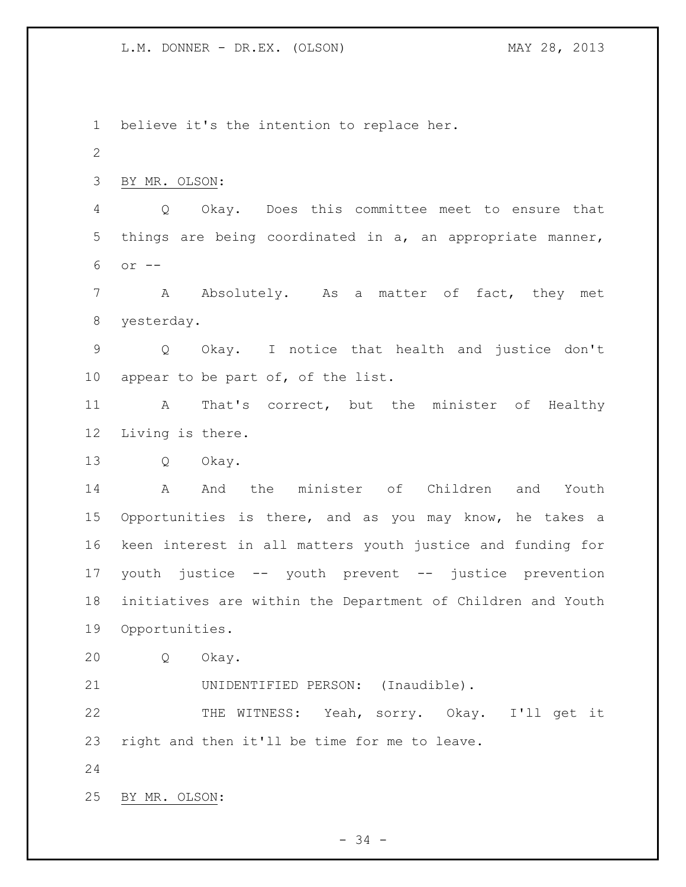believe it's the intention to replace her. BY MR. OLSON: Q Okay. Does this committee meet to ensure that things are being coordinated in a, an appropriate manner, or -- 7 A Absolutely. As a matter of fact, they met yesterday. Q Okay. I notice that health and justice don't appear to be part of, of the list. A That's correct, but the minister of Healthy Living is there. Q Okay. A And the minister of Children and Youth Opportunities is there, and as you may know, he takes a keen interest in all matters youth justice and funding for youth justice -- youth prevent -- justice prevention initiatives are within the Department of Children and Youth Opportunities. Q Okay. UNIDENTIFIED PERSON: (Inaudible). THE WITNESS: Yeah, sorry. Okay. I'll get it right and then it'll be time for me to leave. BY MR. OLSON: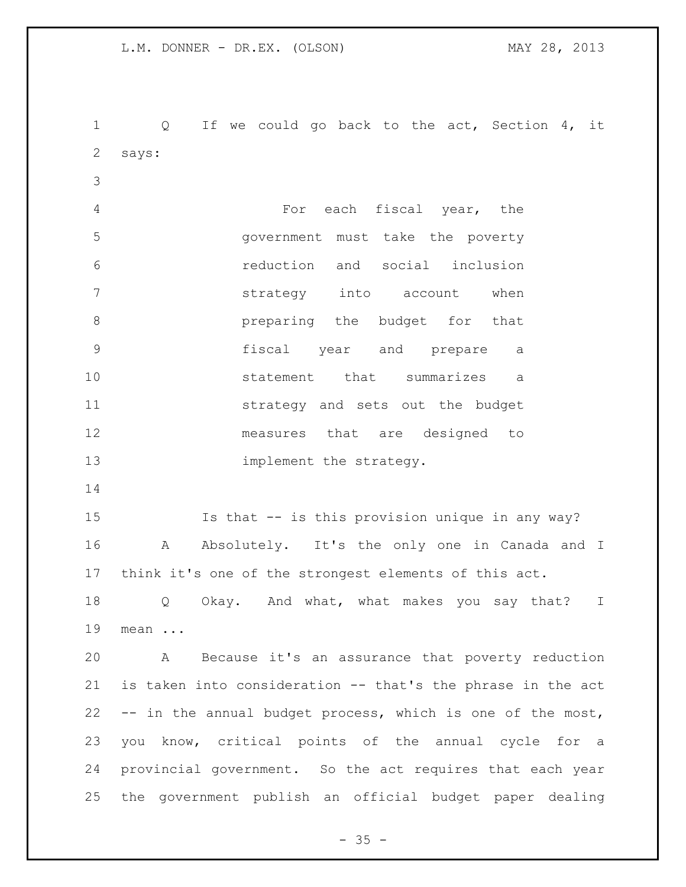Q If we could go back to the act, Section 4, it says: For each fiscal year, the government must take the poverty reduction and social inclusion strategy into account when **8 preparing the budget for that**  fiscal year and prepare a statement that summarizes a strategy and sets out the budget measures that are designed to 13 implement the strategy. Is that -- is this provision unique in any way? A Absolutely. It's the only one in Canada and I think it's one of the strongest elements of this act. Q Okay. And what, what makes you say that? I mean ... A Because it's an assurance that poverty reduction is taken into consideration -- that's the phrase in the act -- in the annual budget process, which is one of the most, you know, critical points of the annual cycle for a provincial government. So the act requires that each year the government publish an official budget paper dealing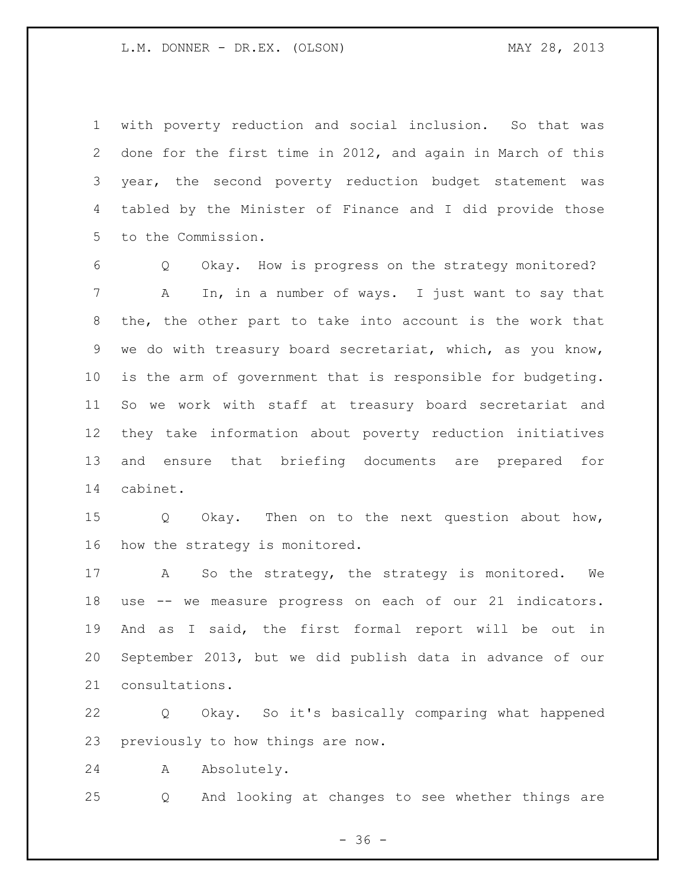with poverty reduction and social inclusion. So that was done for the first time in 2012, and again in March of this year, the second poverty reduction budget statement was tabled by the Minister of Finance and I did provide those to the Commission.

 Q Okay. How is progress on the strategy monitored? A In, in a number of ways. I just want to say that the, the other part to take into account is the work that we do with treasury board secretariat, which, as you know, is the arm of government that is responsible for budgeting. So we work with staff at treasury board secretariat and they take information about poverty reduction initiatives and ensure that briefing documents are prepared for cabinet.

 Q Okay. Then on to the next question about how, how the strategy is monitored.

17 A So the strategy, the strategy is monitored. We use -- we measure progress on each of our 21 indicators. And as I said, the first formal report will be out in September 2013, but we did publish data in advance of our consultations.

 Q Okay. So it's basically comparing what happened previously to how things are now.

A Absolutely.

Q And looking at changes to see whether things are

 $- 36 -$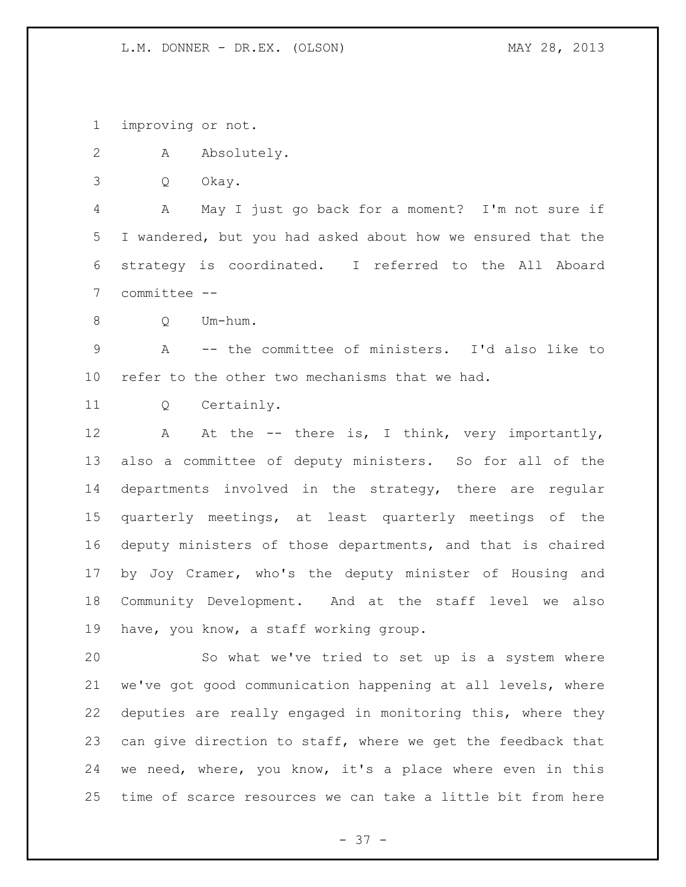improving or not.

- A Absolutely.
- Q Okay.

 A May I just go back for a moment? I'm not sure if I wandered, but you had asked about how we ensured that the strategy is coordinated. I referred to the All Aboard committee --

Q Um-hum.

 A -- the committee of ministers. I'd also like to refer to the other two mechanisms that we had.

Q Certainly.

12 A At the -- there is, I think, very importantly, also a committee of deputy ministers. So for all of the departments involved in the strategy, there are regular quarterly meetings, at least quarterly meetings of the deputy ministers of those departments, and that is chaired by Joy Cramer, who's the deputy minister of Housing and Community Development. And at the staff level we also have, you know, a staff working group.

 So what we've tried to set up is a system where we've got good communication happening at all levels, where deputies are really engaged in monitoring this, where they can give direction to staff, where we get the feedback that we need, where, you know, it's a place where even in this time of scarce resources we can take a little bit from here

- 37 -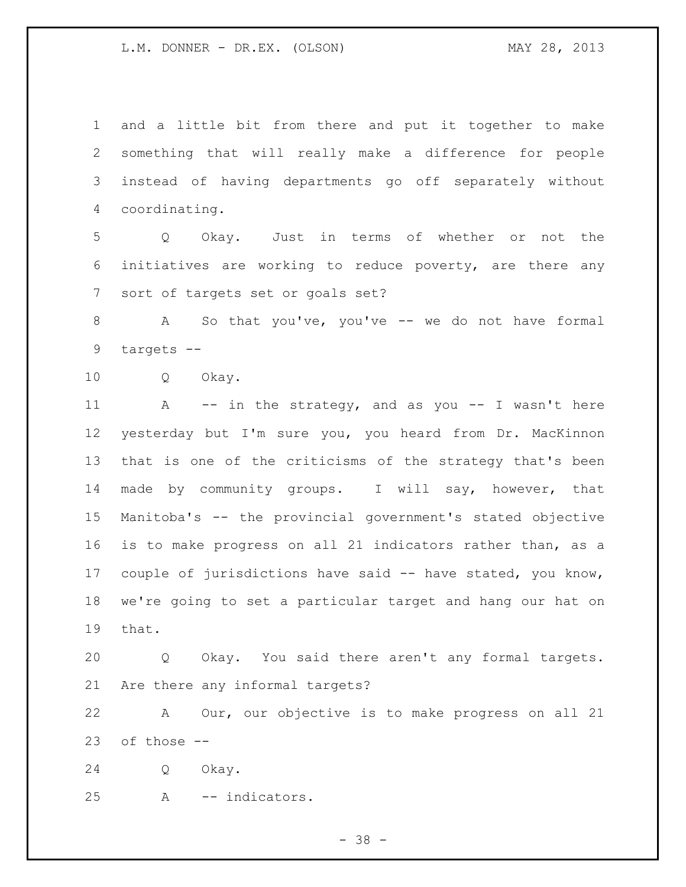and a little bit from there and put it together to make something that will really make a difference for people instead of having departments go off separately without coordinating.

 Q Okay. Just in terms of whether or not the initiatives are working to reduce poverty, are there any sort of targets set or goals set?

 A So that you've, you've -- we do not have formal targets --

Q Okay.

11 A -- in the strategy, and as you -- I wasn't here yesterday but I'm sure you, you heard from Dr. MacKinnon that is one of the criticisms of the strategy that's been made by community groups. I will say, however, that Manitoba's -- the provincial government's stated objective is to make progress on all 21 indicators rather than, as a couple of jurisdictions have said -- have stated, you know, we're going to set a particular target and hang our hat on that.

 Q Okay. You said there aren't any formal targets. Are there any informal targets?

 A Our, our objective is to make progress on all 21 of those --

Q Okay.

A -- indicators.

- 38 -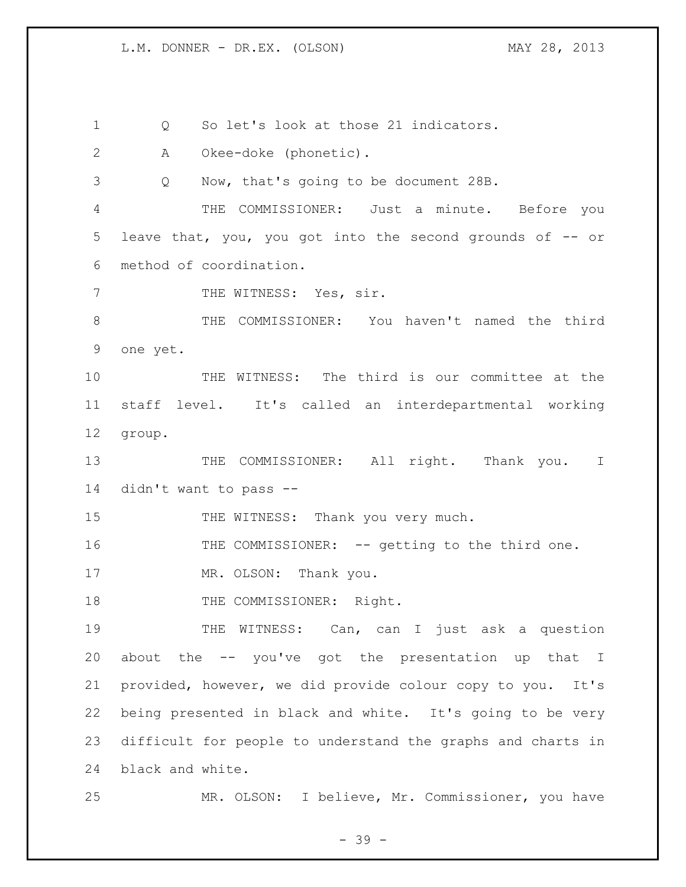Q So let's look at those 21 indicators. A Okee-doke (phonetic). Q Now, that's going to be document 28B. THE COMMISSIONER: Just a minute. Before you leave that, you, you got into the second grounds of -- or method of coordination. 7 THE WITNESS: Yes, sir. THE COMMISSIONER: You haven't named the third one yet. THE WITNESS: The third is our committee at the staff level. It's called an interdepartmental working group. 13 THE COMMISSIONER: All right. Thank you. I didn't want to pass -- 15 THE WITNESS: Thank you very much. 16 THE COMMISSIONER: -- getting to the third one. 17 MR. OLSON: Thank you. 18 THE COMMISSIONER: Right. 19 THE WITNESS: Can, can I just ask a question about the -- you've got the presentation up that I provided, however, we did provide colour copy to you. It's being presented in black and white. It's going to be very difficult for people to understand the graphs and charts in black and white. MR. OLSON: I believe, Mr. Commissioner, you have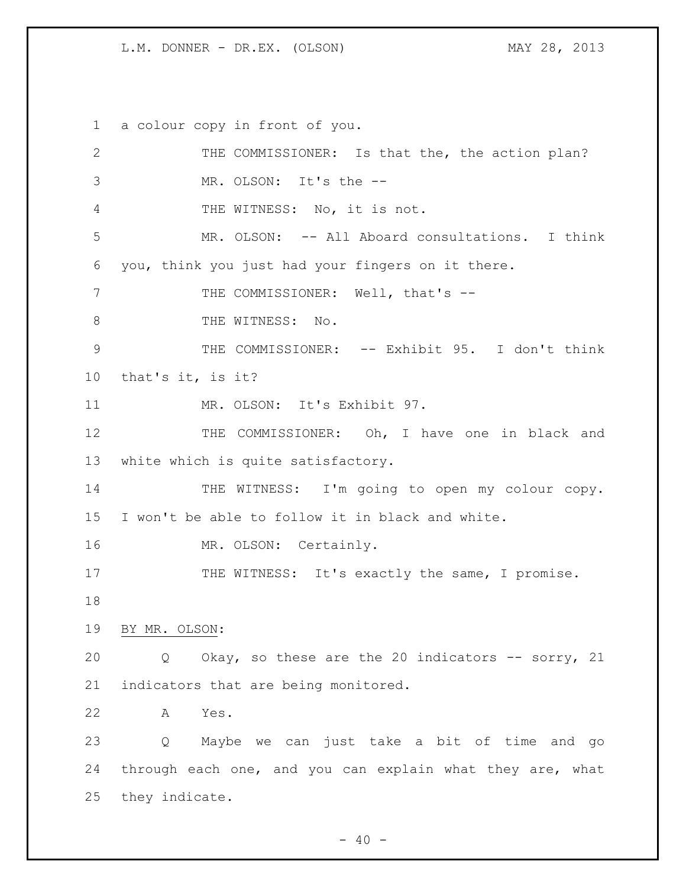a colour copy in front of you.

 THE COMMISSIONER: Is that the, the action plan? MR. OLSON: It's the -- THE WITNESS: No, it is not. MR. OLSON: -- All Aboard consultations. I think you, think you just had your fingers on it there. 7 THE COMMISSIONER: Well, that's --8 THE WITNESS: No. THE COMMISSIONER: -- Exhibit 95. I don't think that's it, is it? MR. OLSON: It's Exhibit 97. 12 THE COMMISSIONER: Oh, I have one in black and white which is quite satisfactory. 14 THE WITNESS: I'm going to open my colour copy. I won't be able to follow it in black and white. 16 MR. OLSON: Certainly. 17 THE WITNESS: It's exactly the same, I promise. BY MR. OLSON: Q Okay, so these are the 20 indicators -- sorry, 21 indicators that are being monitored. A Yes. Q Maybe we can just take a bit of time and go through each one, and you can explain what they are, what they indicate.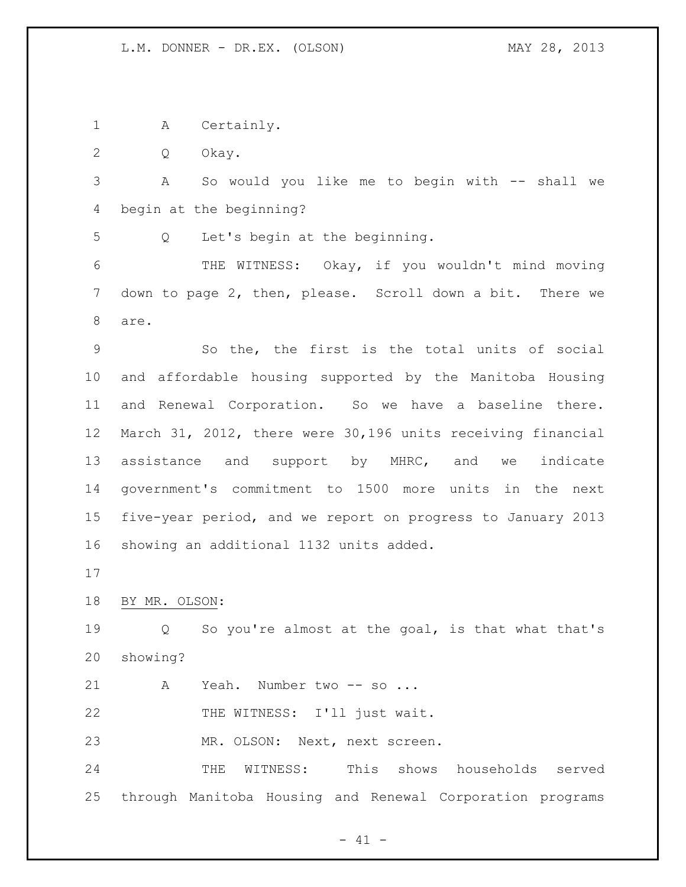A Certainly.

Q Okay.

 A So would you like me to begin with -- shall we begin at the beginning?

Q Let's begin at the beginning.

 THE WITNESS: Okay, if you wouldn't mind moving down to page 2, then, please. Scroll down a bit. There we are.

 So the, the first is the total units of social and affordable housing supported by the Manitoba Housing and Renewal Corporation. So we have a baseline there. March 31, 2012, there were 30,196 units receiving financial assistance and support by MHRC, and we indicate government's commitment to 1500 more units in the next five-year period, and we report on progress to January 2013 showing an additional 1132 units added.

BY MR. OLSON:

 Q So you're almost at the goal, is that what that's showing?

21 A Yeah. Number two -- so ...

22 THE WITNESS: I'll just wait.

MR. OLSON: Next, next screen.

 THE WITNESS: This shows households served through Manitoba Housing and Renewal Corporation programs

 $- 41 -$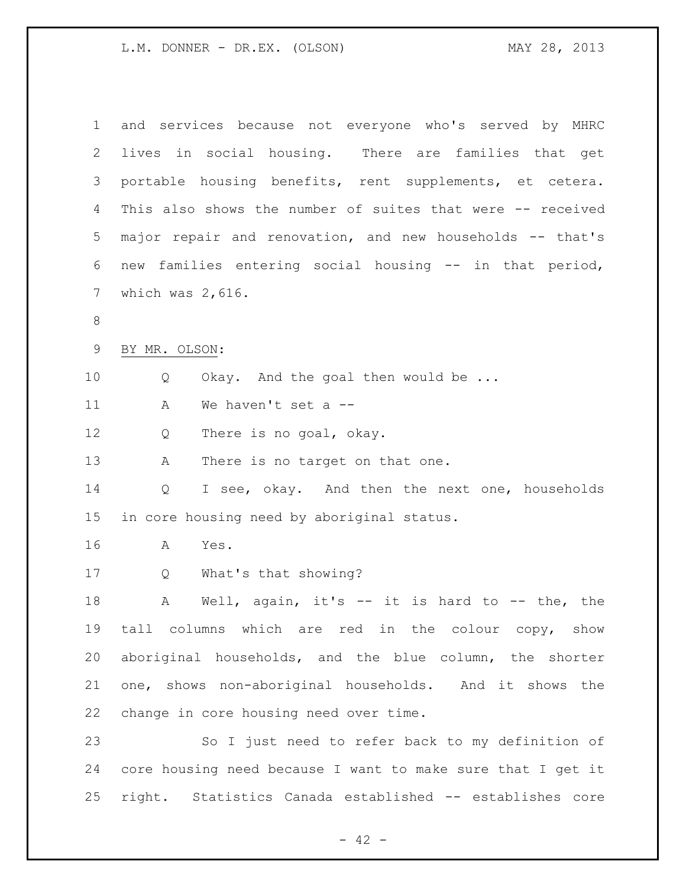| $\mathbf 1$     | and services because not everyone who's served by MHRC      |
|-----------------|-------------------------------------------------------------|
| 2               | lives in social housing. There are families that get        |
| 3               | portable housing benefits, rent supplements, et cetera.     |
| 4               | This also shows the number of suites that were -- received  |
| 5               | major repair and renovation, and new households -- that's   |
| 6               | new families entering social housing -- in that period,     |
| $7\phantom{.0}$ | which was $2,616$ .                                         |
| 8               |                                                             |
| 9               | BY MR. OLSON:                                               |
| 10              | Okay. And the goal then would be<br>Q                       |
| 11              | We haven't set a --<br>A                                    |
| 12              | There is no goal, okay.<br>Q                                |
| 13              | There is no target on that one.<br>А                        |
| 14              | I see, okay. And then the next one, households<br>Q         |
| 15              | in core housing need by aboriginal status.                  |
| 16              | Yes.<br>А                                                   |
| 17              | What's that showing?<br>Q                                   |
| 18              | Well, again, it's $-$ it is hard to $-$ the, the<br>Α       |
| 19              | tall columns which are red in the colour copy, show         |
| 20              | aboriginal households, and the blue column, the shorter     |
| 21              | one, shows non-aboriginal households. And it shows the      |
| 22              | change in core housing need over time.                      |
| 23              | So I just need to refer back to my definition of            |
| 24              | core housing need because I want to make sure that I get it |
| 25              | right. Statistics Canada established -- establishes core    |

- 42 -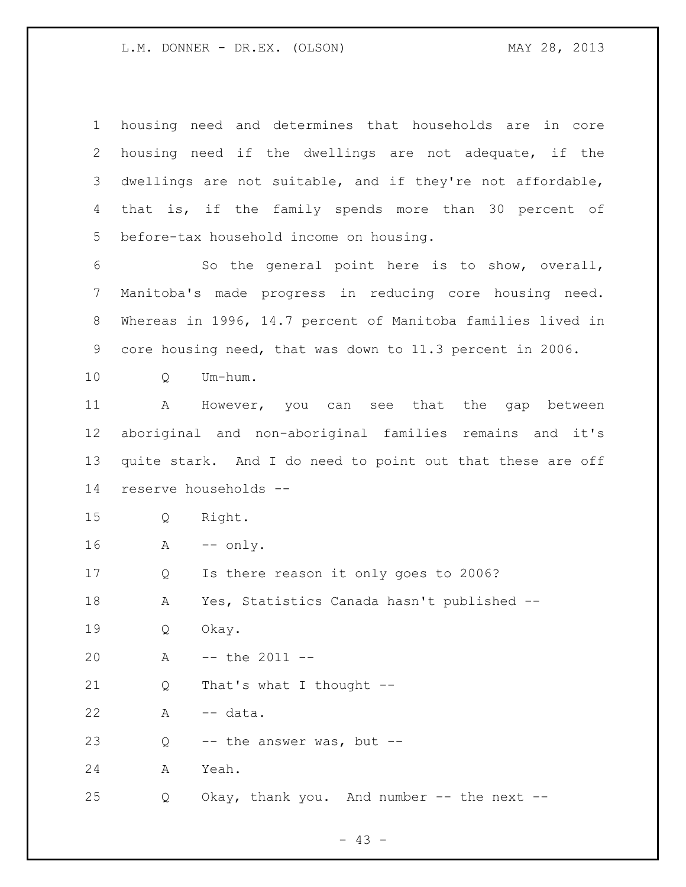| $\mathbf 1$     | housing need and determines that households are in core     |
|-----------------|-------------------------------------------------------------|
| $\overline{2}$  | housing need if the dwellings are not adequate, if the      |
| 3               | dwellings are not suitable, and if they're not affordable,  |
| 4               | that is, if the family spends more than 30 percent of       |
| 5               | before-tax household income on housing.                     |
| 6               | So the general point here is to show, overall,              |
| $7\phantom{.0}$ | Manitoba's made progress in reducing core housing need.     |
| $8\,$           | Whereas in 1996, 14.7 percent of Manitoba families lived in |
| 9               | core housing need, that was down to 11.3 percent in 2006.   |
| 10              | Um-hum.<br>Q                                                |
| 11              | A<br>However, you can see that the gap between              |
| 12              | aboriginal and non-aboriginal families remains and it's     |
| 13              | quite stark. And I do need to point out that these are off  |
| 14              | reserve households --                                       |
| 15              | Right.<br>Q                                                 |
| 16              | $--$ only.<br>A                                             |
| 17              |                                                             |
|                 | Is there reason it only goes to 2006?<br>Q                  |
| 18              | Yes, Statistics Canada hasn't published --<br>Α             |
| 19              | Okay.<br>Q                                                  |
| 20              | $--$ the 2011 $--$<br>Α                                     |
| 21              | That's what I thought --<br>Q                               |
| 22              | -- data.<br>A                                               |
| 23              | -- the answer was, but --<br>Q                              |
| 24              | Yeah.<br>А                                                  |

- 43 -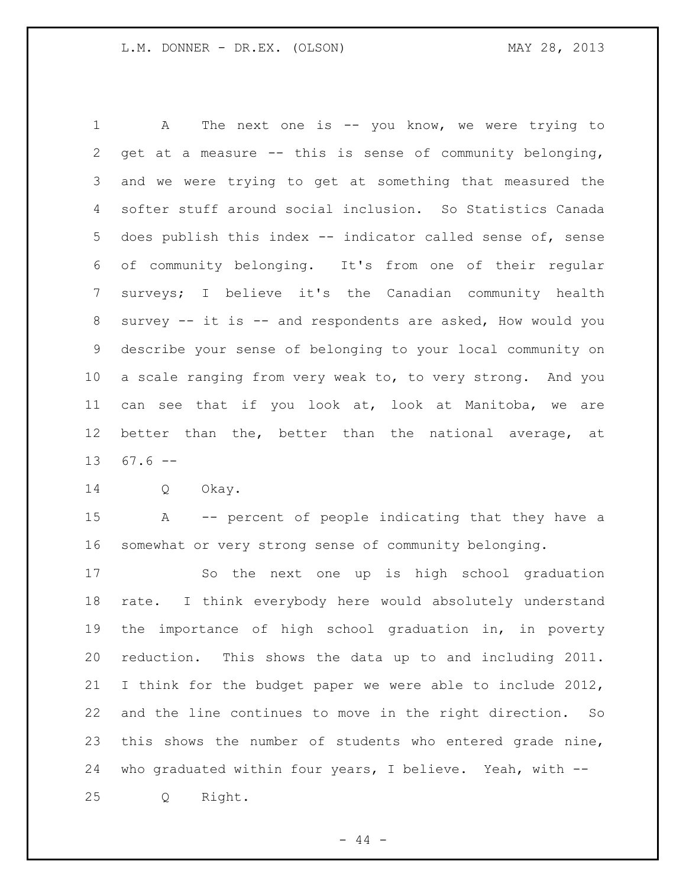1 A The next one is -- you know, we were trying to get at a measure -- this is sense of community belonging, and we were trying to get at something that measured the softer stuff around social inclusion. So Statistics Canada does publish this index -- indicator called sense of, sense of community belonging. It's from one of their regular surveys; I believe it's the Canadian community health survey -- it is -- and respondents are asked, How would you describe your sense of belonging to your local community on a scale ranging from very weak to, to very strong. And you can see that if you look at, look at Manitoba, we are better than the, better than the national average, at 67.6  $-$ 

Q Okay.

 A -- percent of people indicating that they have a somewhat or very strong sense of community belonging.

 So the next one up is high school graduation rate. I think everybody here would absolutely understand the importance of high school graduation in, in poverty reduction. This shows the data up to and including 2011. I think for the budget paper we were able to include 2012, and the line continues to move in the right direction. So this shows the number of students who entered grade nine, who graduated within four years, I believe. Yeah, with -- Q Right.

 $-44 -$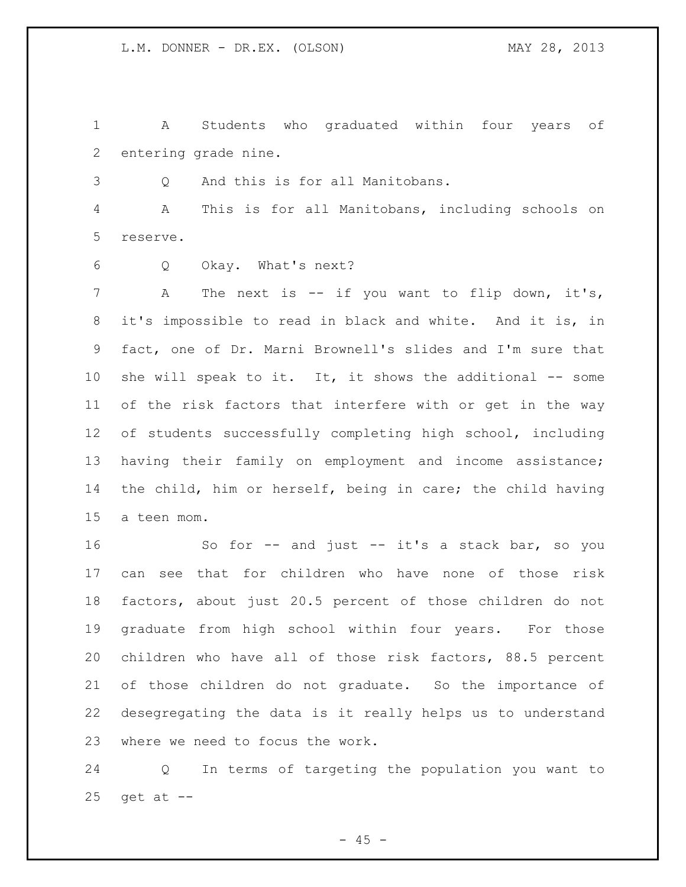A Students who graduated within four years of entering grade nine.

Q And this is for all Manitobans.

 A This is for all Manitobans, including schools on reserve.

Q Okay. What's next?

7 A The next is -- if you want to flip down, it's, it's impossible to read in black and white. And it is, in fact, one of Dr. Marni Brownell's slides and I'm sure that she will speak to it. It, it shows the additional -- some of the risk factors that interfere with or get in the way of students successfully completing high school, including having their family on employment and income assistance; the child, him or herself, being in care; the child having a teen mom.

 So for -- and just -- it's a stack bar, so you can see that for children who have none of those risk factors, about just 20.5 percent of those children do not graduate from high school within four years. For those children who have all of those risk factors, 88.5 percent of those children do not graduate. So the importance of desegregating the data is it really helps us to understand where we need to focus the work.

 Q In terms of targeting the population you want to get at  $-$ 

 $- 45 -$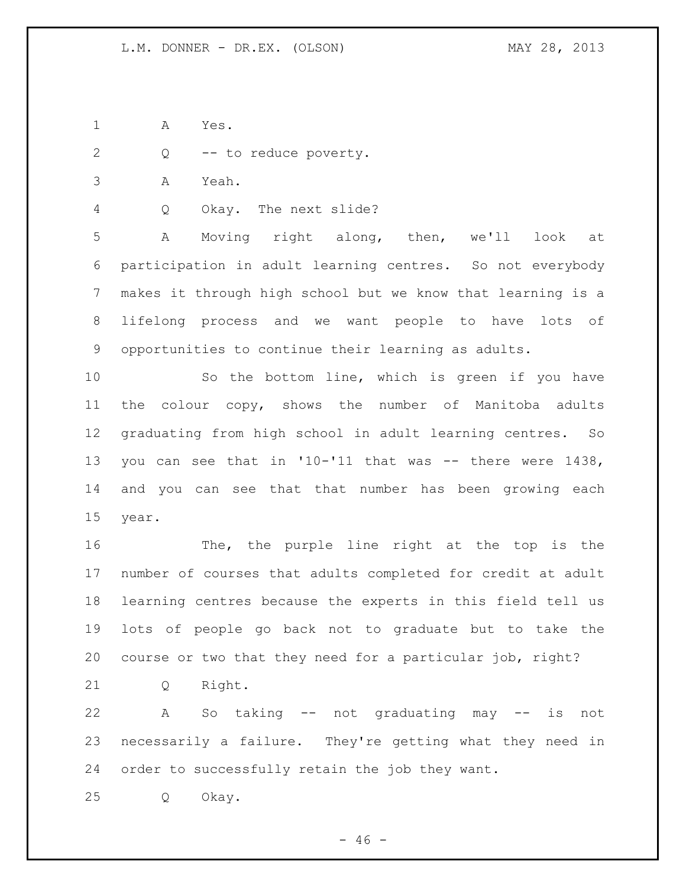A Yes.

Q -- to reduce poverty.

A Yeah.

Q Okay. The next slide?

 A Moving right along, then, we'll look at participation in adult learning centres. So not everybody makes it through high school but we know that learning is a lifelong process and we want people to have lots of opportunities to continue their learning as adults.

 So the bottom line, which is green if you have the colour copy, shows the number of Manitoba adults graduating from high school in adult learning centres. So you can see that in '10-'11 that was -- there were 1438, and you can see that that number has been growing each year.

 The, the purple line right at the top is the number of courses that adults completed for credit at adult learning centres because the experts in this field tell us lots of people go back not to graduate but to take the course or two that they need for a particular job, right?

Q Right.

 A So taking -- not graduating may -- is not necessarily a failure. They're getting what they need in order to successfully retain the job they want.

Q Okay.

 $- 46 -$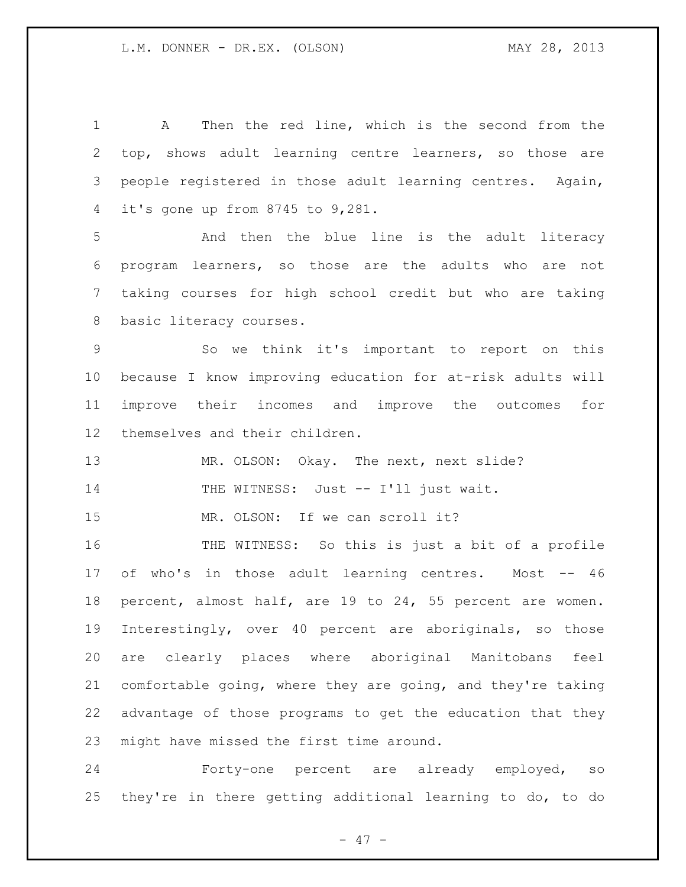A Then the red line, which is the second from the top, shows adult learning centre learners, so those are people registered in those adult learning centres. Again, it's gone up from 8745 to 9,281.

 And then the blue line is the adult literacy program learners, so those are the adults who are not taking courses for high school credit but who are taking basic literacy courses.

 So we think it's important to report on this because I know improving education for at-risk adults will improve their incomes and improve the outcomes for themselves and their children.

MR. OLSON: Okay. The next, next slide?

14 THE WITNESS: Just -- I'll just wait.

15 MR. OLSON: If we can scroll it?

 THE WITNESS: So this is just a bit of a profile 17 of who's in those adult learning centres. Most -- 46 percent, almost half, are 19 to 24, 55 percent are women. Interestingly, over 40 percent are aboriginals, so those are clearly places where aboriginal Manitobans feel comfortable going, where they are going, and they're taking advantage of those programs to get the education that they might have missed the first time around.

 Forty-one percent are already employed, so they're in there getting additional learning to do, to do

- 47 -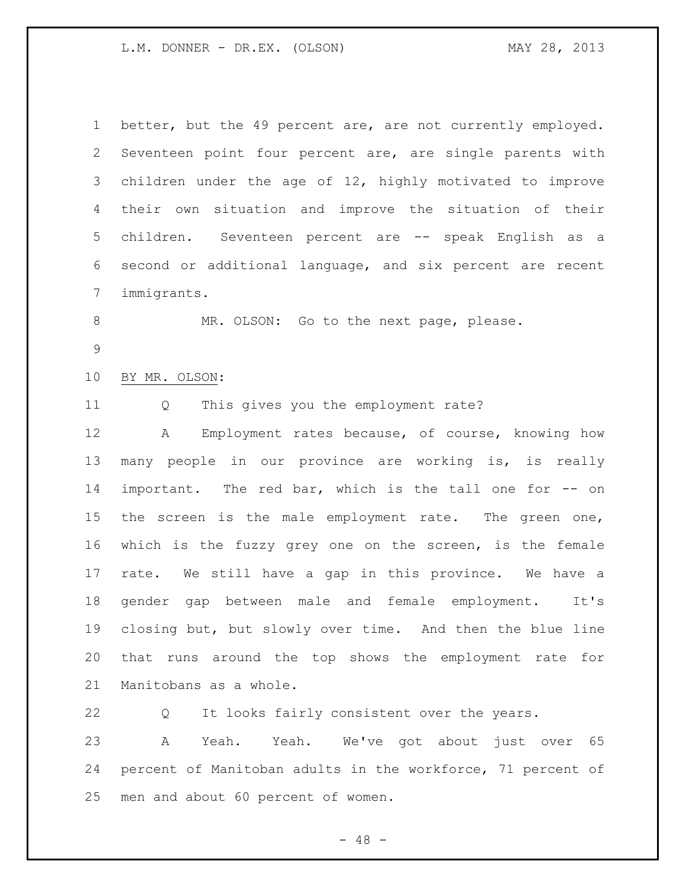| $\mathbf 1$    | better, but the 49 percent are, are not currently employed. |
|----------------|-------------------------------------------------------------|
| $\overline{2}$ | Seventeen point four percent are, are single parents with   |
| 3              | children under the age of 12, highly motivated to improve   |
| 4              | situation and improve the situation of their<br>their own   |
| 5              | children. Seventeen percent are -- speak English as a       |
| 6              | second or additional language, and six percent are recent   |
| 7              | immigrants.                                                 |
| 8              | MR. OLSON: Go to the next page, please.                     |
| 9              |                                                             |
| 10             | BY MR. OLSON:                                               |
| 11             | This gives you the employment rate?<br>Q                    |
| 12             | Employment rates because, of course, knowing how<br>Α       |
| 13             | many people in our province are working is, is really       |
| 14             | important. The red bar, which is the tall one for -- on     |
| 15             | the screen is the male employment rate. The green one,      |
| 16             | which is the fuzzy grey one on the screen, is the female    |
| 17             | rate. We still have a gap in this province. We have a       |
| 18             | gender gap between male and female employment.<br>It's      |
| 19             | closing but, but slowly over time. And then the blue line   |
| 20             | that runs around the top shows the employment rate for      |
| 21             | Manitobans as a whole.                                      |
| 22             | It looks fairly consistent over the years.<br>Q             |
| 23             | Yeah. We've got about<br>Α<br>Yeah.<br>just over 65         |
| 24             | percent of Manitoban adults in the workforce, 71 percent of |
| 25             | men and about 60 percent of women.                          |

- 48 -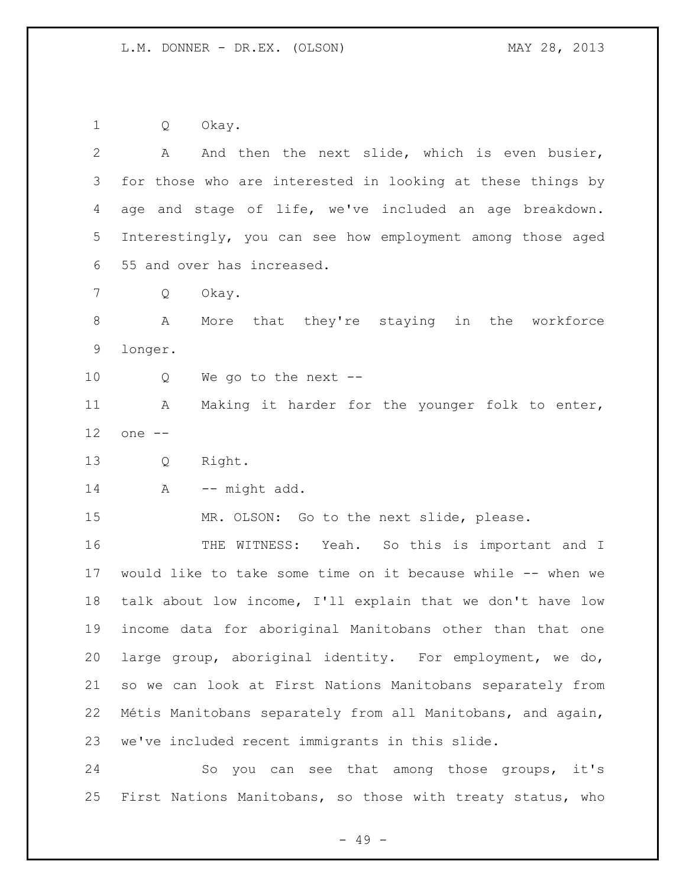Q Okay.

| 2  | And then the next slide, which is even busier,<br>A                                 |
|----|-------------------------------------------------------------------------------------|
| 3  | for those who are interested in looking at these things by                          |
| 4  | age and stage of life, we've included an age breakdown.                             |
| 5  | Interestingly, you can see how employment among those aged                          |
| 6  | 55 and over has increased.                                                          |
| 7  | Okay.<br>Q                                                                          |
| 8  | More that they're staying in the workforce<br>A                                     |
| 9  | longer.                                                                             |
| 10 | We go to the next $-$<br>Q                                                          |
| 11 | Making it harder for the younger folk to enter,<br>Α                                |
| 12 | one --                                                                              |
| 13 | Right.<br>Q                                                                         |
| 14 | -- might add.<br>A                                                                  |
| 15 | MR. OLSON: Go to the next slide, please.                                            |
| 16 | THE WITNESS: Yeah. So this is important and I                                       |
| 17 | would like to take some time on it because while -- when we                         |
| 18 | talk about low income, I'll explain that we don't have low                          |
| 19 | income data for aboriginal Manitobans other than that one                           |
| 20 | large group, aboriginal identity. For employment, we do,                            |
| 21 | so we can look at First Nations Manitobans separately from                          |
| 22 | Métis Manitobans separately from all Manitobans, and again,                         |
| 23 | we've included recent immigrants in this slide.                                     |
| 24 | that<br>among those groups, it's<br>you<br>$\mathop{\rm SO}\nolimits$<br>can<br>see |

First Nations Manitobans, so those with treaty status, who

- 49 -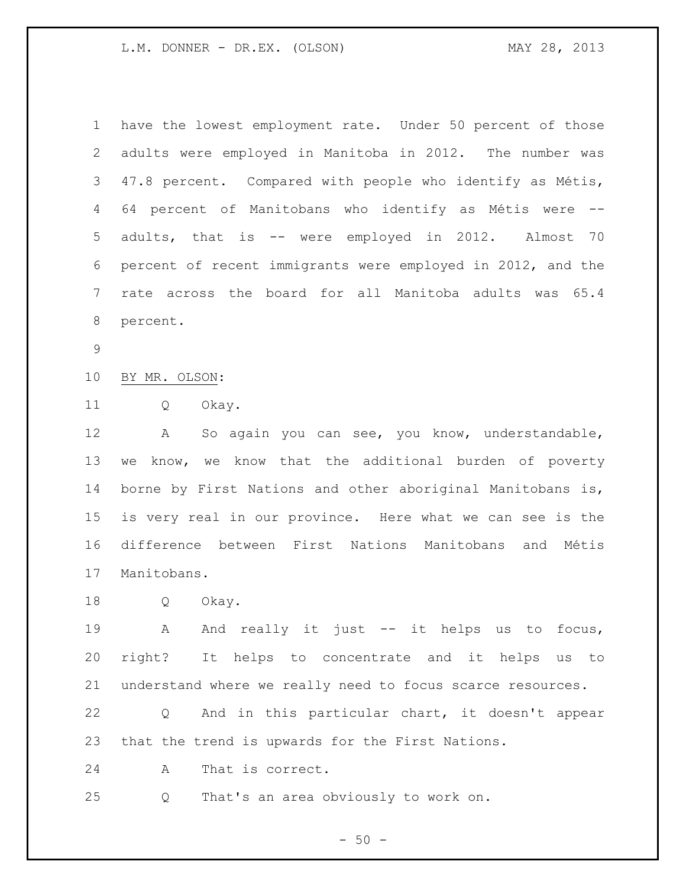| $\mathbf 1$ | have the lowest employment rate. Under 50 percent of those    |
|-------------|---------------------------------------------------------------|
| 2           | adults were employed in Manitoba in 2012. The number was      |
| 3           | 47.8 percent. Compared with people who identify as Métis,     |
| 4           | 64 percent of Manitobans who identify as Métis were<br>$-\,-$ |
| 5           | adults, that is -- were employed in 2012. Almost 70           |
| 6           | percent of recent immigrants were employed in 2012, and the   |
| 7           | rate across the board for all Manitoba adults was 65.4        |
| 8           | percent.                                                      |
| $\mathsf 9$ |                                                               |
| 10          | BY MR. OLSON:                                                 |
| 11          | Q<br>Okay.                                                    |
| 12          | So again you can see, you know, understandable,<br>A          |
| 13          | know, we know that the additional burden of poverty<br>we     |
| 14          | borne by First Nations and other aboriginal Manitobans is,    |
| 15          | is very real in our province. Here what we can see is the     |
| 16          | difference between First Nations Manitobans and<br>Métis      |
| 17          | Manitobans.                                                   |
| 18          | Okay.<br>Q                                                    |
| 19          | And really it just -- it helps us to focus,<br>$\mathbf{A}$   |
| 20          | right? It helps to concentrate and it helps us<br>to          |
| 21          | understand where we really need to focus scarce resources.    |
| 22          | And in this particular chart, it doesn't appear<br>Q          |
| 23          | that the trend is upwards for the First Nations.              |

A That is correct.

Q That's an area obviously to work on.

- 50 -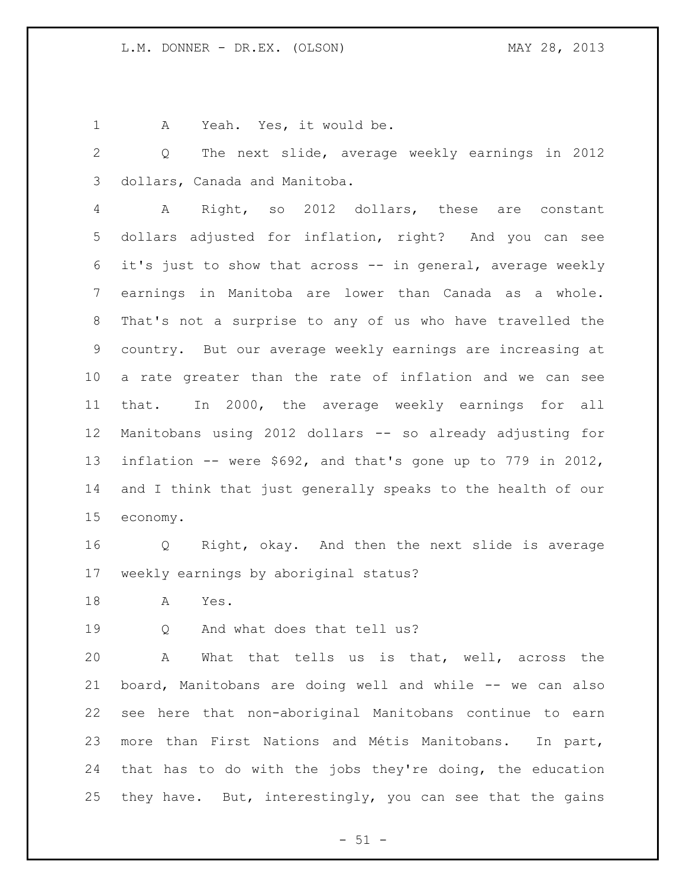A Yeah. Yes, it would be.

 Q The next slide, average weekly earnings in 2012 dollars, Canada and Manitoba.

 A Right, so 2012 dollars, these are constant dollars adjusted for inflation, right? And you can see it's just to show that across -- in general, average weekly earnings in Manitoba are lower than Canada as a whole. That's not a surprise to any of us who have travelled the country. But our average weekly earnings are increasing at a rate greater than the rate of inflation and we can see that. In 2000, the average weekly earnings for all Manitobans using 2012 dollars -- so already adjusting for inflation -- were \$692, and that's gone up to 779 in 2012, and I think that just generally speaks to the health of our economy.

 Q Right, okay. And then the next slide is average weekly earnings by aboriginal status?

A Yes.

Q And what does that tell us?

 A What that tells us is that, well, across the board, Manitobans are doing well and while -- we can also see here that non-aboriginal Manitobans continue to earn more than First Nations and Métis Manitobans. In part, that has to do with the jobs they're doing, the education they have. But, interestingly, you can see that the gains

 $- 51 -$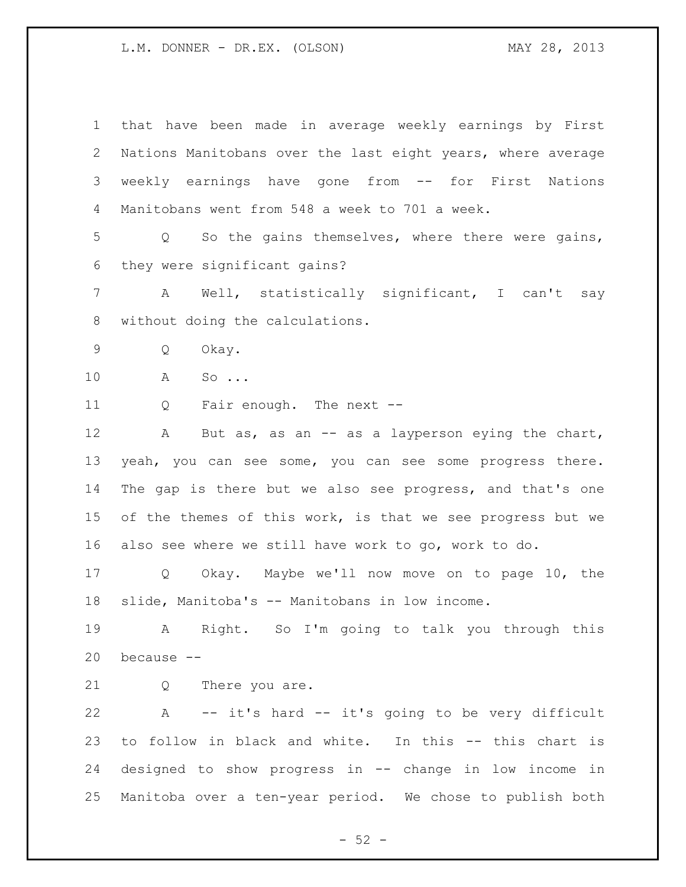that have been made in average weekly earnings by First Nations Manitobans over the last eight years, where average weekly earnings have gone from -- for First Nations Manitobans went from 548 a week to 701 a week. Q So the gains themselves, where there were gains, they were significant gains? A Well, statistically significant, I can't say without doing the calculations. Q Okay. A So ... Q Fair enough. The next -- 12 A But as, as an -- as a layperson eying the chart, yeah, you can see some, you can see some progress there. The gap is there but we also see progress, and that's one 15 of the themes of this work, is that we see progress but we also see where we still have work to go, work to do. Q Okay. Maybe we'll now move on to page 10, the slide, Manitoba's -- Manitobans in low income. A Right. So I'm going to talk you through this because -- 21 Q There you are. A -- it's hard -- it's going to be very difficult to follow in black and white. In this -- this chart is designed to show progress in -- change in low income in Manitoba over a ten-year period. We chose to publish both

 $-52 -$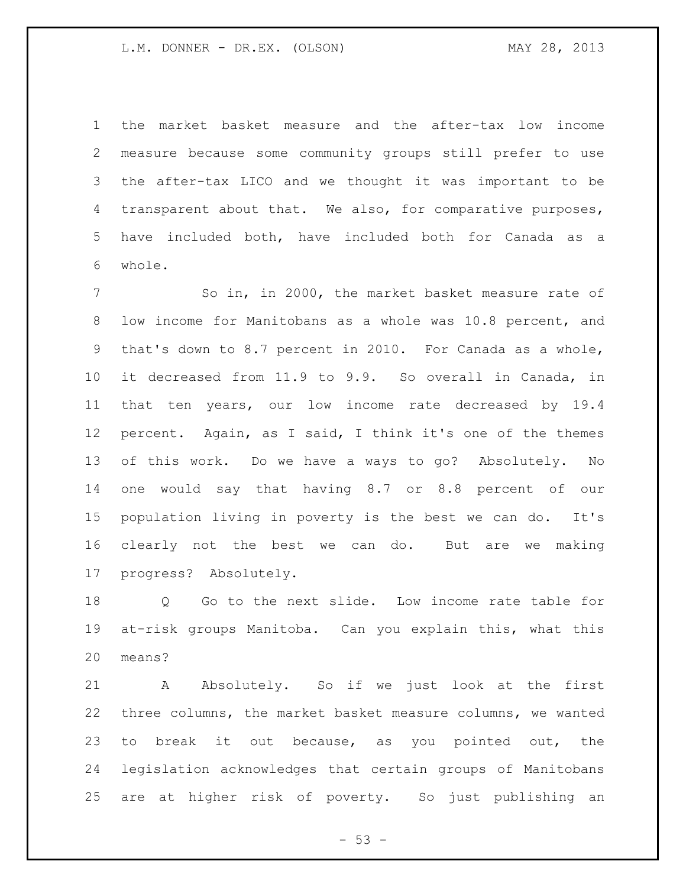the market basket measure and the after-tax low income measure because some community groups still prefer to use the after-tax LICO and we thought it was important to be transparent about that. We also, for comparative purposes, have included both, have included both for Canada as a whole.

 So in, in 2000, the market basket measure rate of low income for Manitobans as a whole was 10.8 percent, and that's down to 8.7 percent in 2010. For Canada as a whole, it decreased from 11.9 to 9.9. So overall in Canada, in that ten years, our low income rate decreased by 19.4 percent. Again, as I said, I think it's one of the themes of this work. Do we have a ways to go? Absolutely. No one would say that having 8.7 or 8.8 percent of our population living in poverty is the best we can do. It's clearly not the best we can do. But are we making progress? Absolutely.

 Q Go to the next slide. Low income rate table for at-risk groups Manitoba. Can you explain this, what this means?

 A Absolutely. So if we just look at the first three columns, the market basket measure columns, we wanted to break it out because, as you pointed out, the legislation acknowledges that certain groups of Manitobans are at higher risk of poverty. So just publishing an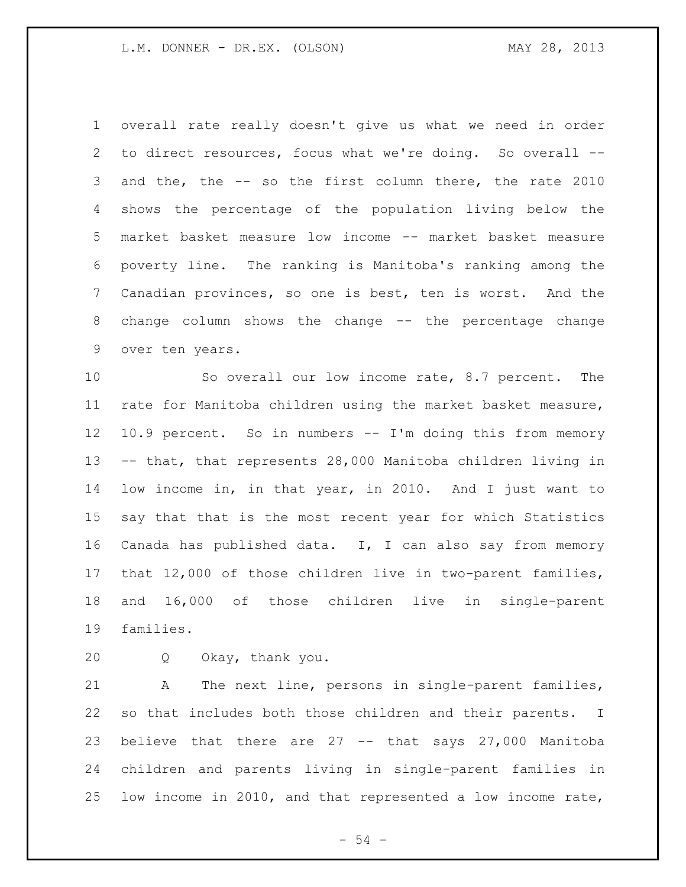overall rate really doesn't give us what we need in order to direct resources, focus what we're doing. So overall -- and the, the -- so the first column there, the rate 2010 shows the percentage of the population living below the market basket measure low income -- market basket measure poverty line. The ranking is Manitoba's ranking among the Canadian provinces, so one is best, ten is worst. And the change column shows the change -- the percentage change over ten years.

 So overall our low income rate, 8.7 percent. The rate for Manitoba children using the market basket measure, 10.9 percent. So in numbers -- I'm doing this from memory -- that, that represents 28,000 Manitoba children living in low income in, in that year, in 2010. And I just want to say that that is the most recent year for which Statistics Canada has published data. I, I can also say from memory that 12,000 of those children live in two-parent families, and 16,000 of those children live in single-parent families.

Q Okay, thank you.

 A The next line, persons in single-parent families, so that includes both those children and their parents. I believe that there are 27 -- that says 27,000 Manitoba children and parents living in single-parent families in low income in 2010, and that represented a low income rate,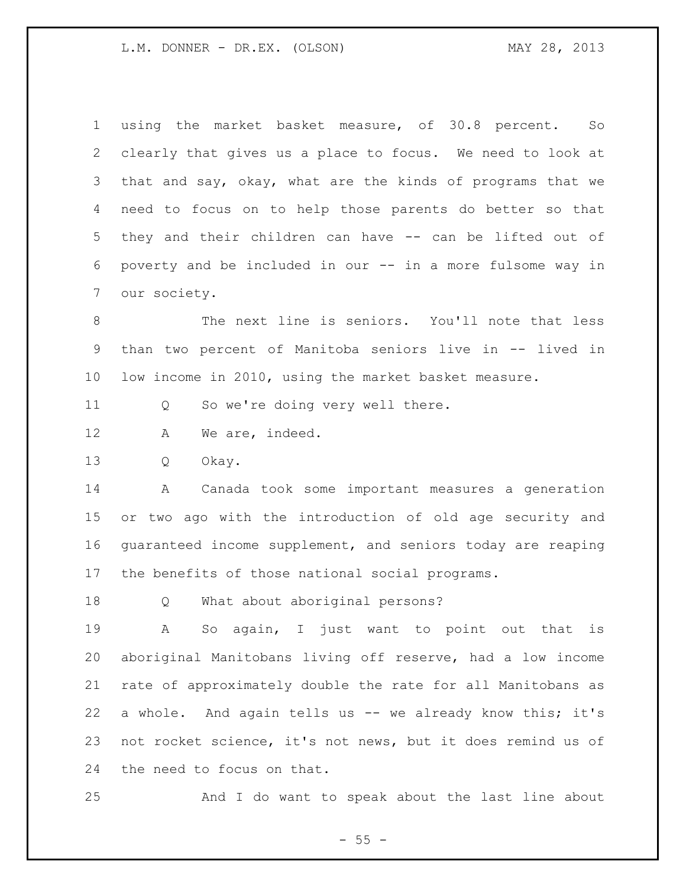using the market basket measure, of 30.8 percent. So clearly that gives us a place to focus. We need to look at that and say, okay, what are the kinds of programs that we need to focus on to help those parents do better so that they and their children can have -- can be lifted out of poverty and be included in our -- in a more fulsome way in our society.

 The next line is seniors. You'll note that less than two percent of Manitoba seniors live in -- lived in low income in 2010, using the market basket measure.

Q So we're doing very well there.

12 A We are, indeed.

Q Okay.

 A Canada took some important measures a generation or two ago with the introduction of old age security and guaranteed income supplement, and seniors today are reaping the benefits of those national social programs.

Q What about aboriginal persons?

 A So again, I just want to point out that is aboriginal Manitobans living off reserve, had a low income rate of approximately double the rate for all Manitobans as a whole. And again tells us -- we already know this; it's not rocket science, it's not news, but it does remind us of the need to focus on that.

And I do want to speak about the last line about

 $- 55 -$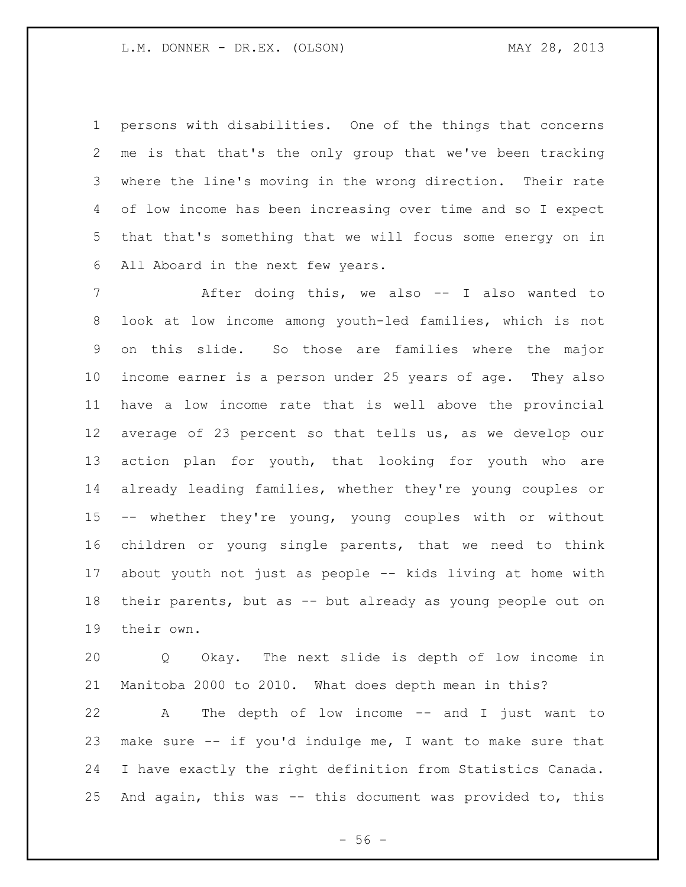persons with disabilities. One of the things that concerns me is that that's the only group that we've been tracking where the line's moving in the wrong direction. Their rate of low income has been increasing over time and so I expect that that's something that we will focus some energy on in All Aboard in the next few years.

 After doing this, we also -- I also wanted to look at low income among youth-led families, which is not on this slide. So those are families where the major income earner is a person under 25 years of age. They also have a low income rate that is well above the provincial average of 23 percent so that tells us, as we develop our action plan for youth, that looking for youth who are already leading families, whether they're young couples or -- whether they're young, young couples with or without children or young single parents, that we need to think about youth not just as people -- kids living at home with their parents, but as -- but already as young people out on their own.

 Q Okay. The next slide is depth of low income in Manitoba 2000 to 2010. What does depth mean in this?

 A The depth of low income -- and I just want to make sure -- if you'd indulge me, I want to make sure that I have exactly the right definition from Statistics Canada. And again, this was -- this document was provided to, this

 $-56 -$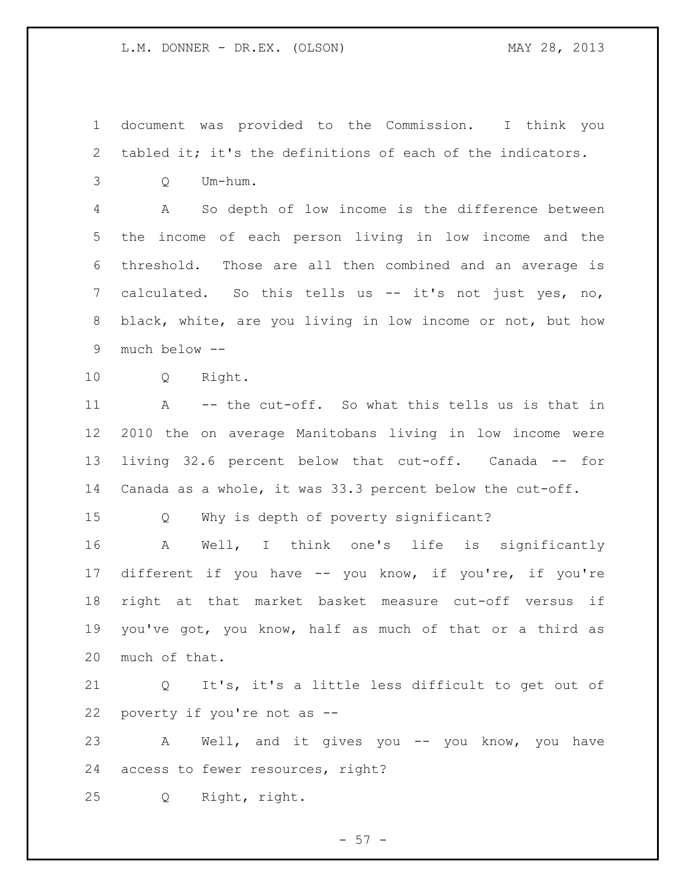document was provided to the Commission. I think you tabled it; it's the definitions of each of the indicators.

Q Um-hum.

 A So depth of low income is the difference between the income of each person living in low income and the threshold. Those are all then combined and an average is calculated. So this tells us -- it's not just yes, no, black, white, are you living in low income or not, but how much below --

Q Right.

 A -- the cut-off. So what this tells us is that in 2010 the on average Manitobans living in low income were living 32.6 percent below that cut-off. Canada -- for Canada as a whole, it was 33.3 percent below the cut-off.

Q Why is depth of poverty significant?

 A Well, I think one's life is significantly different if you have -- you know, if you're, if you're right at that market basket measure cut-off versus if you've got, you know, half as much of that or a third as much of that.

 Q It's, it's a little less difficult to get out of poverty if you're not as --

 A Well, and it gives you -- you know, you have access to fewer resources, right?

Q Right, right.

 $-57 -$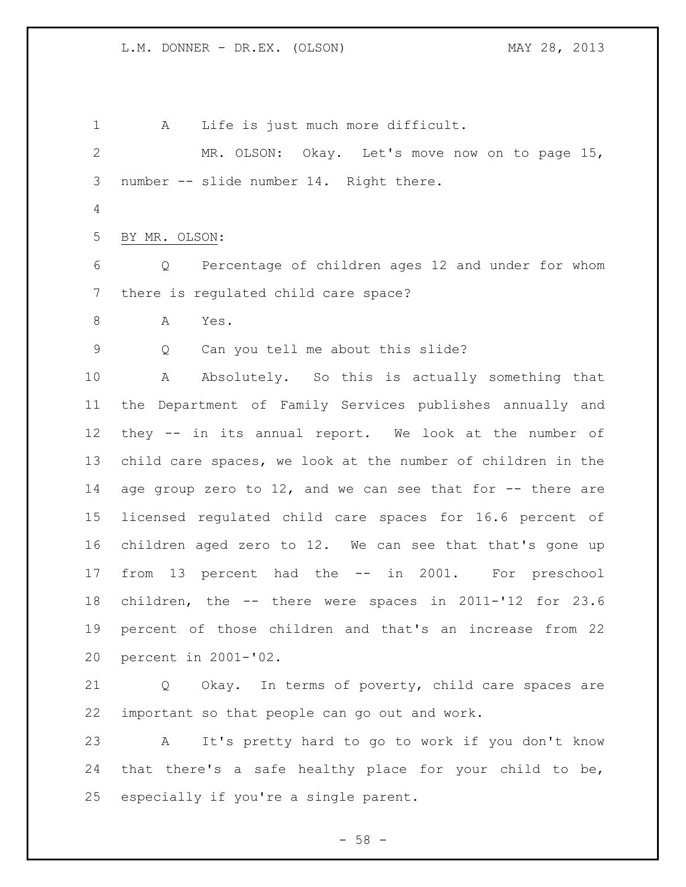A Life is just much more difficult. MR. OLSON: Okay. Let's move now on to page 15, number -- slide number 14. Right there. BY MR. OLSON: Q Percentage of children ages 12 and under for whom there is regulated child care space? A Yes. Q Can you tell me about this slide? A Absolutely. So this is actually something that the Department of Family Services publishes annually and they -- in its annual report. We look at the number of child care spaces, we look at the number of children in the age group zero to 12, and we can see that for -- there are licensed regulated child care spaces for 16.6 percent of children aged zero to 12. We can see that that's gone up from 13 percent had the -- in 2001. For preschool children, the -- there were spaces in 2011-'12 for 23.6 percent of those children and that's an increase from 22 percent in 2001-'02. Q Okay. In terms of poverty, child care spaces are important so that people can go out and work. A It's pretty hard to go to work if you don't know that there's a safe healthy place for your child to be, especially if you're a single parent.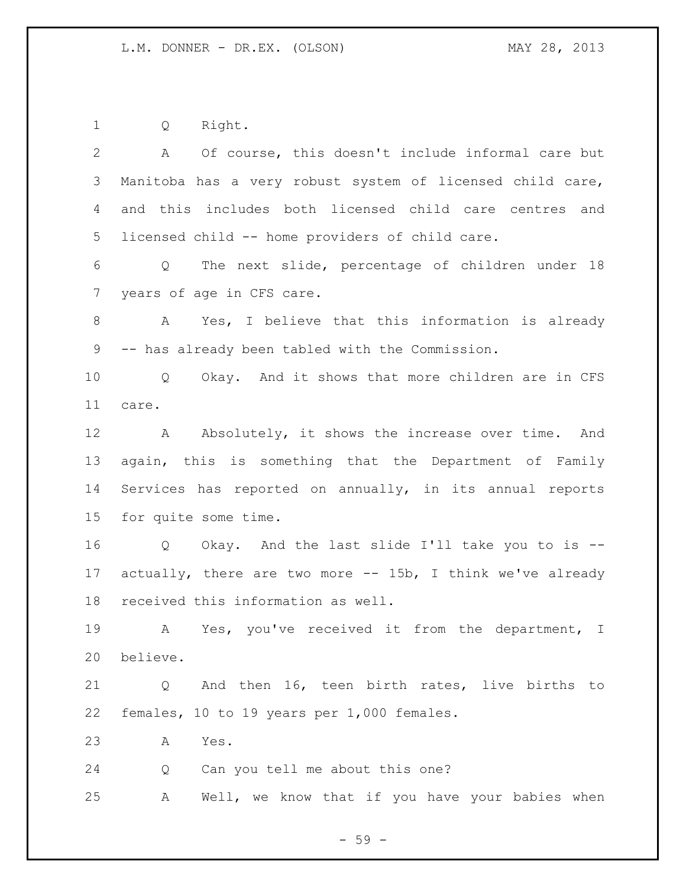Q Right.

| $\mathbf{2}$    | A Of course, this doesn't include informal care but           |
|-----------------|---------------------------------------------------------------|
| 3               | Manitoba has a very robust system of licensed child care,     |
| 4               | and this includes both licensed child care centres and        |
| 5               | licensed child -- home providers of child care.               |
| 6               | Q The next slide, percentage of children under 18             |
| $7\phantom{.0}$ | years of age in CFS care.                                     |
| 8               | A Yes, I believe that this information is already             |
| 9               | -- has already been tabled with the Commission.               |
| 10 <sub>o</sub> | Q Okay. And it shows that more children are in CFS            |
| 11              | care.                                                         |
| 12              | A Absolutely, it shows the increase over time. And            |
| 13              | again, this is something that the Department of Family        |
| 14              | Services has reported on annually, in its annual reports      |
| 15              | for quite some time.                                          |
| 16              | Q Okay. And the last slide I'll take you to is --             |
| 17              | actually, there are two more $--$ 15b, I think we've already  |
| 18              | received this information as well.                            |
| 19              | A Yes, you've received it from the department, I              |
| 20              | believe.                                                      |
| 21              | And then 16, teen birth rates, live births to<br>$\mathsf{Q}$ |
| 22              | females, 10 to 19 years per 1,000 females.                    |
| 23              | Yes.<br>A                                                     |
|                 |                                                               |
| 24              | Can you tell me about this one?<br>Q                          |

- 59 -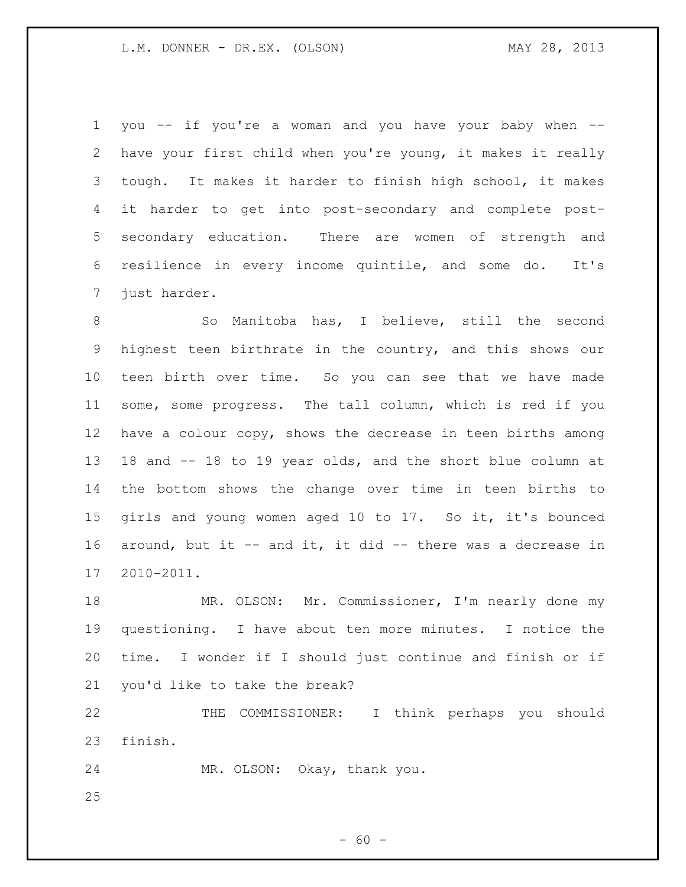you -- if you're a woman and you have your baby when -- have your first child when you're young, it makes it really tough. It makes it harder to finish high school, it makes it harder to get into post-secondary and complete post- secondary education. There are women of strength and resilience in every income quintile, and some do. It's just harder.

8 So Manitoba has, I believe, still the second highest teen birthrate in the country, and this shows our teen birth over time. So you can see that we have made some, some progress. The tall column, which is red if you have a colour copy, shows the decrease in teen births among 18 and -- 18 to 19 year olds, and the short blue column at the bottom shows the change over time in teen births to girls and young women aged 10 to 17. So it, it's bounced around, but it -- and it, it did -- there was a decrease in 2010-2011.

 MR. OLSON: Mr. Commissioner, I'm nearly done my questioning. I have about ten more minutes. I notice the time. I wonder if I should just continue and finish or if you'd like to take the break?

 THE COMMISSIONER: I think perhaps you should finish.

MR. OLSON: Okay, thank you.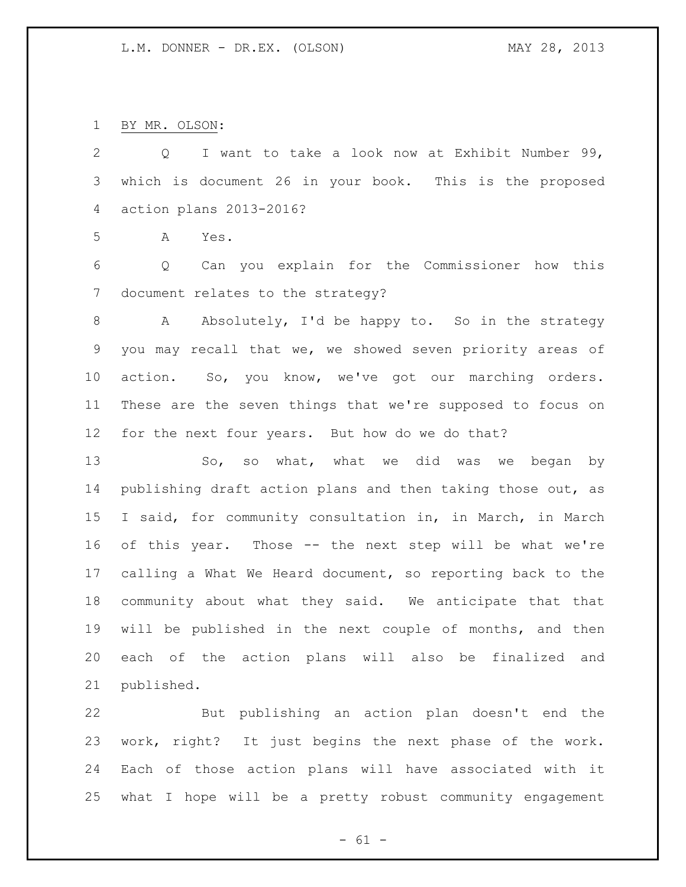BY MR. OLSON:

published.

 Q I want to take a look now at Exhibit Number 99, which is document 26 in your book. This is the proposed action plans 2013-2016? A Yes. Q Can you explain for the Commissioner how this document relates to the strategy? A Absolutely, I'd be happy to. So in the strategy you may recall that we, we showed seven priority areas of action. So, you know, we've got our marching orders. These are the seven things that we're supposed to focus on for the next four years. But how do we do that? So, so what, what we did was we began by publishing draft action plans and then taking those out, as I said, for community consultation in, in March, in March of this year. Those -- the next step will be what we're calling a What We Heard document, so reporting back to the community about what they said. We anticipate that that will be published in the next couple of months, and then each of the action plans will also be finalized and

 But publishing an action plan doesn't end the work, right? It just begins the next phase of the work. Each of those action plans will have associated with it what I hope will be a pretty robust community engagement

 $- 61 -$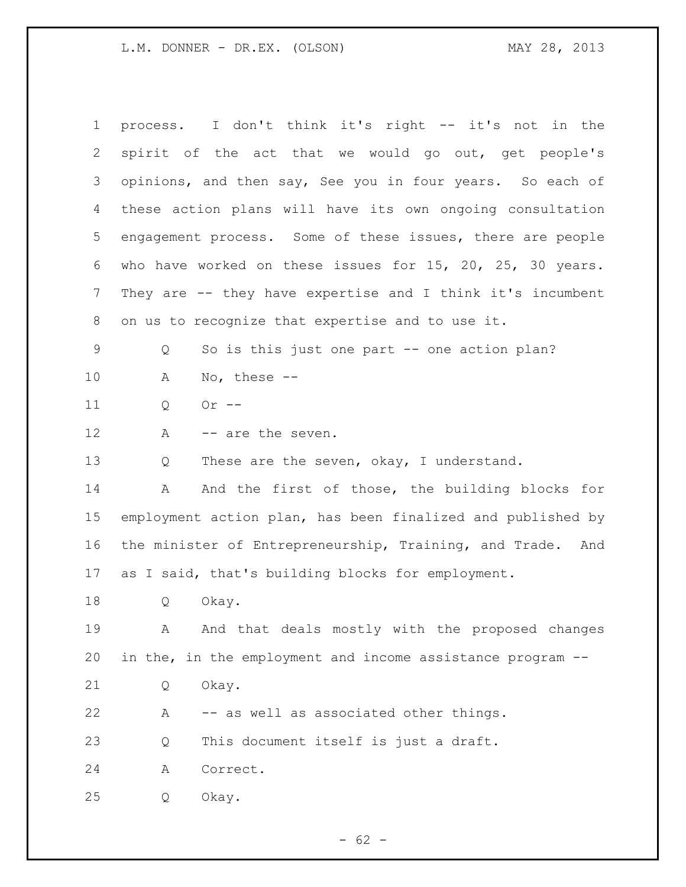process. I don't think it's right -- it's not in the spirit of the act that we would go out, get people's opinions, and then say, See you in four years. So each of these action plans will have its own ongoing consultation engagement process. Some of these issues, there are people who have worked on these issues for 15, 20, 25, 30 years. They are -- they have expertise and I think it's incumbent on us to recognize that expertise and to use it. Q So is this just one part -- one action plan? A No, these -- Q Or -- 12 A -- are the seven. 13 Q These are the seven, okay, I understand. 14 A And the first of those, the building blocks for employment action plan, has been finalized and published by the minister of Entrepreneurship, Training, and Trade. And as I said, that's building blocks for employment. Q Okay. A And that deals mostly with the proposed changes in the, in the employment and income assistance program -- Q Okay. A -- as well as associated other things. Q This document itself is just a draft. A Correct. Q Okay.

 $- 62 -$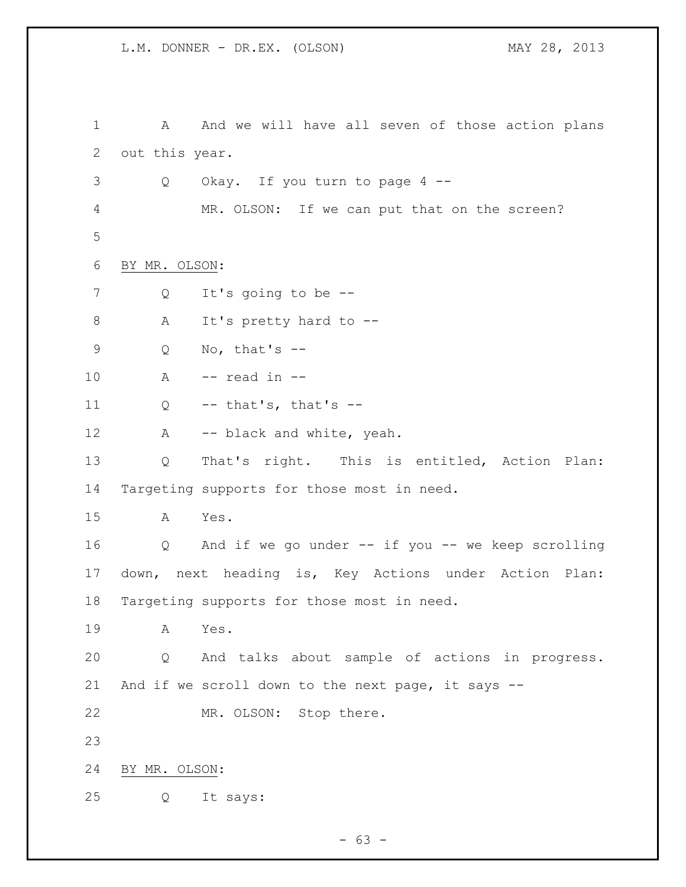1 A And we will have all seven of those action plans out this year. Q Okay. If you turn to page 4 -- MR. OLSON: If we can put that on the screen? BY MR. OLSON: Q It's going to be -- 8 A It's pretty hard to -- Q No, that's -- A -- read in --  $Q$  -- that's, that's --12 A -- black and white, yeah. Q That's right. This is entitled, Action Plan: Targeting supports for those most in need. A Yes. Q And if we go under -- if you -- we keep scrolling down, next heading is, Key Actions under Action Plan: Targeting supports for those most in need. A Yes. Q And talks about sample of actions in progress. And if we scroll down to the next page, it says -- MR. OLSON: Stop there. BY MR. OLSON: Q It says:

- 63 -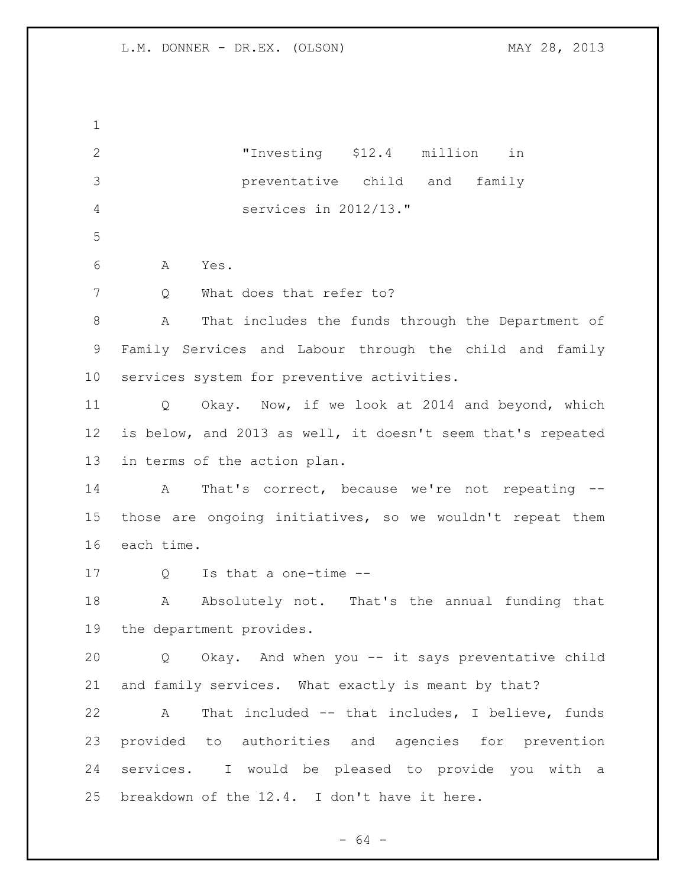| $\mathbf 1$    |                                                             |
|----------------|-------------------------------------------------------------|
| $\mathbf{2}$   | "Investing \$12.4 million<br>in                             |
| 3              | preventative child and<br>family                            |
| $\overline{4}$ | services in 2012/13."                                       |
| 5              |                                                             |
| 6              | Α<br>Yes.                                                   |
| $7\phantom{.}$ | What does that refer to?<br>Q                               |
| $8\,$          | Α<br>That includes the funds through the Department of      |
| 9              | Family Services and Labour through the child and family     |
| 10             | services system for preventive activities.                  |
| 11             | Okay. Now, if we look at 2014 and beyond, which<br>Q        |
| 12             | is below, and 2013 as well, it doesn't seem that's repeated |
| 13             | in terms of the action plan.                                |
| 14             | That's correct, because we're not repeating --<br>A         |
| 15             | those are ongoing initiatives, so we wouldn't repeat them   |
| 16             | each time.                                                  |
| 17             | Is that a one-time --<br>Q                                  |
| 18             | Absolutely not. That's the annual funding that<br>A         |
|                | 19 the department provides.                                 |
| 20             | Q Okay. And when you -- it says preventative child          |
| 21             | and family services. What exactly is meant by that?         |
| 22             | That included -- that includes, I believe, funds<br>A       |
| 23             | provided to authorities and agencies for prevention         |
| 24             | services. I would be pleased to provide you with a          |
| 25             | breakdown of the 12.4. I don't have it here.                |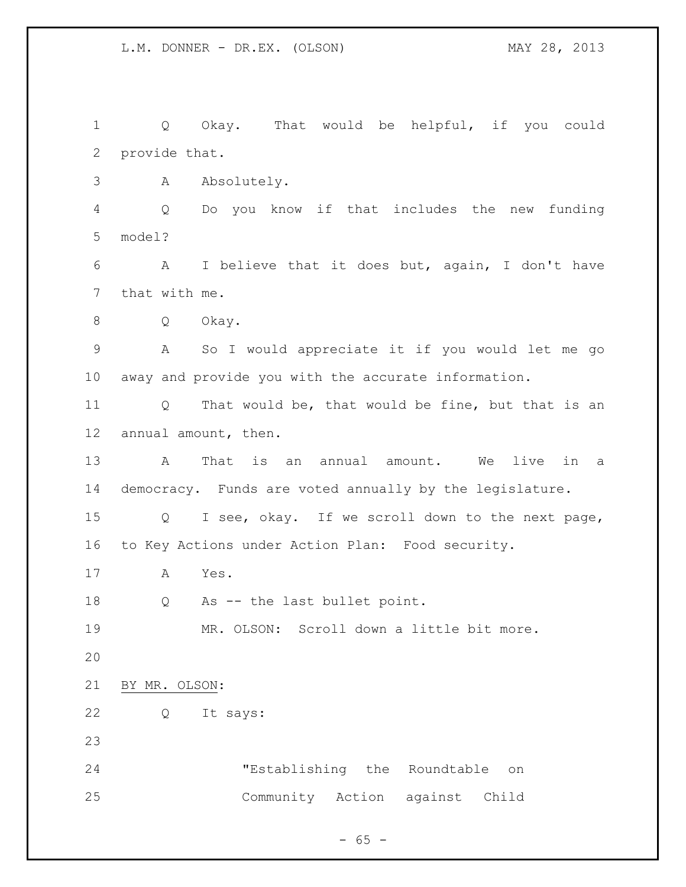Q Okay. That would be helpful, if you could provide that. A Absolutely. Q Do you know if that includes the new funding model? A I believe that it does but, again, I don't have that with me. Q Okay. A So I would appreciate it if you would let me go away and provide you with the accurate information. Q That would be, that would be fine, but that is an annual amount, then. A That is an annual amount. We live in a democracy. Funds are voted annually by the legislature. Q I see, okay. If we scroll down to the next page, to Key Actions under Action Plan: Food security. A Yes. Q As -- the last bullet point. MR. OLSON: Scroll down a little bit more. BY MR. OLSON: Q It says: "Establishing the Roundtable on Community Action against Child

 $- 65 -$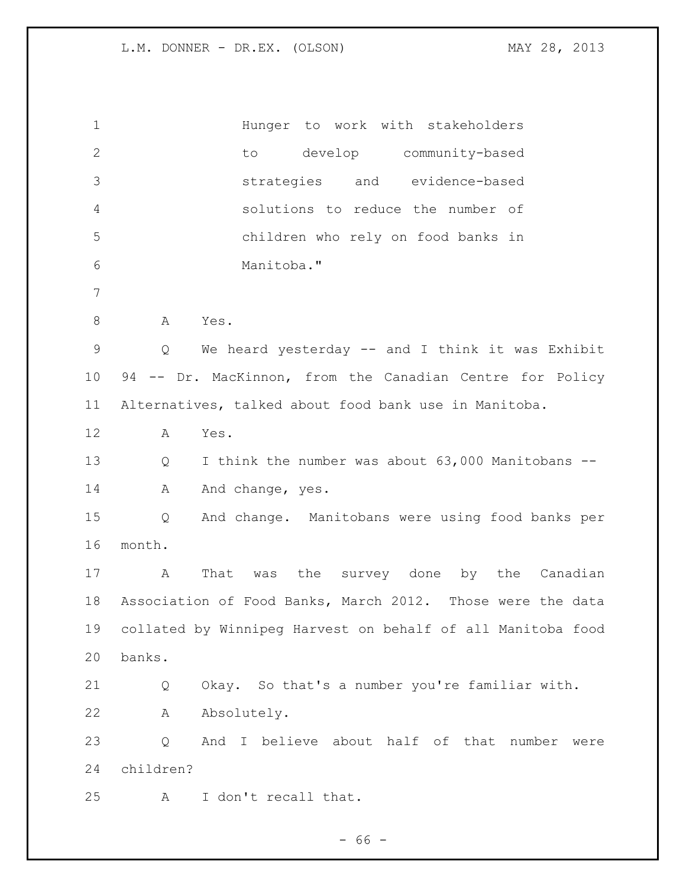| $\mathbf 1$ |           | Hunger to work with stakeholders                            |
|-------------|-----------|-------------------------------------------------------------|
| 2           |           | to develop community-based                                  |
| 3           |           | strategies and evidence-based                               |
| 4           |           | solutions to reduce the number of                           |
| 5           |           | children who rely on food banks in                          |
| 6           |           | Manitoba."                                                  |
| 7           |           |                                                             |
| $\,8\,$     | A         | Yes.                                                        |
| $\mathsf 9$ | Q         | We heard yesterday -- and I think it was Exhibit            |
| 10          |           | 94 -- Dr. MacKinnon, from the Canadian Centre for Policy    |
| 11          |           | Alternatives, talked about food bank use in Manitoba.       |
| 12          | Α         | Yes.                                                        |
| 13          | Q         | I think the number was about 63,000 Manitobans --           |
| 14          | Α         | And change, yes.                                            |
| 15          | Q         | And change. Manitobans were using food banks per            |
| 16          | month.    |                                                             |
| 17          | Α         | That was the survey done by the Canadian                    |
| 18          |           | Association of Food Banks, March 2012. Those were the data  |
| 19          |           | collated by Winnipeg Harvest on behalf of all Manitoba food |
| 20          | banks.    |                                                             |
| 21          | Q         | Okay. So that's a number you're familiar with.              |
| 22          | Α         | Absolutely.                                                 |
| 23          | Q         | And I believe about half of that number<br>were             |
|             |           |                                                             |
| 24          | children? |                                                             |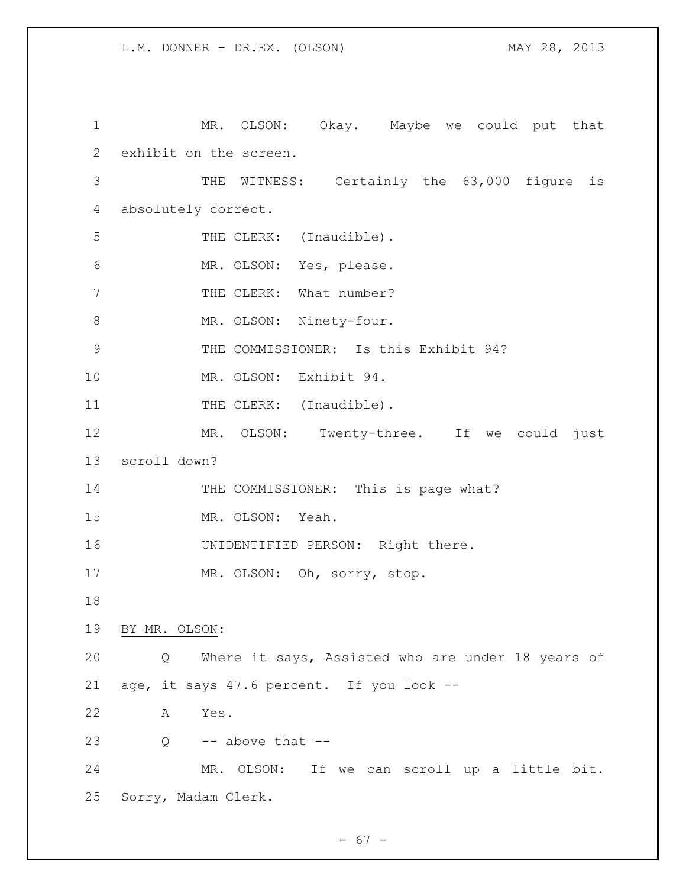1 MR. OLSON: Okay. Maybe we could put that 2 exhibit on the screen. 3 THE WITNESS: Certainly the 63,000 figure is 4 absolutely correct. 5 THE CLERK: (Inaudible). 6 MR. OLSON: Yes, please. 7 THE CLERK: What number? 8 MR. OLSON: Ninety-four. 9 THE COMMISSIONER: Is this Exhibit 94? 10 MR. OLSON: Exhibit 94. 11 THE CLERK: (Inaudible). 12 MR. OLSON: Twenty-three. If we could just 13 scroll down? 14 THE COMMISSIONER: This is page what? 15 MR. OLSON: Yeah. 16 UNIDENTIFIED PERSON: Right there. 17 MR. OLSON: Oh, sorry, stop. 18 19 BY MR. OLSON: 20 Q Where it says, Assisted who are under 18 years of 21 age, it says 47.6 percent. If you look -- 22 A Yes. 23  $Q \rightarrow -$  above that  $-$ 24 MR. OLSON: If we can scroll up a little bit. 25 Sorry, Madam Clerk.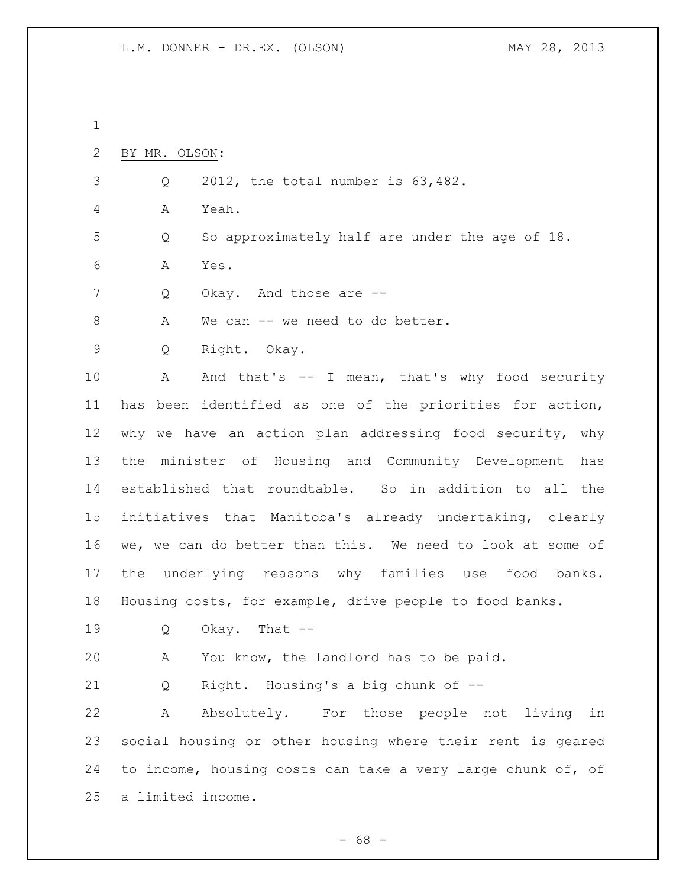| $\mathbf 1$ |                                                             |
|-------------|-------------------------------------------------------------|
| 2           | BY MR. OLSON:                                               |
| 3           | 2012, the total number is 63,482.<br>Q                      |
| 4           | Α<br>Yeah.                                                  |
| 5           | So approximately half are under the age of 18.<br>Q         |
| 6           | Α<br>Yes.                                                   |
| 7           | Okay. And those are --<br>Q                                 |
| 8           | We can -- we need to do better.<br>А                        |
| 9           | Right. Okay.<br>Q                                           |
| 10          | And that's -- I mean, that's why food security<br>Α         |
| 11          | has been identified as one of the priorities for action,    |
| 12          | why we have an action plan addressing food security, why    |
| 13          | minister of Housing and Community Development<br>the<br>has |
| 14          | established that roundtable. So in addition to all the      |
| 15          | initiatives that Manitoba's already undertaking, clearly    |
| 16          | we, we can do better than this. We need to look at some of  |
| 17          | underlying reasons why families use food banks.<br>the      |
| 18          | Housing costs, for example, drive people to food banks.     |
| 19          | Okay. That $--$<br>Q                                        |
| 20          | You know, the landlord has to be paid.<br>Α                 |
| 21          | Right. Housing's a big chunk of --<br>Q                     |
| 22          | Absolutely. For those people not living in<br>Α             |
| 23          | social housing or other housing where their rent is geared  |
| 24          | to income, housing costs can take a very large chunk of, of |
| 25          | a limited income.                                           |
|             |                                                             |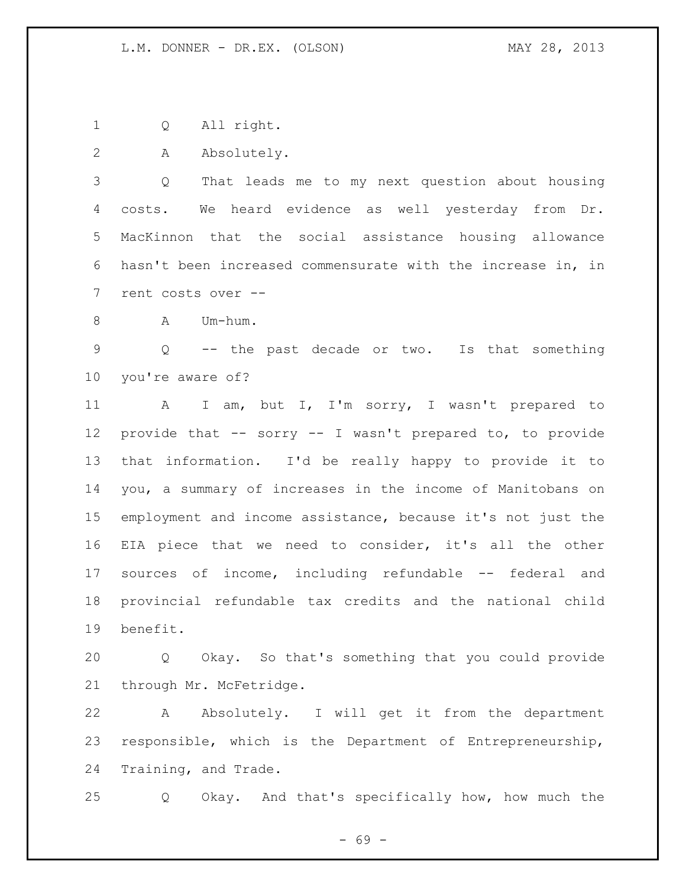Q All right.

A Absolutely.

 Q That leads me to my next question about housing costs. We heard evidence as well yesterday from Dr. MacKinnon that the social assistance housing allowance hasn't been increased commensurate with the increase in, in rent costs over --

8 A Um-hum.

 Q -- the past decade or two. Is that something you're aware of?

11 A I am, but I, I'm sorry, I wasn't prepared to provide that -- sorry -- I wasn't prepared to, to provide that information. I'd be really happy to provide it to you, a summary of increases in the income of Manitobans on employment and income assistance, because it's not just the EIA piece that we need to consider, it's all the other sources of income, including refundable -- federal and provincial refundable tax credits and the national child benefit.

 Q Okay. So that's something that you could provide 21 through Mr. McFetridge.

 A Absolutely. I will get it from the department responsible, which is the Department of Entrepreneurship, Training, and Trade.

Q Okay. And that's specifically how, how much the

- 69 -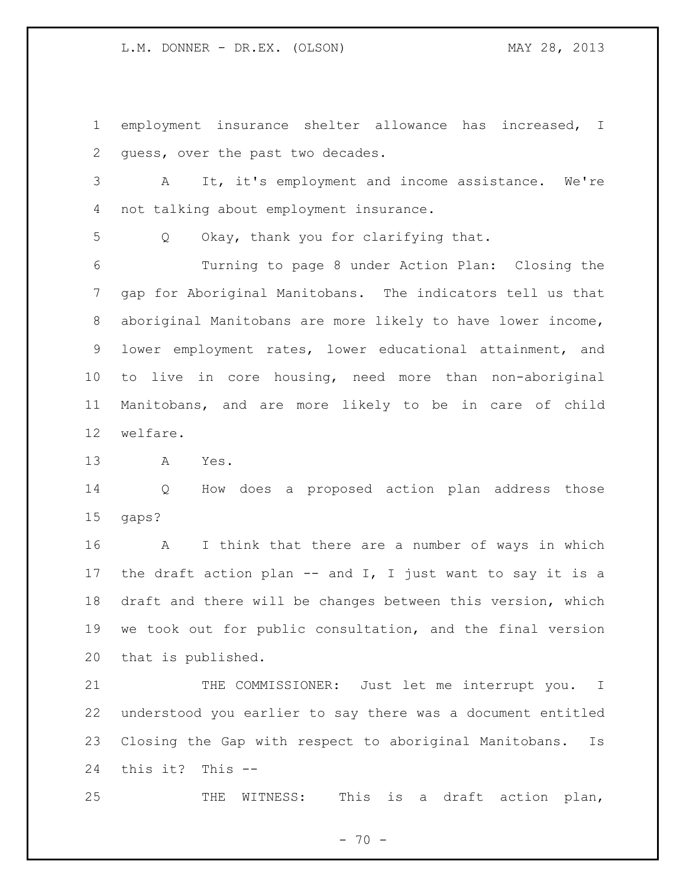L.M. DONNER - DR.EX. (OLSON) MAY 28, 2013

 employment insurance shelter allowance has increased, I guess, over the past two decades.

 A It, it's employment and income assistance. We're not talking about employment insurance.

Q Okay, thank you for clarifying that.

 Turning to page 8 under Action Plan: Closing the gap for Aboriginal Manitobans. The indicators tell us that aboriginal Manitobans are more likely to have lower income, lower employment rates, lower educational attainment, and to live in core housing, need more than non-aboriginal Manitobans, and are more likely to be in care of child welfare.

A Yes.

 Q How does a proposed action plan address those gaps?

 A I think that there are a number of ways in which 17 the draft action plan  $--$  and I, I just want to say it is a draft and there will be changes between this version, which we took out for public consultation, and the final version that is published.

21 THE COMMISSIONER: Just let me interrupt you. I understood you earlier to say there was a document entitled Closing the Gap with respect to aboriginal Manitobans. Is this it? This --

25 THE WITNESS: This is a draft action plan,

 $- 70 -$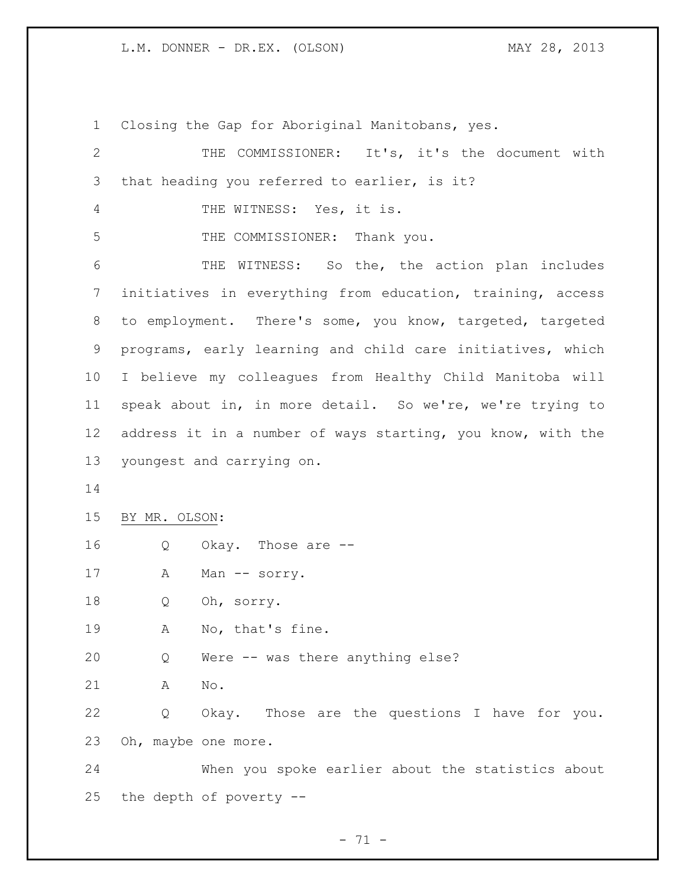L.M. DONNER - DR.EX. (OLSON) MAY 28, 2013

 Closing the Gap for Aboriginal Manitobans, yes. THE COMMISSIONER: It's, it's the document with that heading you referred to earlier, is it? THE WITNESS: Yes, it is. 5 THE COMMISSIONER: Thank you. THE WITNESS: So the, the action plan includes initiatives in everything from education, training, access to employment. There's some, you know, targeted, targeted programs, early learning and child care initiatives, which I believe my colleagues from Healthy Child Manitoba will speak about in, in more detail. So we're, we're trying to address it in a number of ways starting, you know, with the youngest and carrying on. BY MR. OLSON: Q Okay. Those are -- 17 A Man -- sorry. Q Oh, sorry. A No, that's fine. Q Were -- was there anything else? A No. Q Okay. Those are the questions I have for you. Oh, maybe one more. When you spoke earlier about the statistics about the depth of poverty --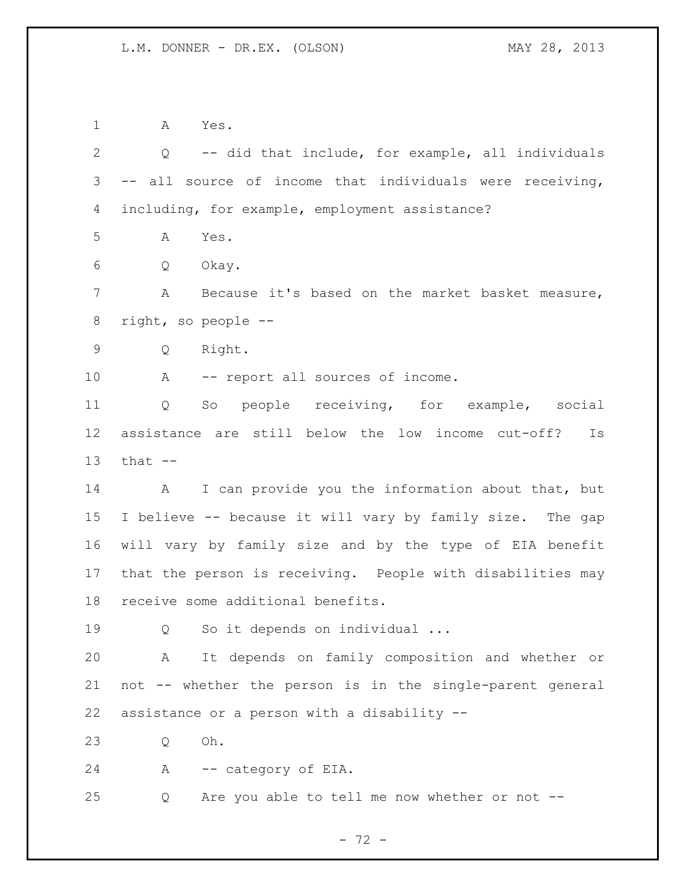A Yes.

 Q -- did that include, for example, all individuals -- all source of income that individuals were receiving, including, for example, employment assistance? A Yes. Q Okay. A Because it's based on the market basket measure, right, so people -- Q Right. 10 A -- report all sources of income. Q So people receiving, for example, social assistance are still below the low income cut-off? Is that  $-$  A I can provide you the information about that, but I believe -- because it will vary by family size. The gap will vary by family size and by the type of EIA benefit that the person is receiving. People with disabilities may receive some additional benefits. 19 Q So it depends on individual ... A It depends on family composition and whether or not -- whether the person is in the single-parent general assistance or a person with a disability -- Q Oh. A -- category of EIA. Q Are you able to tell me now whether or not --

- 72 -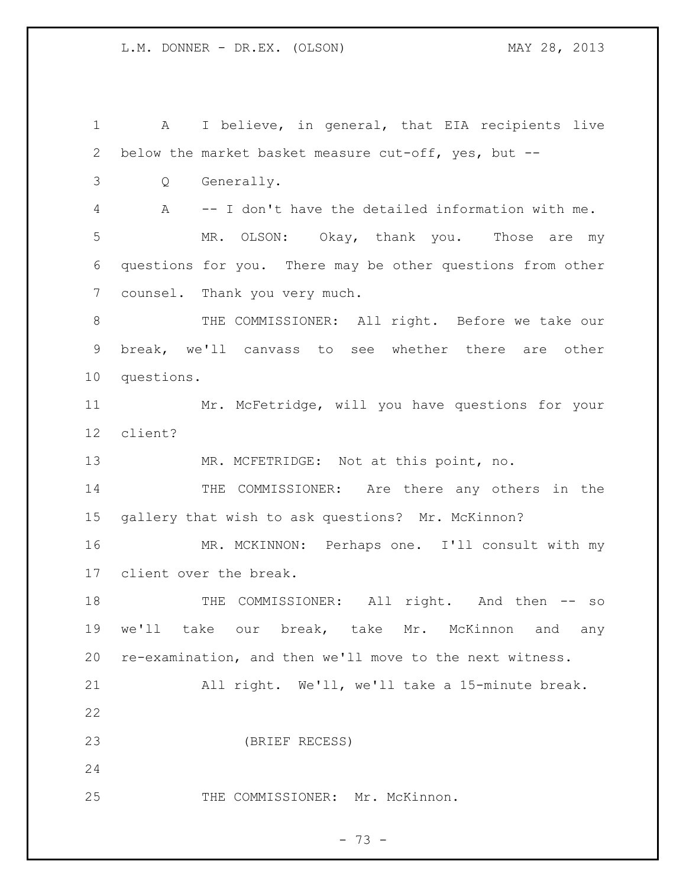1 A I believe, in general, that EIA recipients live below the market basket measure cut-off, yes, but -- Q Generally. A -- I don't have the detailed information with me. MR. OLSON: Okay, thank you. Those are my questions for you. There may be other questions from other counsel. Thank you very much. THE COMMISSIONER: All right. Before we take our break, we'll canvass to see whether there are other questions. Mr. McFetridge, will you have questions for your client? MR. MCFETRIDGE: Not at this point, no. 14 THE COMMISSIONER: Are there any others in the gallery that wish to ask questions? Mr. McKinnon? MR. MCKINNON: Perhaps one. I'll consult with my client over the break. 18 THE COMMISSIONER: All right. And then -- so we'll take our break, take Mr. McKinnon and any re-examination, and then we'll move to the next witness. All right. We'll, we'll take a 15-minute break. (BRIEF RECESS) 25 THE COMMISSIONER: Mr. McKinnon.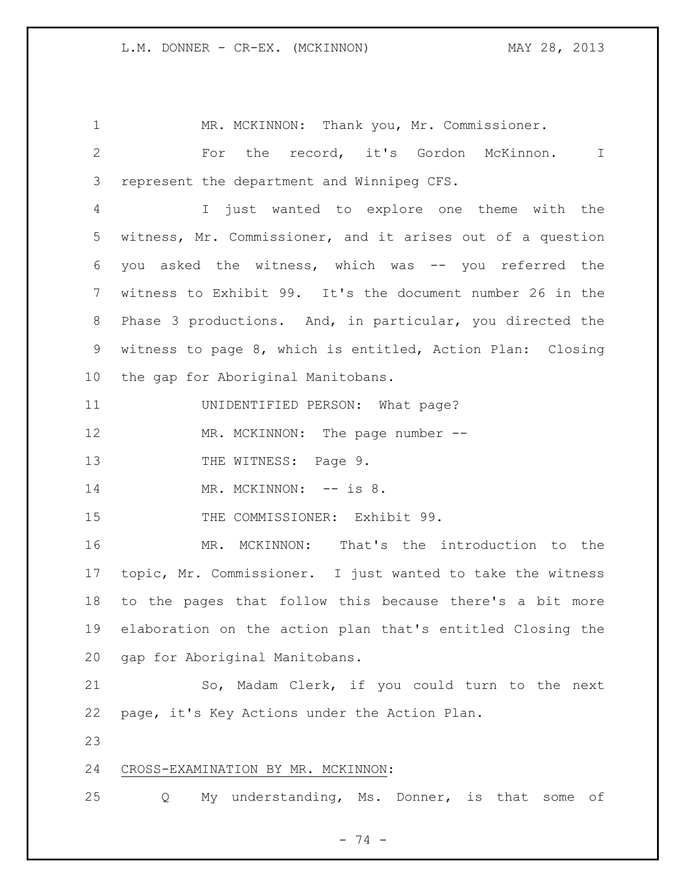1 MR. MCKINNON: Thank you, Mr. Commissioner. For the record, it's Gordon McKinnon. I represent the department and Winnipeg CFS. I just wanted to explore one theme with the witness, Mr. Commissioner, and it arises out of a question you asked the witness, which was -- you referred the witness to Exhibit 99. It's the document number 26 in the Phase 3 productions. And, in particular, you directed the witness to page 8, which is entitled, Action Plan: Closing the gap for Aboriginal Manitobans. UNIDENTIFIED PERSON: What page? 12 MR. MCKINNON: The page number --13 THE WITNESS: Page 9. 14 MR. MCKINNON: -- is 8. 15 THE COMMISSIONER: Exhibit 99. MR. MCKINNON: That's the introduction to the topic, Mr. Commissioner. I just wanted to take the witness to the pages that follow this because there's a bit more elaboration on the action plan that's entitled Closing the gap for Aboriginal Manitobans. So, Madam Clerk, if you could turn to the next page, it's Key Actions under the Action Plan. CROSS-EXAMINATION BY MR. MCKINNON: Q My understanding, Ms. Donner, is that some of

- 74 -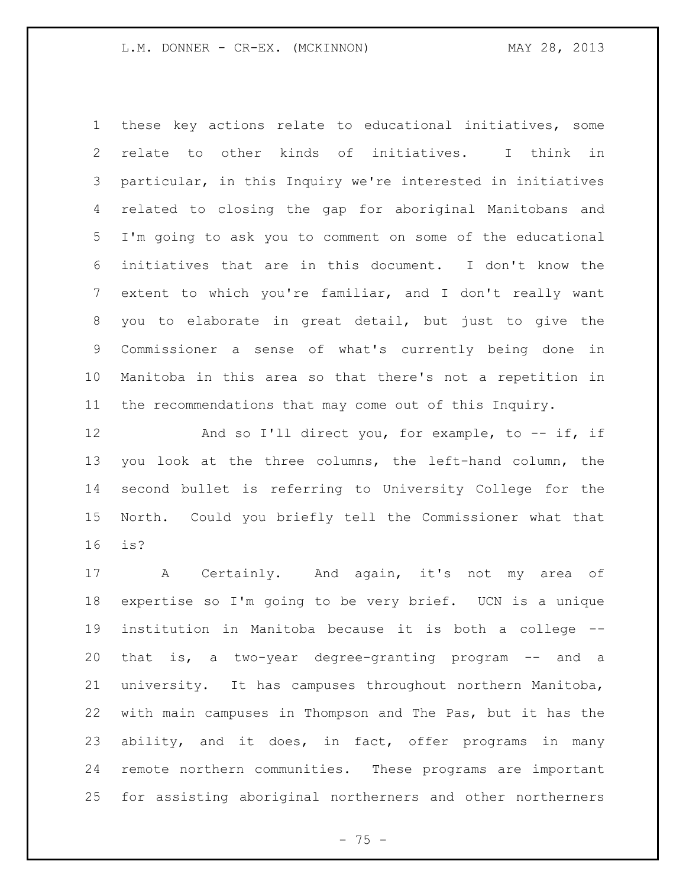these key actions relate to educational initiatives, some relate to other kinds of initiatives. I think in particular, in this Inquiry we're interested in initiatives related to closing the gap for aboriginal Manitobans and I'm going to ask you to comment on some of the educational initiatives that are in this document. I don't know the extent to which you're familiar, and I don't really want you to elaborate in great detail, but just to give the Commissioner a sense of what's currently being done in Manitoba in this area so that there's not a repetition in the recommendations that may come out of this Inquiry.

12 And so I'll direct you, for example, to -- if, if you look at the three columns, the left-hand column, the second bullet is referring to University College for the North. Could you briefly tell the Commissioner what that is?

 A Certainly. And again, it's not my area of expertise so I'm going to be very brief. UCN is a unique institution in Manitoba because it is both a college -- that is, a two-year degree-granting program -- and a university. It has campuses throughout northern Manitoba, with main campuses in Thompson and The Pas, but it has the ability, and it does, in fact, offer programs in many remote northern communities. These programs are important for assisting aboriginal northerners and other northerners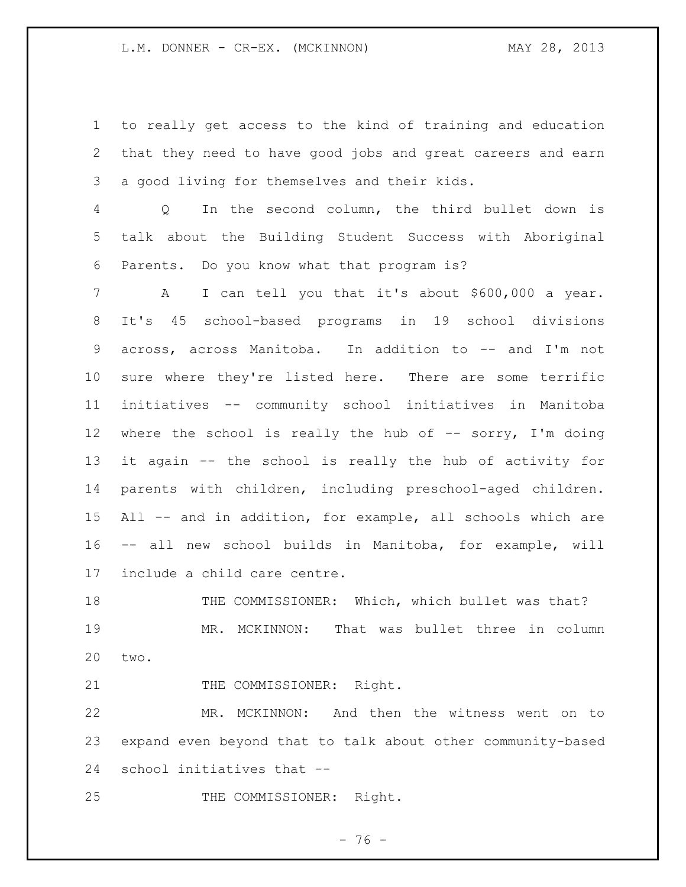to really get access to the kind of training and education that they need to have good jobs and great careers and earn a good living for themselves and their kids.

 Q In the second column, the third bullet down is talk about the Building Student Success with Aboriginal Parents. Do you know what that program is?

 A I can tell you that it's about \$600,000 a year. It's 45 school-based programs in 19 school divisions across, across Manitoba. In addition to -- and I'm not sure where they're listed here. There are some terrific initiatives -- community school initiatives in Manitoba 12 where the school is really the hub of -- sorry, I'm doing it again -- the school is really the hub of activity for parents with children, including preschool-aged children. All -- and in addition, for example, all schools which are -- all new school builds in Manitoba, for example, will include a child care centre.

18 THE COMMISSIONER: Which, which bullet was that? MR. MCKINNON: That was bullet three in column two.

21 THE COMMISSIONER: Right.

 MR. MCKINNON: And then the witness went on to expand even beyond that to talk about other community-based school initiatives that --

25 THE COMMISSIONER: Right.

 $- 76 -$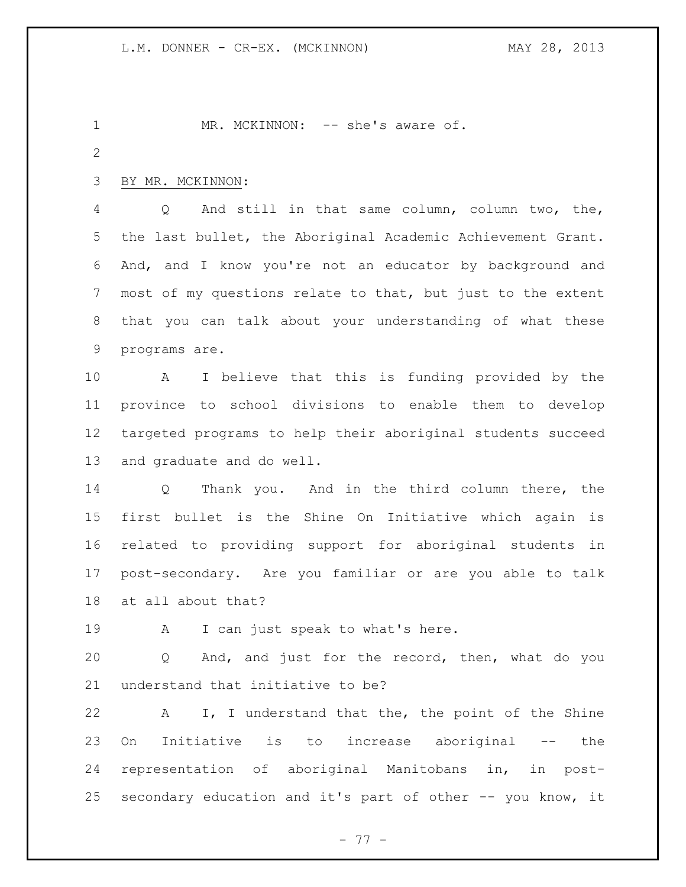1 MR. MCKINNON: -- she's aware of. BY MR. MCKINNON: Q And still in that same column, column two, the, the last bullet, the Aboriginal Academic Achievement Grant. And, and I know you're not an educator by background and most of my questions relate to that, but just to the extent that you can talk about your understanding of what these programs are. A I believe that this is funding provided by the province to school divisions to enable them to develop targeted programs to help their aboriginal students succeed and graduate and do well. Q Thank you. And in the third column there, the first bullet is the Shine On Initiative which again is related to providing support for aboriginal students in post-secondary. Are you familiar or are you able to talk at all about that? 19 A I can just speak to what's here. Q And, and just for the record, then, what do you understand that initiative to be? A I, I understand that the, the point of the Shine On Initiative is to increase aboriginal -- the representation of aboriginal Manitobans in, in post-secondary education and it's part of other -- you know, it

- 77 -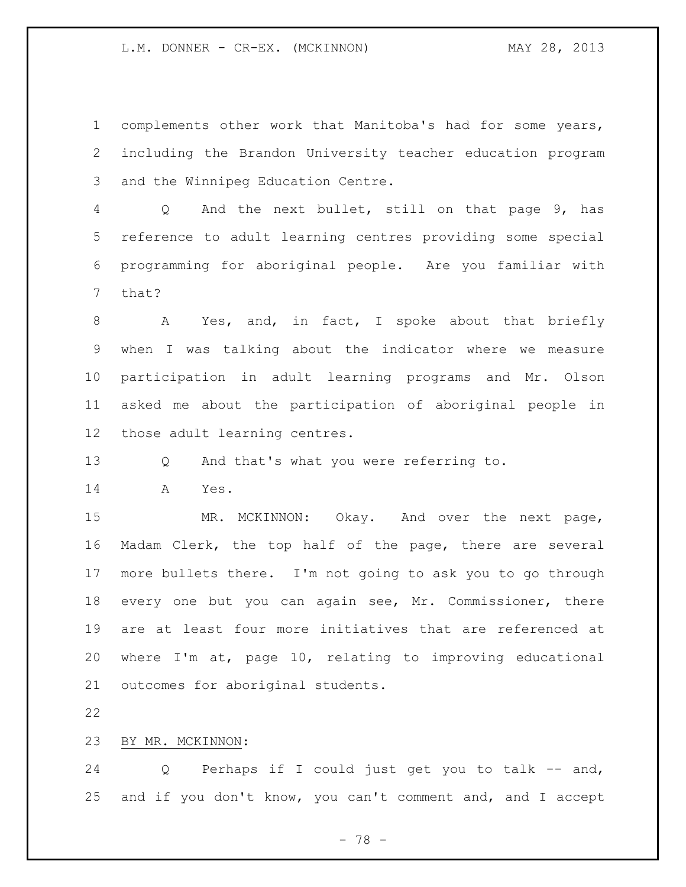complements other work that Manitoba's had for some years, including the Brandon University teacher education program and the Winnipeg Education Centre.

 Q And the next bullet, still on that page 9, has reference to adult learning centres providing some special programming for aboriginal people. Are you familiar with that?

8 A Yes, and, in fact, I spoke about that briefly when I was talking about the indicator where we measure participation in adult learning programs and Mr. Olson asked me about the participation of aboriginal people in those adult learning centres.

Q And that's what you were referring to.

A Yes.

 MR. MCKINNON: Okay. And over the next page, Madam Clerk, the top half of the page, there are several more bullets there. I'm not going to ask you to go through every one but you can again see, Mr. Commissioner, there are at least four more initiatives that are referenced at where I'm at, page 10, relating to improving educational outcomes for aboriginal students.

## BY MR. MCKINNON:

 Q Perhaps if I could just get you to talk -- and, and if you don't know, you can't comment and, and I accept

- 78 -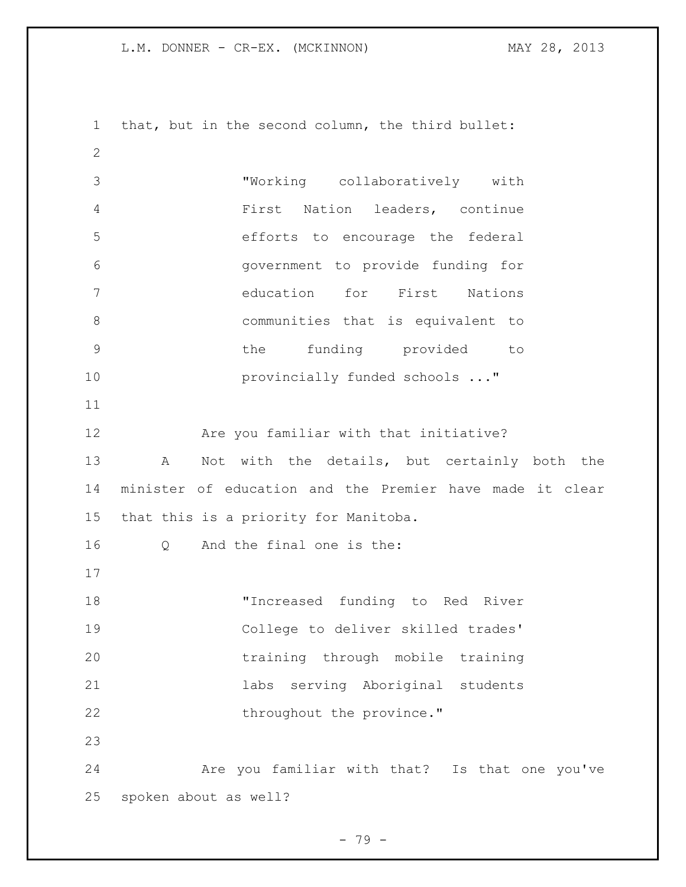L.M. DONNER - CR-EX. (MCKINNON) MAY 28, 2013

 that, but in the second column, the third bullet: "Working collaboratively with First Nation leaders, continue efforts to encourage the federal government to provide funding for education for First Nations communities that is equivalent to the funding provided to **provincially funded schools ..."**  Are you familiar with that initiative? A Not with the details, but certainly both the minister of education and the Premier have made it clear that this is a priority for Manitoba. Q And the final one is the: "Increased funding to Red River College to deliver skilled trades' training through mobile training labs serving Aboriginal students 22 throughout the province." Are you familiar with that? Is that one you've spoken about as well?

- 79 -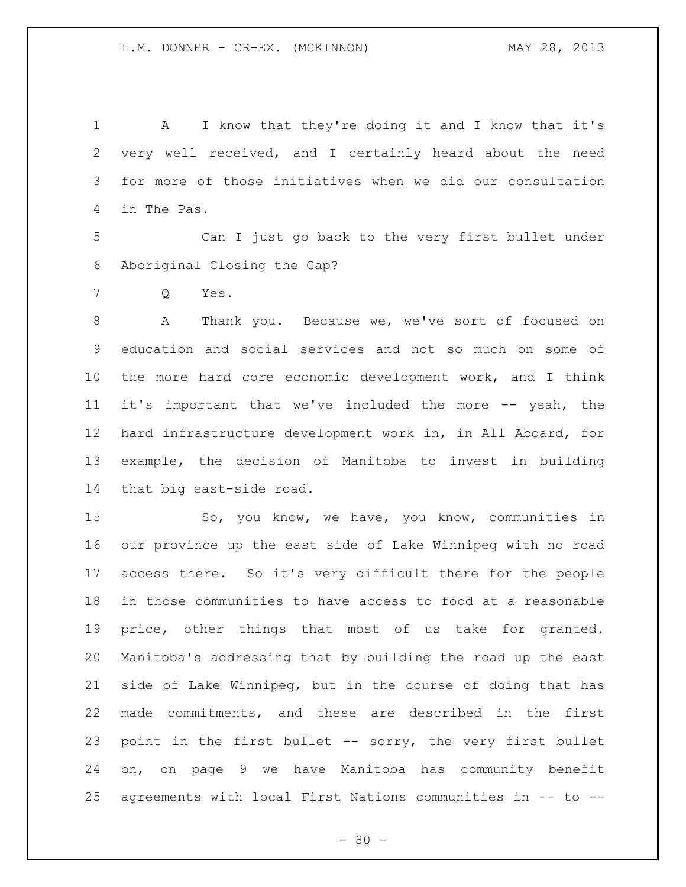A I know that they're doing it and I know that it's very well received, and I certainly heard about the need for more of those initiatives when we did our consultation in The Pas.

 Can I just go back to the very first bullet under Aboriginal Closing the Gap?

Q Yes.

 A Thank you. Because we, we've sort of focused on education and social services and not so much on some of the more hard core economic development work, and I think it's important that we've included the more -- yeah, the hard infrastructure development work in, in All Aboard, for example, the decision of Manitoba to invest in building that big east-side road.

 So, you know, we have, you know, communities in our province up the east side of Lake Winnipeg with no road access there. So it's very difficult there for the people in those communities to have access to food at a reasonable price, other things that most of us take for granted. Manitoba's addressing that by building the road up the east side of Lake Winnipeg, but in the course of doing that has made commitments, and these are described in the first point in the first bullet -- sorry, the very first bullet on, on page 9 we have Manitoba has community benefit agreements with local First Nations communities in -- to --

 $- 80 -$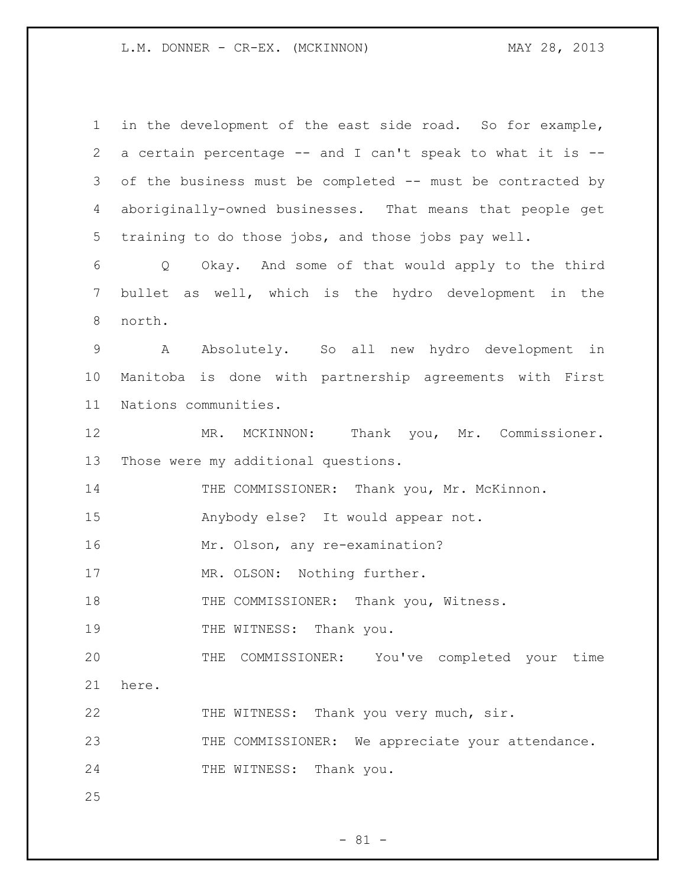L.M. DONNER - CR-EX. (MCKINNON) MAY 28, 2013

 in the development of the east side road. So for example, a certain percentage -- and I can't speak to what it is -- of the business must be completed -- must be contracted by aboriginally-owned businesses. That means that people get training to do those jobs, and those jobs pay well. Q Okay. And some of that would apply to the third bullet as well, which is the hydro development in the north. A Absolutely. So all new hydro development in Manitoba is done with partnership agreements with First Nations communities. MR. MCKINNON: Thank you, Mr. Commissioner. Those were my additional questions. 14 THE COMMISSIONER: Thank you, Mr. McKinnon. Anybody else? It would appear not. Mr. Olson, any re-examination? 17 MR. OLSON: Nothing further. 18 THE COMMISSIONER: Thank you, Witness. 19 THE WITNESS: Thank you. THE COMMISSIONER: You've completed your time here. THE WITNESS: Thank you very much, sir. 23 THE COMMISSIONER: We appreciate your attendance. 24 THE WITNESS: Thank you. 

 $- 81 -$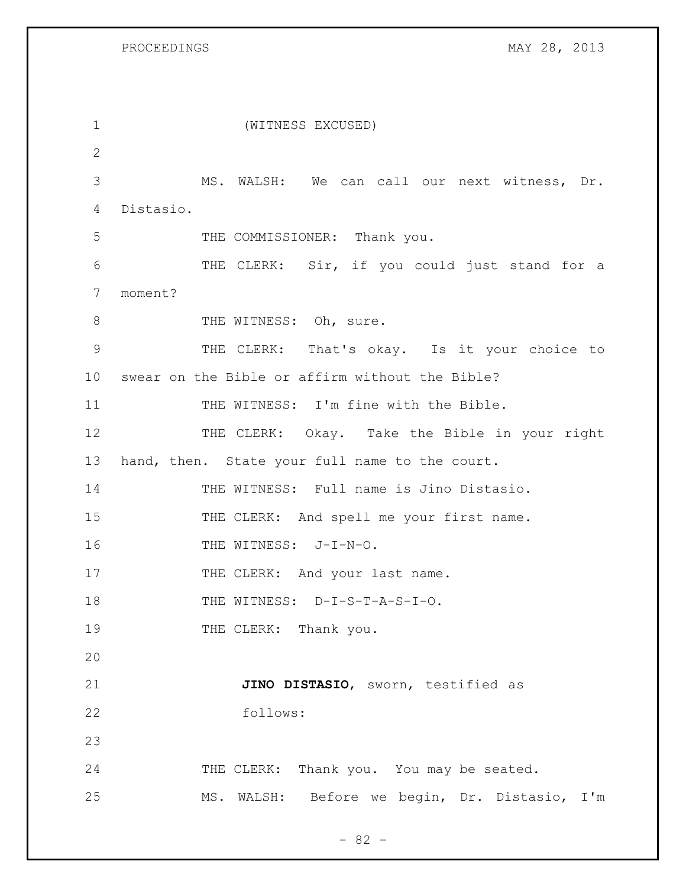PROCEEDINGS MAY 28, 2013

| 1               | (WITNESS EXCUSED)                               |
|-----------------|-------------------------------------------------|
| $\overline{2}$  |                                                 |
| 3               | MS. WALSH: We can call our next witness, Dr.    |
| 4               | Distasio.                                       |
| 5               | THE COMMISSIONER: Thank you.                    |
| 6               | THE CLERK: Sir, if you could just stand for a   |
| 7               | moment?                                         |
| $8\,$           | THE WITNESS: Oh, sure.                          |
| 9               | THE CLERK: That's okay. Is it your choice to    |
| 10 <sub>o</sub> | swear on the Bible or affirm without the Bible? |
| 11              | THE WITNESS: I'm fine with the Bible.           |
| 12              | THE CLERK: Okay. Take the Bible in your right   |
| 13              | hand, then. State your full name to the court.  |
| 14              | THE WITNESS: Full name is Jino Distasio.        |
| 15              | THE CLERK: And spell me your first name.        |
| 16              | THE WITNESS: J-I-N-O.                           |
| 17              | THE CLERK: And your last name.                  |
| 18              | THE WITNESS: D-I-S-T-A-S-I-O.                   |
| 19              | THE CLERK: Thank you.                           |
| 20              |                                                 |
| 21              | JINO DISTASIO, sworn, testified as              |
| 22              | follows:                                        |
| 23              |                                                 |
| 24              | THE CLERK: Thank you. You may be seated.        |
| 25              | MS. WALSH: Before we begin, Dr. Distasio, I'm   |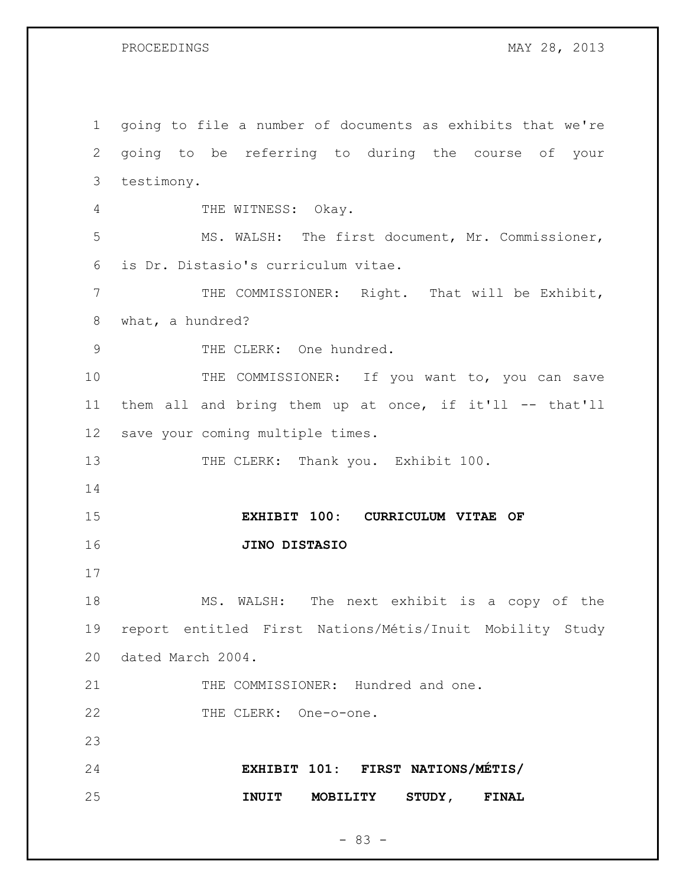going to file a number of documents as exhibits that we're going to be referring to during the course of your testimony. 4 THE WITNESS: Okay. MS. WALSH: The first document, Mr. Commissioner, is Dr. Distasio's curriculum vitae. THE COMMISSIONER: Right. That will be Exhibit, what, a hundred? 9 THE CLERK: One hundred. 10 THE COMMISSIONER: If you want to, you can save them all and bring them up at once, if it'll -- that'll save your coming multiple times. 13 THE CLERK: Thank you. Exhibit 100. **EXHIBIT 100: CURRICULUM VITAE OF JINO DISTASIO** MS. WALSH: The next exhibit is a copy of the report entitled First Nations/Métis/Inuit Mobility Study dated March 2004. THE COMMISSIONER: Hundred and one. 22 THE CLERK: One-o-one. **EXHIBIT 101: FIRST NATIONS/MÉTIS/ INUIT MOBILITY STUDY, FINAL**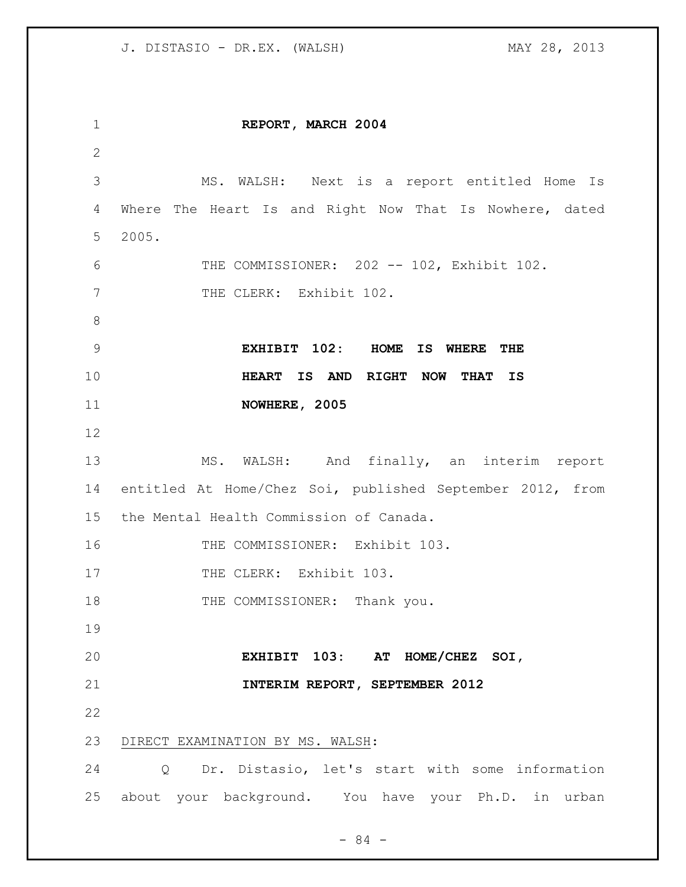| 1               | REPORT, MARCH 2004                                        |
|-----------------|-----------------------------------------------------------|
| 2               |                                                           |
| 3               | MS. WALSH: Next is a report entitled Home Is              |
| 4               | Where The Heart Is and Right Now That Is Nowhere, dated   |
| 5               | 2005.                                                     |
| 6               | THE COMMISSIONER: 202 -- 102, Exhibit 102.                |
| 7               | THE CLERK: Exhibit 102.                                   |
| $8\,$           |                                                           |
| $\mathsf 9$     | EXHIBIT 102: HOME IS WHERE THE                            |
| 10              | HEART IS AND RIGHT NOW THAT IS                            |
| 11              | NOWHERE, 2005                                             |
| 12              |                                                           |
| 13              | MS. WALSH: And finally, an interim report                 |
| 14              | entitled At Home/Chez Soi, published September 2012, from |
| 15 <sub>1</sub> | the Mental Health Commission of Canada.                   |
| 16              | THE COMMISSIONER: Exhibit 103.                            |
| 17              | THE CLERK: Exhibit 103.                                   |
| 18              | THE COMMISSIONER: Thank you.                              |
| 19              |                                                           |
| 20              | EXHIBIT 103: AT HOME/CHEZ SOI,                            |
| 21              | INTERIM REPORT, SEPTEMBER 2012                            |
| 22              |                                                           |
| 23              | DIRECT EXAMINATION BY MS. WALSH:                          |
| 24              | Dr. Distasio, let's start with some information<br>Q      |
| 25              | about your background. You have your Ph.D. in urban       |

- 84 -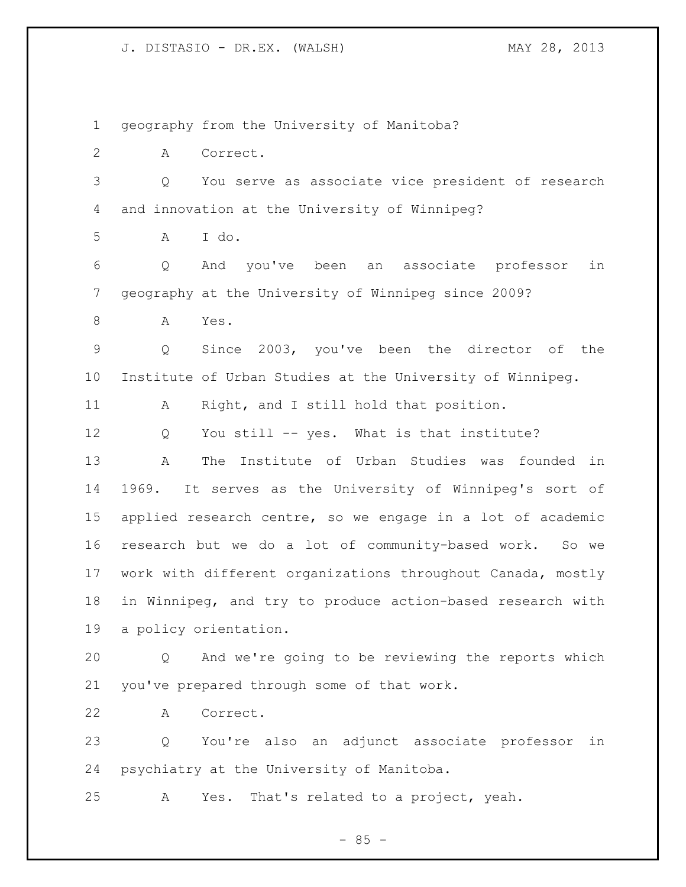geography from the University of Manitoba?

A Correct.

 Q You serve as associate vice president of research and innovation at the University of Winnipeg?

A I do.

 Q And you've been an associate professor in geography at the University of Winnipeg since 2009?

A Yes.

 Q Since 2003, you've been the director of the Institute of Urban Studies at the University of Winnipeg.

11 A Right, and I still hold that position.

Q You still -- yes. What is that institute?

 A The Institute of Urban Studies was founded in 1969. It serves as the University of Winnipeg's sort of applied research centre, so we engage in a lot of academic research but we do a lot of community-based work. So we work with different organizations throughout Canada, mostly in Winnipeg, and try to produce action-based research with a policy orientation.

 Q And we're going to be reviewing the reports which you've prepared through some of that work.

A Correct.

 Q You're also an adjunct associate professor in psychiatry at the University of Manitoba.

A Yes. That's related to a project, yeah.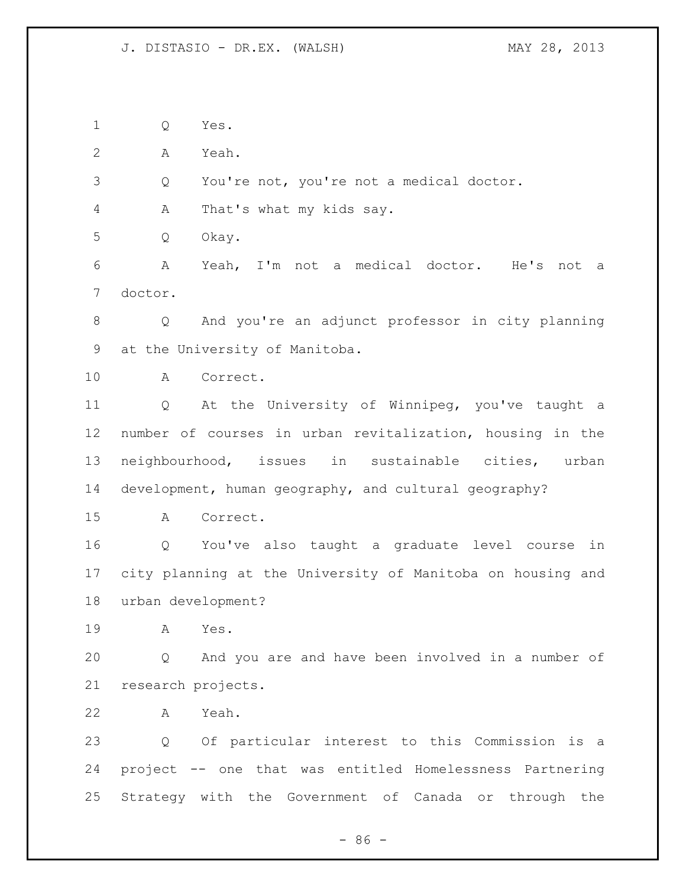Q Yes.

A Yeah.

Q You're not, you're not a medical doctor.

A That's what my kids say.

Q Okay.

 A Yeah, I'm not a medical doctor. He's not a doctor.

 Q And you're an adjunct professor in city planning at the University of Manitoba.

A Correct.

 Q At the University of Winnipeg, you've taught a number of courses in urban revitalization, housing in the neighbourhood, issues in sustainable cities, urban development, human geography, and cultural geography?

A Correct.

 Q You've also taught a graduate level course in city planning at the University of Manitoba on housing and urban development?

A Yes.

 Q And you are and have been involved in a number of research projects.

A Yeah.

 Q Of particular interest to this Commission is a project -- one that was entitled Homelessness Partnering Strategy with the Government of Canada or through the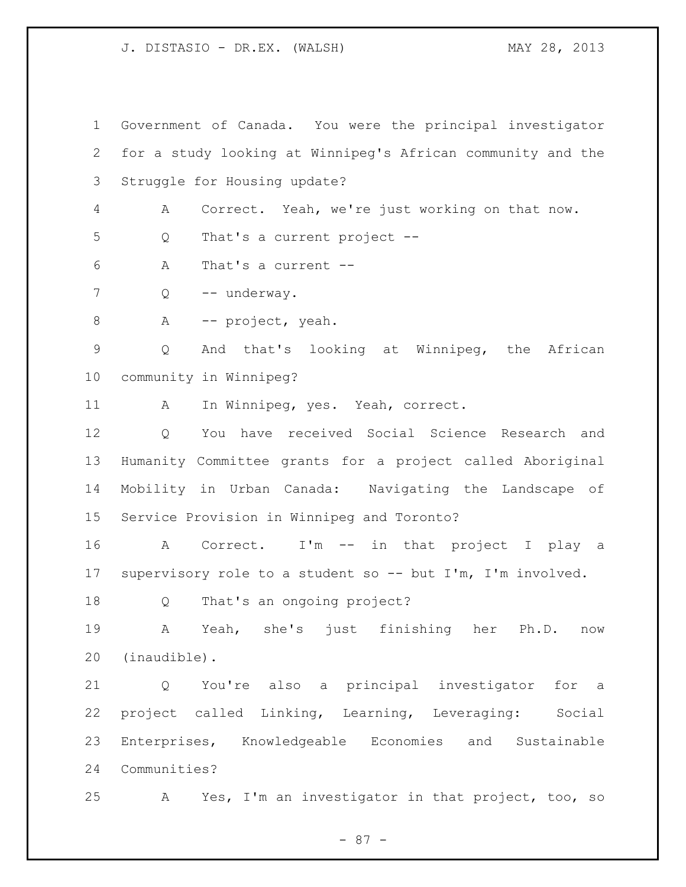Government of Canada. You were the principal investigator for a study looking at Winnipeg's African community and the Struggle for Housing update? A Correct. Yeah, we're just working on that now. Q That's a current project -- A That's a current -- 7 Q -- underway. 8 A -- project, yeah. Q And that's looking at Winnipeg, the African community in Winnipeg? A In Winnipeg, yes. Yeah, correct. Q You have received Social Science Research and Humanity Committee grants for a project called Aboriginal Mobility in Urban Canada: Navigating the Landscape of Service Provision in Winnipeg and Toronto? A Correct. I'm -- in that project I play a supervisory role to a student so -- but I'm, I'm involved. Q That's an ongoing project? A Yeah, she's just finishing her Ph.D. now (inaudible). Q You're also a principal investigator for a project called Linking, Learning, Leveraging: Social Enterprises, Knowledgeable Economies and Sustainable Communities? A Yes, I'm an investigator in that project, too, so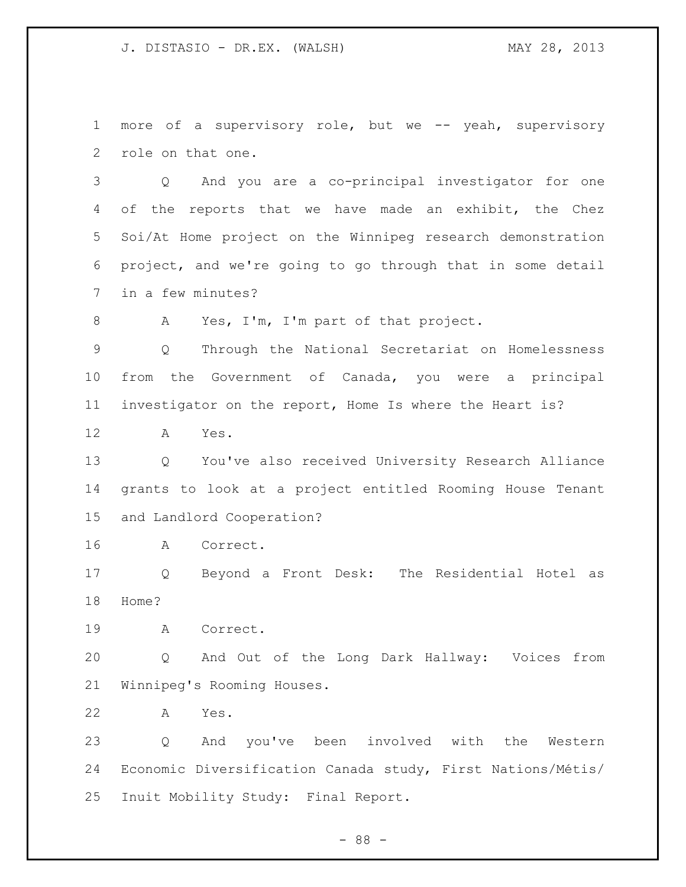more of a supervisory role, but we -- yeah, supervisory role on that one.

 Q And you are a co-principal investigator for one of the reports that we have made an exhibit, the Chez Soi/At Home project on the Winnipeg research demonstration project, and we're going to go through that in some detail in a few minutes?

A Yes, I'm, I'm part of that project.

 Q Through the National Secretariat on Homelessness from the Government of Canada, you were a principal investigator on the report, Home Is where the Heart is?

A Yes.

 Q You've also received University Research Alliance grants to look at a project entitled Rooming House Tenant and Landlord Cooperation?

A Correct.

 Q Beyond a Front Desk: The Residential Hotel as Home?

A Correct.

 Q And Out of the Long Dark Hallway: Voices from Winnipeg's Rooming Houses.

A Yes.

 Q And you've been involved with the Western Economic Diversification Canada study, First Nations/Métis/ Inuit Mobility Study: Final Report.

- 88 -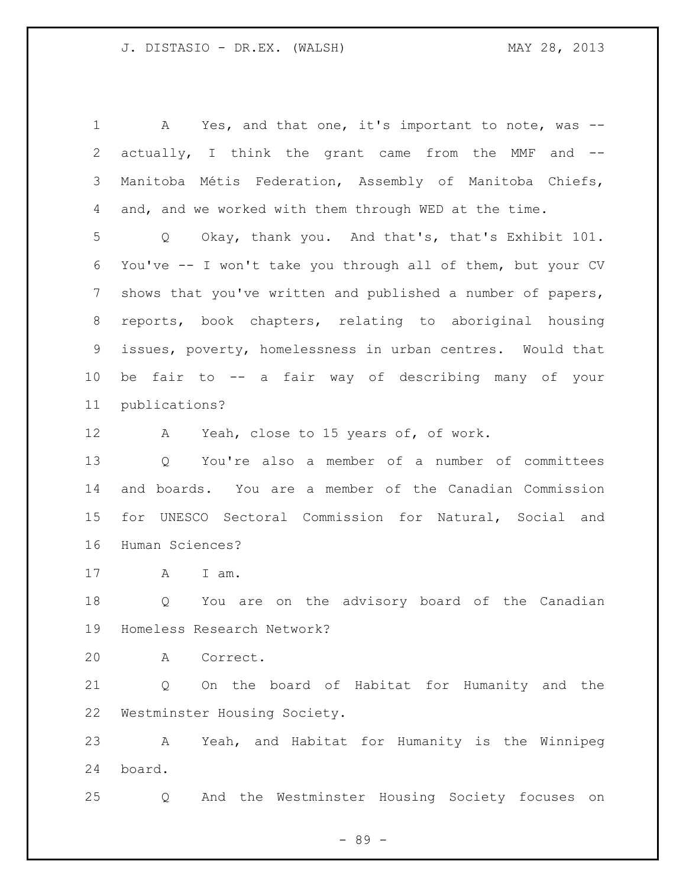A Yes, and that one, it's important to note, was -- actually, I think the grant came from the MMF and -- Manitoba Métis Federation, Assembly of Manitoba Chiefs, and, and we worked with them through WED at the time. Q Okay, thank you. And that's, that's Exhibit 101. You've -- I won't take you through all of them, but your CV shows that you've written and published a number of papers, reports, book chapters, relating to aboriginal housing issues, poverty, homelessness in urban centres. Would that be fair to -- a fair way of describing many of your publications? A Yeah, close to 15 years of, of work. Q You're also a member of a number of committees and boards. You are a member of the Canadian Commission for UNESCO Sectoral Commission for Natural, Social and Human Sciences? A I am. Q You are on the advisory board of the Canadian Homeless Research Network? A Correct. Q On the board of Habitat for Humanity and the Westminster Housing Society. A Yeah, and Habitat for Humanity is the Winnipeg board.

Q And the Westminster Housing Society focuses on

- 89 -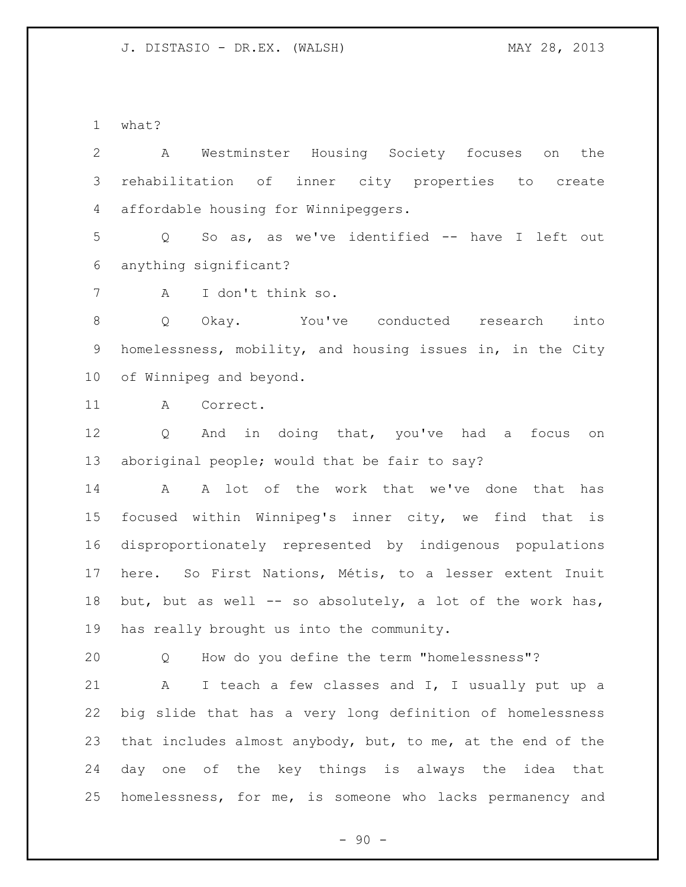what?

 A Westminster Housing Society focuses on the rehabilitation of inner city properties to create affordable housing for Winnipeggers.

 Q So as, as we've identified -- have I left out anything significant?

A I don't think so.

 Q Okay. You've conducted research into homelessness, mobility, and housing issues in, in the City of Winnipeg and beyond.

A Correct.

 Q And in doing that, you've had a focus on aboriginal people; would that be fair to say?

 A A lot of the work that we've done that has focused within Winnipeg's inner city, we find that is disproportionately represented by indigenous populations here. So First Nations, Métis, to a lesser extent Inuit but, but as well -- so absolutely, a lot of the work has, has really brought us into the community.

Q How do you define the term "homelessness"?

 A I teach a few classes and I, I usually put up a big slide that has a very long definition of homelessness that includes almost anybody, but, to me, at the end of the day one of the key things is always the idea that homelessness, for me, is someone who lacks permanency and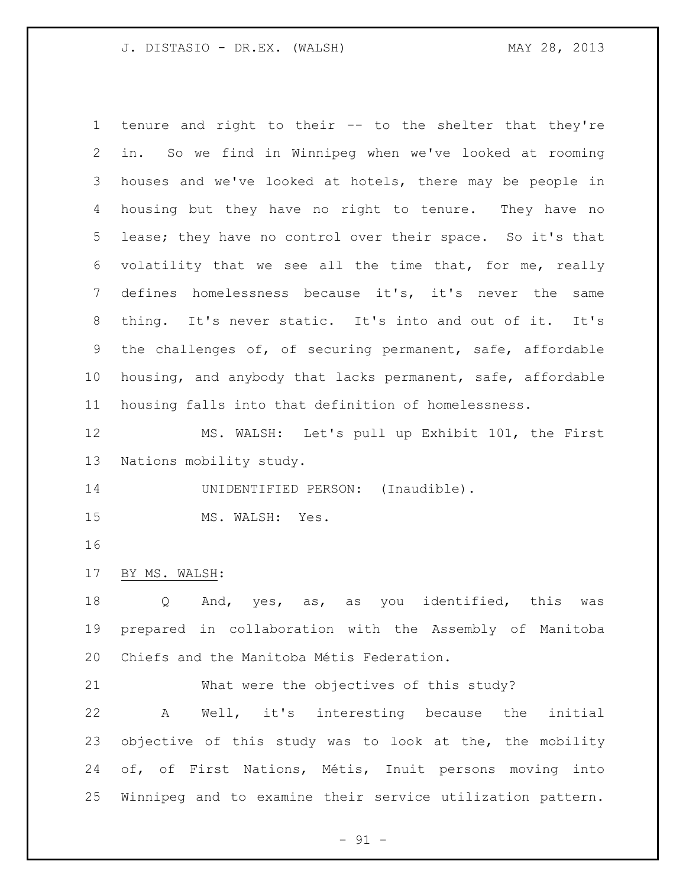tenure and right to their -- to the shelter that they're in. So we find in Winnipeg when we've looked at rooming houses and we've looked at hotels, there may be people in housing but they have no right to tenure. They have no lease; they have no control over their space. So it's that volatility that we see all the time that, for me, really defines homelessness because it's, it's never the same thing. It's never static. It's into and out of it. It's the challenges of, of securing permanent, safe, affordable housing, and anybody that lacks permanent, safe, affordable housing falls into that definition of homelessness. MS. WALSH: Let's pull up Exhibit 101, the First

Nations mobility study.

14 UNIDENTIFIED PERSON: (Inaudible).

15 MS. WALSH: Yes.

BY MS. WALSH:

18 Q And, yes, as, as you identified, this was prepared in collaboration with the Assembly of Manitoba Chiefs and the Manitoba Métis Federation.

What were the objectives of this study?

 A Well, it's interesting because the initial objective of this study was to look at the, the mobility of, of First Nations, Métis, Inuit persons moving into Winnipeg and to examine their service utilization pattern.

 $- 91 -$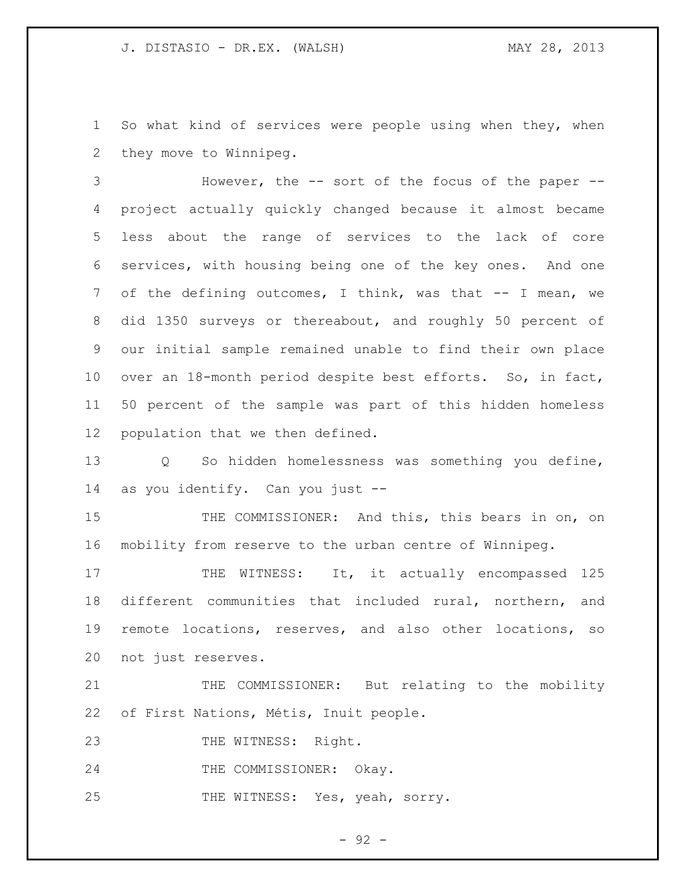So what kind of services were people using when they, when they move to Winnipeg.

 However, the -- sort of the focus of the paper -- project actually quickly changed because it almost became less about the range of services to the lack of core services, with housing being one of the key ones. And one of the defining outcomes, I think, was that -- I mean, we did 1350 surveys or thereabout, and roughly 50 percent of our initial sample remained unable to find their own place over an 18-month period despite best efforts. So, in fact, 50 percent of the sample was part of this hidden homeless population that we then defined.

 Q So hidden homelessness was something you define, as you identify. Can you just --

15 THE COMMISSIONER: And this, this bears in on, on mobility from reserve to the urban centre of Winnipeg.

17 THE WITNESS: It, it actually encompassed 125 different communities that included rural, northern, and remote locations, reserves, and also other locations, so not just reserves.

21 THE COMMISSIONER: But relating to the mobility of First Nations, Métis, Inuit people.

23 THE WITNESS: Right.

24 THE COMMISSIONER: Okay.

THE WITNESS: Yes, yeah, sorry.

- 92 -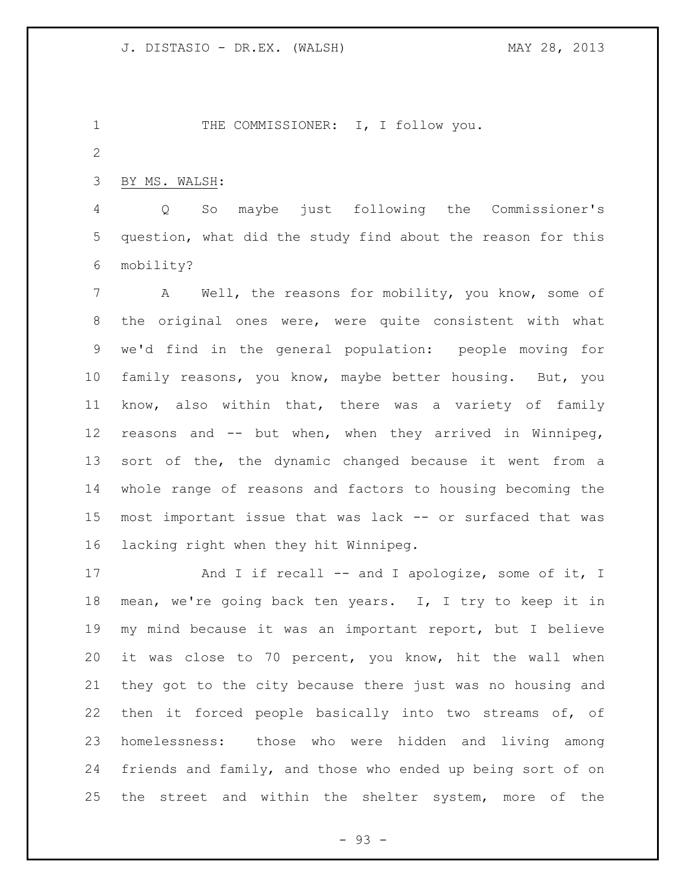1 THE COMMISSIONER: I, I follow you.

BY MS. WALSH:

 Q So maybe just following the Commissioner's question, what did the study find about the reason for this mobility?

 A Well, the reasons for mobility, you know, some of the original ones were, were quite consistent with what we'd find in the general population: people moving for family reasons, you know, maybe better housing. But, you know, also within that, there was a variety of family reasons and -- but when, when they arrived in Winnipeg, sort of the, the dynamic changed because it went from a whole range of reasons and factors to housing becoming the most important issue that was lack -- or surfaced that was lacking right when they hit Winnipeg.

17 And I if recall -- and I apologize, some of it, I mean, we're going back ten years. I, I try to keep it in my mind because it was an important report, but I believe it was close to 70 percent, you know, hit the wall when they got to the city because there just was no housing and then it forced people basically into two streams of, of homelessness: those who were hidden and living among friends and family, and those who ended up being sort of on the street and within the shelter system, more of the

- 93 -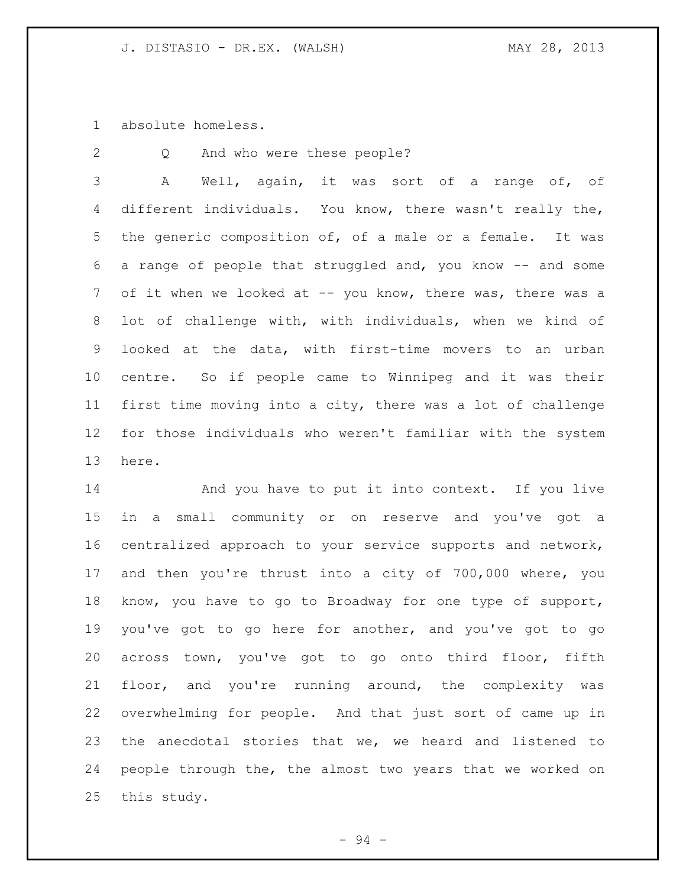absolute homeless.

Q And who were these people?

 A Well, again, it was sort of a range of, of different individuals. You know, there wasn't really the, the generic composition of, of a male or a female. It was a range of people that struggled and, you know -- and some 7 of it when we looked at -- you know, there was, there was a lot of challenge with, with individuals, when we kind of looked at the data, with first-time movers to an urban centre. So if people came to Winnipeg and it was their first time moving into a city, there was a lot of challenge for those individuals who weren't familiar with the system here.

14 And you have to put it into context. If you live in a small community or on reserve and you've got a centralized approach to your service supports and network, and then you're thrust into a city of 700,000 where, you know, you have to go to Broadway for one type of support, you've got to go here for another, and you've got to go across town, you've got to go onto third floor, fifth floor, and you're running around, the complexity was overwhelming for people. And that just sort of came up in the anecdotal stories that we, we heard and listened to people through the, the almost two years that we worked on this study.

- 94 -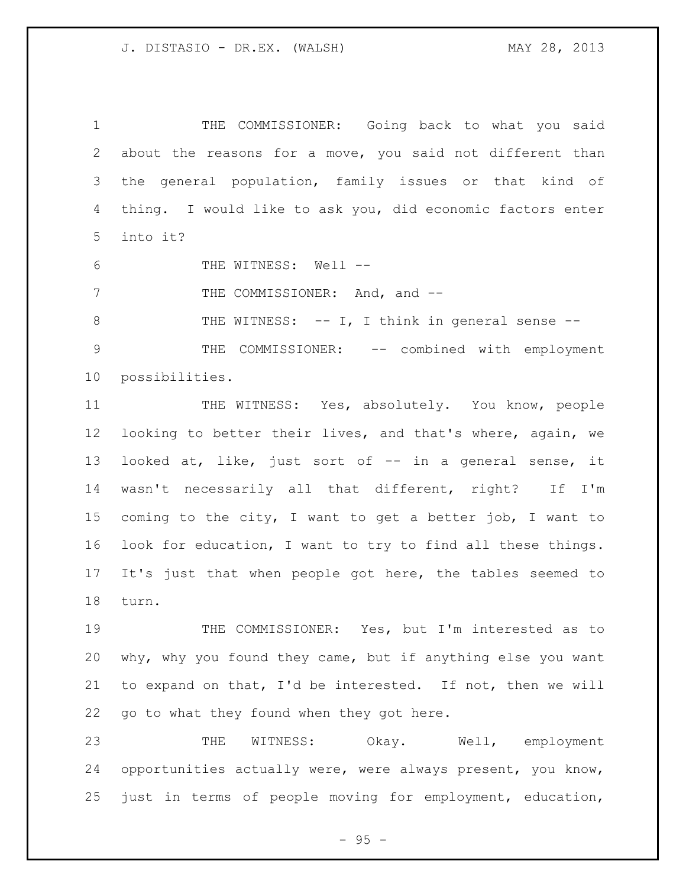THE COMMISSIONER: Going back to what you said about the reasons for a move, you said not different than the general population, family issues or that kind of thing. I would like to ask you, did economic factors enter into it?

THE WITNESS: Well --

7 THE COMMISSIONER: And, and --

8 THE WITNESS: -- I, I think in general sense -- THE COMMISSIONER: -- combined with employment possibilities.

11 THE WITNESS: Yes, absolutely. You know, people looking to better their lives, and that's where, again, we looked at, like, just sort of -- in a general sense, it wasn't necessarily all that different, right? If I'm coming to the city, I want to get a better job, I want to look for education, I want to try to find all these things. It's just that when people got here, the tables seemed to turn.

 THE COMMISSIONER: Yes, but I'm interested as to why, why you found they came, but if anything else you want to expand on that, I'd be interested. If not, then we will go to what they found when they got here.

 THE WITNESS: Okay. Well, employment opportunities actually were, were always present, you know, just in terms of people moving for employment, education,

 $- 95 -$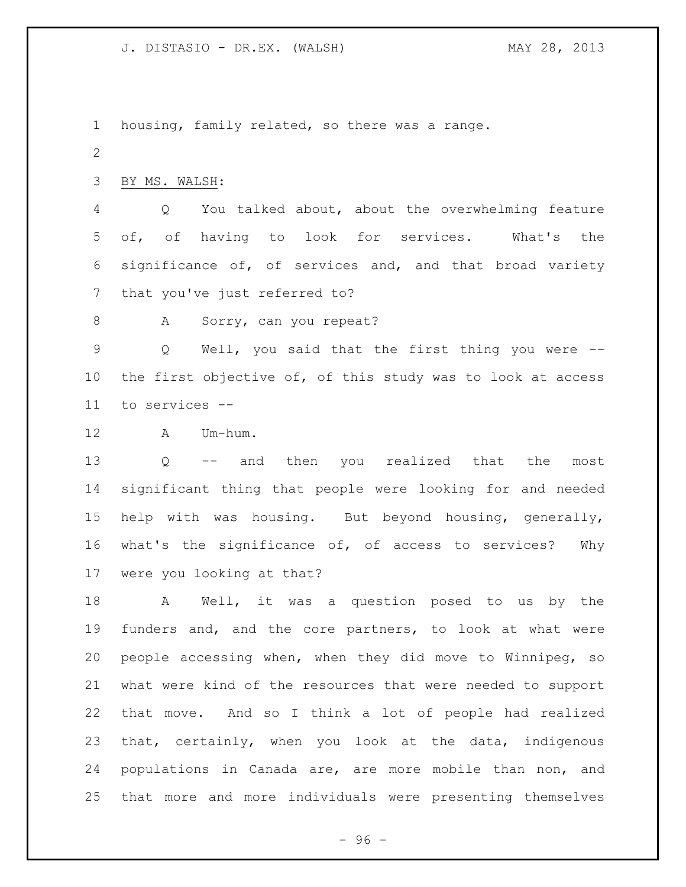housing, family related, so there was a range. BY MS. WALSH: Q You talked about, about the overwhelming feature of, of having to look for services. What's the significance of, of services and, and that broad variety that you've just referred to? 8 A Sorry, can you repeat? Q Well, you said that the first thing you were --

 the first objective of, of this study was to look at access to services --

A Um-hum.

 Q -- and then you realized that the most significant thing that people were looking for and needed help with was housing. But beyond housing, generally, what's the significance of, of access to services? Why were you looking at that?

 A Well, it was a question posed to us by the funders and, and the core partners, to look at what were people accessing when, when they did move to Winnipeg, so what were kind of the resources that were needed to support that move. And so I think a lot of people had realized that, certainly, when you look at the data, indigenous populations in Canada are, are more mobile than non, and that more and more individuals were presenting themselves

- 96 -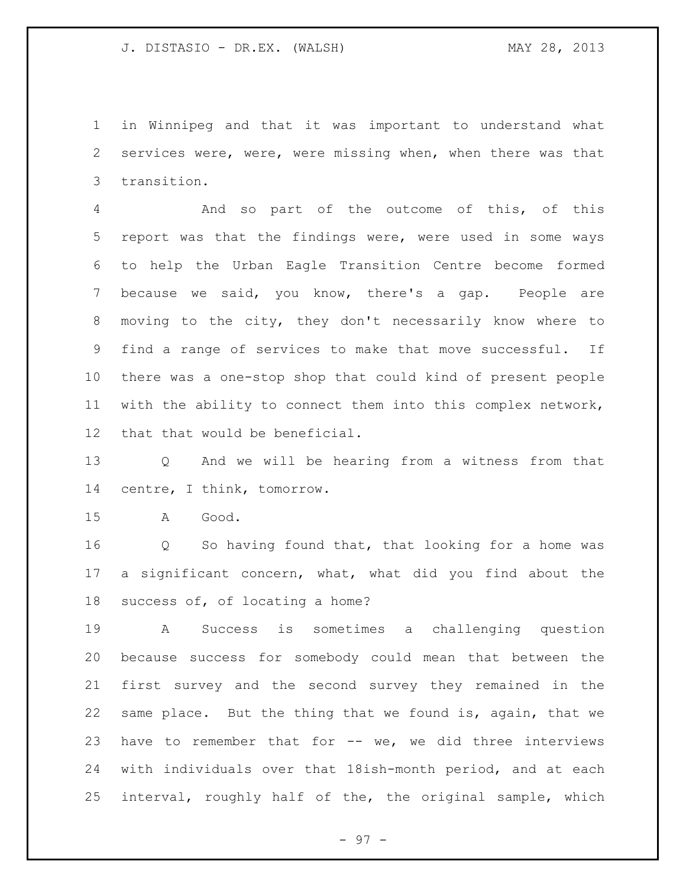in Winnipeg and that it was important to understand what services were, were, were missing when, when there was that transition.

 And so part of the outcome of this, of this report was that the findings were, were used in some ways to help the Urban Eagle Transition Centre become formed because we said, you know, there's a gap. People are moving to the city, they don't necessarily know where to find a range of services to make that move successful. If there was a one-stop shop that could kind of present people with the ability to connect them into this complex network, that that would be beneficial.

 Q And we will be hearing from a witness from that centre, I think, tomorrow.

A Good.

 Q So having found that, that looking for a home was a significant concern, what, what did you find about the success of, of locating a home?

 A Success is sometimes a challenging question because success for somebody could mean that between the first survey and the second survey they remained in the same place. But the thing that we found is, again, that we have to remember that for -- we, we did three interviews with individuals over that 18ish-month period, and at each interval, roughly half of the, the original sample, which

- 97 -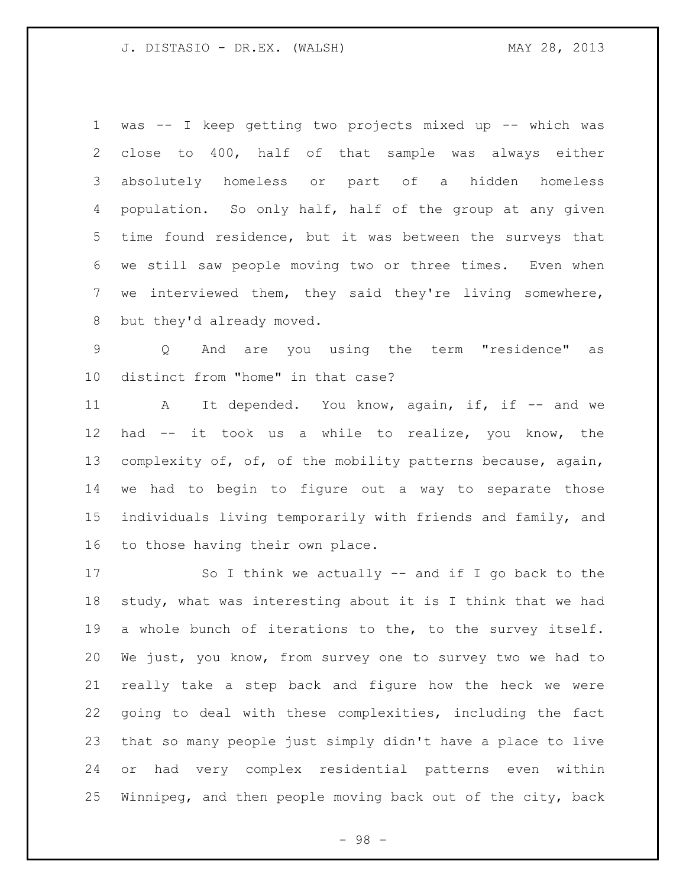was -- I keep getting two projects mixed up -- which was close to 400, half of that sample was always either absolutely homeless or part of a hidden homeless population. So only half, half of the group at any given time found residence, but it was between the surveys that we still saw people moving two or three times. Even when we interviewed them, they said they're living somewhere, but they'd already moved.

 Q And are you using the term "residence" as distinct from "home" in that case?

11 A It depended. You know, again, if, if -- and we had -- it took us a while to realize, you know, the complexity of, of, of the mobility patterns because, again, we had to begin to figure out a way to separate those individuals living temporarily with friends and family, and to those having their own place.

 So I think we actually -- and if I go back to the study, what was interesting about it is I think that we had a whole bunch of iterations to the, to the survey itself. We just, you know, from survey one to survey two we had to really take a step back and figure how the heck we were going to deal with these complexities, including the fact that so many people just simply didn't have a place to live or had very complex residential patterns even within Winnipeg, and then people moving back out of the city, back

- 98 -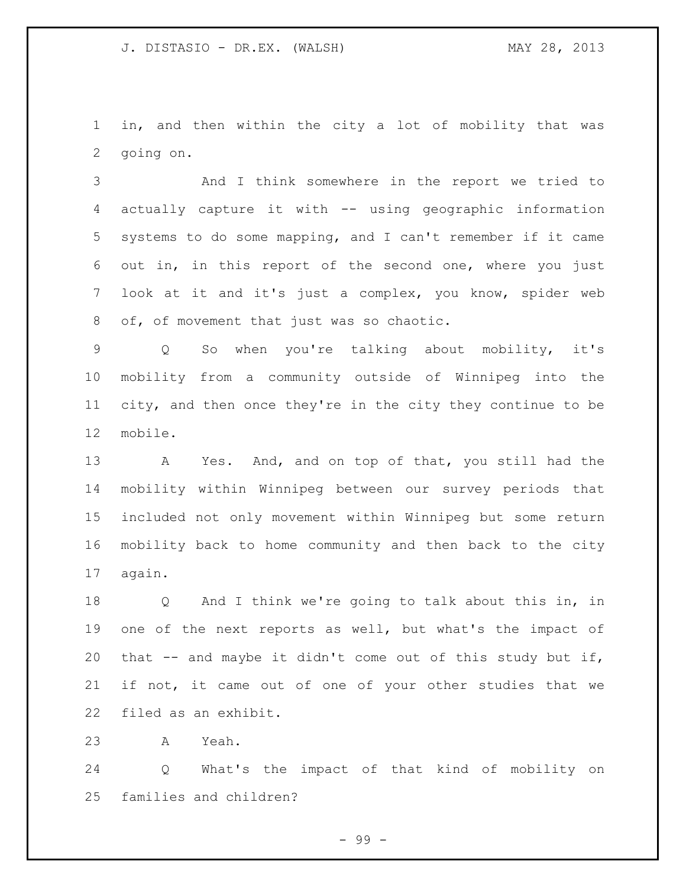in, and then within the city a lot of mobility that was going on.

 And I think somewhere in the report we tried to actually capture it with -- using geographic information systems to do some mapping, and I can't remember if it came out in, in this report of the second one, where you just look at it and it's just a complex, you know, spider web 8 of, of movement that just was so chaotic.

 Q So when you're talking about mobility, it's mobility from a community outside of Winnipeg into the city, and then once they're in the city they continue to be mobile.

13 A Yes. And, and on top of that, you still had the mobility within Winnipeg between our survey periods that included not only movement within Winnipeg but some return mobility back to home community and then back to the city again.

 Q And I think we're going to talk about this in, in one of the next reports as well, but what's the impact of that -- and maybe it didn't come out of this study but if, if not, it came out of one of your other studies that we filed as an exhibit.

A Yeah.

 Q What's the impact of that kind of mobility on families and children?

- 99 -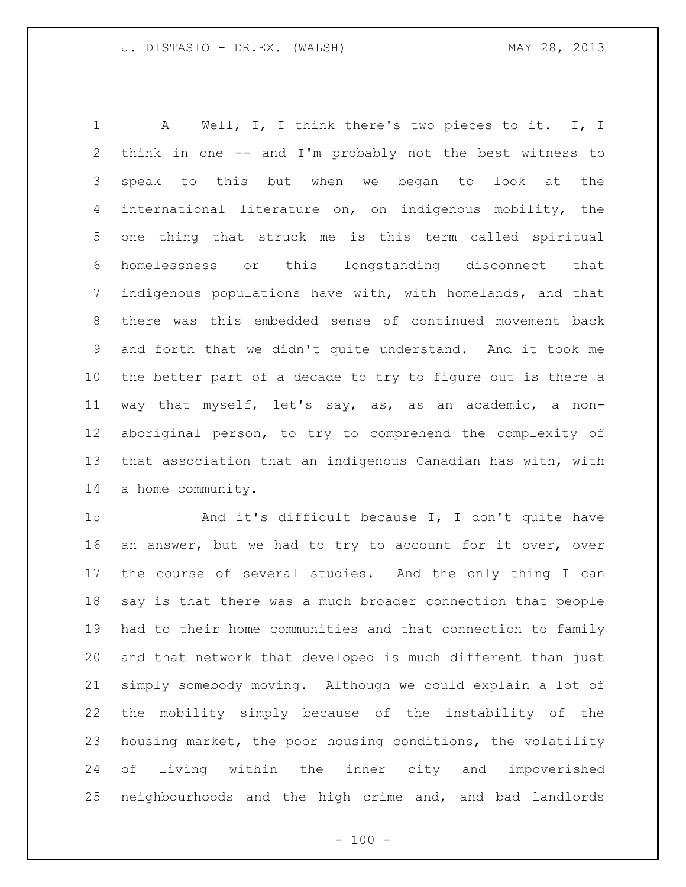A Well, I, I think there's two pieces to it. I, I think in one -- and I'm probably not the best witness to speak to this but when we began to look at the international literature on, on indigenous mobility, the one thing that struck me is this term called spiritual homelessness or this longstanding disconnect that indigenous populations have with, with homelands, and that there was this embedded sense of continued movement back and forth that we didn't quite understand. And it took me the better part of a decade to try to figure out is there a way that myself, let's say, as, as an academic, a non- aboriginal person, to try to comprehend the complexity of that association that an indigenous Canadian has with, with a home community.

15 And it's difficult because I, I don't quite have an answer, but we had to try to account for it over, over the course of several studies. And the only thing I can say is that there was a much broader connection that people had to their home communities and that connection to family and that network that developed is much different than just simply somebody moving. Although we could explain a lot of the mobility simply because of the instability of the housing market, the poor housing conditions, the volatility of living within the inner city and impoverished neighbourhoods and the high crime and, and bad landlords

 $- 100 -$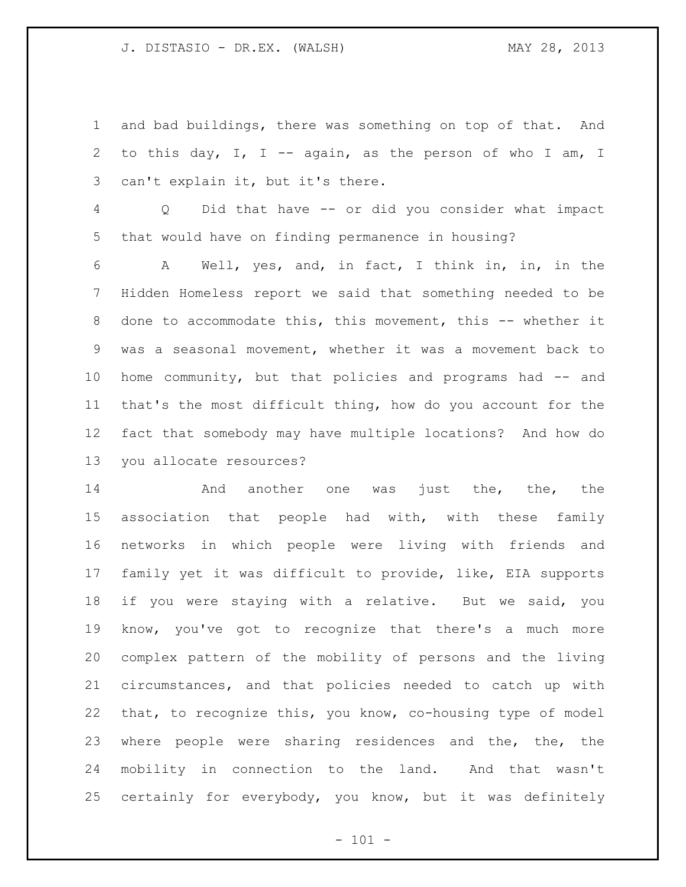and bad buildings, there was something on top of that. And to this day, I, I -- again, as the person of who I am, I can't explain it, but it's there.

 Q Did that have -- or did you consider what impact that would have on finding permanence in housing?

 A Well, yes, and, in fact, I think in, in, in the Hidden Homeless report we said that something needed to be 8 done to accommodate this, this movement, this -- whether it was a seasonal movement, whether it was a movement back to home community, but that policies and programs had -- and that's the most difficult thing, how do you account for the fact that somebody may have multiple locations? And how do you allocate resources?

**And another one was just the, the, the**  association that people had with, with these family networks in which people were living with friends and family yet it was difficult to provide, like, EIA supports if you were staying with a relative. But we said, you know, you've got to recognize that there's a much more complex pattern of the mobility of persons and the living circumstances, and that policies needed to catch up with that, to recognize this, you know, co-housing type of model where people were sharing residences and the, the, the mobility in connection to the land. And that wasn't certainly for everybody, you know, but it was definitely

 $- 101 -$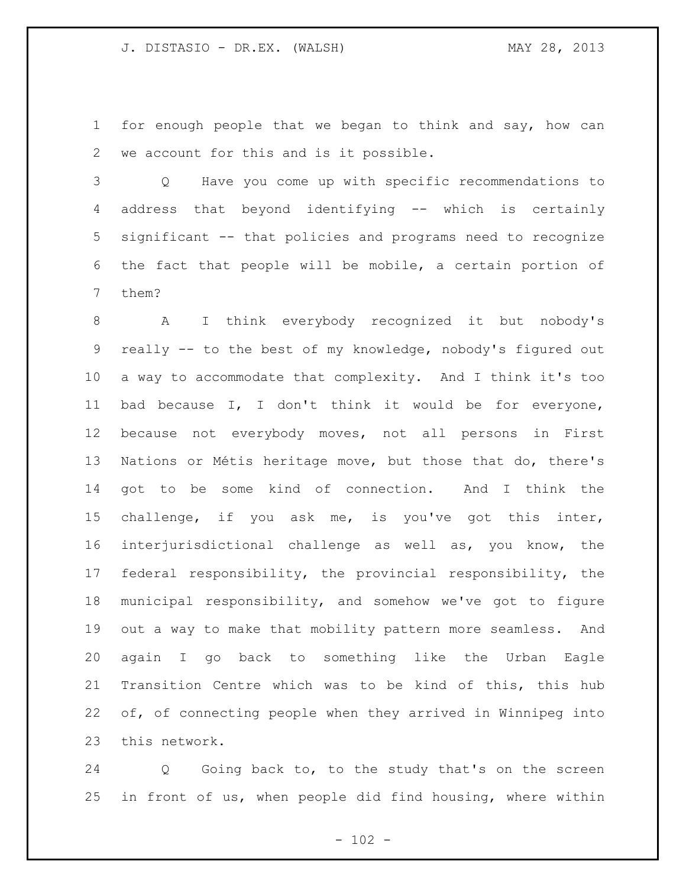for enough people that we began to think and say, how can we account for this and is it possible.

 Q Have you come up with specific recommendations to address that beyond identifying -- which is certainly significant -- that policies and programs need to recognize the fact that people will be mobile, a certain portion of them?

 A I think everybody recognized it but nobody's really -- to the best of my knowledge, nobody's figured out a way to accommodate that complexity. And I think it's too bad because I, I don't think it would be for everyone, because not everybody moves, not all persons in First Nations or Métis heritage move, but those that do, there's got to be some kind of connection. And I think the challenge, if you ask me, is you've got this inter, interjurisdictional challenge as well as, you know, the federal responsibility, the provincial responsibility, the municipal responsibility, and somehow we've got to figure out a way to make that mobility pattern more seamless. And again I go back to something like the Urban Eagle Transition Centre which was to be kind of this, this hub of, of connecting people when they arrived in Winnipeg into this network.

 Q Going back to, to the study that's on the screen in front of us, when people did find housing, where within

 $- 102 -$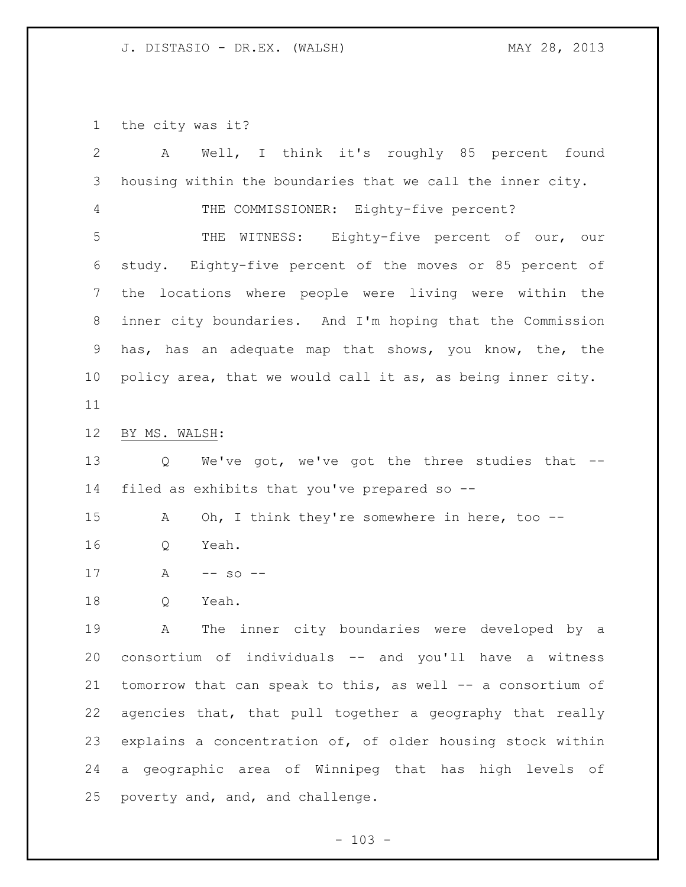the city was it?

| $\overline{2}$  | Well, I think it's roughly 85 percent found<br>Α            |
|-----------------|-------------------------------------------------------------|
| 3               | housing within the boundaries that we call the inner city.  |
| 4               | THE COMMISSIONER: Eighty-five percent?                      |
| 5               | WITNESS: Eighty-five percent of our, our<br>THE             |
| 6               | study. Eighty-five percent of the moves or 85 percent of    |
| $7\phantom{.}$  | the locations where people were living were within the      |
| 8               | inner city boundaries. And I'm hoping that the Commission   |
| 9               | has, has an adequate map that shows, you know, the, the     |
| 10 <sub>o</sub> | policy area, that we would call it as, as being inner city. |
| 11              |                                                             |
| 12              | BY MS. WALSH:                                               |
| 13              | We've got, we've got the three studies that --<br>Q         |
| 14              | filed as exhibits that you've prepared so --                |
| 15              | Oh, I think they're somewhere in here, too --<br>Α          |
| 16              | Yeah.<br>Q                                                  |
| 17              | Α<br>$--$ so $--$                                           |
| 18              | Yeah.<br>Q                                                  |
| 19              | The inner city boundaries were developed by a<br>Α          |
| 20              | consortium of individuals -- and you'll have a witness      |
| 21              | tomorrow that can speak to this, as well -- a consortium of |
| 22              | agencies that, that pull together a geography that really   |
| 23              | explains a concentration of, of older housing stock within  |
| 24              | a geographic area of Winnipeg that has high levels of       |
| 25              | poverty and, and, and challenge.                            |

- 103 -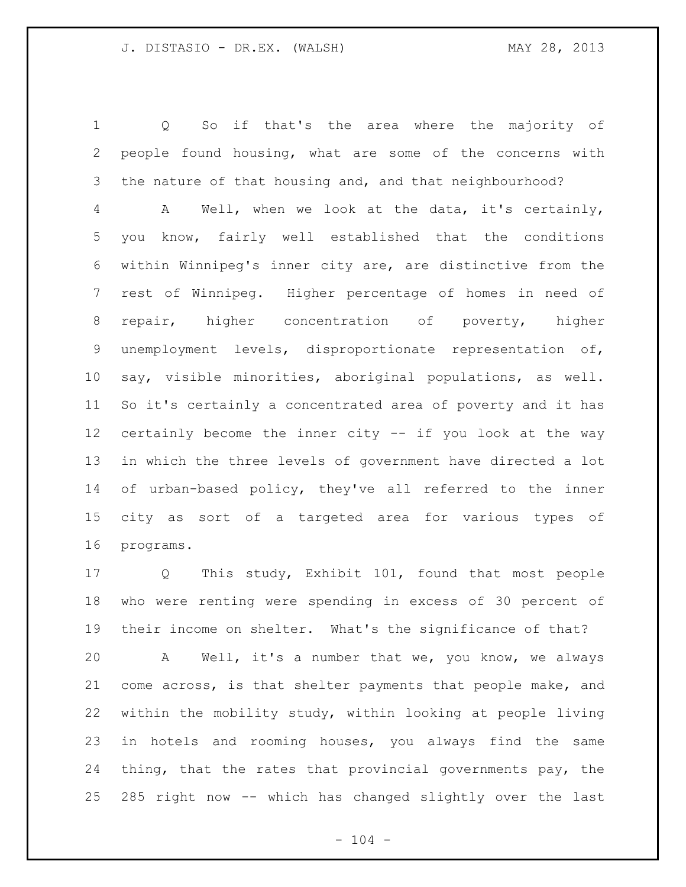Q So if that's the area where the majority of people found housing, what are some of the concerns with the nature of that housing and, and that neighbourhood?

 A Well, when we look at the data, it's certainly, you know, fairly well established that the conditions within Winnipeg's inner city are, are distinctive from the rest of Winnipeg. Higher percentage of homes in need of repair, higher concentration of poverty, higher unemployment levels, disproportionate representation of, say, visible minorities, aboriginal populations, as well. So it's certainly a concentrated area of poverty and it has certainly become the inner city -- if you look at the way in which the three levels of government have directed a lot of urban-based policy, they've all referred to the inner city as sort of a targeted area for various types of programs.

 Q This study, Exhibit 101, found that most people who were renting were spending in excess of 30 percent of their income on shelter. What's the significance of that?

 A Well, it's a number that we, you know, we always come across, is that shelter payments that people make, and within the mobility study, within looking at people living in hotels and rooming houses, you always find the same thing, that the rates that provincial governments pay, the 285 right now -- which has changed slightly over the last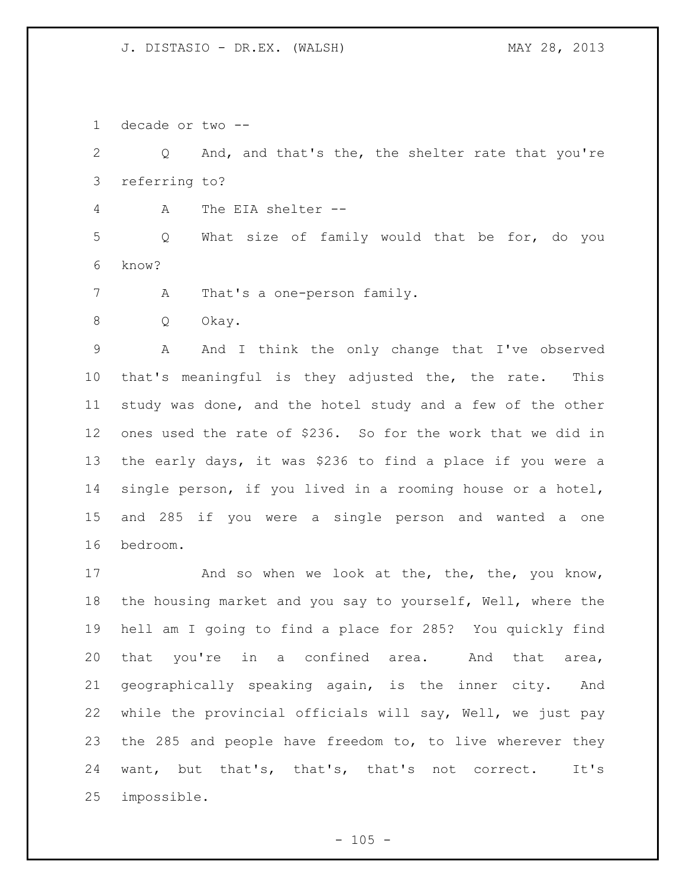decade or two --

 Q And, and that's the, the shelter rate that you're referring to?

A The EIA shelter --

 Q What size of family would that be for, do you know?

A That's a one-person family.

Q Okay.

 A And I think the only change that I've observed that's meaningful is they adjusted the, the rate. This study was done, and the hotel study and a few of the other ones used the rate of \$236. So for the work that we did in the early days, it was \$236 to find a place if you were a single person, if you lived in a rooming house or a hotel, and 285 if you were a single person and wanted a one bedroom.

17 And so when we look at the, the, the, you know, the housing market and you say to yourself, Well, where the hell am I going to find a place for 285? You quickly find 20 that you're in a confined area. And that area, geographically speaking again, is the inner city. And while the provincial officials will say, Well, we just pay the 285 and people have freedom to, to live wherever they want, but that's, that's, that's not correct. It's impossible.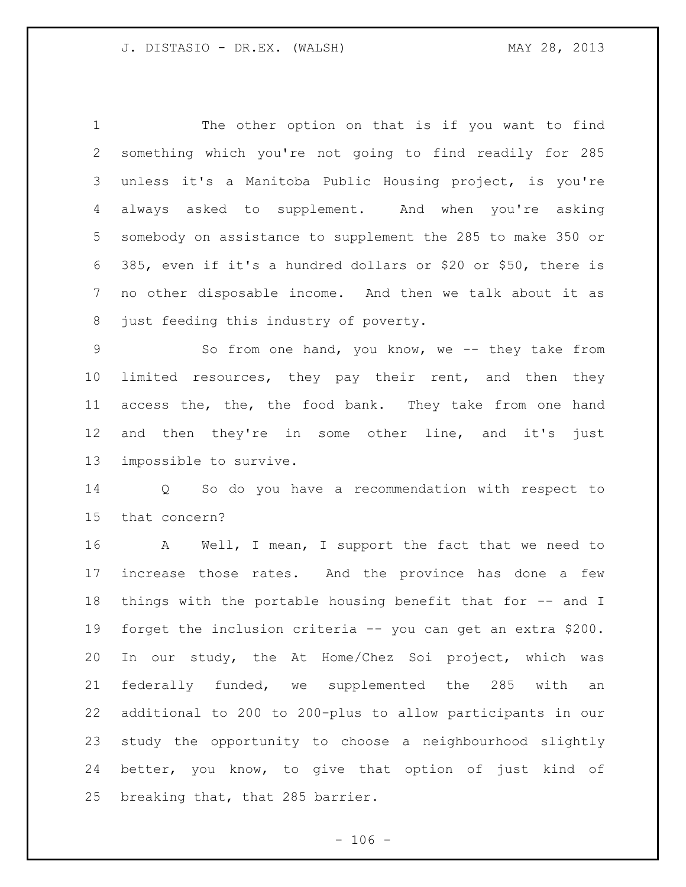The other option on that is if you want to find something which you're not going to find readily for 285 unless it's a Manitoba Public Housing project, is you're always asked to supplement. And when you're asking somebody on assistance to supplement the 285 to make 350 or 385, even if it's a hundred dollars or \$20 or \$50, there is no other disposable income. And then we talk about it as just feeding this industry of poverty.

9 So from one hand, you know, we -- they take from 10 limited resources, they pay their rent, and then they 11 access the, the, the food bank. They take from one hand 12 and then they're in some other line, and it's just impossible to survive.

 Q So do you have a recommendation with respect to that concern?

 A Well, I mean, I support the fact that we need to increase those rates. And the province has done a few things with the portable housing benefit that for -- and I forget the inclusion criteria -- you can get an extra \$200. In our study, the At Home/Chez Soi project, which was federally funded, we supplemented the 285 with an additional to 200 to 200-plus to allow participants in our study the opportunity to choose a neighbourhood slightly better, you know, to give that option of just kind of breaking that, that 285 barrier.

 $- 106 -$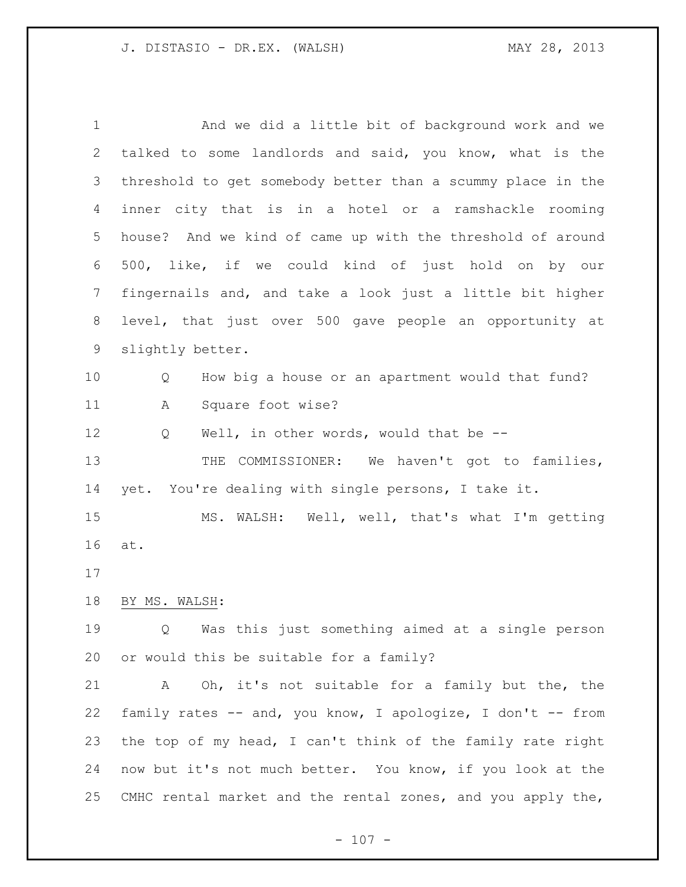And we did a little bit of background work and we talked to some landlords and said, you know, what is the threshold to get somebody better than a scummy place in the inner city that is in a hotel or a ramshackle rooming house? And we kind of came up with the threshold of around 500, like, if we could kind of just hold on by our fingernails and, and take a look just a little bit higher level, that just over 500 gave people an opportunity at slightly better. Q How big a house or an apartment would that fund? A Square foot wise? 12 Q Well, in other words, would that be --13 THE COMMISSIONER: We haven't got to families, yet. You're dealing with single persons, I take it. MS. WALSH: Well, well, that's what I'm getting at. BY MS. WALSH: Q Was this just something aimed at a single person or would this be suitable for a family? A Oh, it's not suitable for a family but the, the family rates -- and, you know, I apologize, I don't -- from the top of my head, I can't think of the family rate right now but it's not much better. You know, if you look at the CMHC rental market and the rental zones, and you apply the,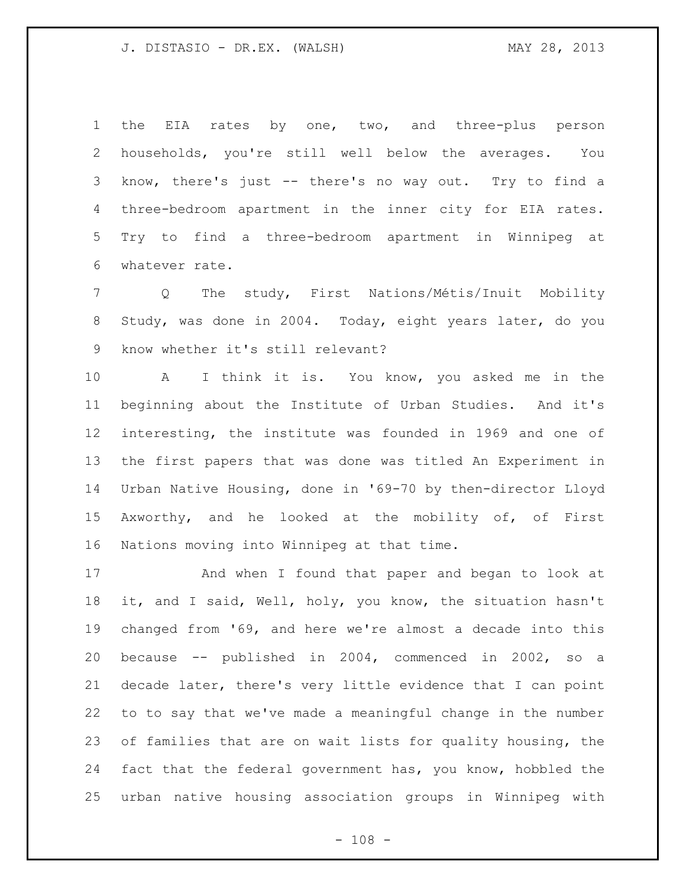1 the EIA rates by one, two, and three-plus person households, you're still well below the averages. You know, there's just -- there's no way out. Try to find a three-bedroom apartment in the inner city for EIA rates. Try to find a three-bedroom apartment in Winnipeg at whatever rate.

 Q The study, First Nations/Métis/Inuit Mobility Study, was done in 2004. Today, eight years later, do you know whether it's still relevant?

 A I think it is. You know, you asked me in the beginning about the Institute of Urban Studies. And it's interesting, the institute was founded in 1969 and one of the first papers that was done was titled An Experiment in Urban Native Housing, done in '69-70 by then-director Lloyd Axworthy, and he looked at the mobility of, of First Nations moving into Winnipeg at that time.

 And when I found that paper and began to look at it, and I said, Well, holy, you know, the situation hasn't changed from '69, and here we're almost a decade into this because -- published in 2004, commenced in 2002, so a decade later, there's very little evidence that I can point to to say that we've made a meaningful change in the number of families that are on wait lists for quality housing, the fact that the federal government has, you know, hobbled the urban native housing association groups in Winnipeg with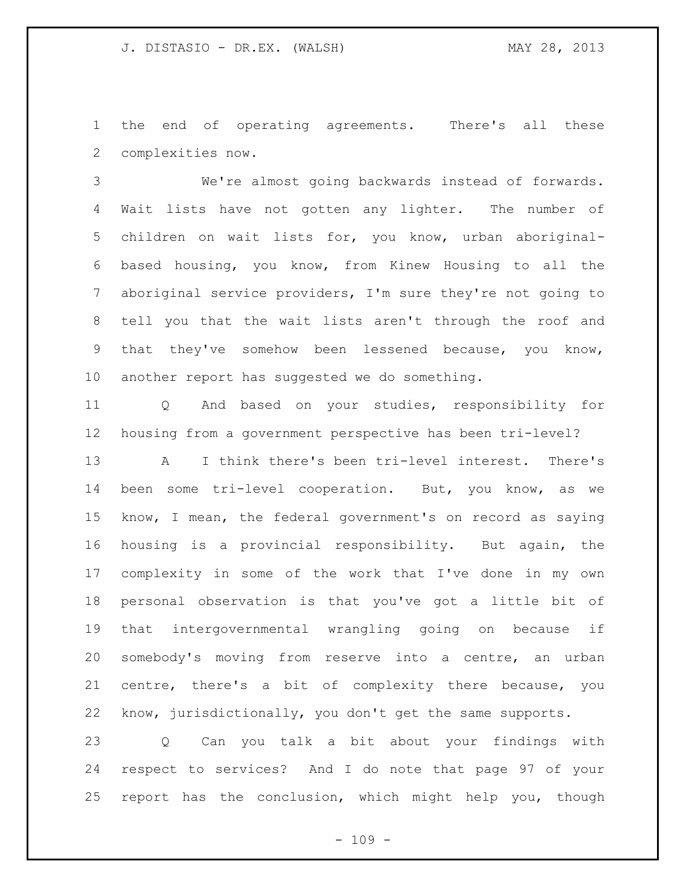the end of operating agreements. There's all these complexities now.

 We're almost going backwards instead of forwards. Wait lists have not gotten any lighter. The number of children on wait lists for, you know, urban aboriginal- based housing, you know, from Kinew Housing to all the aboriginal service providers, I'm sure they're not going to tell you that the wait lists aren't through the roof and that they've somehow been lessened because, you know, another report has suggested we do something.

 Q And based on your studies, responsibility for housing from a government perspective has been tri-level?

 A I think there's been tri-level interest. There's been some tri-level cooperation. But, you know, as we know, I mean, the federal government's on record as saying housing is a provincial responsibility. But again, the complexity in some of the work that I've done in my own personal observation is that you've got a little bit of that intergovernmental wrangling going on because if somebody's moving from reserve into a centre, an urban centre, there's a bit of complexity there because, you know, jurisdictionally, you don't get the same supports.

 Q Can you talk a bit about your findings with respect to services? And I do note that page 97 of your report has the conclusion, which might help you, though

 $- 109 -$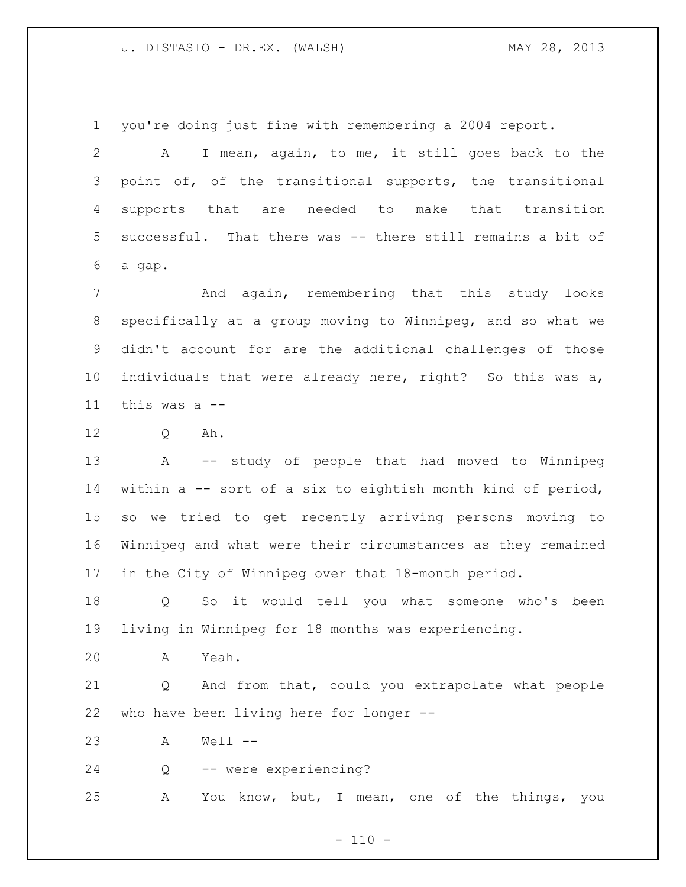you're doing just fine with remembering a 2004 report.

 A I mean, again, to me, it still goes back to the point of, of the transitional supports, the transitional supports that are needed to make that transition successful. That there was -- there still remains a bit of a gap.

 And again, remembering that this study looks specifically at a group moving to Winnipeg, and so what we didn't account for are the additional challenges of those individuals that were already here, right? So this was a, this was a --

Q Ah.

 A -- study of people that had moved to Winnipeg within a -- sort of a six to eightish month kind of period, so we tried to get recently arriving persons moving to Winnipeg and what were their circumstances as they remained in the City of Winnipeg over that 18-month period.

 Q So it would tell you what someone who's been living in Winnipeg for 18 months was experiencing.

A Yeah.

 Q And from that, could you extrapolate what people who have been living here for longer --

A Well --

Q -- were experiencing?

A You know, but, I mean, one of the things, you

 $- 110 -$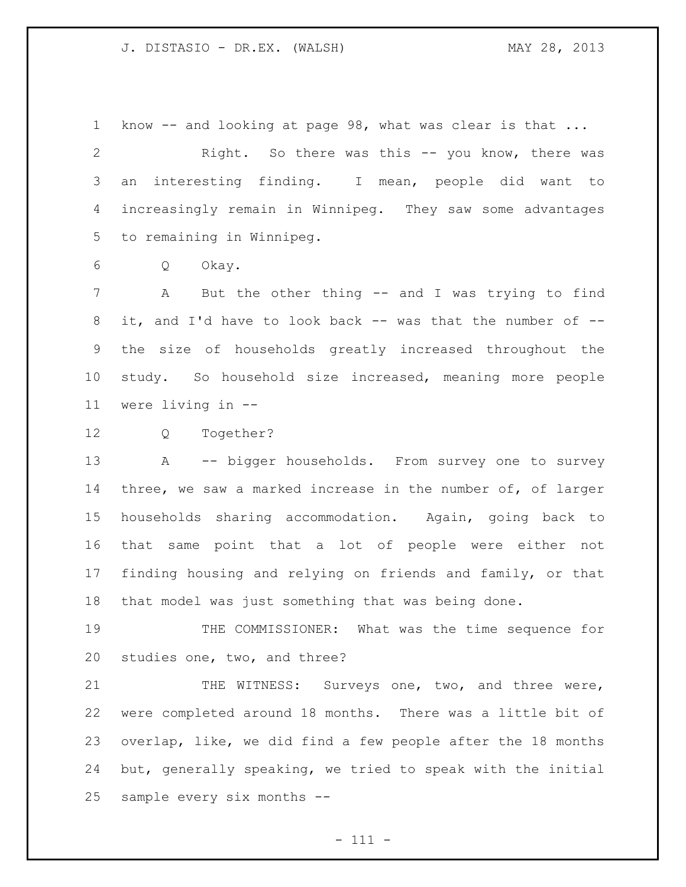know -- and looking at page 98, what was clear is that ... Right. So there was this -- you know, there was an interesting finding. I mean, people did want to increasingly remain in Winnipeg. They saw some advantages to remaining in Winnipeg.

Q Okay.

 A But the other thing -- and I was trying to find it, and I'd have to look back -- was that the number of -- the size of households greatly increased throughout the study. So household size increased, meaning more people were living in --

Q Together?

 A -- bigger households. From survey one to survey three, we saw a marked increase in the number of, of larger households sharing accommodation. Again, going back to that same point that a lot of people were either not finding housing and relying on friends and family, or that that model was just something that was being done.

 THE COMMISSIONER: What was the time sequence for studies one, two, and three?

21 THE WITNESS: Surveys one, two, and three were, were completed around 18 months. There was a little bit of overlap, like, we did find a few people after the 18 months but, generally speaking, we tried to speak with the initial sample every six months --

- 111 -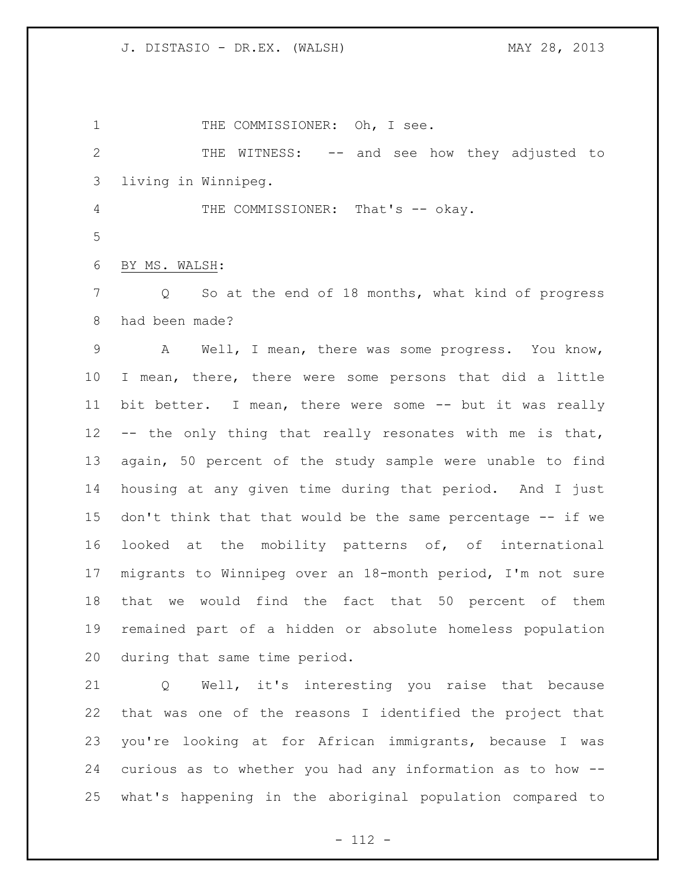1 THE COMMISSIONER: Oh, I see. THE WITNESS: -- and see how they adjusted to living in Winnipeg. 4 THE COMMISSIONER: That's -- okay. BY MS. WALSH: Q So at the end of 18 months, what kind of progress had been made? A Well, I mean, there was some progress. You know, I mean, there, there were some persons that did a little bit better. I mean, there were some -- but it was really -- the only thing that really resonates with me is that, again, 50 percent of the study sample were unable to find housing at any given time during that period. And I just don't think that that would be the same percentage -- if we looked at the mobility patterns of, of international migrants to Winnipeg over an 18-month period, I'm not sure that we would find the fact that 50 percent of them remained part of a hidden or absolute homeless population during that same time period. Q Well, it's interesting you raise that because that was one of the reasons I identified the project that you're looking at for African immigrants, because I was curious as to whether you had any information as to how --

- 112 -

what's happening in the aboriginal population compared to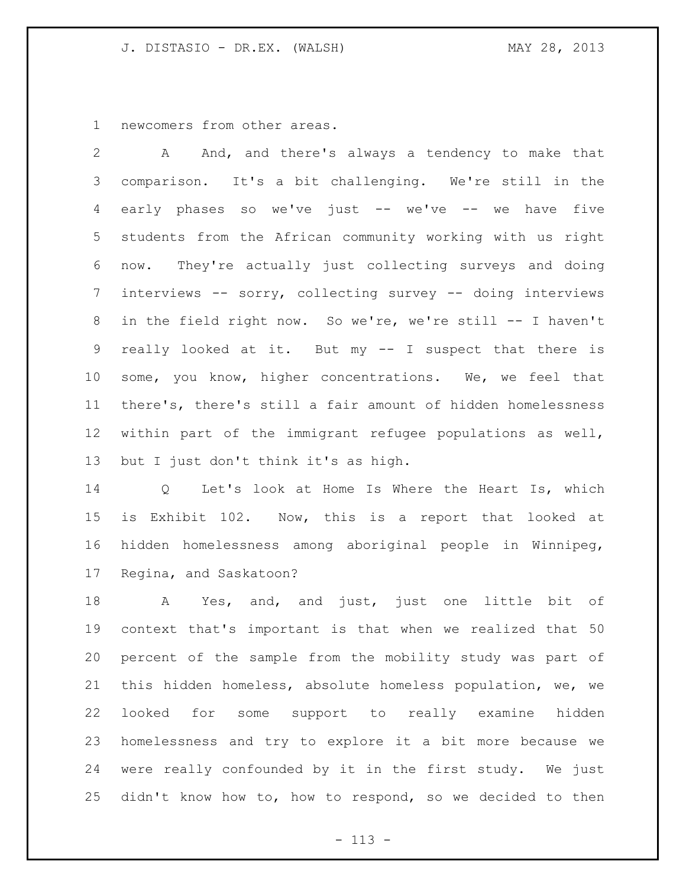newcomers from other areas.

 A And, and there's always a tendency to make that comparison. It's a bit challenging. We're still in the early phases so we've just -- we've -- we have five students from the African community working with us right now. They're actually just collecting surveys and doing interviews -- sorry, collecting survey -- doing interviews in the field right now. So we're, we're still -- I haven't really looked at it. But my -- I suspect that there is some, you know, higher concentrations. We, we feel that there's, there's still a fair amount of hidden homelessness within part of the immigrant refugee populations as well, but I just don't think it's as high.

 Q Let's look at Home Is Where the Heart Is, which is Exhibit 102. Now, this is a report that looked at hidden homelessness among aboriginal people in Winnipeg, Regina, and Saskatoon?

 A Yes, and, and just, just one little bit of context that's important is that when we realized that 50 percent of the sample from the mobility study was part of this hidden homeless, absolute homeless population, we, we looked for some support to really examine hidden homelessness and try to explore it a bit more because we were really confounded by it in the first study. We just didn't know how to, how to respond, so we decided to then

- 113 -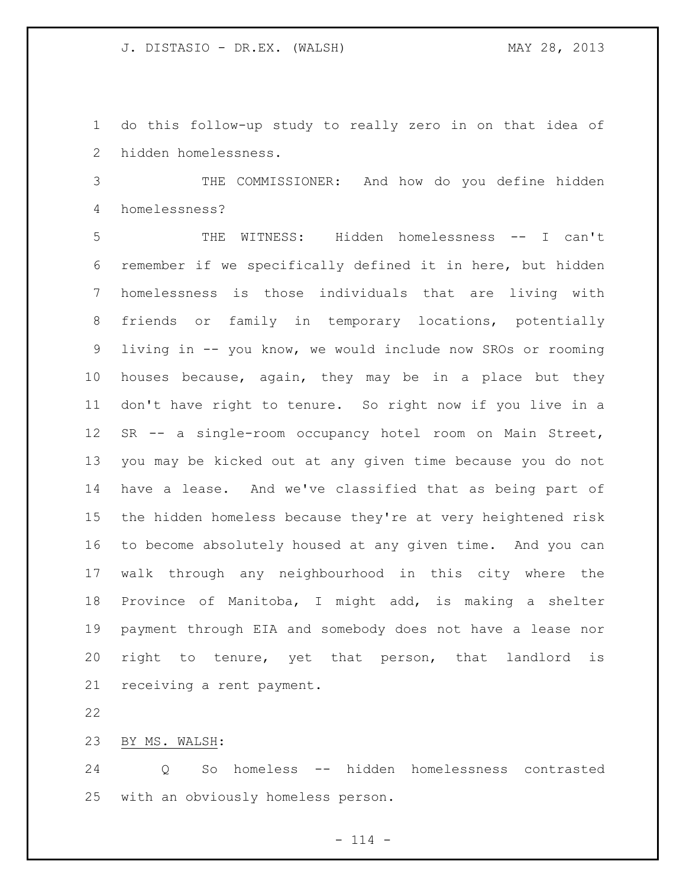do this follow-up study to really zero in on that idea of hidden homelessness.

 THE COMMISSIONER: And how do you define hidden homelessness?

 THE WITNESS: Hidden homelessness -- I can't remember if we specifically defined it in here, but hidden homelessness is those individuals that are living with friends or family in temporary locations, potentially living in -- you know, we would include now SROs or rooming houses because, again, they may be in a place but they don't have right to tenure. So right now if you live in a SR -- a single-room occupancy hotel room on Main Street, you may be kicked out at any given time because you do not have a lease. And we've classified that as being part of the hidden homeless because they're at very heightened risk to become absolutely housed at any given time. And you can walk through any neighbourhood in this city where the Province of Manitoba, I might add, is making a shelter payment through EIA and somebody does not have a lease nor right to tenure, yet that person, that landlord is receiving a rent payment.

BY MS. WALSH:

 Q So homeless -- hidden homelessness contrasted with an obviously homeless person.

 $- 114 -$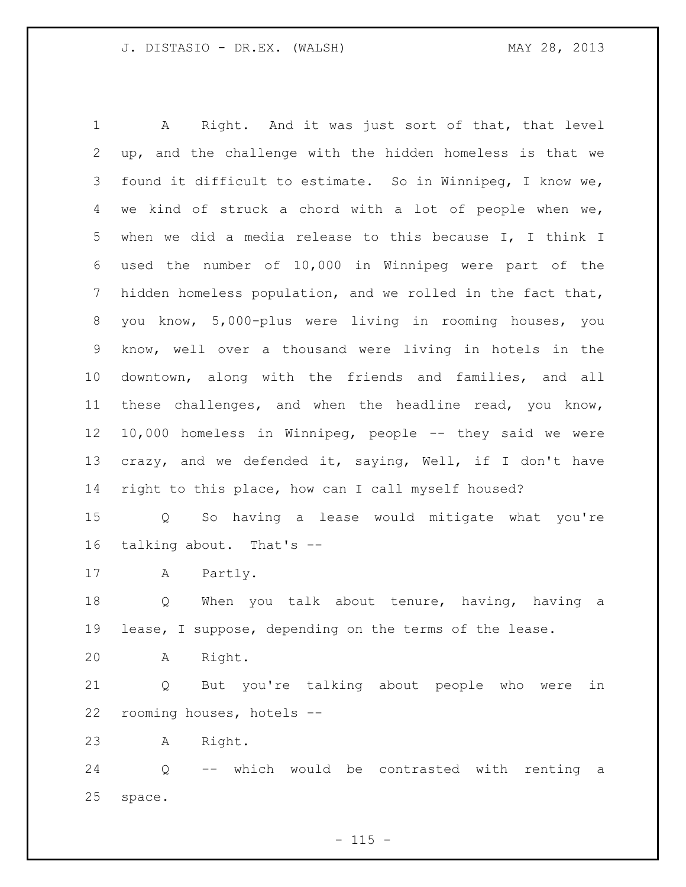A Right. And it was just sort of that, that level up, and the challenge with the hidden homeless is that we found it difficult to estimate. So in Winnipeg, I know we, we kind of struck a chord with a lot of people when we, when we did a media release to this because I, I think I used the number of 10,000 in Winnipeg were part of the hidden homeless population, and we rolled in the fact that, you know, 5,000-plus were living in rooming houses, you know, well over a thousand were living in hotels in the downtown, along with the friends and families, and all these challenges, and when the headline read, you know, 10,000 homeless in Winnipeg, people -- they said we were crazy, and we defended it, saying, Well, if I don't have right to this place, how can I call myself housed? Q So having a lease would mitigate what you're talking about. That's -- A Partly. 18 Q When you talk about tenure, having, having a lease, I suppose, depending on the terms of the lease. A Right. Q But you're talking about people who were in rooming houses, hotels -- A Right. Q -- which would be contrasted with renting a

space.

 $- 115 -$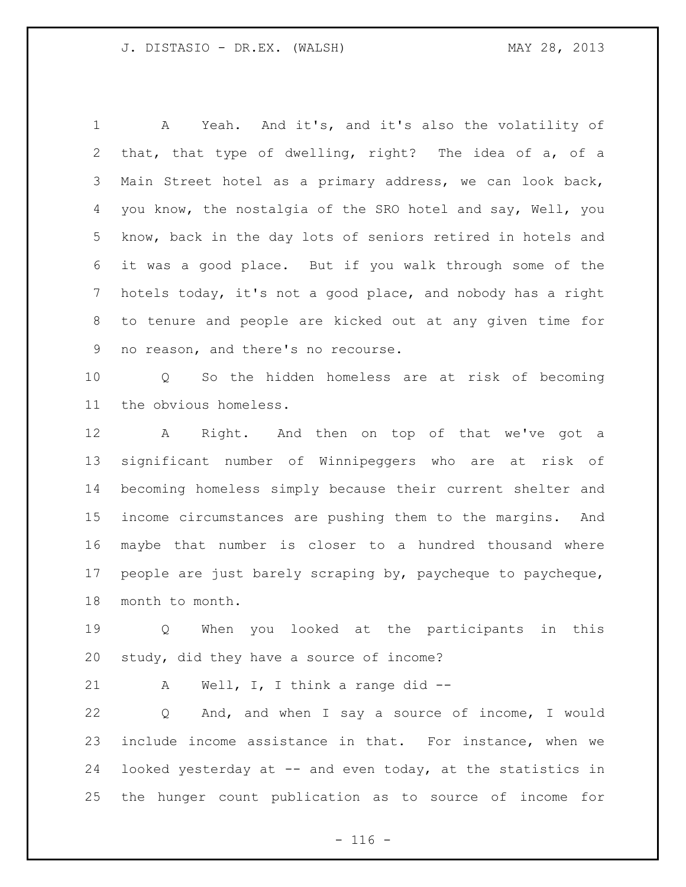A Yeah. And it's, and it's also the volatility of that, that type of dwelling, right? The idea of a, of a Main Street hotel as a primary address, we can look back, you know, the nostalgia of the SRO hotel and say, Well, you know, back in the day lots of seniors retired in hotels and it was a good place. But if you walk through some of the hotels today, it's not a good place, and nobody has a right to tenure and people are kicked out at any given time for no reason, and there's no recourse.

 Q So the hidden homeless are at risk of becoming the obvious homeless.

 A Right. And then on top of that we've got a significant number of Winnipeggers who are at risk of becoming homeless simply because their current shelter and income circumstances are pushing them to the margins. And maybe that number is closer to a hundred thousand where people are just barely scraping by, paycheque to paycheque, month to month.

 Q When you looked at the participants in this study, did they have a source of income?

21 A Well, I, I think a range did --

 Q And, and when I say a source of income, I would include income assistance in that. For instance, when we looked yesterday at -- and even today, at the statistics in the hunger count publication as to source of income for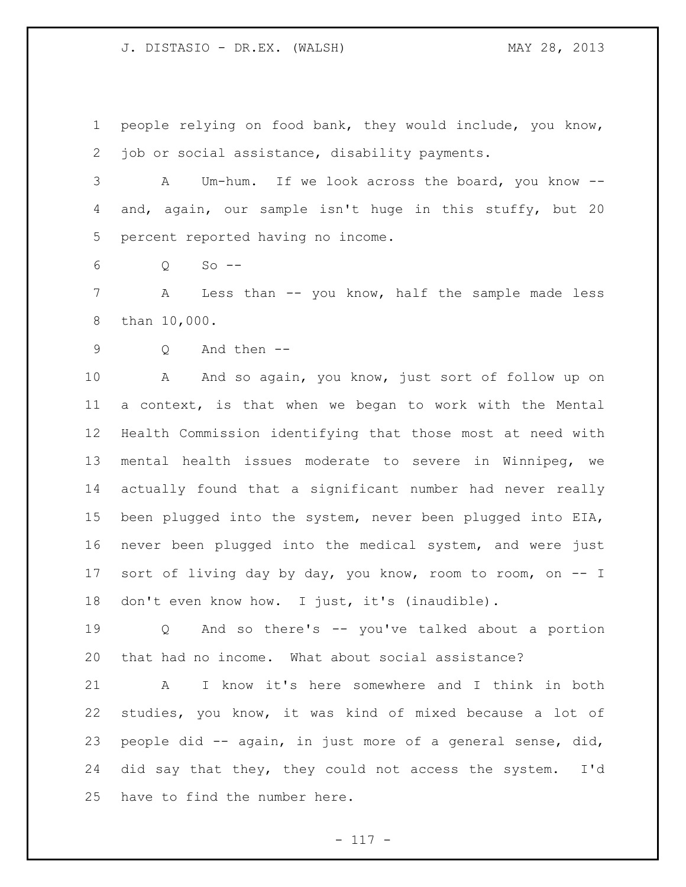people relying on food bank, they would include, you know, job or social assistance, disability payments.

 A Um-hum. If we look across the board, you know -- and, again, our sample isn't huge in this stuffy, but 20 percent reported having no income.

Q So --

 A Less than -- you know, half the sample made less than 10,000.

```
9 Q And then --
```
10 A And so again, you know, just sort of follow up on a context, is that when we began to work with the Mental Health Commission identifying that those most at need with mental health issues moderate to severe in Winnipeg, we actually found that a significant number had never really been plugged into the system, never been plugged into EIA, never been plugged into the medical system, and were just sort of living day by day, you know, room to room, on -- I 18 don't even know how. I just, it's (inaudible).

 Q And so there's -- you've talked about a portion that had no income. What about social assistance?

 A I know it's here somewhere and I think in both studies, you know, it was kind of mixed because a lot of people did -- again, in just more of a general sense, did, did say that they, they could not access the system. I'd have to find the number here.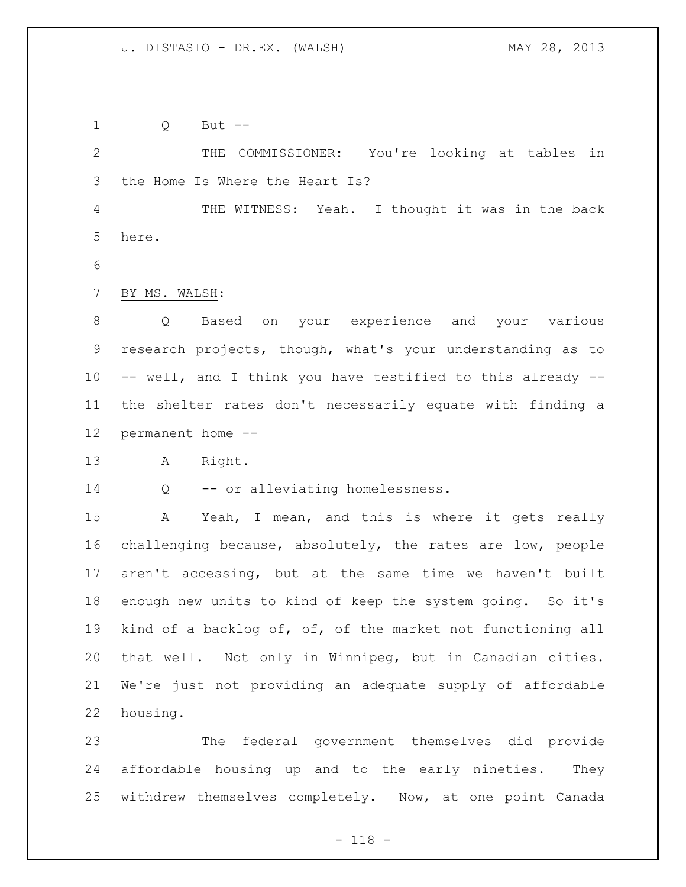Q But --

 THE COMMISSIONER: You're looking at tables in the Home Is Where the Heart Is?

 THE WITNESS: Yeah. I thought it was in the back here.

BY MS. WALSH:

 Q Based on your experience and your various research projects, though, what's your understanding as to -- well, and I think you have testified to this already -- the shelter rates don't necessarily equate with finding a permanent home --

A Right.

Q -- or alleviating homelessness.

 A Yeah, I mean, and this is where it gets really challenging because, absolutely, the rates are low, people aren't accessing, but at the same time we haven't built enough new units to kind of keep the system going. So it's kind of a backlog of, of, of the market not functioning all that well. Not only in Winnipeg, but in Canadian cities. We're just not providing an adequate supply of affordable housing.

 The federal government themselves did provide affordable housing up and to the early nineties. They withdrew themselves completely. Now, at one point Canada

- 118 -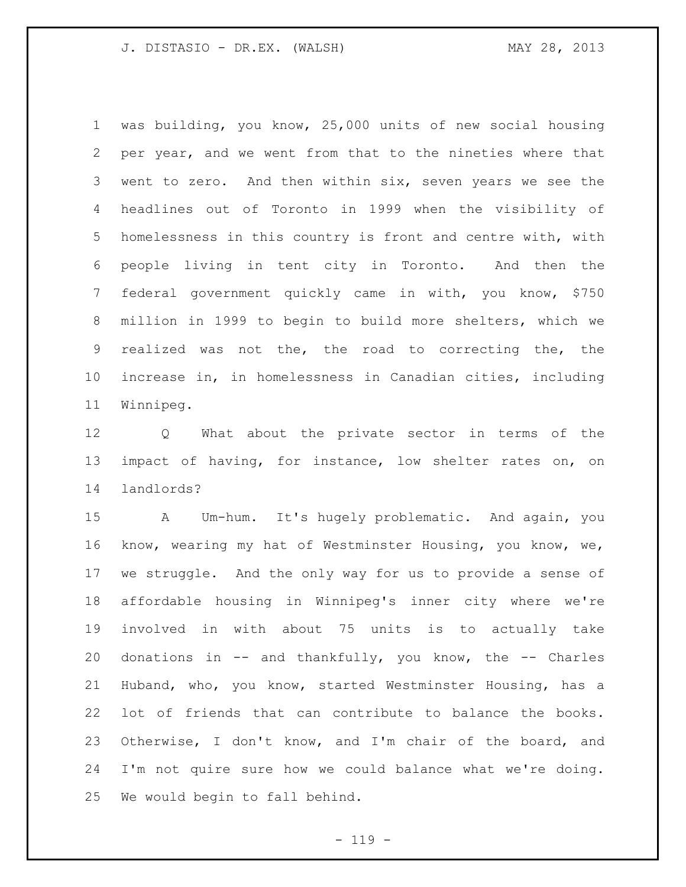was building, you know, 25,000 units of new social housing per year, and we went from that to the nineties where that went to zero. And then within six, seven years we see the headlines out of Toronto in 1999 when the visibility of homelessness in this country is front and centre with, with people living in tent city in Toronto. And then the federal government quickly came in with, you know, \$750 million in 1999 to begin to build more shelters, which we realized was not the, the road to correcting the, the increase in, in homelessness in Canadian cities, including Winnipeg.

 Q What about the private sector in terms of the impact of having, for instance, low shelter rates on, on landlords?

 A Um-hum. It's hugely problematic. And again, you know, wearing my hat of Westminster Housing, you know, we, we struggle. And the only way for us to provide a sense of affordable housing in Winnipeg's inner city where we're involved in with about 75 units is to actually take donations in -- and thankfully, you know, the -- Charles Huband, who, you know, started Westminster Housing, has a lot of friends that can contribute to balance the books. Otherwise, I don't know, and I'm chair of the board, and I'm not quire sure how we could balance what we're doing. We would begin to fall behind.

 $- 119 -$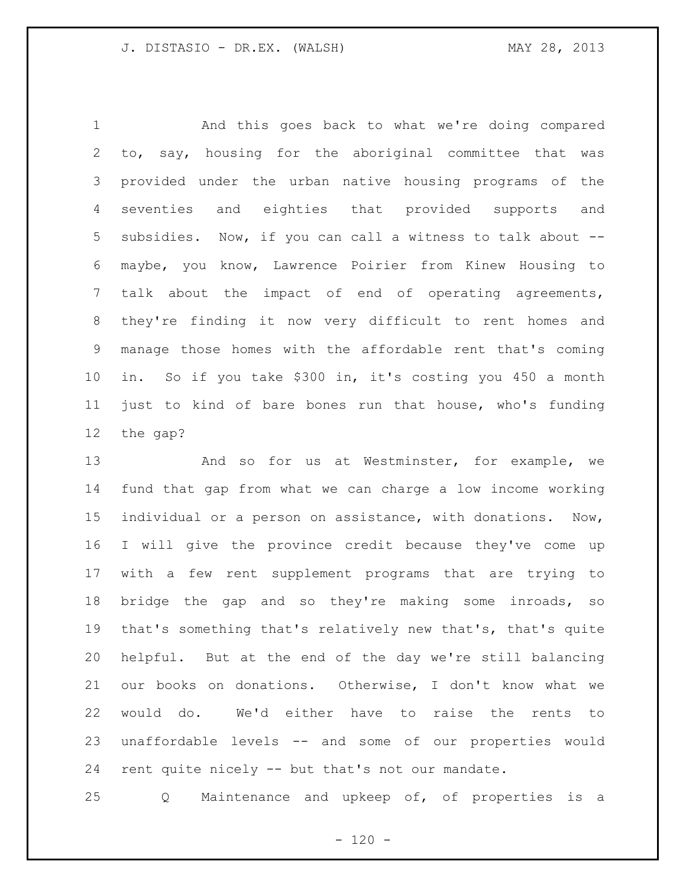And this goes back to what we're doing compared to, say, housing for the aboriginal committee that was provided under the urban native housing programs of the seventies and eighties that provided supports and subsidies. Now, if you can call a witness to talk about -- maybe, you know, Lawrence Poirier from Kinew Housing to talk about the impact of end of operating agreements, they're finding it now very difficult to rent homes and manage those homes with the affordable rent that's coming in. So if you take \$300 in, it's costing you 450 a month just to kind of bare bones run that house, who's funding the gap?

 And so for us at Westminster, for example, we fund that gap from what we can charge a low income working individual or a person on assistance, with donations. Now, I will give the province credit because they've come up with a few rent supplement programs that are trying to bridge the gap and so they're making some inroads, so that's something that's relatively new that's, that's quite helpful. But at the end of the day we're still balancing our books on donations. Otherwise, I don't know what we would do. We'd either have to raise the rents to unaffordable levels -- and some of our properties would rent quite nicely -- but that's not our mandate.

Q Maintenance and upkeep of, of properties is a

 $- 120 -$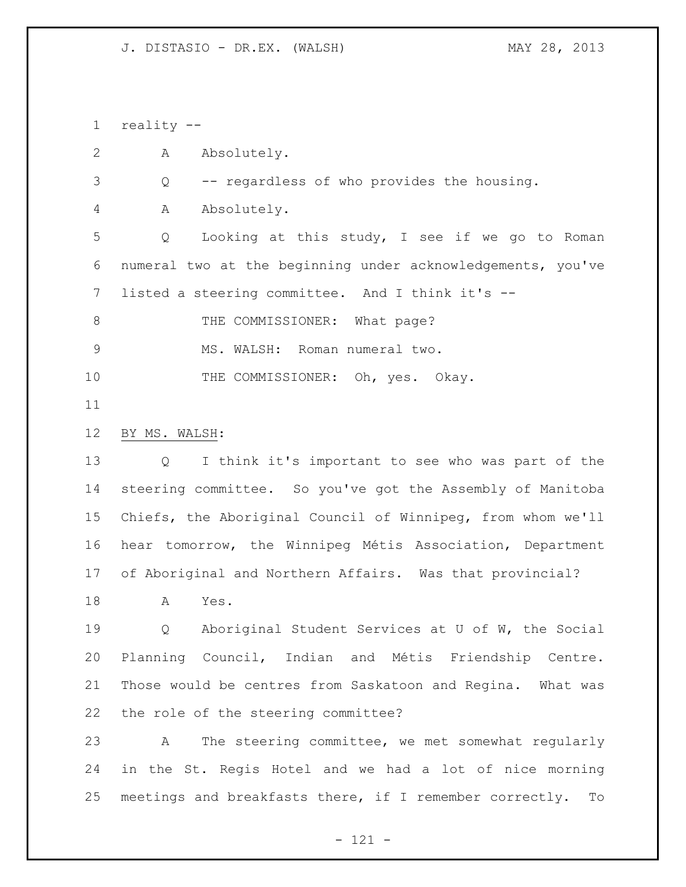reality --

A Absolutely.

Q -- regardless of who provides the housing.

A Absolutely.

 Q Looking at this study, I see if we go to Roman numeral two at the beginning under acknowledgements, you've listed a steering committee. And I think it's --

8 THE COMMISSIONER: What page?

9 MS. WALSH: Roman numeral two.

10 THE COMMISSIONER: Oh, yes. Okay.

# BY MS. WALSH:

 Q I think it's important to see who was part of the steering committee. So you've got the Assembly of Manitoba Chiefs, the Aboriginal Council of Winnipeg, from whom we'll hear tomorrow, the Winnipeg Métis Association, Department of Aboriginal and Northern Affairs. Was that provincial?

A Yes.

 Q Aboriginal Student Services at U of W, the Social Planning Council, Indian and Métis Friendship Centre. Those would be centres from Saskatoon and Regina. What was the role of the steering committee?

 A The steering committee, we met somewhat regularly in the St. Regis Hotel and we had a lot of nice morning meetings and breakfasts there, if I remember correctly. To

- 121 -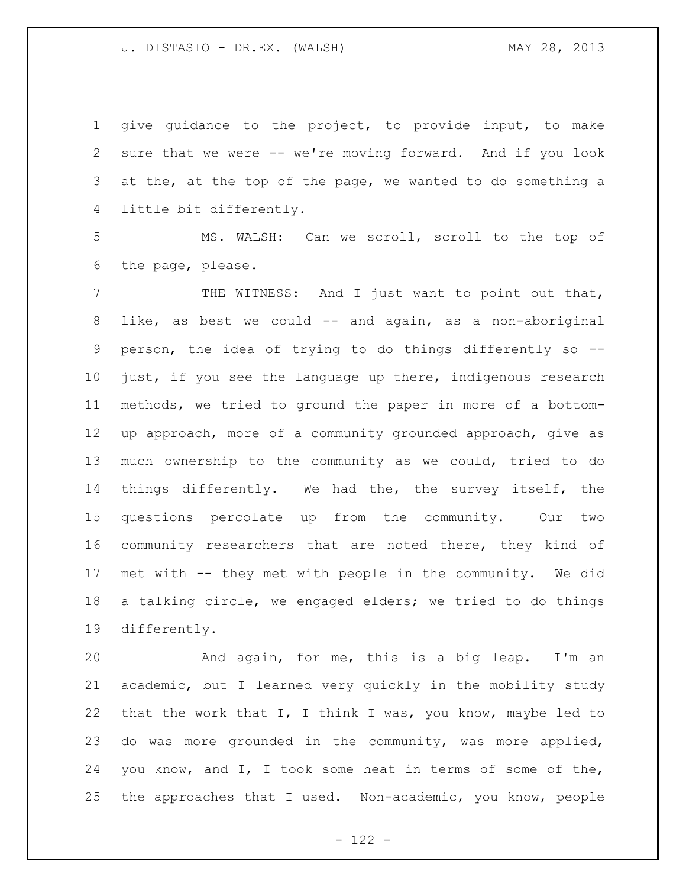give guidance to the project, to provide input, to make sure that we were -- we're moving forward. And if you look 3 at the, at the top of the page, we wanted to do something a little bit differently.

 MS. WALSH: Can we scroll, scroll to the top of the page, please.

 THE WITNESS: And I just want to point out that, like, as best we could -- and again, as a non-aboriginal person, the idea of trying to do things differently so -- just, if you see the language up there, indigenous research methods, we tried to ground the paper in more of a bottom- up approach, more of a community grounded approach, give as much ownership to the community as we could, tried to do things differently. We had the, the survey itself, the questions percolate up from the community. Our two community researchers that are noted there, they kind of met with -- they met with people in the community. We did a talking circle, we engaged elders; we tried to do things differently.

 And again, for me, this is a big leap. I'm an academic, but I learned very quickly in the mobility study 22 that the work that  $I$ , I think I was, you know, maybe led to do was more grounded in the community, was more applied, you know, and I, I took some heat in terms of some of the, the approaches that I used. Non-academic, you know, people

 $- 122 -$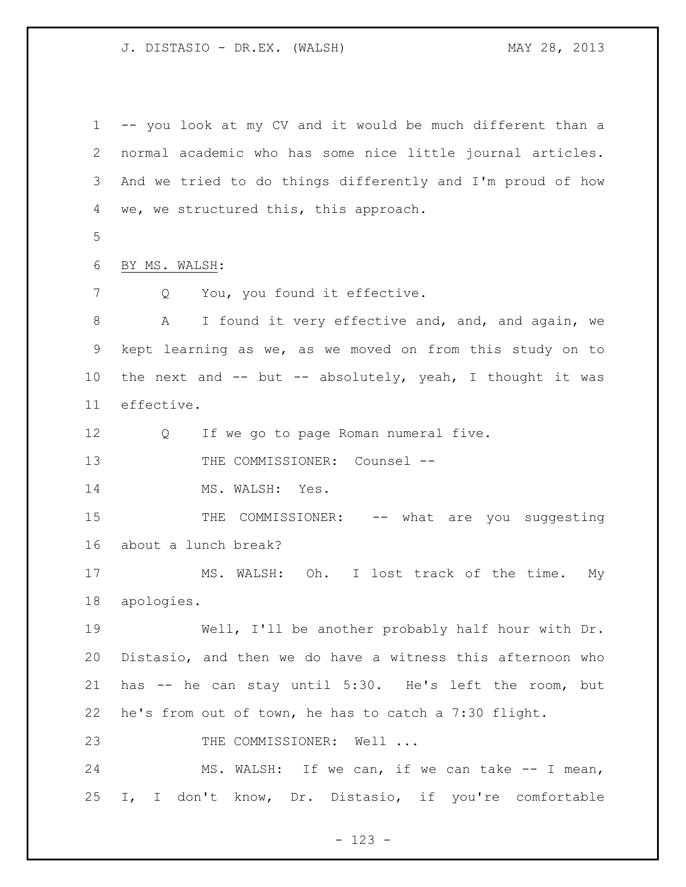-- you look at my CV and it would be much different than a normal academic who has some nice little journal articles. And we tried to do things differently and I'm proud of how we, we structured this, this approach. BY MS. WALSH: 7 Q You, you found it effective. A I found it very effective and, and, and again, we kept learning as we, as we moved on from this study on to the next and -- but -- absolutely, yeah, I thought it was effective. Q If we go to page Roman numeral five. 13 THE COMMISSIONER: Counsel --14 MS. WALSH: Yes. 15 THE COMMISSIONER: -- what are you suggesting about a lunch break? MS. WALSH: Oh. I lost track of the time. My apologies. Well, I'll be another probably half hour with Dr. Distasio, and then we do have a witness this afternoon who has -- he can stay until 5:30. He's left the room, but he's from out of town, he has to catch a 7:30 flight. 23 THE COMMISSIONER: Well ... 24 MS. WALSH: If we can, if we can take -- I mean, I, I don't know, Dr. Distasio, if you're comfortable

- 123 -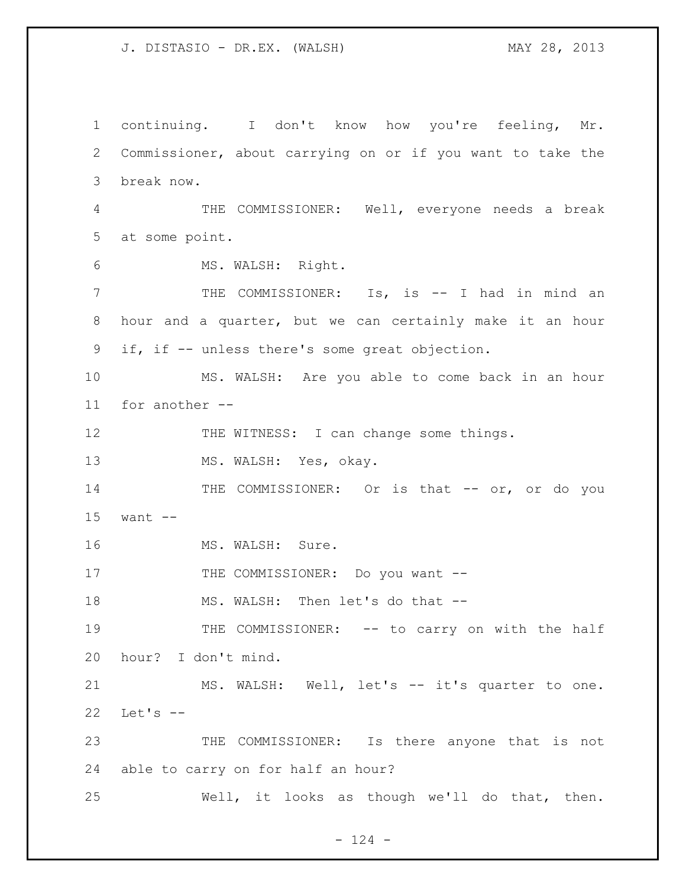continuing. I don't know how you're feeling, Mr. Commissioner, about carrying on or if you want to take the break now. THE COMMISSIONER: Well, everyone needs a break at some point. MS. WALSH: Right. THE COMMISSIONER: Is, is -- I had in mind an hour and a quarter, but we can certainly make it an hour if, if -- unless there's some great objection. MS. WALSH: Are you able to come back in an hour for another -- 12 THE WITNESS: I can change some things. 13 MS. WALSH: Yes, okay. 14 THE COMMISSIONER: Or is that -- or, or do you want -- 16 MS. WALSH: Sure. 17 THE COMMISSIONER: Do you want --18 MS. WALSH: Then let's do that --19 THE COMMISSIONER: -- to carry on with the half hour? I don't mind. 21 MS. WALSH: Well, let's -- it's quarter to one. Let's -- THE COMMISSIONER: Is there anyone that is not able to carry on for half an hour? Well, it looks as though we'll do that, then.

 $- 124 -$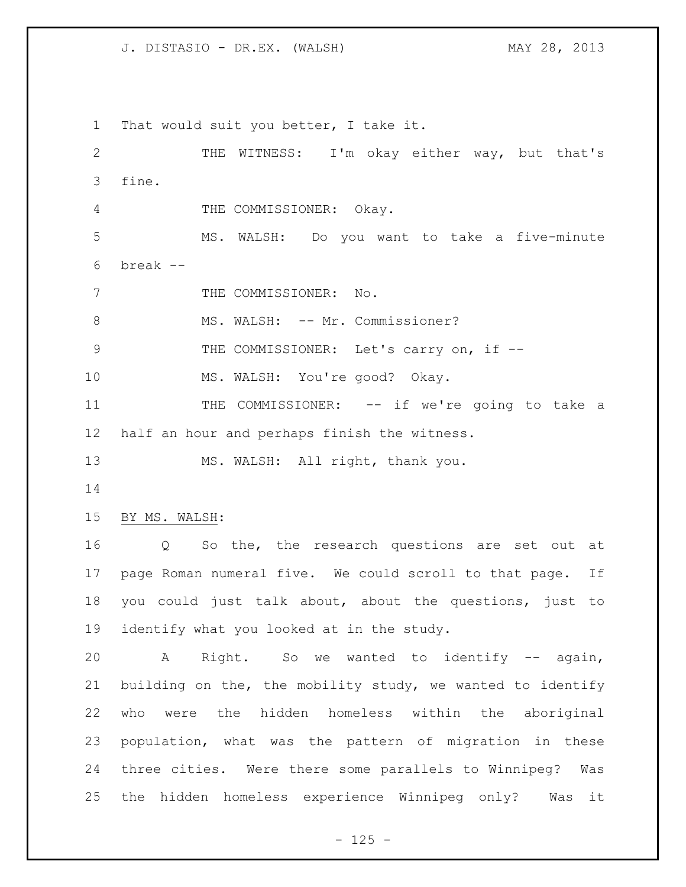That would suit you better, I take it. THE WITNESS: I'm okay either way, but that's fine. 4 THE COMMISSIONER: Okay. MS. WALSH: Do you want to take a five-minute break -- 7 THE COMMISSIONER: No. 8 MS. WALSH: -- Mr. Commissioner? 9 THE COMMISSIONER: Let's carry on, if -- MS. WALSH: You're good? Okay. 11 THE COMMISSIONER: -- if we're going to take a half an hour and perhaps finish the witness. 13 MS. WALSH: All right, thank you. BY MS. WALSH: Q So the, the research questions are set out at page Roman numeral five. We could scroll to that page. If you could just talk about, about the questions, just to identify what you looked at in the study. A Right. So we wanted to identify -- again, building on the, the mobility study, we wanted to identify who were the hidden homeless within the aboriginal population, what was the pattern of migration in these three cities. Were there some parallels to Winnipeg? Was the hidden homeless experience Winnipeg only? Was it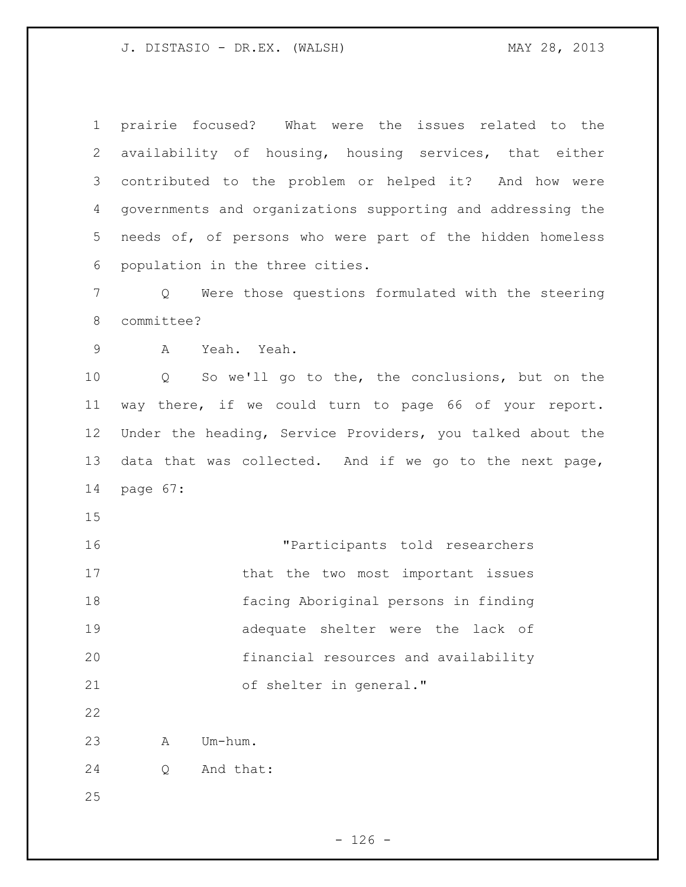prairie focused? What were the issues related to the availability of housing, housing services, that either contributed to the problem or helped it? And how were governments and organizations supporting and addressing the needs of, of persons who were part of the hidden homeless population in the three cities. Q Were those questions formulated with the steering committee? A Yeah. Yeah. Q So we'll go to the, the conclusions, but on the way there, if we could turn to page 66 of your report. Under the heading, Service Providers, you talked about the data that was collected. And if we go to the next page, page 67: "Participants told researchers 17 that the two most important issues facing Aboriginal persons in finding adequate shelter were the lack of financial resources and availability of shelter in general." A Um-hum. Q And that: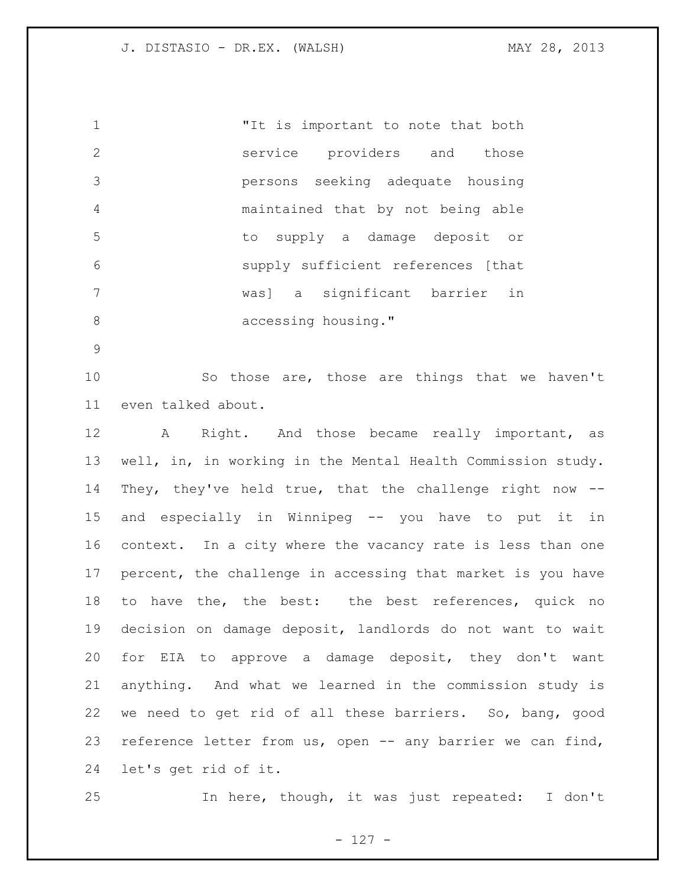"It is important to note that both service providers and those persons seeking adequate housing maintained that by not being able to supply a damage deposit or supply sufficient references [that was] a significant barrier in 8 accessing housing."

 So those are, those are things that we haven't even talked about.

12 A Right. And those became really important, as well, in, in working in the Mental Health Commission study. They, they've held true, that the challenge right now -- and especially in Winnipeg -- you have to put it in context. In a city where the vacancy rate is less than one percent, the challenge in accessing that market is you have 18 to have the, the best: the best references, quick no decision on damage deposit, landlords do not want to wait for EIA to approve a damage deposit, they don't want anything. And what we learned in the commission study is we need to get rid of all these barriers. So, bang, good reference letter from us, open -- any barrier we can find, let's get rid of it.

In here, though, it was just repeated: I don't

- 127 -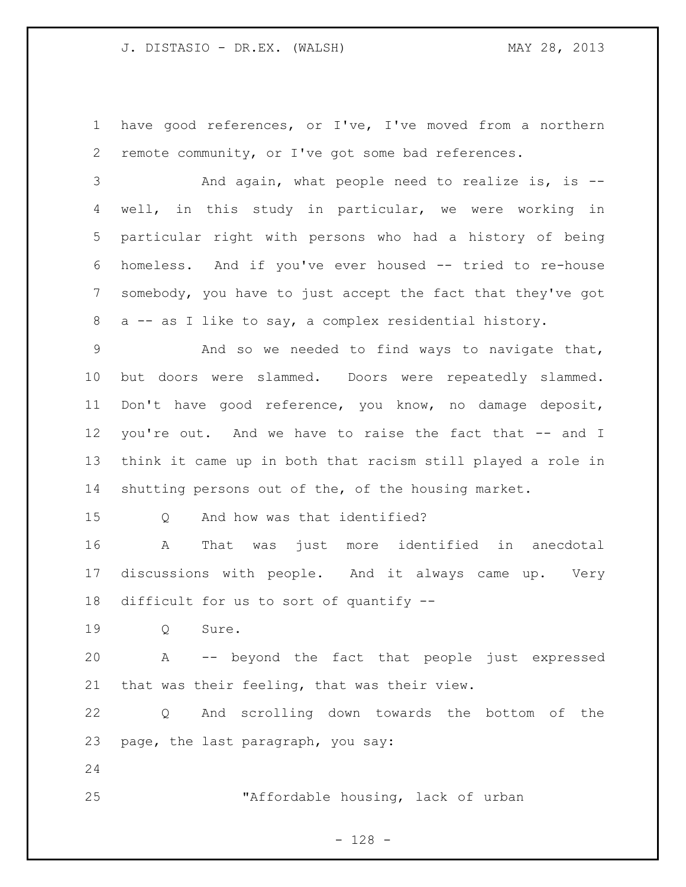have good references, or I've, I've moved from a northern remote community, or I've got some bad references.

 And again, what people need to realize is, is -- well, in this study in particular, we were working in particular right with persons who had a history of being homeless. And if you've ever housed -- tried to re-house somebody, you have to just accept the fact that they've got a -- as I like to say, a complex residential history.

 And so we needed to find ways to navigate that, but doors were slammed. Doors were repeatedly slammed. Don't have good reference, you know, no damage deposit, you're out. And we have to raise the fact that -- and I think it came up in both that racism still played a role in shutting persons out of the, of the housing market.

15 0 And how was that identified?

 A That was just more identified in anecdotal discussions with people. And it always came up. Very difficult for us to sort of quantify --

Q Sure.

 A -- beyond the fact that people just expressed that was their feeling, that was their view.

 Q And scrolling down towards the bottom of the page, the last paragraph, you say:

"Affordable housing, lack of urban

- 128 -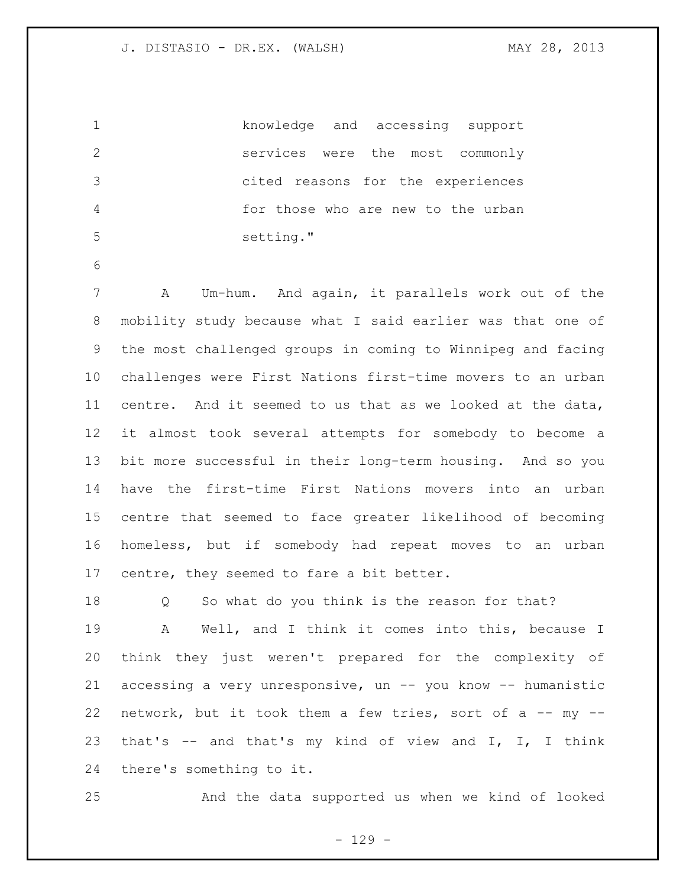|    | knowledge and accessing support    |
|----|------------------------------------|
|    | services were the most commonly    |
|    | cited reasons for the experiences  |
|    | for those who are new to the urban |
| -5 | setting."                          |

 A Um-hum. And again, it parallels work out of the mobility study because what I said earlier was that one of the most challenged groups in coming to Winnipeg and facing challenges were First Nations first-time movers to an urban centre. And it seemed to us that as we looked at the data, it almost took several attempts for somebody to become a bit more successful in their long-term housing. And so you have the first-time First Nations movers into an urban centre that seemed to face greater likelihood of becoming homeless, but if somebody had repeat moves to an urban centre, they seemed to fare a bit better.

 Q So what do you think is the reason for that? A Well, and I think it comes into this, because I think they just weren't prepared for the complexity of accessing a very unresponsive, un -- you know -- humanistic 22 network, but it took them a few tries, sort of a  $--$  my  $--$  that's -- and that's my kind of view and I, I, I think there's something to it.

And the data supported us when we kind of looked

- 129 -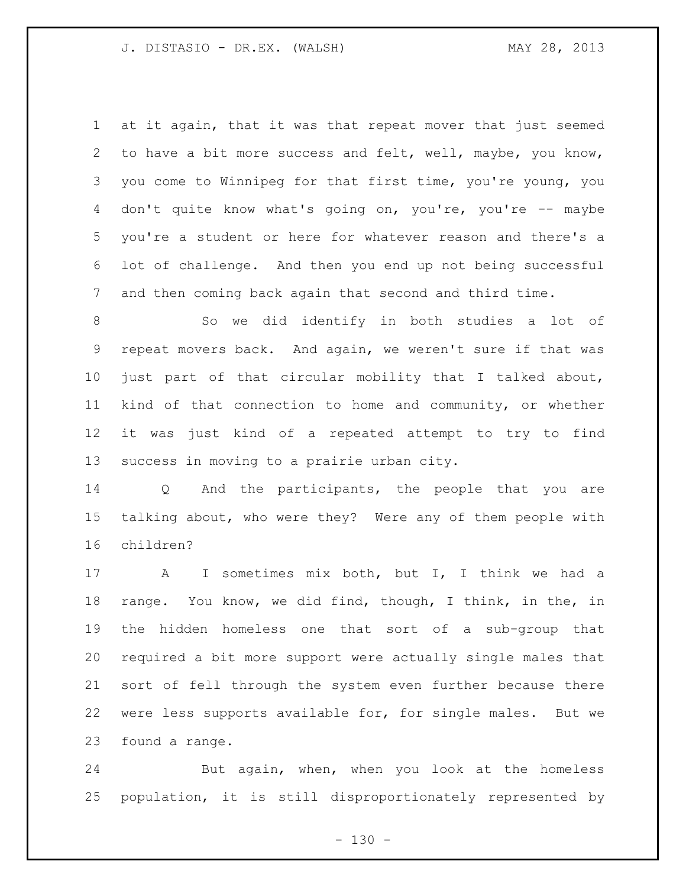at it again, that it was that repeat mover that just seemed to have a bit more success and felt, well, maybe, you know, you come to Winnipeg for that first time, you're young, you don't quite know what's going on, you're, you're -- maybe you're a student or here for whatever reason and there's a lot of challenge. And then you end up not being successful and then coming back again that second and third time.

 So we did identify in both studies a lot of repeat movers back. And again, we weren't sure if that was just part of that circular mobility that I talked about, kind of that connection to home and community, or whether it was just kind of a repeated attempt to try to find success in moving to a prairie urban city.

 Q And the participants, the people that you are talking about, who were they? Were any of them people with children?

 A I sometimes mix both, but I, I think we had a range. You know, we did find, though, I think, in the, in the hidden homeless one that sort of a sub-group that required a bit more support were actually single males that sort of fell through the system even further because there were less supports available for, for single males. But we found a range.

 But again, when, when you look at the homeless population, it is still disproportionately represented by

 $- 130 -$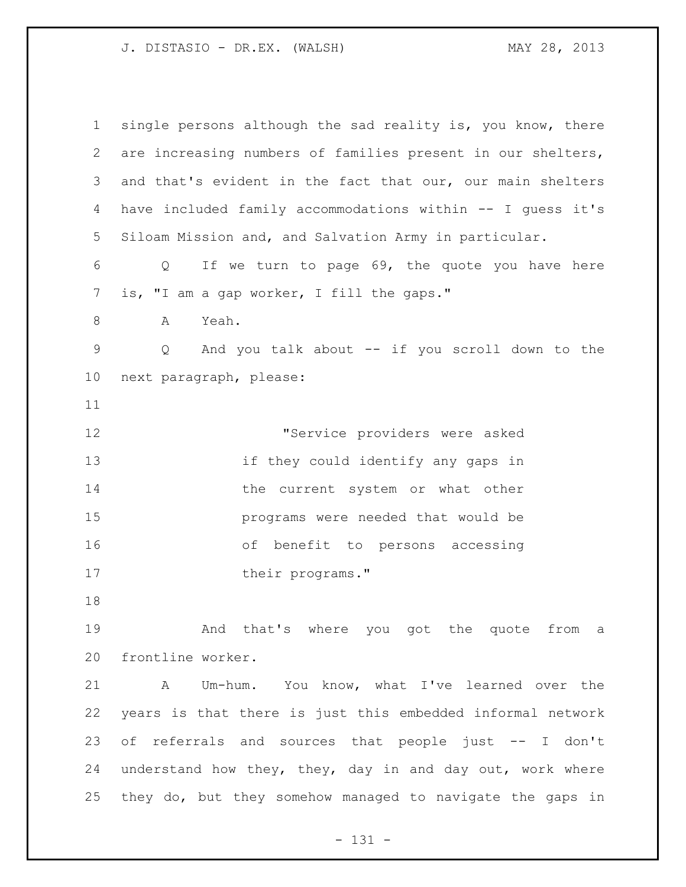| $\mathbf 1$     | single persons although the sad reality is, you know, there |
|-----------------|-------------------------------------------------------------|
| 2               | are increasing numbers of families present in our shelters, |
| 3               | and that's evident in the fact that our, our main shelters  |
| 4               | have included family accommodations within -- I guess it's  |
| 5               | Siloam Mission and, and Salvation Army in particular.       |
| 6               | If we turn to page 69, the quote you have here<br>Q         |
| 7               | is, "I am a gap worker, I fill the gaps."                   |
| 8               | Yeah.<br>A                                                  |
| $\mathsf 9$     | And you talk about -- if you scroll down to the<br>Q        |
| 10 <sub>o</sub> | next paragraph, please:                                     |
| 11              |                                                             |
| 12              | "Service providers were asked                               |
| 13              | if they could identify any gaps in                          |
| 14              | the current system or what other                            |
| 15              | programs were needed that would be                          |
| 16              | of benefit to persons accessing                             |
| 17              | their programs."                                            |
| 18              |                                                             |
| 19              | And that's where you got the quote from a                   |
| 20              | frontline worker.                                           |
|                 |                                                             |
| 21              | A Um-hum. You know, what I've learned over the              |
| 22              | years is that there is just this embedded informal network  |
| 23              | of referrals and sources that people just -- I don't        |
| 24              | understand how they, they, day in and day out, work where   |
| 25              | they do, but they somehow managed to navigate the gaps in   |

- 131 -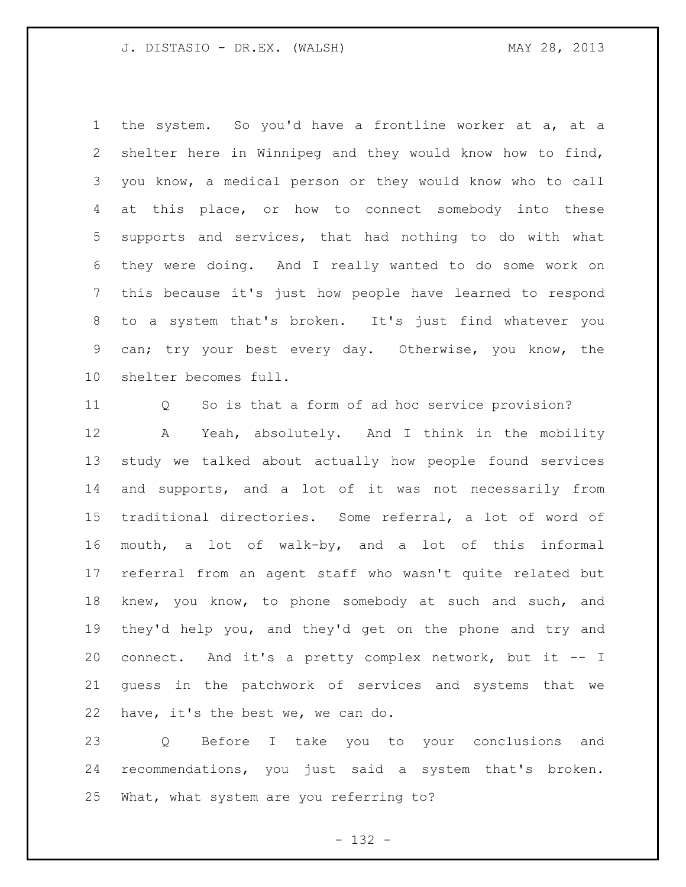the system. So you'd have a frontline worker at a, at a shelter here in Winnipeg and they would know how to find, you know, a medical person or they would know who to call at this place, or how to connect somebody into these supports and services, that had nothing to do with what they were doing. And I really wanted to do some work on this because it's just how people have learned to respond to a system that's broken. It's just find whatever you can; try your best every day. Otherwise, you know, the shelter becomes full.

Q So is that a form of ad hoc service provision?

 A Yeah, absolutely. And I think in the mobility study we talked about actually how people found services and supports, and a lot of it was not necessarily from traditional directories. Some referral, a lot of word of mouth, a lot of walk-by, and a lot of this informal referral from an agent staff who wasn't quite related but knew, you know, to phone somebody at such and such, and they'd help you, and they'd get on the phone and try and connect. And it's a pretty complex network, but it -- I guess in the patchwork of services and systems that we have, it's the best we, we can do.

 Q Before I take you to your conclusions and recommendations, you just said a system that's broken. What, what system are you referring to?

- 132 -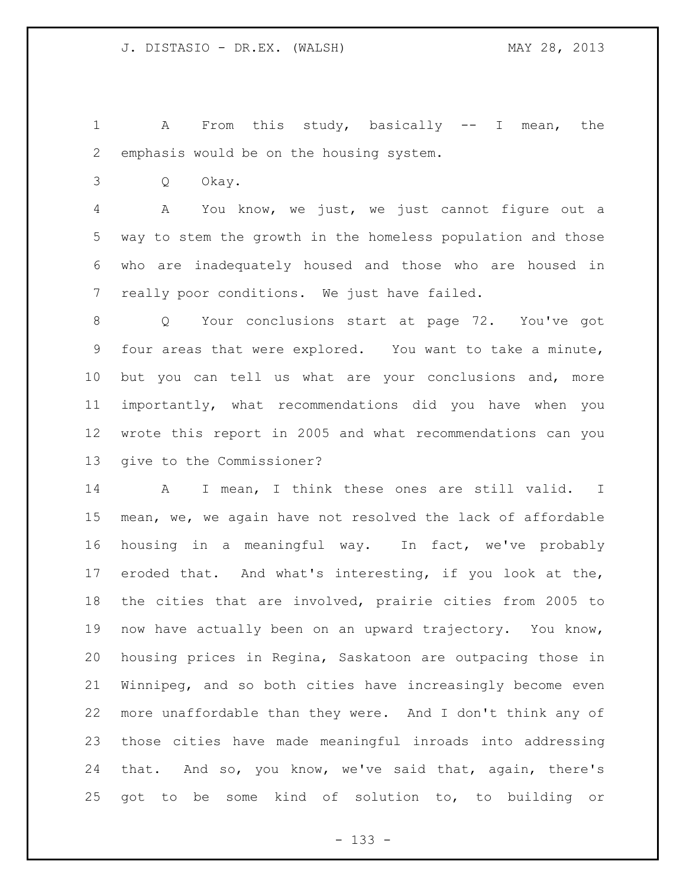1 A From this study, basically -- I mean, the emphasis would be on the housing system.

Q Okay.

 A You know, we just, we just cannot figure out a way to stem the growth in the homeless population and those who are inadequately housed and those who are housed in really poor conditions. We just have failed.

 Q Your conclusions start at page 72. You've got four areas that were explored. You want to take a minute, but you can tell us what are your conclusions and, more importantly, what recommendations did you have when you wrote this report in 2005 and what recommendations can you give to the Commissioner?

 A I mean, I think these ones are still valid. I mean, we, we again have not resolved the lack of affordable housing in a meaningful way. In fact, we've probably eroded that. And what's interesting, if you look at the, the cities that are involved, prairie cities from 2005 to now have actually been on an upward trajectory. You know, housing prices in Regina, Saskatoon are outpacing those in Winnipeg, and so both cities have increasingly become even more unaffordable than they were. And I don't think any of those cities have made meaningful inroads into addressing that. And so, you know, we've said that, again, there's got to be some kind of solution to, to building or

- 133 -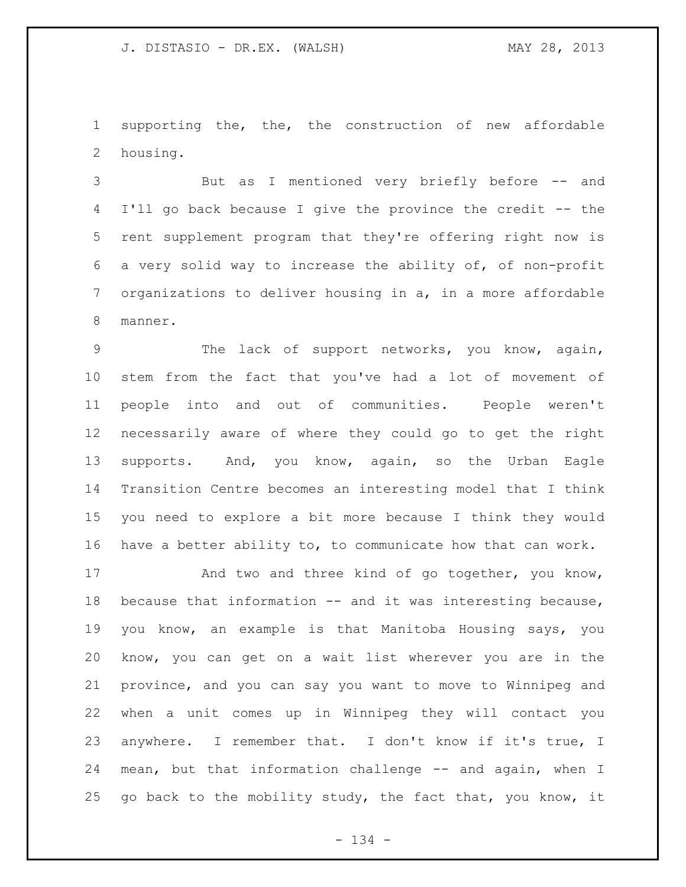supporting the, the, the construction of new affordable housing.

 But as I mentioned very briefly before -- and I'll go back because I give the province the credit -- the rent supplement program that they're offering right now is a very solid way to increase the ability of, of non-profit organizations to deliver housing in a, in a more affordable manner.

 The lack of support networks, you know, again, stem from the fact that you've had a lot of movement of people into and out of communities. People weren't necessarily aware of where they could go to get the right supports. And, you know, again, so the Urban Eagle Transition Centre becomes an interesting model that I think you need to explore a bit more because I think they would have a better ability to, to communicate how that can work.

17 And two and three kind of go together, you know, because that information -- and it was interesting because, you know, an example is that Manitoba Housing says, you know, you can get on a wait list wherever you are in the province, and you can say you want to move to Winnipeg and when a unit comes up in Winnipeg they will contact you anywhere. I remember that. I don't know if it's true, I mean, but that information challenge -- and again, when I 25 go back to the mobility study, the fact that, you know, it

- 134 -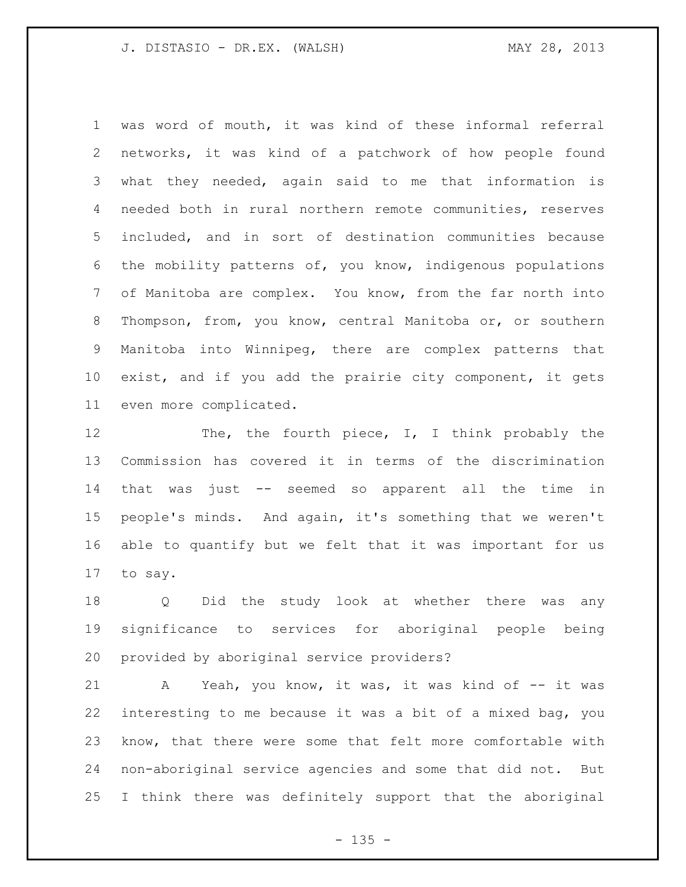was word of mouth, it was kind of these informal referral networks, it was kind of a patchwork of how people found what they needed, again said to me that information is needed both in rural northern remote communities, reserves included, and in sort of destination communities because the mobility patterns of, you know, indigenous populations of Manitoba are complex. You know, from the far north into Thompson, from, you know, central Manitoba or, or southern Manitoba into Winnipeg, there are complex patterns that exist, and if you add the prairie city component, it gets even more complicated.

12 The, the fourth piece, I, I think probably the Commission has covered it in terms of the discrimination that was just -- seemed so apparent all the time in people's minds. And again, it's something that we weren't able to quantify but we felt that it was important for us to say.

 Q Did the study look at whether there was any significance to services for aboriginal people being provided by aboriginal service providers?

21 A Yeah, you know, it was, it was kind of -- it was interesting to me because it was a bit of a mixed bag, you know, that there were some that felt more comfortable with non-aboriginal service agencies and some that did not. But I think there was definitely support that the aboriginal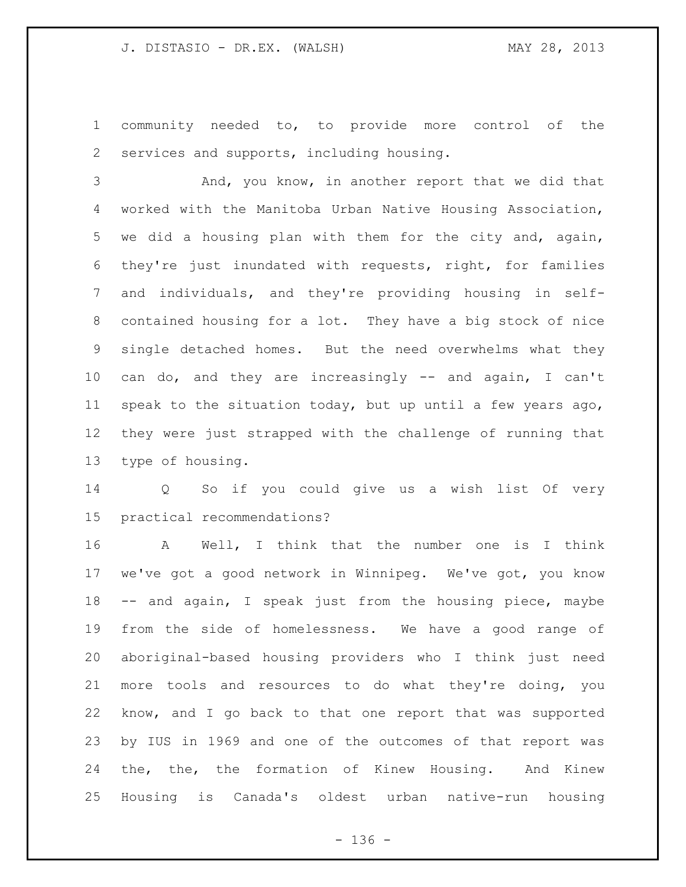community needed to, to provide more control of the services and supports, including housing.

 And, you know, in another report that we did that worked with the Manitoba Urban Native Housing Association, we did a housing plan with them for the city and, again, they're just inundated with requests, right, for families and individuals, and they're providing housing in self- contained housing for a lot. They have a big stock of nice single detached homes. But the need overwhelms what they can do, and they are increasingly -- and again, I can't speak to the situation today, but up until a few years ago, they were just strapped with the challenge of running that type of housing.

 Q So if you could give us a wish list Of very practical recommendations?

 A Well, I think that the number one is I think we've got a good network in Winnipeg. We've got, you know -- and again, I speak just from the housing piece, maybe from the side of homelessness. We have a good range of aboriginal-based housing providers who I think just need more tools and resources to do what they're doing, you know, and I go back to that one report that was supported by IUS in 1969 and one of the outcomes of that report was the, the, the formation of Kinew Housing. And Kinew Housing is Canada's oldest urban native-run housing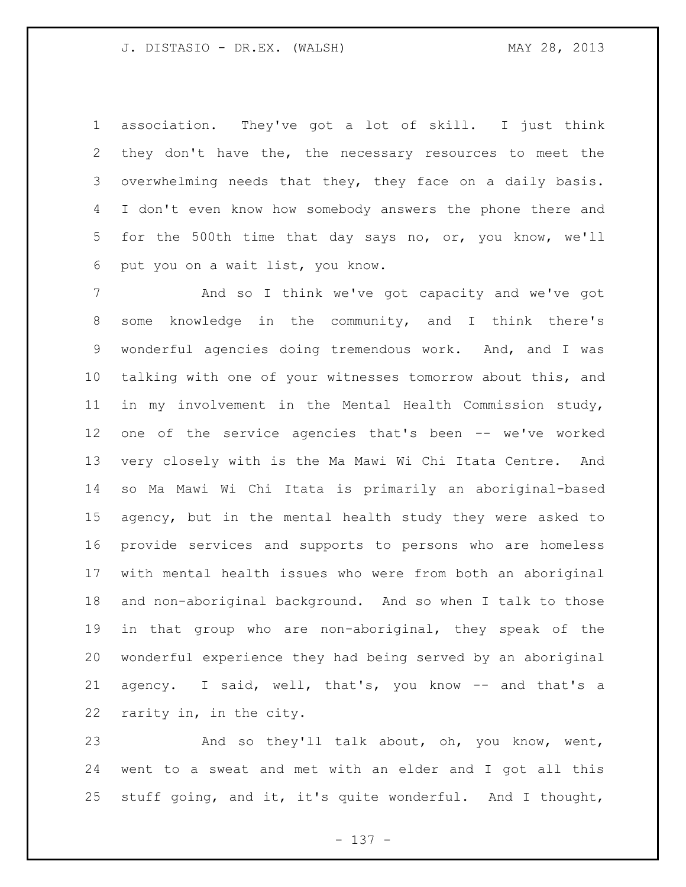association. They've got a lot of skill. I just think they don't have the, the necessary resources to meet the overwhelming needs that they, they face on a daily basis. I don't even know how somebody answers the phone there and for the 500th time that day says no, or, you know, we'll put you on a wait list, you know.

7 And so I think we've got capacity and we've got some knowledge in the community, and I think there's wonderful agencies doing tremendous work. And, and I was talking with one of your witnesses tomorrow about this, and in my involvement in the Mental Health Commission study, one of the service agencies that's been -- we've worked very closely with is the Ma Mawi Wi Chi Itata Centre. And so Ma Mawi Wi Chi Itata is primarily an aboriginal-based agency, but in the mental health study they were asked to provide services and supports to persons who are homeless with mental health issues who were from both an aboriginal and non-aboriginal background. And so when I talk to those in that group who are non-aboriginal, they speak of the wonderful experience they had being served by an aboriginal agency. I said, well, that's, you know -- and that's a rarity in, in the city.

 And so they'll talk about, oh, you know, went, went to a sweat and met with an elder and I got all this stuff going, and it, it's quite wonderful. And I thought,

- 137 -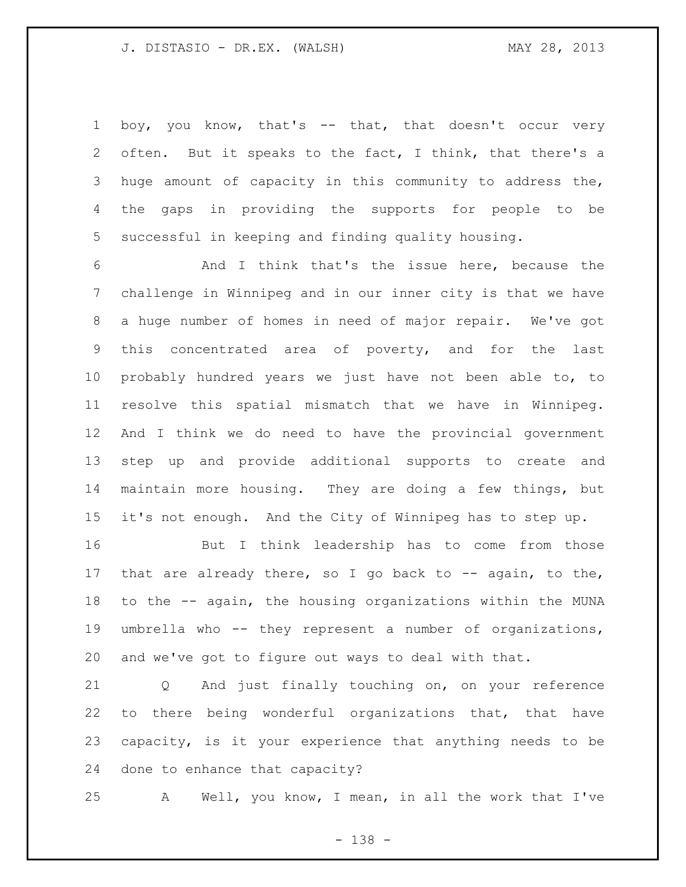1 boy, you know, that's -- that, that doesn't occur very often. But it speaks to the fact, I think, that there's a huge amount of capacity in this community to address the, the gaps in providing the supports for people to be successful in keeping and finding quality housing.

 And I think that's the issue here, because the challenge in Winnipeg and in our inner city is that we have a huge number of homes in need of major repair. We've got this concentrated area of poverty, and for the last probably hundred years we just have not been able to, to resolve this spatial mismatch that we have in Winnipeg. And I think we do need to have the provincial government step up and provide additional supports to create and maintain more housing. They are doing a few things, but it's not enough. And the City of Winnipeg has to step up.

 But I think leadership has to come from those 17 that are already there, so I go back to  $-$  again, to the, to the -- again, the housing organizations within the MUNA umbrella who -- they represent a number of organizations, and we've got to figure out ways to deal with that.

 Q And just finally touching on, on your reference to there being wonderful organizations that, that have capacity, is it your experience that anything needs to be done to enhance that capacity?

A Well, you know, I mean, in all the work that I've

- 138 -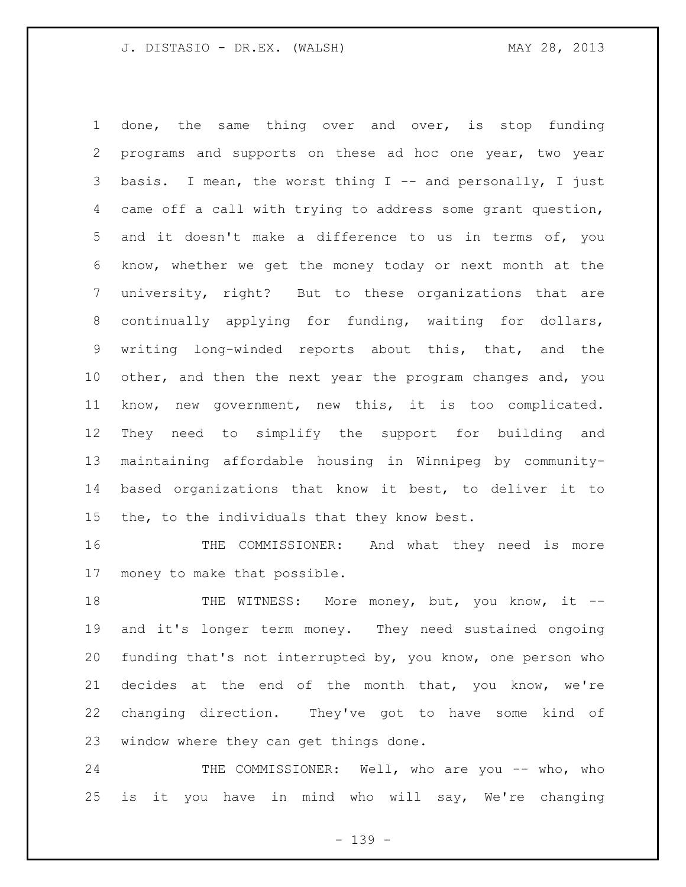done, the same thing over and over, is stop funding programs and supports on these ad hoc one year, two year 3 basis. I mean, the worst thing I -- and personally, I just came off a call with trying to address some grant question, and it doesn't make a difference to us in terms of, you know, whether we get the money today or next month at the university, right? But to these organizations that are 8 continually applying for funding, waiting for dollars, writing long-winded reports about this, that, and the other, and then the next year the program changes and, you know, new government, new this, it is too complicated. They need to simplify the support for building and maintaining affordable housing in Winnipeg by community- based organizations that know it best, to deliver it to the, to the individuals that they know best.

 THE COMMISSIONER: And what they need is more money to make that possible.

18 THE WITNESS: More money, but, you know, it -- and it's longer term money. They need sustained ongoing funding that's not interrupted by, you know, one person who decides at the end of the month that, you know, we're changing direction. They've got to have some kind of window where they can get things done.

24 THE COMMISSIONER: Well, who are you -- who, who is it you have in mind who will say, We're changing

- 139 -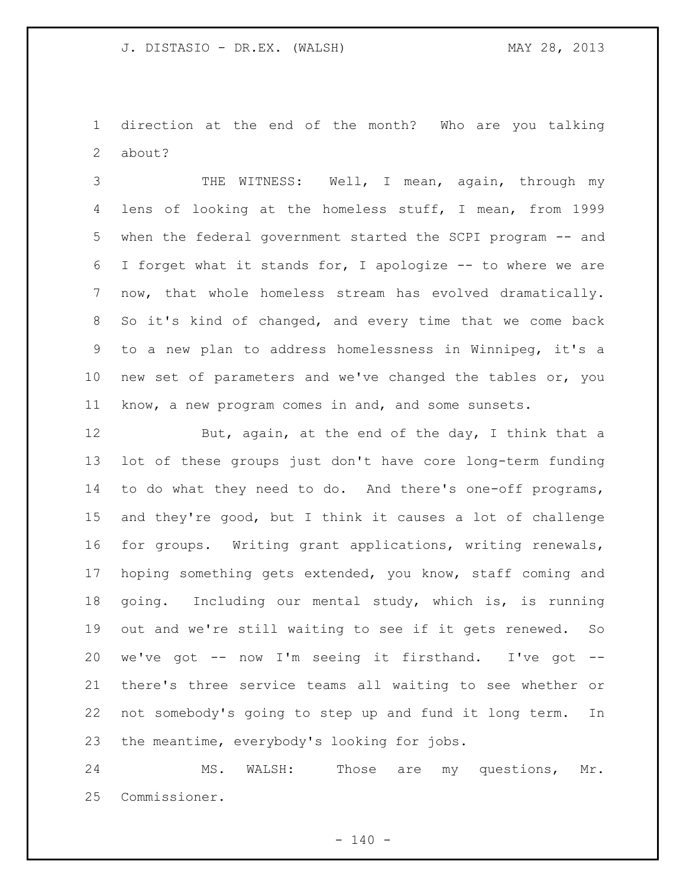direction at the end of the month? Who are you talking about?

 THE WITNESS: Well, I mean, again, through my lens of looking at the homeless stuff, I mean, from 1999 when the federal government started the SCPI program -- and I forget what it stands for, I apologize -- to where we are now, that whole homeless stream has evolved dramatically. So it's kind of changed, and every time that we come back to a new plan to address homelessness in Winnipeg, it's a new set of parameters and we've changed the tables or, you know, a new program comes in and, and some sunsets.

12 But, again, at the end of the day, I think that a lot of these groups just don't have core long-term funding to do what they need to do. And there's one-off programs, and they're good, but I think it causes a lot of challenge for groups. Writing grant applications, writing renewals, hoping something gets extended, you know, staff coming and going. Including our mental study, which is, is running out and we're still waiting to see if it gets renewed. So we've got -- now I'm seeing it firsthand. I've got -- there's three service teams all waiting to see whether or not somebody's going to step up and fund it long term. In the meantime, everybody's looking for jobs.

 MS. WALSH: Those are my questions, Mr. Commissioner.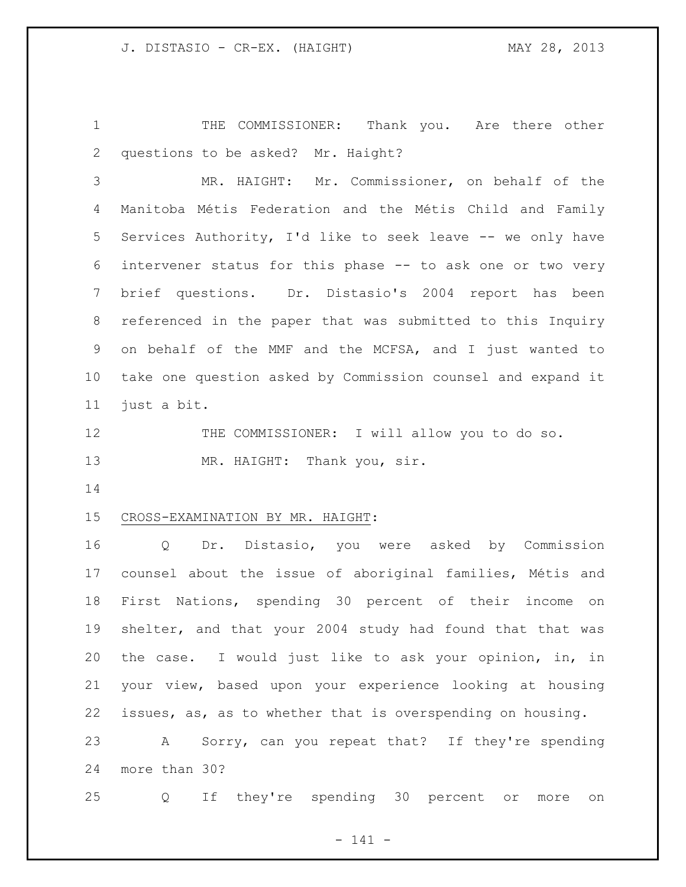THE COMMISSIONER: Thank you. Are there other questions to be asked? Mr. Haight?

 MR. HAIGHT: Mr. Commissioner, on behalf of the Manitoba Métis Federation and the Métis Child and Family Services Authority, I'd like to seek leave -- we only have intervener status for this phase -- to ask one or two very brief questions. Dr. Distasio's 2004 report has been referenced in the paper that was submitted to this Inquiry on behalf of the MMF and the MCFSA, and I just wanted to take one question asked by Commission counsel and expand it just a bit.

12 THE COMMISSIONER: I will allow you to do so. 13 MR. HAIGHT: Thank you, sir.

## CROSS-EXAMINATION BY MR. HAIGHT:

 Q Dr. Distasio, you were asked by Commission counsel about the issue of aboriginal families, Métis and First Nations, spending 30 percent of their income on shelter, and that your 2004 study had found that that was the case. I would just like to ask your opinion, in, in your view, based upon your experience looking at housing issues, as, as to whether that is overspending on housing. A Sorry, can you repeat that? If they're spending more than 30?

Q If they're spending 30 percent or more on

- 141 -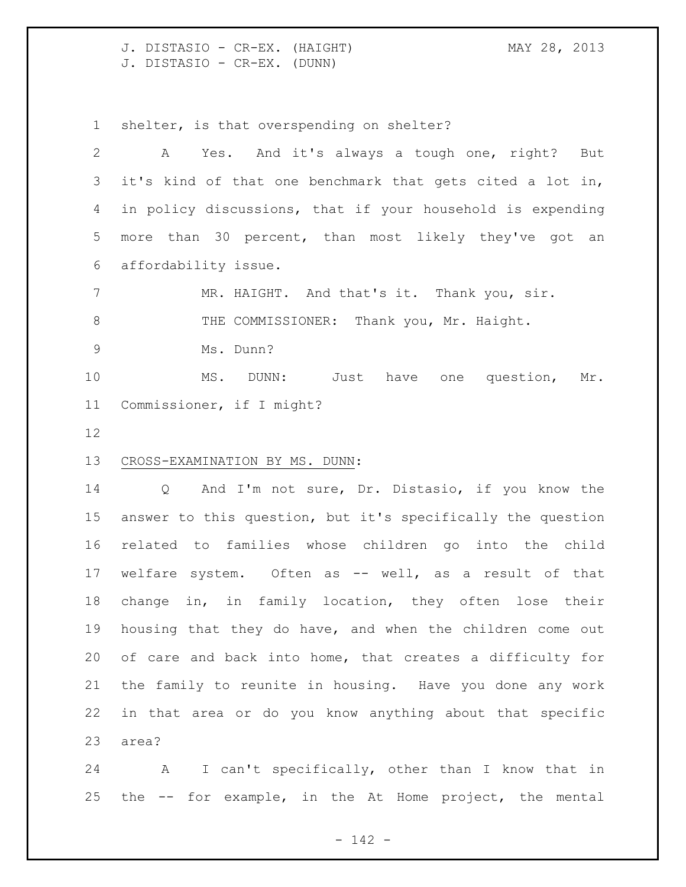J. DISTASIO - CR-EX. (HAIGHT) MAY 28, 2013 J. DISTASIO - CR-EX. (DUNN)

shelter, is that overspending on shelter?

 A Yes. And it's always a tough one, right? But it's kind of that one benchmark that gets cited a lot in, in policy discussions, that if your household is expending more than 30 percent, than most likely they've got an affordability issue.

7 MR. HAIGHT. And that's it. Thank you, sir. 8 THE COMMISSIONER: Thank you, Mr. Haight. Ms. Dunn?

 MS. DUNN: Just have one question, Mr. Commissioner, if I might?

## CROSS-EXAMINATION BY MS. DUNN:

 Q And I'm not sure, Dr. Distasio, if you know the answer to this question, but it's specifically the question related to families whose children go into the child welfare system. Often as -- well, as a result of that change in, in family location, they often lose their housing that they do have, and when the children come out of care and back into home, that creates a difficulty for the family to reunite in housing. Have you done any work in that area or do you know anything about that specific area?

 A I can't specifically, other than I know that in the -- for example, in the At Home project, the mental

- 142 -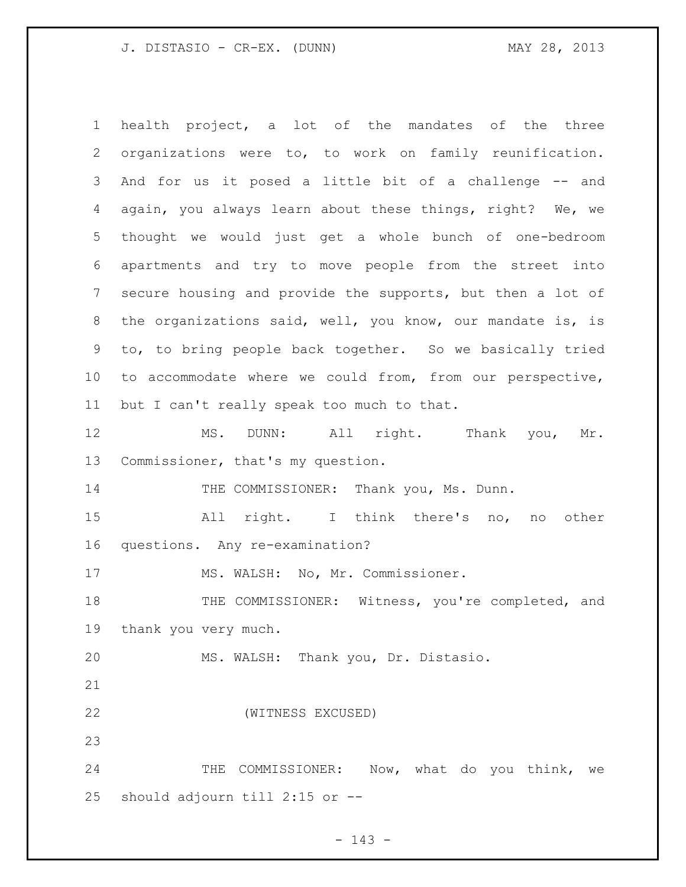J. DISTASIO - CR-EX. (DUNN) MAY 28, 2013

 health project, a lot of the mandates of the three organizations were to, to work on family reunification. And for us it posed a little bit of a challenge -- and again, you always learn about these things, right? We, we thought we would just get a whole bunch of one-bedroom apartments and try to move people from the street into secure housing and provide the supports, but then a lot of the organizations said, well, you know, our mandate is, is to, to bring people back together. So we basically tried to accommodate where we could from, from our perspective, but I can't really speak too much to that. MS. DUNN: All right. Thank you, Mr. Commissioner, that's my question. 14 THE COMMISSIONER: Thank you, Ms. Dunn. All right. I think there's no, no other questions. Any re-examination? 17 MS. WALSH: No, Mr. Commissioner. 18 THE COMMISSIONER: Witness, you're completed, and thank you very much. MS. WALSH: Thank you, Dr. Distasio. (WITNESS EXCUSED) 24 THE COMMISSIONER: Now, what do you think, we should adjourn till 2:15 or --

- 143 -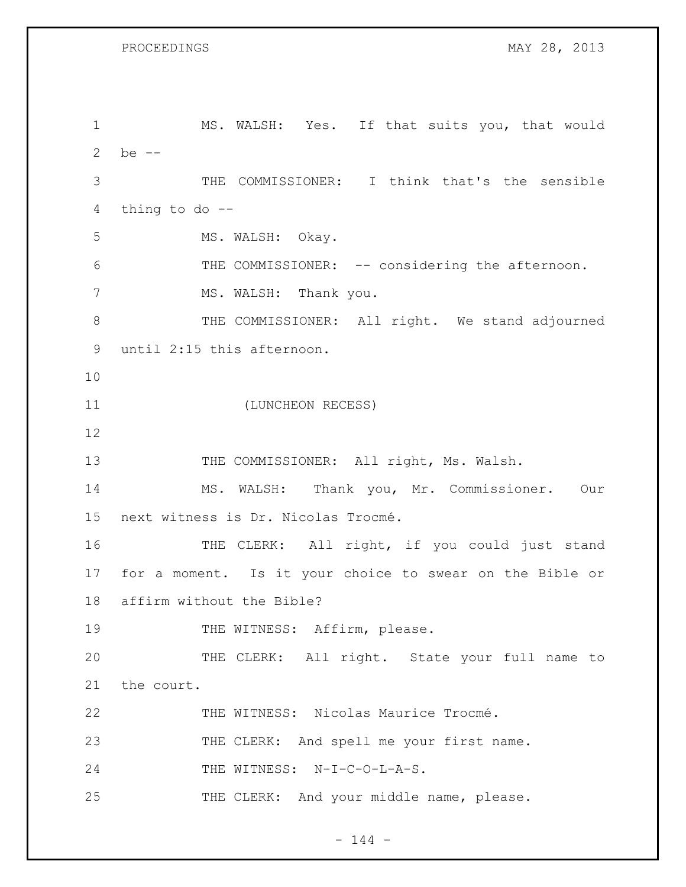1 MS. WALSH: Yes. If that suits you, that would 2 be -- 3 THE COMMISSIONER: I think that's the sensible 4 thing to do -- 5 MS. WALSH: Okay. 6 THE COMMISSIONER: -- considering the afternoon. 7 MS. WALSH: Thank you. 8 THE COMMISSIONER: All right. We stand adjourned 9 until 2:15 this afternoon. 10 11 (LUNCHEON RECESS) 12 13 THE COMMISSIONER: All right, Ms. Walsh. 14 MS. WALSH: Thank you, Mr. Commissioner. Our 15 next witness is Dr. Nicolas Trocmé. 16 THE CLERK: All right, if you could just stand 17 for a moment. Is it your choice to swear on the Bible or 18 affirm without the Bible? 19 THE WITNESS: Affirm, please. 20 THE CLERK: All right. State your full name to 21 the court. 22 THE WITNESS: Nicolas Maurice Trocmé. 23 THE CLERK: And spell me your first name. 24 THE WITNESS: N-I-C-O-L-A-S. 25 THE CLERK: And your middle name, please.

 $- 144 -$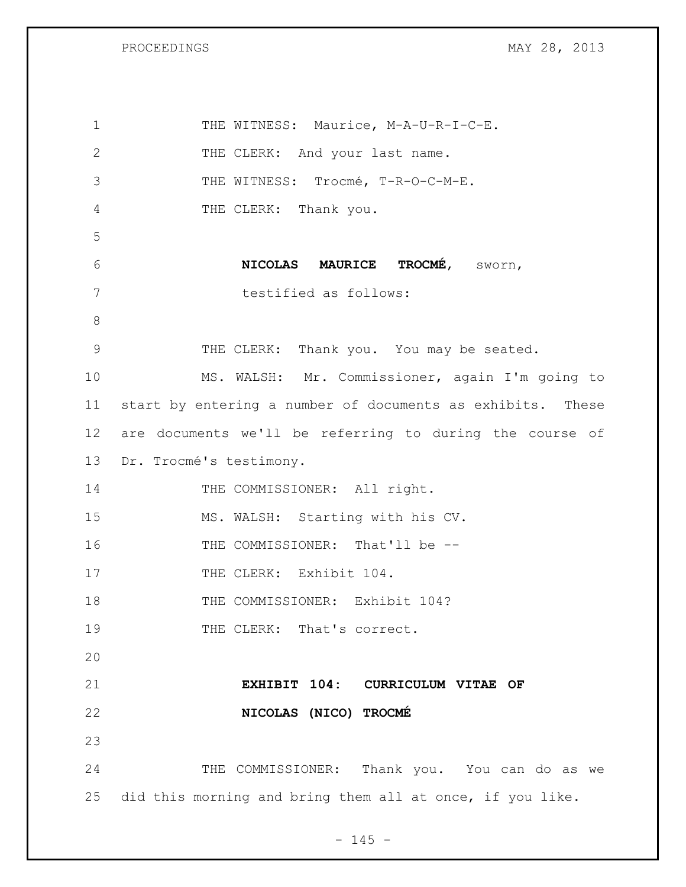| $\mathbf 1$   | THE WITNESS: Maurice, M-A-U-R-I-C-E.                       |
|---------------|------------------------------------------------------------|
| $\mathbf{2}$  | THE CLERK: And your last name.                             |
| 3             | THE WITNESS: Trocmé, T-R-O-C-M-E.                          |
| 4             | THE CLERK: Thank you.                                      |
| 5             |                                                            |
| 6             | NICOLAS MAURICE TROCMÉ, SWOrn,                             |
| 7             | testified as follows:                                      |
| $8\,$         |                                                            |
| $\mathcal{G}$ | THE CLERK: Thank you. You may be seated.                   |
| 10            | MS. WALSH: Mr. Commissioner, again I'm going to            |
| 11            | start by entering a number of documents as exhibits. These |
| 12            | are documents we'll be referring to during the course of   |
| 13            | Dr. Trocmé's testimony.                                    |
| 14            | THE COMMISSIONER: All right.                               |
| 15            | MS. WALSH: Starting with his CV.                           |
| 16            | THE COMMISSIONER: That'll be --                            |
| 17            | THE CLERK: Exhibit 104.                                    |
| 18            | THE COMMISSIONER: Exhibit 104?                             |
| 19            | THE CLERK: That's correct.                                 |
| 20            |                                                            |
| 21            | EXHIBIT 104: CURRICULUM VITAE OF                           |
| 22            | NICOLAS (NICO) TROCMÉ                                      |
| 23            |                                                            |
|               |                                                            |
| 24            | THE COMMISSIONER: Thank you. You can do as we              |

- 145 -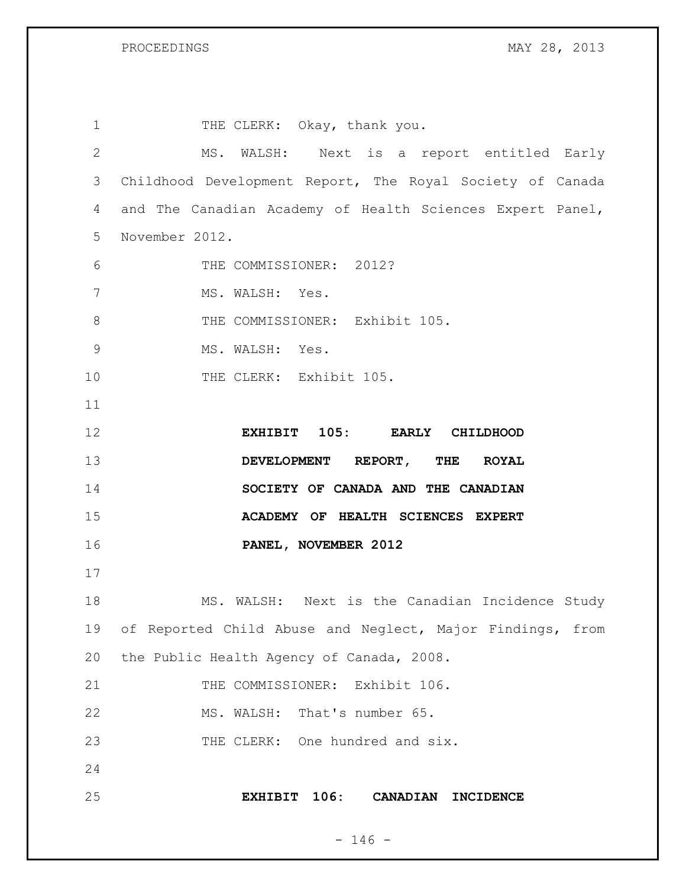| $\mathbf 1$    | THE CLERK: Okay, thank you.                                   |
|----------------|---------------------------------------------------------------|
| $\mathbf{2}$   | MS. WALSH: Next is a report entitled Early                    |
| 3              | Childhood Development Report, The Royal Society of Canada     |
| 4              | and The Canadian Academy of Health Sciences Expert Panel,     |
| 5              | November 2012.                                                |
| 6              | THE COMMISSIONER: 2012?                                       |
| 7              | MS. WALSH: Yes.                                               |
| 8              | THE COMMISSIONER: Exhibit 105.                                |
| $\overline{9}$ | MS. WALSH: Yes.                                               |
| 10             | THE CLERK: Exhibit 105.                                       |
| 11             |                                                               |
| 12             | EXHIBIT 105: EARLY CHILDHOOD                                  |
| 13             | DEVELOPMENT REPORT, THE ROYAL                                 |
| 14             | SOCIETY OF CANADA AND THE CANADIAN                            |
| 15             | ACADEMY OF HEALTH SCIENCES EXPERT                             |
| 16             | PANEL, NOVEMBER 2012                                          |
| 17             |                                                               |
| 18             | MS. WALSH: Next is the Canadian Incidence Study               |
| 19             | of Reported Child Abuse and Neglect, Major Findings, from     |
| 20             | the Public Health Agency of Canada, 2008.                     |
| 21             | THE COMMISSIONER: Exhibit 106.                                |
| 22             | MS. WALSH: That's number 65.                                  |
| 23             | THE CLERK: One hundred and six.                               |
| 24             |                                                               |
| 25             | 106:<br><b>CANADIAN</b><br><b>EXHIBIT</b><br><b>INCIDENCE</b> |
|                |                                                               |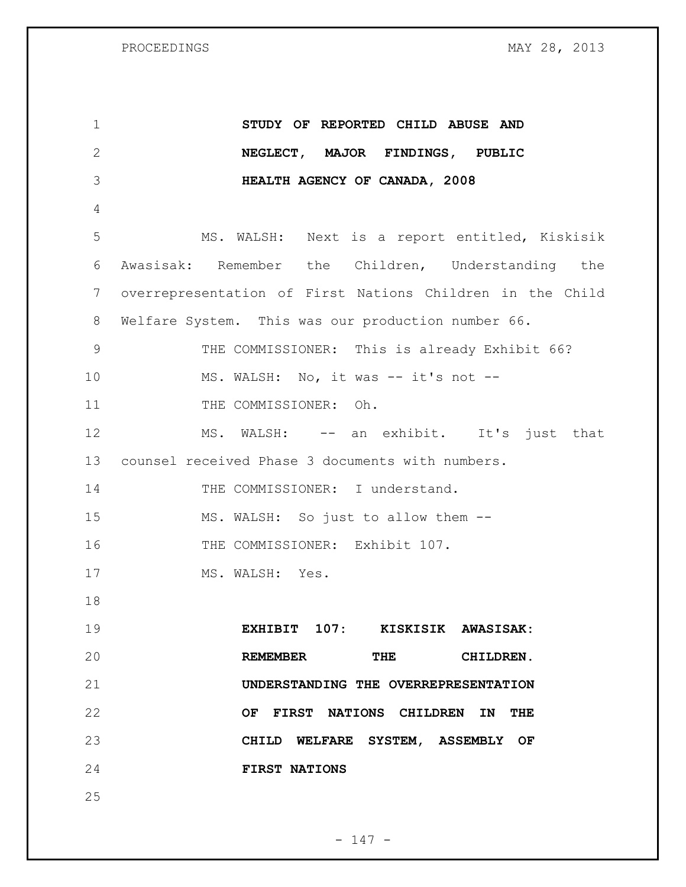| $\mathbf 1$ | STUDY OF REPORTED CHILD ABUSE AND                         |
|-------------|-----------------------------------------------------------|
| 2           | NEGLECT, MAJOR FINDINGS, PUBLIC                           |
| 3           | HEALTH AGENCY OF CANADA, 2008                             |
| 4           |                                                           |
| 5           | MS. WALSH: Next is a report entitled, Kiskisik            |
| 6           | Awasisak: Remember the Children, Understanding the        |
| 7           | overrepresentation of First Nations Children in the Child |
| 8           | Welfare System. This was our production number 66.        |
| 9           | THE COMMISSIONER: This is already Exhibit 66?             |
| 10          | MS. WALSH: No, it was -- it's not --                      |
| 11          | THE COMMISSIONER: Oh.                                     |
| 12          | MS. WALSH: -- an exhibit. It's just that                  |
| 13          | counsel received Phase 3 documents with numbers.          |
| 14          | THE COMMISSIONER: I understand.                           |
| 15          | MS. WALSH: So just to allow them --                       |
| 16          | THE COMMISSIONER: Exhibit 107.                            |
| 17          | MS. WALSH: Yes.                                           |
| 18          |                                                           |
| 19          | EXHIBIT 107: KISKISIK AWASISAK:                           |
| 20          | REMEMBER THE CHILDREN.                                    |
| 21          | UNDERSTANDING THE OVERREPRESENTATION                      |
| 22          | OF FIRST NATIONS CHILDREN IN THE                          |
| 23          | CHILD WELFARE SYSTEM, ASSEMBLY OF                         |
| 24          | <b>FIRST NATIONS</b>                                      |
| 25          |                                                           |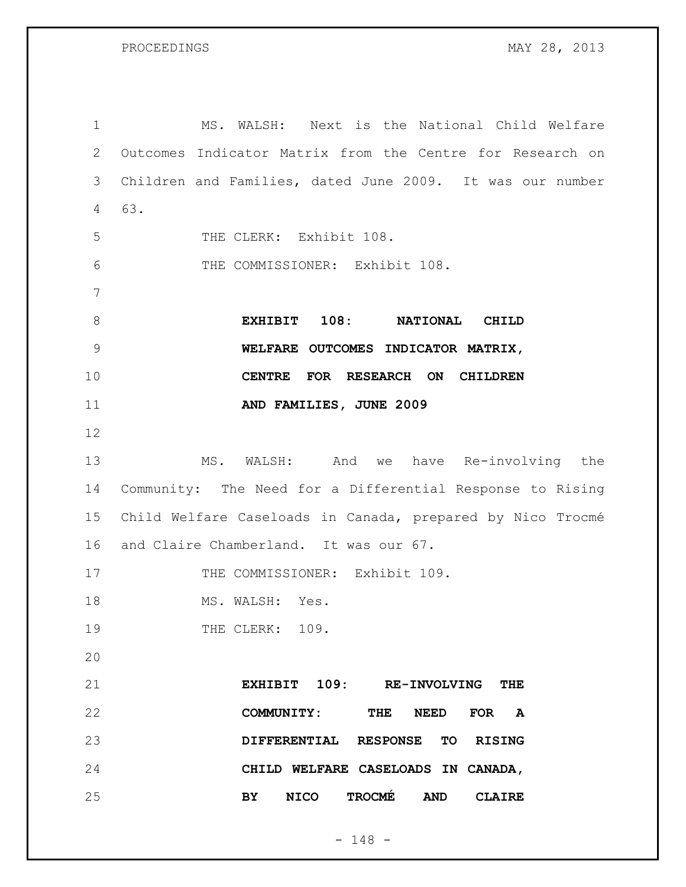MS. WALSH: Next is the National Child Welfare Outcomes Indicator Matrix from the Centre for Research on Children and Families, dated June 2009. It was our number 63. THE CLERK: Exhibit 108. THE COMMISSIONER: Exhibit 108. **EXHIBIT 108: NATIONAL CHILD WELFARE OUTCOMES INDICATOR MATRIX, CENTRE FOR RESEARCH ON CHILDREN AND FAMILIES, JUNE 2009** MS. WALSH: And we have Re-involving the Community: The Need for a Differential Response to Rising Child Welfare Caseloads in Canada, prepared by Nico Trocmé and Claire Chamberland. It was our 67. 17 THE COMMISSIONER: Exhibit 109. 18 MS. WALSH: Yes. 19 THE CLERK: 109. **EXHIBIT 109: RE-INVOLVING THE COMMUNITY: THE NEED FOR A DIFFERENTIAL RESPONSE TO RISING CHILD WELFARE CASELOADS IN CANADA, BY NICO TROCMÉ AND CLAIRE** 

- 148 -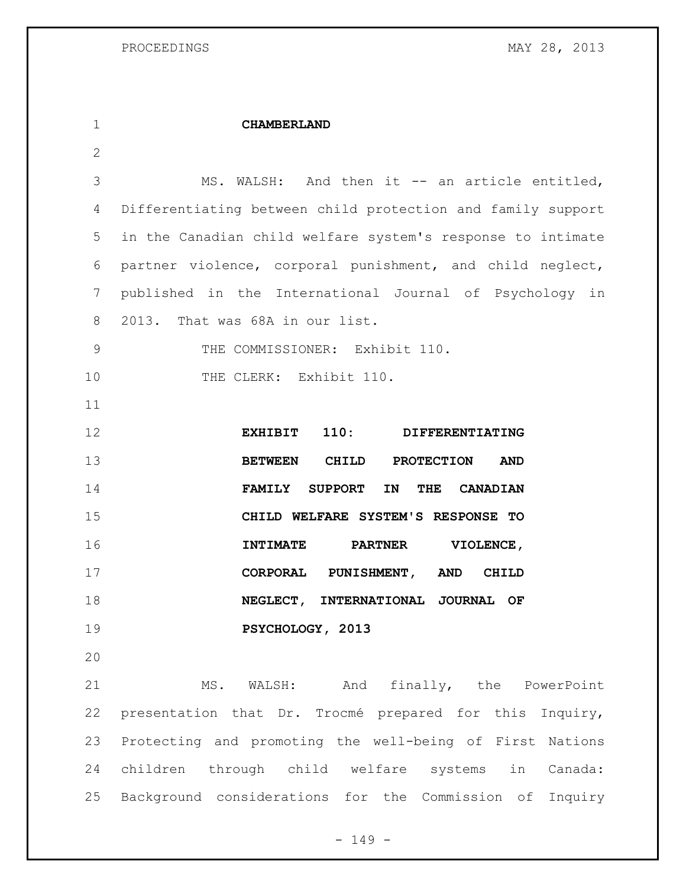**CHAMBERLAND** 3 MS. WALSH: And then it -- an article entitled, Differentiating between child protection and family support in the Canadian child welfare system's response to intimate partner violence, corporal punishment, and child neglect, published in the International Journal of Psychology in 2013. That was 68A in our list. 9 THE COMMISSIONER: Exhibit 110. 10 THE CLERK: Exhibit 110. **EXHIBIT 110: DIFFERENTIATING BETWEEN CHILD PROTECTION AND FAMILY SUPPORT IN THE CANADIAN CHILD WELFARE SYSTEM'S RESPONSE TO INTIMATE PARTNER VIOLENCE, CORPORAL PUNISHMENT, AND CHILD NEGLECT, INTERNATIONAL JOURNAL OF PSYCHOLOGY, 2013** MS. WALSH: And finally, the PowerPoint presentation that Dr. Trocmé prepared for this Inquiry, Protecting and promoting the well-being of First Nations children through child welfare systems in Canada:

Background considerations for the Commission of Inquiry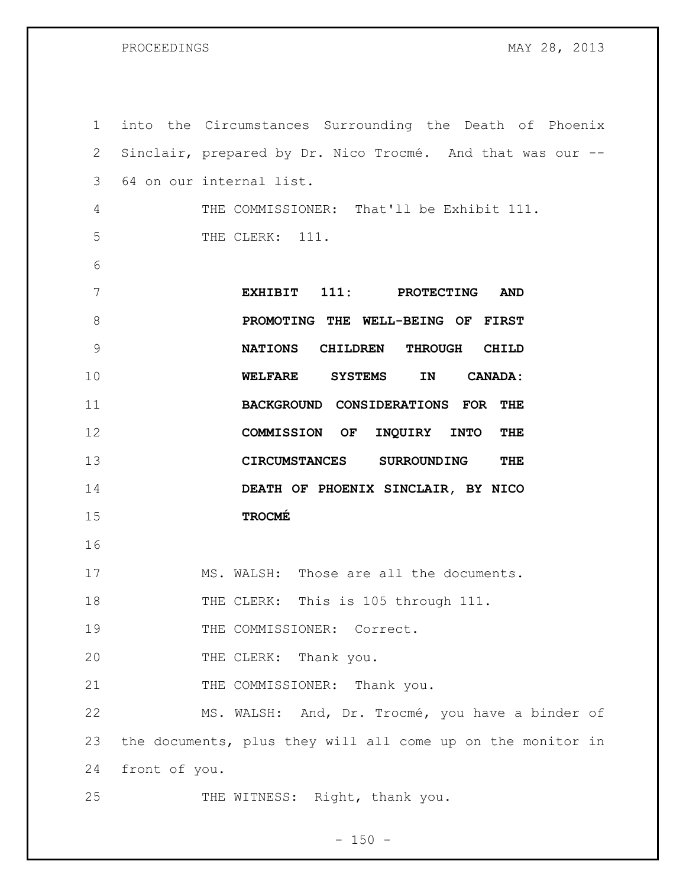| $\mathbf 1$ |               | into the Circumstances Surrounding the Death of Phoenix     |
|-------------|---------------|-------------------------------------------------------------|
| 2           |               | Sinclair, prepared by Dr. Nico Trocmé. And that was our --  |
| 3           |               | 64 on our internal list.                                    |
| 4           |               | THE COMMISSIONER: That'll be Exhibit 111.                   |
| 5           |               | THE CLERK: 111.                                             |
| 6           |               |                                                             |
| 7           |               | EXHIBIT 111: PROTECTING<br><b>AND</b>                       |
| 8           |               | PROMOTING THE WELL-BEING OF FIRST                           |
| 9           |               | NATIONS CHILDREN THROUGH CHILD                              |
| 10          |               | WELFARE SYSTEMS<br>IN<br><b>CANADA:</b>                     |
| 11          |               | BACKGROUND CONSIDERATIONS FOR THE                           |
| 12          |               | COMMISSION OF INQUIRY INTO<br>THE                           |
| 13          |               | CIRCUMSTANCES SURROUNDING<br>THE                            |
| 14          |               | DEATH OF PHOENIX SINCLAIR, BY NICO                          |
| 15          |               | <b>TROCMÉ</b>                                               |
| 16          |               |                                                             |
| 17          |               | MS. WALSH: Those are all the documents.                     |
| 18          |               | THE CLERK: This is 105 through 111.                         |
| 19          |               | THE COMMISSIONER: Correct.                                  |
| 20          |               | THE CLERK: Thank you.                                       |
| 21          |               | THE COMMISSIONER: Thank you.                                |
| 22          |               | MS. WALSH: And, Dr. Trocmé, you have a binder of            |
| 23          |               | the documents, plus they will all come up on the monitor in |
| 24          | front of you. |                                                             |
| 25          |               | THE WITNESS: Right, thank you.                              |

- 150 -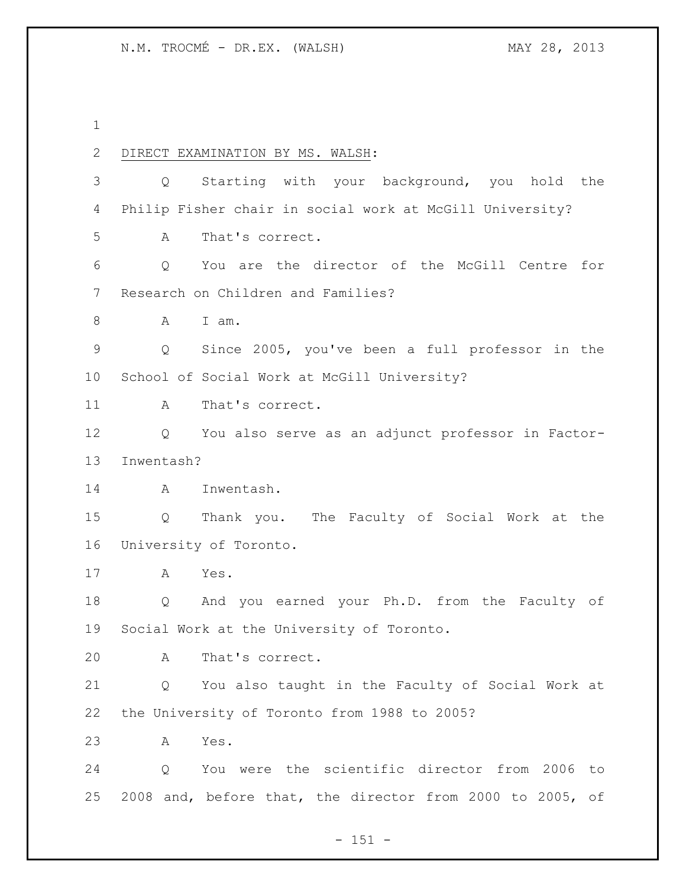DIRECT EXAMINATION BY MS. WALSH: Q Starting with your background, you hold the Philip Fisher chair in social work at McGill University? A That's correct. Q You are the director of the McGill Centre for Research on Children and Families? A I am. Q Since 2005, you've been a full professor in the School of Social Work at McGill University? 11 A That's correct. Q You also serve as an adjunct professor in Factor- Inwentash? A Inwentash. Q Thank you. The Faculty of Social Work at the University of Toronto. A Yes. Q And you earned your Ph.D. from the Faculty of Social Work at the University of Toronto. A That's correct. Q You also taught in the Faculty of Social Work at the University of Toronto from 1988 to 2005? A Yes. Q You were the scientific director from 2006 to 2008 and, before that, the director from 2000 to 2005, of

- 151 -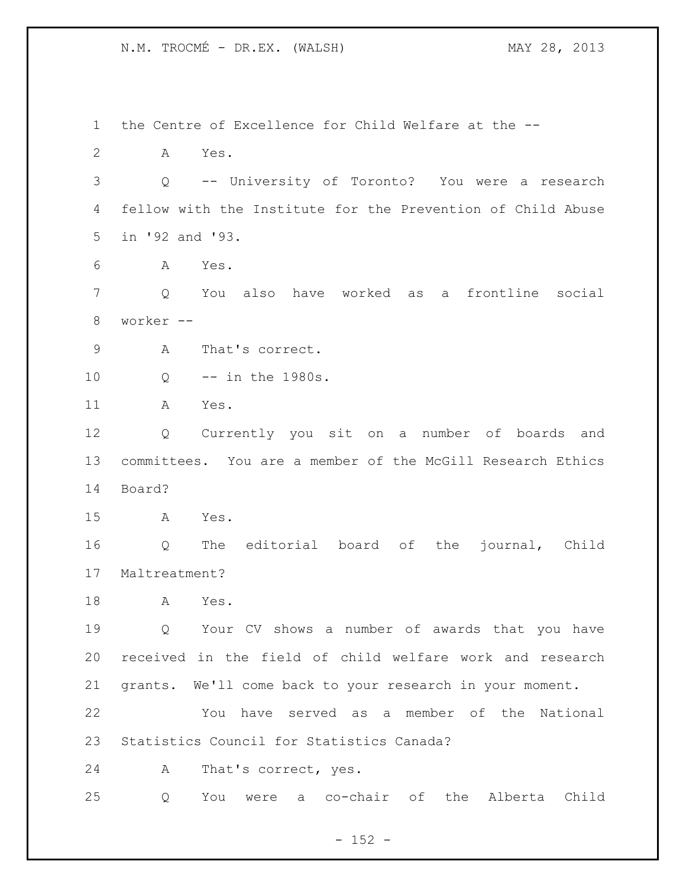the Centre of Excellence for Child Welfare at the -- A Yes. Q -- University of Toronto? You were a research fellow with the Institute for the Prevention of Child Abuse in '92 and '93. A Yes. Q You also have worked as a frontline social worker -- A That's correct. Q -- in the 1980s. A Yes. Q Currently you sit on a number of boards and committees. You are a member of the McGill Research Ethics Board? A Yes. Q The editorial board of the journal, Child Maltreatment? A Yes. Q Your CV shows a number of awards that you have received in the field of child welfare work and research grants. We'll come back to your research in your moment. You have served as a member of the National Statistics Council for Statistics Canada? A That's correct, yes. Q You were a co-chair of the Alberta Child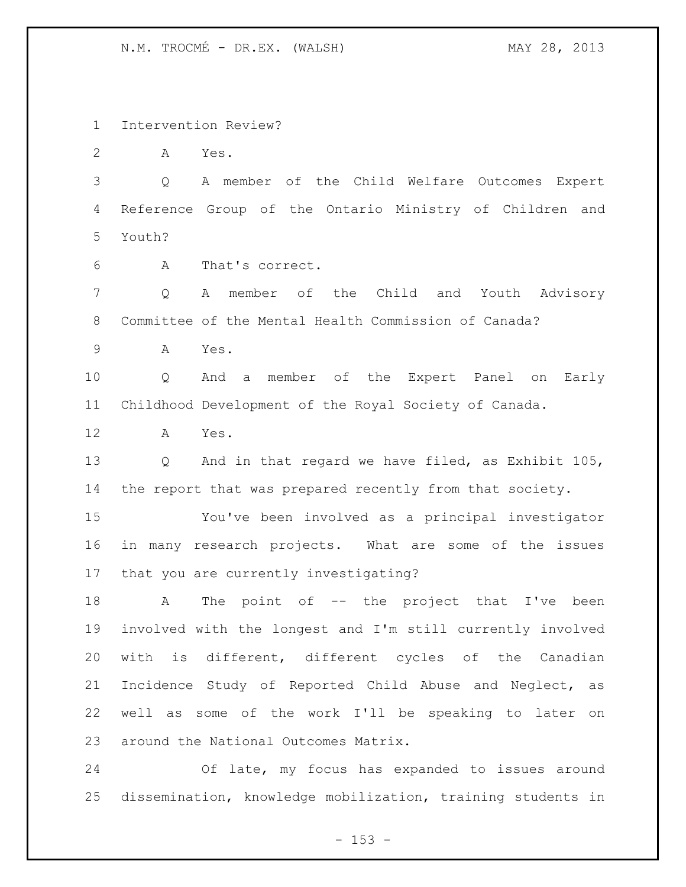Intervention Review?

A Yes.

 Q A member of the Child Welfare Outcomes Expert Reference Group of the Ontario Ministry of Children and Youth?

A That's correct.

 Q A member of the Child and Youth Advisory Committee of the Mental Health Commission of Canada?

A Yes.

 Q And a member of the Expert Panel on Early Childhood Development of the Royal Society of Canada.

A Yes.

 Q And in that regard we have filed, as Exhibit 105, the report that was prepared recently from that society.

 You've been involved as a principal investigator in many research projects. What are some of the issues that you are currently investigating?

18 A The point of -- the project that I've been involved with the longest and I'm still currently involved with is different, different cycles of the Canadian Incidence Study of Reported Child Abuse and Neglect, as well as some of the work I'll be speaking to later on around the National Outcomes Matrix.

 Of late, my focus has expanded to issues around dissemination, knowledge mobilization, training students in

 $- 153 -$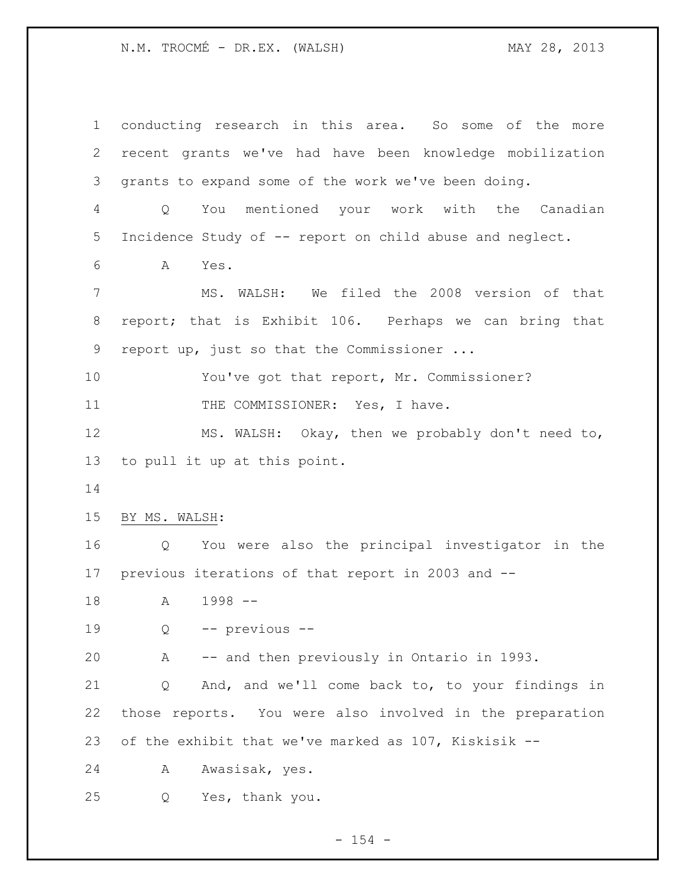conducting research in this area. So some of the more recent grants we've had have been knowledge mobilization grants to expand some of the work we've been doing. Q You mentioned your work with the Canadian Incidence Study of -- report on child abuse and neglect. A Yes. MS. WALSH: We filed the 2008 version of that report; that is Exhibit 106. Perhaps we can bring that report up, just so that the Commissioner ... 10 You've got that report, Mr. Commissioner? 11 THE COMMISSIONER: Yes, I have. MS. WALSH: Okay, then we probably don't need to, to pull it up at this point. BY MS. WALSH: Q You were also the principal investigator in the previous iterations of that report in 2003 and -- A 1998 -- Q -- previous -- A -- and then previously in Ontario in 1993. Q And, and we'll come back to, to your findings in those reports. You were also involved in the preparation of the exhibit that we've marked as 107, Kiskisik -- A Awasisak, yes. Q Yes, thank you.

 $- 154 -$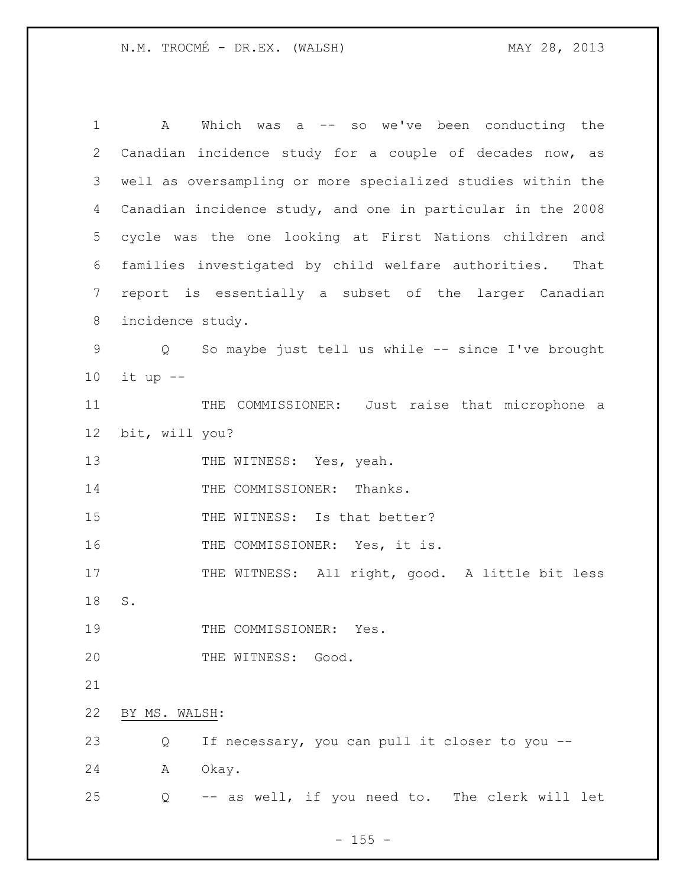| 1              | Which was a -- so we've been conducting the<br>A            |
|----------------|-------------------------------------------------------------|
| $\mathbf{2}$   | Canadian incidence study for a couple of decades now, as    |
| 3              | well as oversampling or more specialized studies within the |
| $\overline{4}$ | Canadian incidence study, and one in particular in the 2008 |
| 5              | cycle was the one looking at First Nations children and     |
| 6              | families investigated by child welfare authorities.<br>That |
| 7              | report is essentially a subset of the larger Canadian       |
| 8              | incidence study.                                            |
| 9              | Q So maybe just tell us while -- since I've brought         |
| 10             | it up --                                                    |
| 11             | THE COMMISSIONER: Just raise that microphone a              |
| 12             | bit, will you?                                              |
| 13             | THE WITNESS: Yes, yeah.                                     |
| 14             | THE COMMISSIONER: Thanks.                                   |
| 15             | THE WITNESS: Is that better?                                |
| 16             | THE COMMISSIONER: Yes, it is.                               |
| 17             | THE WITNESS: All right, good. A little bit less             |
| 18             | $\texttt{S}$ .                                              |
| 19             | THE COMMISSIONER: Yes.                                      |
| 20             | THE WITNESS: Good.                                          |
| 21             |                                                             |
| 22             | BY MS. WALSH:                                               |
| 23             | If necessary, you can pull it closer to you --<br>Q         |
| 24             | Okay.<br>Α                                                  |
| 25             | -- as well, if you need to. The clerk will let<br>Q         |

- 155 -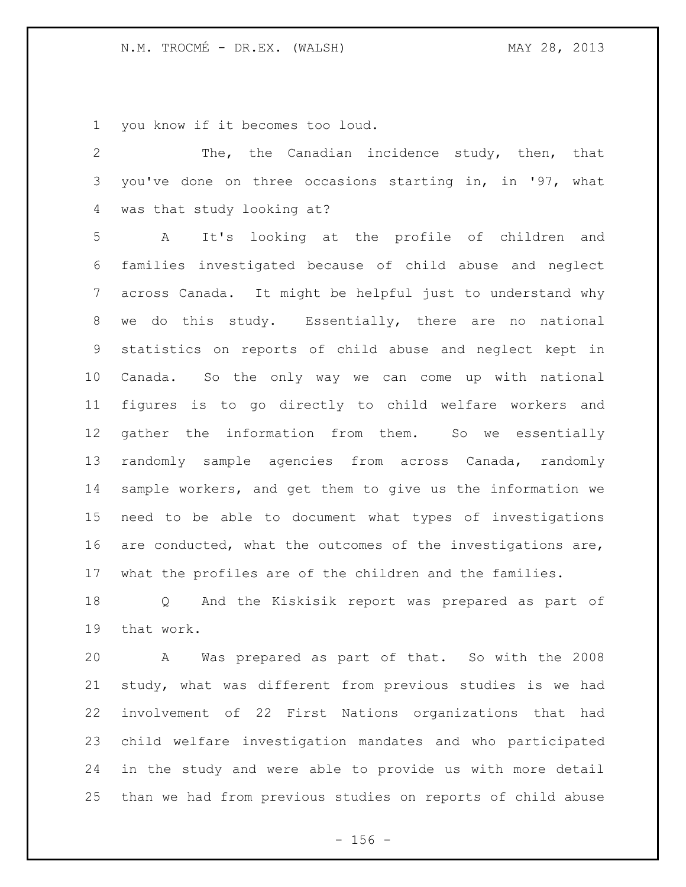you know if it becomes too loud.

| 2               | The, the Canadian incidence study, then, that               |
|-----------------|-------------------------------------------------------------|
| 3               | you've done on three occasions starting in, in '97, what    |
| 4               | was that study looking at?                                  |
| 5               | It's looking at the profile of children and<br>$\mathbf{A}$ |
| 6               | families investigated because of child abuse and neglect    |
| $7\phantom{.0}$ | across Canada. It might be helpful just to understand why   |
| 8               | we do this study. Essentially, there are no national        |
| 9               | statistics on reports of child abuse and neglect kept in    |
| 10              | Canada. So the only way we can come up with national        |
| 11              | figures is to go directly to child welfare workers and      |
| 12              | gather the information from them. So we essentially         |
| 13              | randomly sample agencies from across Canada, randomly       |
| 14              | sample workers, and get them to give us the information we  |
| 15              | need to be able to document what types of investigations    |
| 16              | are conducted, what the outcomes of the investigations are, |
| 17              | what the profiles are of the children and the families.     |
| 18              | Q And the Kiskisik report was prepared as part of           |
| 19              | that work.                                                  |

 A Was prepared as part of that. So with the 2008 study, what was different from previous studies is we had involvement of 22 First Nations organizations that had child welfare investigation mandates and who participated in the study and were able to provide us with more detail than we had from previous studies on reports of child abuse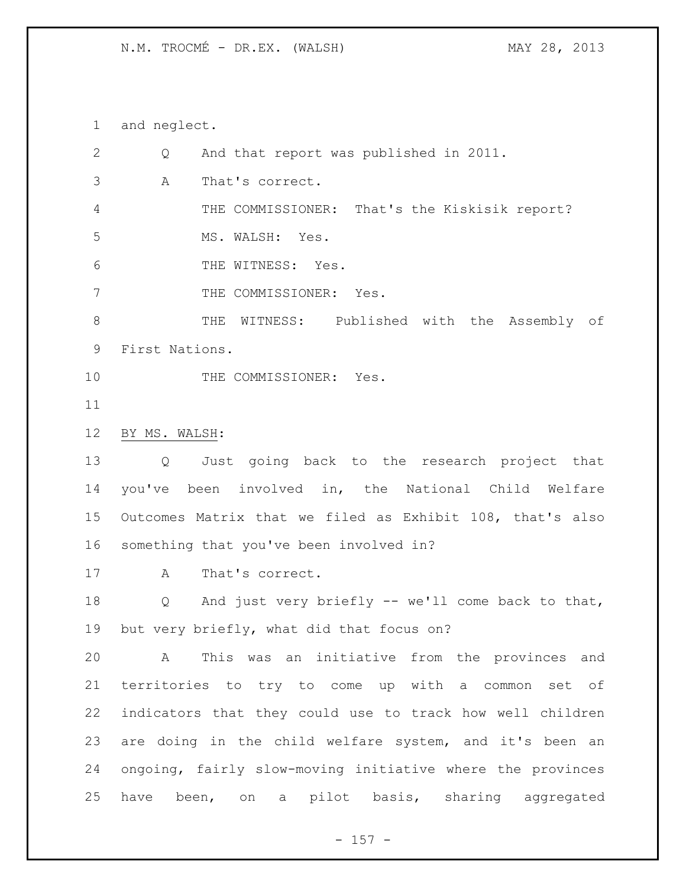and neglect.

| 2               | And that report was published in 2011.<br>Q                  |
|-----------------|--------------------------------------------------------------|
| 3               | Α<br>That's correct.                                         |
| 4               | THE COMMISSIONER: That's the Kiskisik report?                |
| 5               | MS. WALSH: Yes.                                              |
| 6               | THE WITNESS: Yes.                                            |
| $7\phantom{.0}$ | THE COMMISSIONER: Yes.                                       |
| 8               | WITNESS: Published with the Assembly of<br>THE               |
| 9               | First Nations.                                               |
| 10              | THE COMMISSIONER: Yes.                                       |
| 11              |                                                              |
| 12              | BY MS. WALSH:                                                |
| 13              | Just going back to the research project that<br>Q            |
| 14              | you've been involved in, the National Child Welfare          |
| 15 <sub>1</sub> | Outcomes Matrix that we filed as Exhibit 108, that's also    |
| 16              | something that you've been involved in?                      |
| 17              | That's correct.<br>A                                         |
| 18              | And just very briefly -- we'll come back to that,<br>Q       |
| 19              | but very briefly, what did that focus on?                    |
| 20              | This was an initiative from the provinces and<br>A           |
| 21              | territories to try to come up with a common set of           |
| 22              | indicators that they could use to track how well children    |
| 23              | are doing in the child welfare system, and it's been an      |
| 24              | ongoing, fairly slow-moving initiative where the provinces   |
| 25              | pilot basis, sharing aggregated<br>have been, on<br>$\alpha$ |
|                 |                                                              |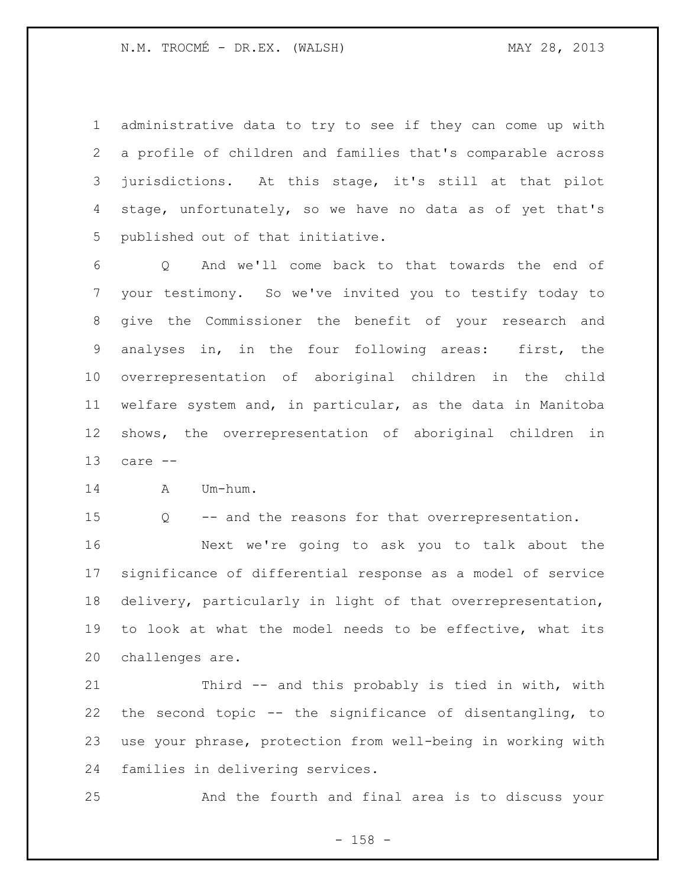administrative data to try to see if they can come up with a profile of children and families that's comparable across jurisdictions. At this stage, it's still at that pilot stage, unfortunately, so we have no data as of yet that's published out of that initiative.

 Q And we'll come back to that towards the end of your testimony. So we've invited you to testify today to give the Commissioner the benefit of your research and analyses in, in the four following areas: first, the overrepresentation of aboriginal children in the child welfare system and, in particular, as the data in Manitoba shows, the overrepresentation of aboriginal children in care --

A Um-hum.

Q -- and the reasons for that overrepresentation.

 Next we're going to ask you to talk about the significance of differential response as a model of service delivery, particularly in light of that overrepresentation, to look at what the model needs to be effective, what its challenges are.

 Third -- and this probably is tied in with, with the second topic -- the significance of disentangling, to use your phrase, protection from well-being in working with families in delivering services.

And the fourth and final area is to discuss your

- 158 -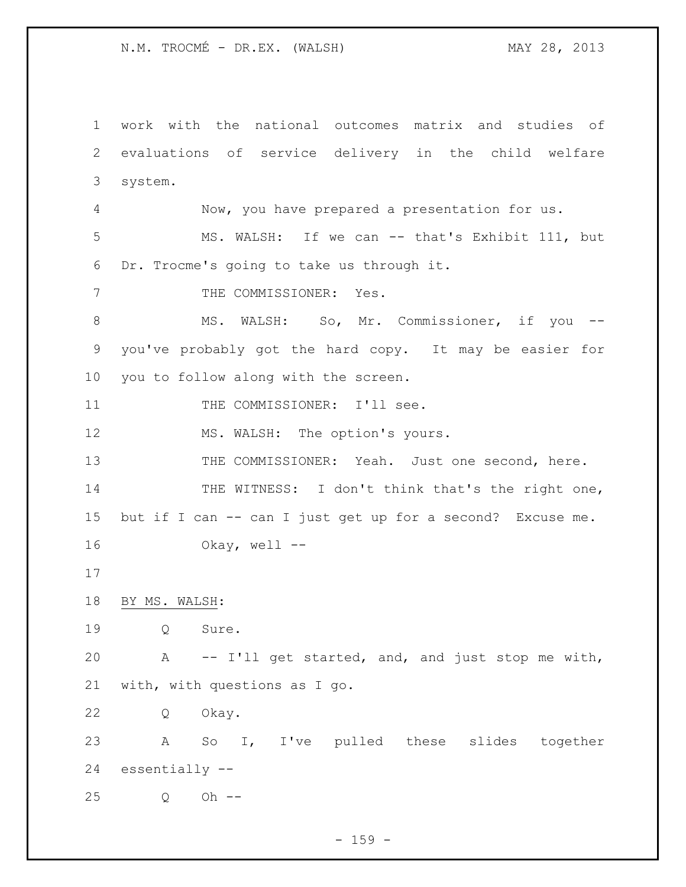work with the national outcomes matrix and studies of evaluations of service delivery in the child welfare system. Now, you have prepared a presentation for us. MS. WALSH: If we can -- that's Exhibit 111, but Dr. Trocme's going to take us through it. 7 THE COMMISSIONER: Yes. 8 MS. WALSH: So, Mr. Commissioner, if you -- you've probably got the hard copy. It may be easier for you to follow along with the screen. 11 THE COMMISSIONER: I'll see. 12 MS. WALSH: The option's yours. 13 THE COMMISSIONER: Yeah. Just one second, here. 14 THE WITNESS: I don't think that's the right one, but if I can -- can I just get up for a second? Excuse me. Okay, well -- BY MS. WALSH: Q Sure. A -- I'll get started, and, and just stop me with, with, with questions as I go. Q Okay. A So I, I've pulled these slides together essentially -- Q Oh --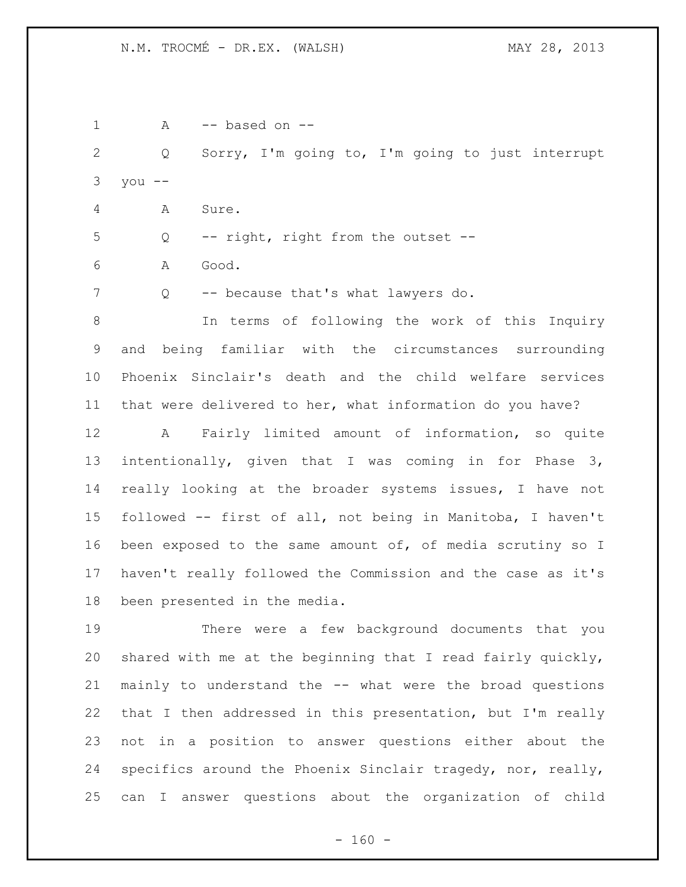| $\mathbf 1$  | -- based on --<br>A                                                     |
|--------------|-------------------------------------------------------------------------|
| $\mathbf{2}$ | Sorry, I'm going to, I'm going to just interrupt<br>Q                   |
| 3            | you $--$                                                                |
| 4            | Sure.<br>A                                                              |
| 5            | -- right, right from the outset --<br>Q                                 |
| 6            | Α<br>Good.                                                              |
| 7            | -- because that's what lawyers do.<br>Q                                 |
| 8            | In terms of following the work of this Inquiry                          |
| 9            | being familiar with the circumstances surrounding<br>and                |
| 10           | Phoenix Sinclair's death and the child welfare services                 |
| 11           | that were delivered to her, what information do you have?               |
| 12           | A Fairly limited amount of information, so quite                        |
| 13           | intentionally, given that I was coming in for Phase 3,                  |
| 14           | really looking at the broader systems issues, I have not                |
| 15           | followed -- first of all, not being in Manitoba, I haven't              |
| 16           | been exposed to the same amount of, of media scrutiny so I              |
| 17           | haven't really followed the Commission and the case as it's             |
| 18           | been presented in the media.                                            |
| 19           | There were a few background documents that you                          |
| 20           | shared with me at the beginning that I read fairly quickly,             |
| 21           | mainly to understand the -- what were the broad questions               |
| 22           | that I then addressed in this presentation, but I'm really              |
| 23           | not in a position to answer questions either about the                  |
| 24           | specifics around the Phoenix Sinclair tragedy, nor, really,             |
| 25           | answer questions about the organization of child<br>can<br>$\mathbb{I}$ |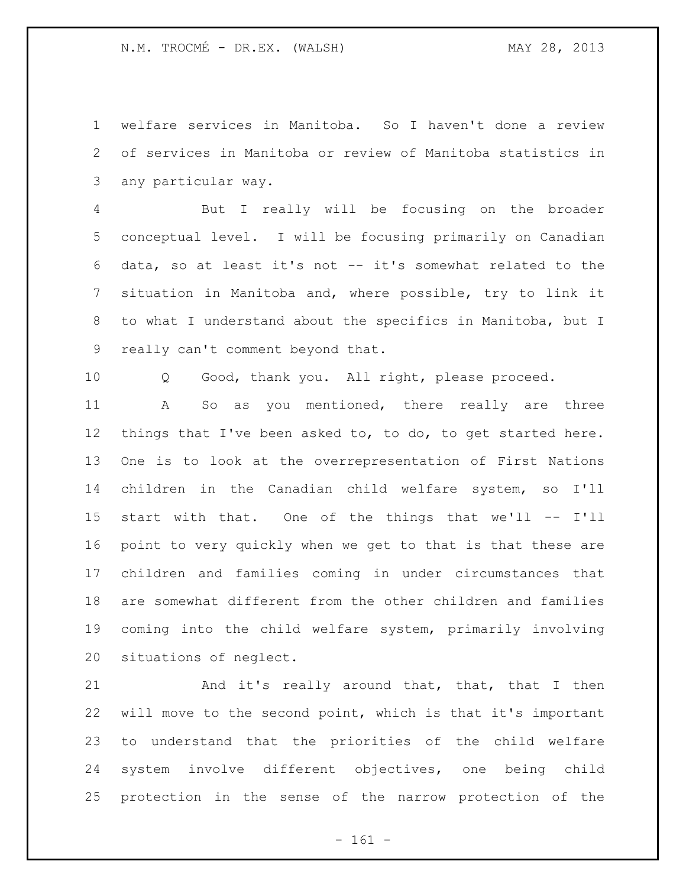welfare services in Manitoba. So I haven't done a review of services in Manitoba or review of Manitoba statistics in any particular way.

 But I really will be focusing on the broader conceptual level. I will be focusing primarily on Canadian data, so at least it's not -- it's somewhat related to the situation in Manitoba and, where possible, try to link it to what I understand about the specifics in Manitoba, but I really can't comment beyond that.

Q Good, thank you. All right, please proceed.

 A So as you mentioned, there really are three things that I've been asked to, to do, to get started here. One is to look at the overrepresentation of First Nations children in the Canadian child welfare system, so I'll start with that. One of the things that we'll -- I'll point to very quickly when we get to that is that these are children and families coming in under circumstances that are somewhat different from the other children and families coming into the child welfare system, primarily involving situations of neglect.

21 And it's really around that, that, that I then will move to the second point, which is that it's important to understand that the priorities of the child welfare system involve different objectives, one being child protection in the sense of the narrow protection of the

- 161 -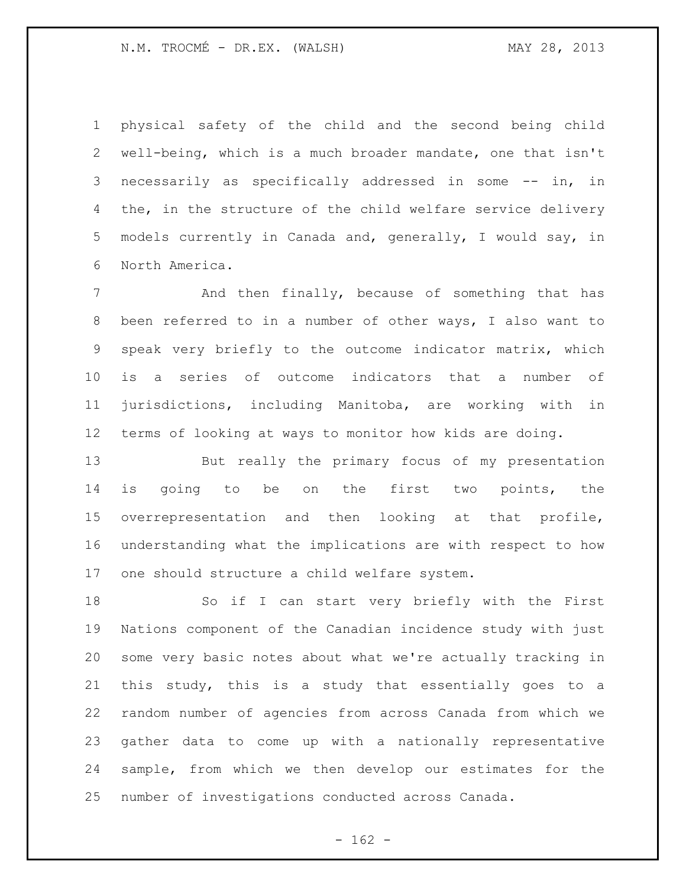physical safety of the child and the second being child well-being, which is a much broader mandate, one that isn't necessarily as specifically addressed in some -- in, in 4 the, in the structure of the child welfare service delivery models currently in Canada and, generally, I would say, in North America.

 And then finally, because of something that has been referred to in a number of other ways, I also want to speak very briefly to the outcome indicator matrix, which is a series of outcome indicators that a number of jurisdictions, including Manitoba, are working with in terms of looking at ways to monitor how kids are doing.

 But really the primary focus of my presentation is going to be on the first two points, the overrepresentation and then looking at that profile, understanding what the implications are with respect to how one should structure a child welfare system.

 So if I can start very briefly with the First Nations component of the Canadian incidence study with just some very basic notes about what we're actually tracking in this study, this is a study that essentially goes to a random number of agencies from across Canada from which we gather data to come up with a nationally representative sample, from which we then develop our estimates for the number of investigations conducted across Canada.

 $- 162 -$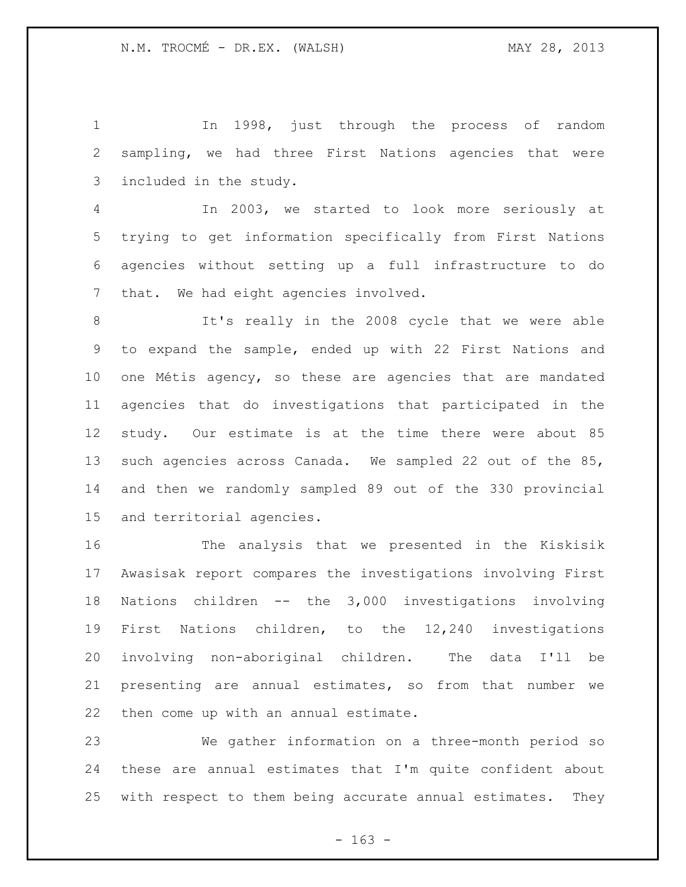In 1998, just through the process of random sampling, we had three First Nations agencies that were included in the study.

 In 2003, we started to look more seriously at trying to get information specifically from First Nations agencies without setting up a full infrastructure to do that. We had eight agencies involved.

 It's really in the 2008 cycle that we were able to expand the sample, ended up with 22 First Nations and one Métis agency, so these are agencies that are mandated agencies that do investigations that participated in the study. Our estimate is at the time there were about 85 such agencies across Canada. We sampled 22 out of the 85, and then we randomly sampled 89 out of the 330 provincial and territorial agencies.

 The analysis that we presented in the Kiskisik Awasisak report compares the investigations involving First Nations children -- the 3,000 investigations involving First Nations children, to the 12,240 investigations involving non-aboriginal children. The data I'll be presenting are annual estimates, so from that number we then come up with an annual estimate.

 We gather information on a three-month period so these are annual estimates that I'm quite confident about with respect to them being accurate annual estimates. They

 $- 163 -$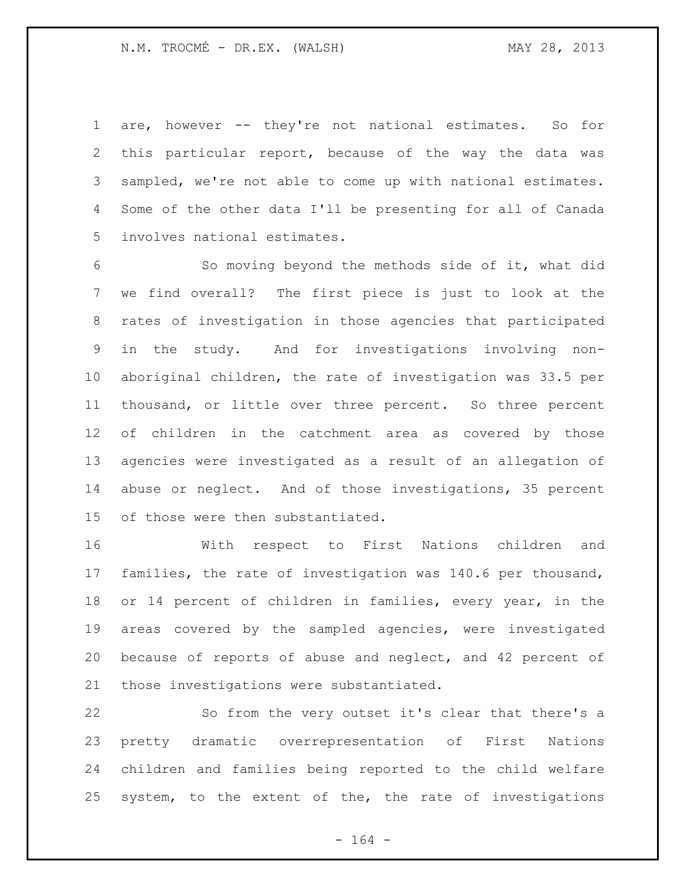are, however -- they're not national estimates. So for this particular report, because of the way the data was sampled, we're not able to come up with national estimates. Some of the other data I'll be presenting for all of Canada involves national estimates.

 So moving beyond the methods side of it, what did we find overall? The first piece is just to look at the rates of investigation in those agencies that participated in the study. And for investigations involving non- aboriginal children, the rate of investigation was 33.5 per thousand, or little over three percent. So three percent of children in the catchment area as covered by those agencies were investigated as a result of an allegation of abuse or neglect. And of those investigations, 35 percent of those were then substantiated.

 With respect to First Nations children and families, the rate of investigation was 140.6 per thousand, or 14 percent of children in families, every year, in the areas covered by the sampled agencies, were investigated because of reports of abuse and neglect, and 42 percent of those investigations were substantiated.

 So from the very outset it's clear that there's a pretty dramatic overrepresentation of First Nations children and families being reported to the child welfare system, to the extent of the, the rate of investigations

- 164 -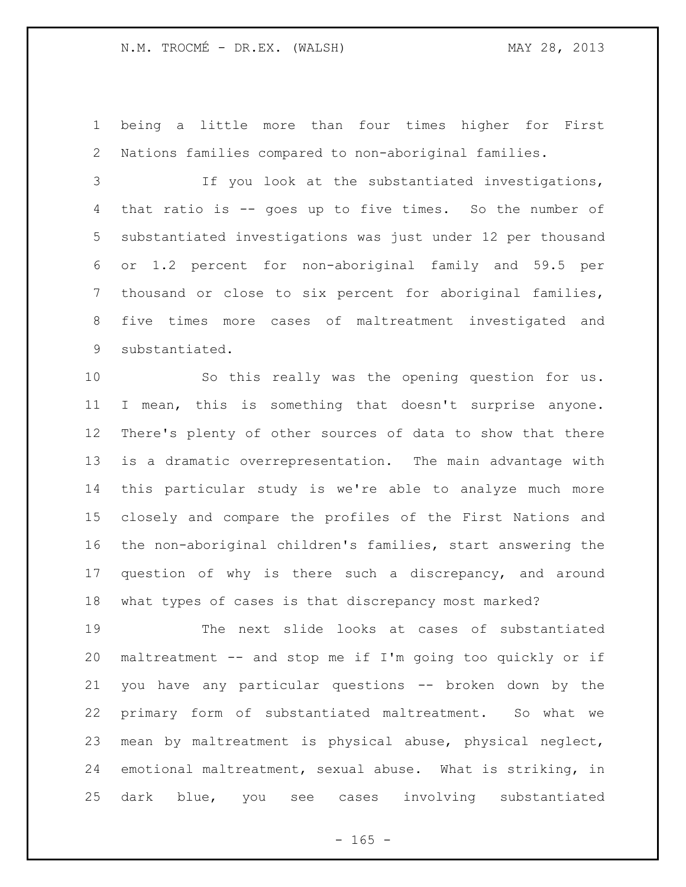being a little more than four times higher for First Nations families compared to non-aboriginal families.

 If you look at the substantiated investigations, that ratio is -- goes up to five times. So the number of substantiated investigations was just under 12 per thousand or 1.2 percent for non-aboriginal family and 59.5 per thousand or close to six percent for aboriginal families, five times more cases of maltreatment investigated and substantiated.

 So this really was the opening question for us. I mean, this is something that doesn't surprise anyone. There's plenty of other sources of data to show that there is a dramatic overrepresentation. The main advantage with this particular study is we're able to analyze much more closely and compare the profiles of the First Nations and the non-aboriginal children's families, start answering the 17 question of why is there such a discrepancy, and around what types of cases is that discrepancy most marked?

 The next slide looks at cases of substantiated maltreatment -- and stop me if I'm going too quickly or if you have any particular questions -- broken down by the primary form of substantiated maltreatment. So what we mean by maltreatment is physical abuse, physical neglect, emotional maltreatment, sexual abuse. What is striking, in dark blue, you see cases involving substantiated

 $- 165 -$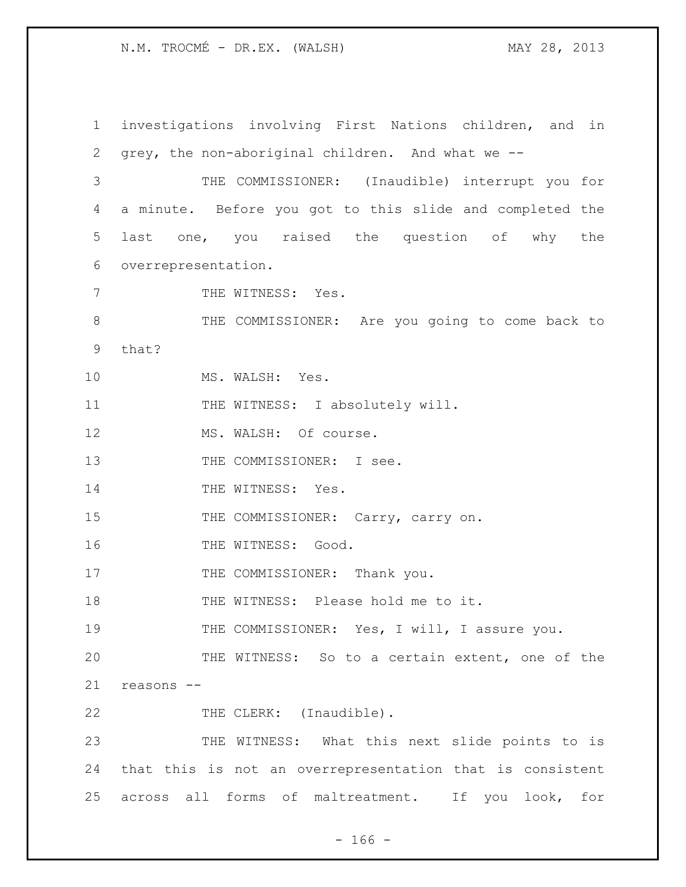1 investigations involving First Nations children, and in 2 grey, the non-aboriginal children. And what we -- 3 THE COMMISSIONER: (Inaudible) interrupt you for 4 a minute. Before you got to this slide and completed the 5 last one, you raised the question of why the 6 overrepresentation. 7 THE WITNESS: Yes. 8 THE COMMISSIONER: Are you going to come back to 9 that? 10 MS. WALSH: Yes. 11 THE WITNESS: I absolutely will. 12 MS. WALSH: Of course. 13 THE COMMISSIONER: I see. 14 THE WITNESS: Yes. 15 THE COMMISSIONER: Carry, carry on. 16 THE WITNESS: Good. 17 THE COMMISSIONER: Thank you. 18 THE WITNESS: Please hold me to it. 19 THE COMMISSIONER: Yes, I will, I assure you. 20 THE WITNESS: So to a certain extent, one of the 21 reasons -- 22 THE CLERK: (Inaudible). 23 THE WITNESS: What this next slide points to is 24 that this is not an overrepresentation that is consistent 25 across all forms of maltreatment. If you look, for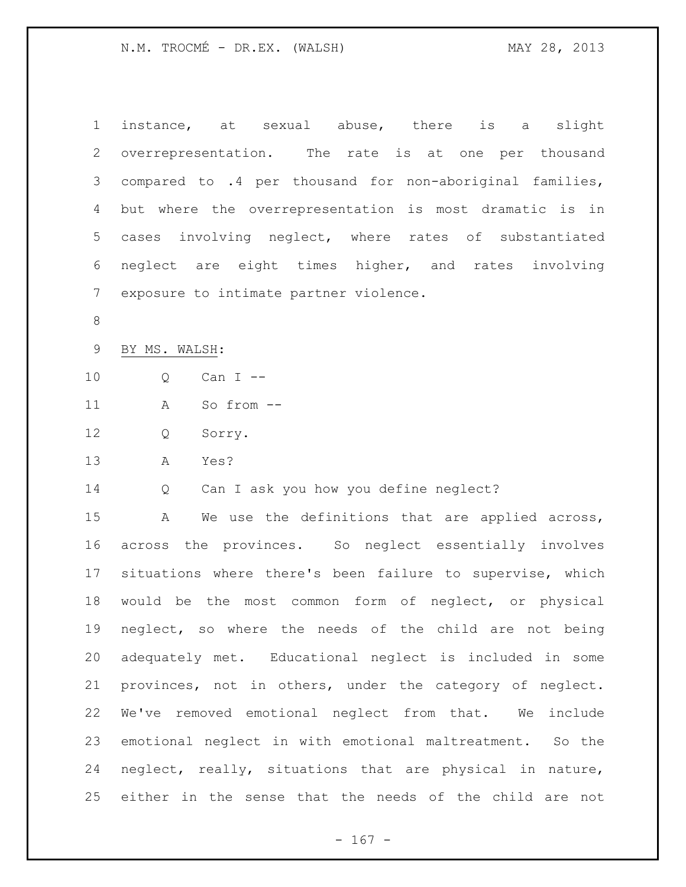| $\mathbf 1$     | instance, at sexual abuse, there<br>slight<br>is a        |
|-----------------|-----------------------------------------------------------|
| 2               | overrepresentation. The rate is at one per thousand       |
| 3               | compared to .4 per thousand for non-aboriginal families,  |
| 4               | but where the overrepresentation is most dramatic is in   |
| 5               | cases involving neglect, where rates of substantiated     |
| 6               | neglect are eight times higher, and rates involving       |
| $7\phantom{.0}$ | exposure to intimate partner violence.                    |
| $\,8\,$         |                                                           |
| $\mathsf 9$     | BY MS. WALSH:                                             |
| 10              | Can I --<br>Q                                             |
| 11              | So from --<br>A                                           |
| 12              | Q<br>Sorry.                                               |
| 13              | Α<br>Yes?                                                 |
| 14              | Can I ask you how you define neglect?<br>Q                |
| 15              | We use the definitions that are applied across,<br>Α      |
| 16              | across the provinces. So neglect essentially involves     |
| 17              | situations where there's been failure to supervise, which |
| 18              | would be the most common form of neglect, or physical     |
| 19              | neglect, so where the needs of the child are not being    |
| 20              | adequately met. Educational neglect is included in some   |
| 21              | provinces, not in others, under the category of neglect.  |
| 22              | We've removed emotional neglect from that. We include     |
| 23              | emotional neglect in with emotional maltreatment. So the  |
| 24              | neglect, really, situations that are physical in nature,  |
| 25              | either in the sense that the needs of the child are not   |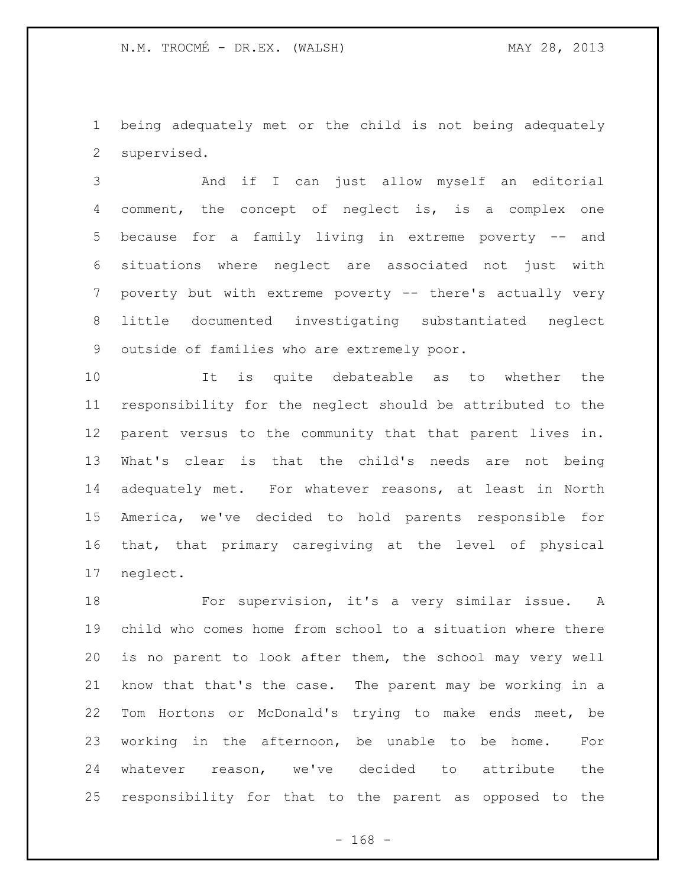being adequately met or the child is not being adequately supervised.

 And if I can just allow myself an editorial comment, the concept of neglect is, is a complex one because for a family living in extreme poverty -- and situations where neglect are associated not just with poverty but with extreme poverty -- there's actually very little documented investigating substantiated neglect outside of families who are extremely poor.

 It is quite debateable as to whether the responsibility for the neglect should be attributed to the parent versus to the community that that parent lives in. What's clear is that the child's needs are not being adequately met. For whatever reasons, at least in North America, we've decided to hold parents responsible for that, that primary caregiving at the level of physical neglect.

 For supervision, it's a very similar issue. A child who comes home from school to a situation where there is no parent to look after them, the school may very well know that that's the case. The parent may be working in a Tom Hortons or McDonald's trying to make ends meet, be working in the afternoon, be unable to be home. For whatever reason, we've decided to attribute the responsibility for that to the parent as opposed to the

- 168 -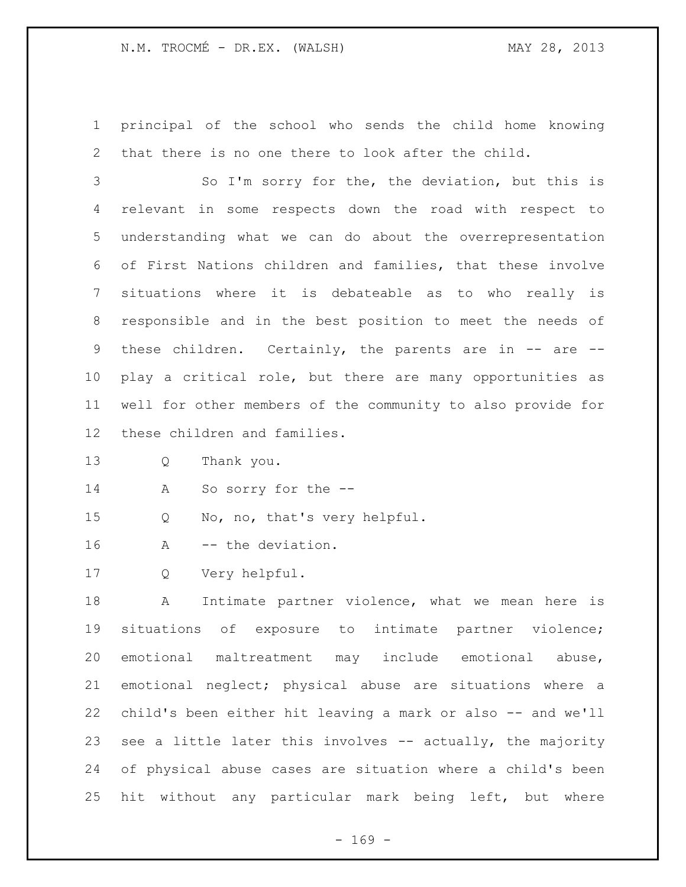principal of the school who sends the child home knowing that there is no one there to look after the child.

 So I'm sorry for the, the deviation, but this is relevant in some respects down the road with respect to understanding what we can do about the overrepresentation of First Nations children and families, that these involve situations where it is debateable as to who really is responsible and in the best position to meet the needs of these children. Certainly, the parents are in -- are -- play a critical role, but there are many opportunities as well for other members of the community to also provide for these children and families.

Q Thank you.

A So sorry for the --

Q No, no, that's very helpful.

A -- the deviation.

Q Very helpful.

 A Intimate partner violence, what we mean here is situations of exposure to intimate partner violence; emotional maltreatment may include emotional abuse, emotional neglect; physical abuse are situations where a child's been either hit leaving a mark or also -- and we'll 23 see a little later this involves -- actually, the majority of physical abuse cases are situation where a child's been hit without any particular mark being left, but where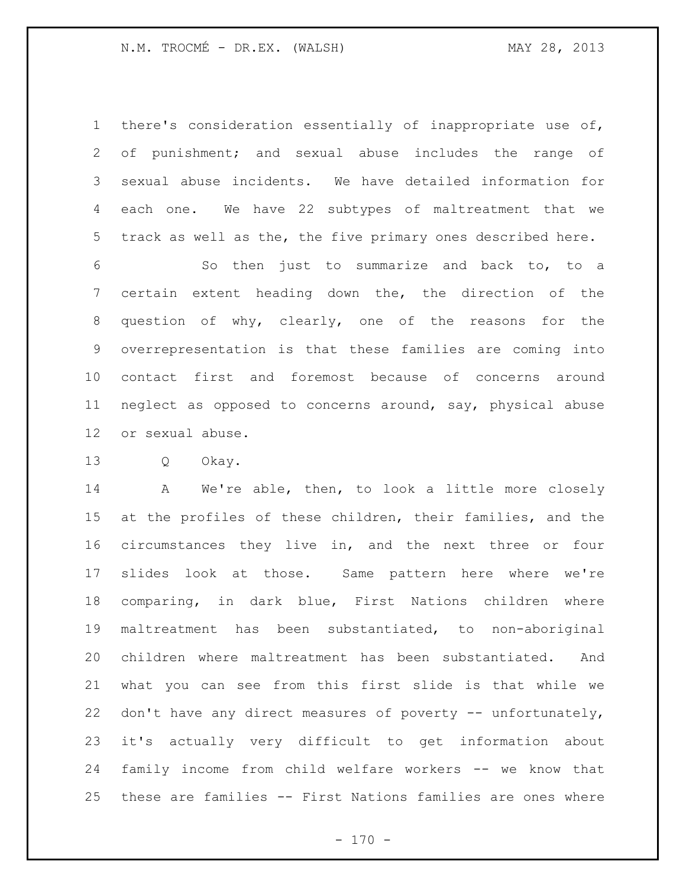there's consideration essentially of inappropriate use of, of punishment; and sexual abuse includes the range of sexual abuse incidents. We have detailed information for each one. We have 22 subtypes of maltreatment that we track as well as the, the five primary ones described here.

 So then just to summarize and back to, to a certain extent heading down the, the direction of the question of why, clearly, one of the reasons for the overrepresentation is that these families are coming into contact first and foremost because of concerns around neglect as opposed to concerns around, say, physical abuse or sexual abuse.

Q Okay.

 A We're able, then, to look a little more closely at the profiles of these children, their families, and the circumstances they live in, and the next three or four slides look at those. Same pattern here where we're comparing, in dark blue, First Nations children where maltreatment has been substantiated, to non-aboriginal children where maltreatment has been substantiated. And what you can see from this first slide is that while we don't have any direct measures of poverty -- unfortunately, it's actually very difficult to get information about family income from child welfare workers -- we know that these are families -- First Nations families are ones where

 $- 170 -$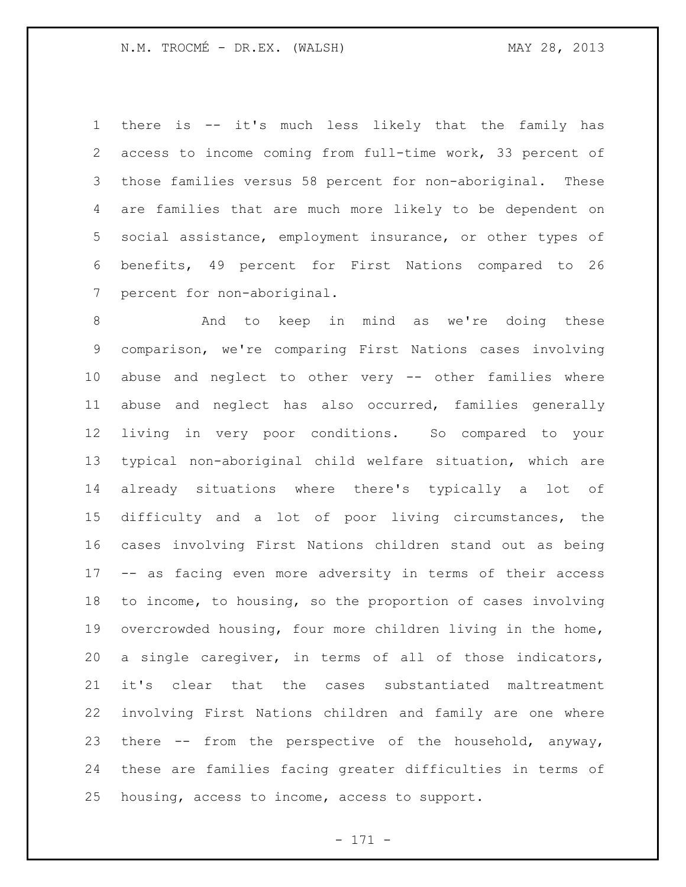there is -- it's much less likely that the family has access to income coming from full-time work, 33 percent of those families versus 58 percent for non-aboriginal. These are families that are much more likely to be dependent on social assistance, employment insurance, or other types of benefits, 49 percent for First Nations compared to 26 percent for non-aboriginal.

 And to keep in mind as we're doing these comparison, we're comparing First Nations cases involving abuse and neglect to other very -- other families where abuse and neglect has also occurred, families generally living in very poor conditions. So compared to your typical non-aboriginal child welfare situation, which are already situations where there's typically a lot of difficulty and a lot of poor living circumstances, the cases involving First Nations children stand out as being -- as facing even more adversity in terms of their access to income, to housing, so the proportion of cases involving overcrowded housing, four more children living in the home, a single caregiver, in terms of all of those indicators, it's clear that the cases substantiated maltreatment involving First Nations children and family are one where there -- from the perspective of the household, anyway, these are families facing greater difficulties in terms of housing, access to income, access to support.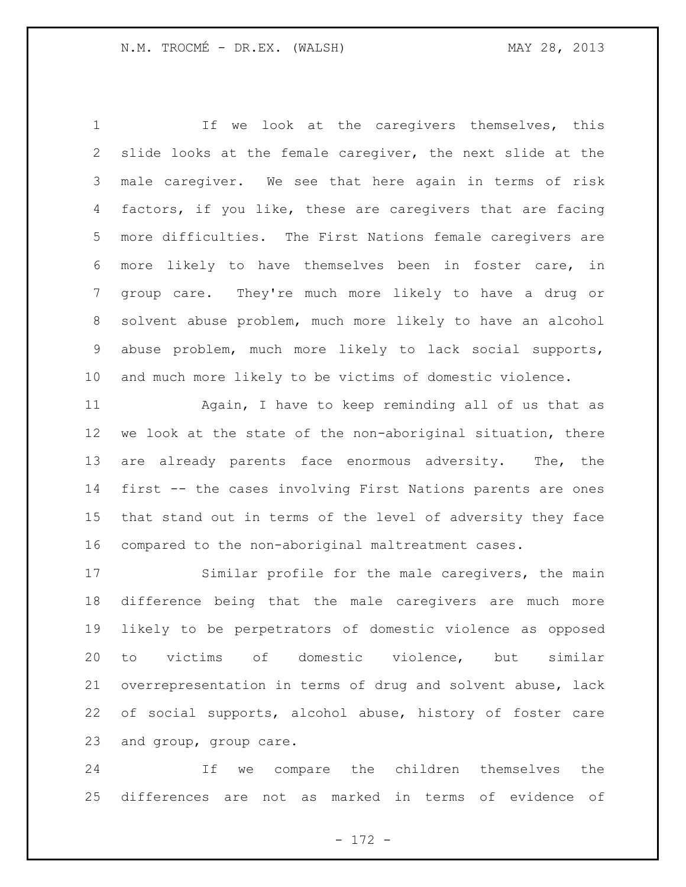If we look at the caregivers themselves, this slide looks at the female caregiver, the next slide at the male caregiver. We see that here again in terms of risk factors, if you like, these are caregivers that are facing more difficulties. The First Nations female caregivers are more likely to have themselves been in foster care, in group care. They're much more likely to have a drug or solvent abuse problem, much more likely to have an alcohol abuse problem, much more likely to lack social supports, and much more likely to be victims of domestic violence.

 Again, I have to keep reminding all of us that as we look at the state of the non-aboriginal situation, there 13 are already parents face enormous adversity. The, the first -- the cases involving First Nations parents are ones that stand out in terms of the level of adversity they face compared to the non-aboriginal maltreatment cases.

 Similar profile for the male caregivers, the main difference being that the male caregivers are much more likely to be perpetrators of domestic violence as opposed to victims of domestic violence, but similar overrepresentation in terms of drug and solvent abuse, lack of social supports, alcohol abuse, history of foster care and group, group care.

 If we compare the children themselves the differences are not as marked in terms of evidence of

- 172 -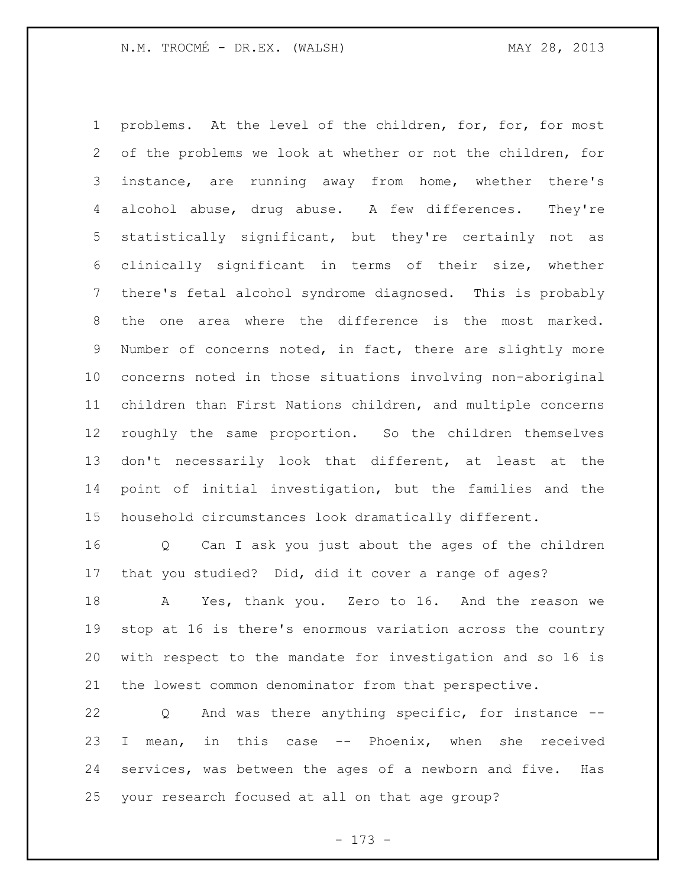problems. At the level of the children, for, for, for most of the problems we look at whether or not the children, for instance, are running away from home, whether there's alcohol abuse, drug abuse. A few differences. They're statistically significant, but they're certainly not as clinically significant in terms of their size, whether there's fetal alcohol syndrome diagnosed. This is probably the one area where the difference is the most marked. Number of concerns noted, in fact, there are slightly more concerns noted in those situations involving non-aboriginal children than First Nations children, and multiple concerns roughly the same proportion. So the children themselves don't necessarily look that different, at least at the point of initial investigation, but the families and the household circumstances look dramatically different.

 Q Can I ask you just about the ages of the children that you studied? Did, did it cover a range of ages?

 A Yes, thank you. Zero to 16. And the reason we stop at 16 is there's enormous variation across the country with respect to the mandate for investigation and so 16 is the lowest common denominator from that perspective.

 Q And was there anything specific, for instance -- I mean, in this case -- Phoenix, when she received services, was between the ages of a newborn and five. Has your research focused at all on that age group?

- 173 -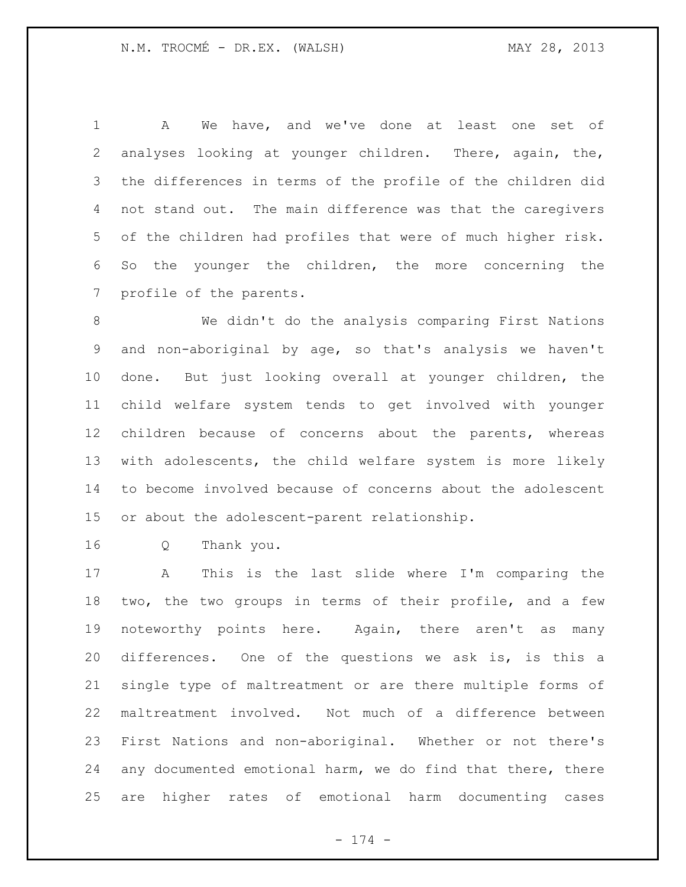A We have, and we've done at least one set of analyses looking at younger children. There, again, the, the differences in terms of the profile of the children did not stand out. The main difference was that the caregivers of the children had profiles that were of much higher risk. So the younger the children, the more concerning the profile of the parents.

 We didn't do the analysis comparing First Nations and non-aboriginal by age, so that's analysis we haven't done. But just looking overall at younger children, the child welfare system tends to get involved with younger children because of concerns about the parents, whereas with adolescents, the child welfare system is more likely to become involved because of concerns about the adolescent or about the adolescent-parent relationship.

Q Thank you.

 A This is the last slide where I'm comparing the two, the two groups in terms of their profile, and a few noteworthy points here. Again, there aren't as many differences. One of the questions we ask is, is this a single type of maltreatment or are there multiple forms of maltreatment involved. Not much of a difference between First Nations and non-aboriginal. Whether or not there's any documented emotional harm, we do find that there, there are higher rates of emotional harm documenting cases

- 174 -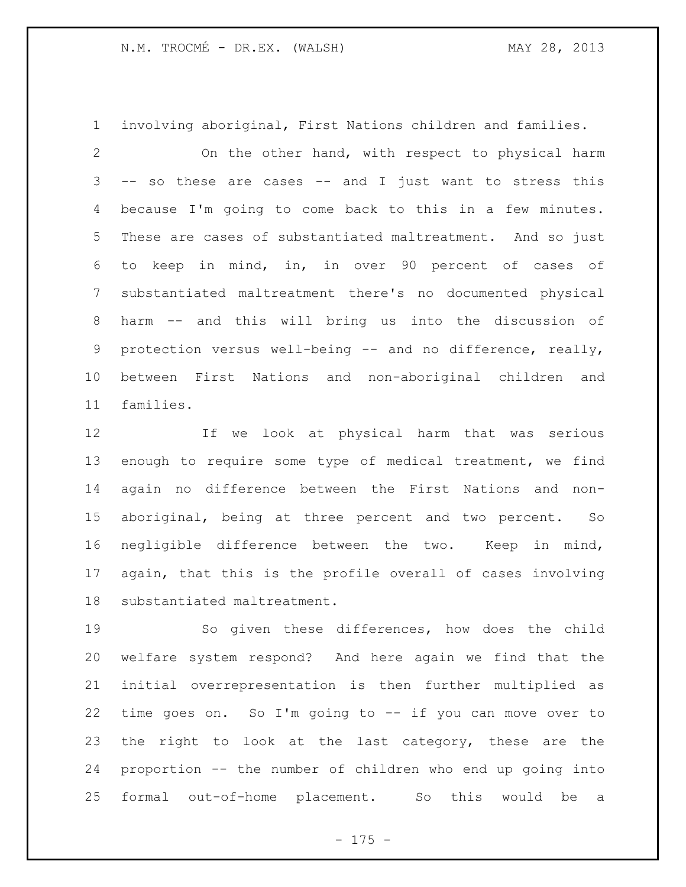involving aboriginal, First Nations children and families.

 On the other hand, with respect to physical harm -- so these are cases -- and I just want to stress this because I'm going to come back to this in a few minutes. These are cases of substantiated maltreatment. And so just to keep in mind, in, in over 90 percent of cases of substantiated maltreatment there's no documented physical harm -- and this will bring us into the discussion of protection versus well-being -- and no difference, really, between First Nations and non-aboriginal children and families.

 If we look at physical harm that was serious enough to require some type of medical treatment, we find again no difference between the First Nations and non- aboriginal, being at three percent and two percent. So negligible difference between the two. Keep in mind, again, that this is the profile overall of cases involving substantiated maltreatment.

 So given these differences, how does the child welfare system respond? And here again we find that the initial overrepresentation is then further multiplied as time goes on. So I'm going to -- if you can move over to the right to look at the last category, these are the proportion -- the number of children who end up going into formal out-of-home placement. So this would be a

 $- 175 -$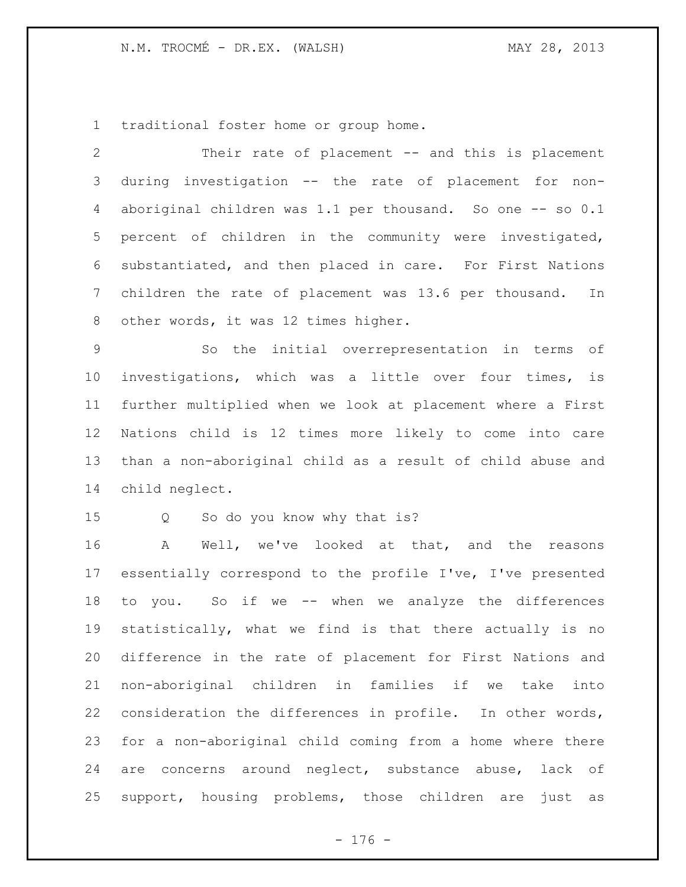traditional foster home or group home.

 Their rate of placement -- and this is placement during investigation -- the rate of placement for non-4 aboriginal children was 1.1 per thousand. So one -- so 0.1 percent of children in the community were investigated, substantiated, and then placed in care. For First Nations children the rate of placement was 13.6 per thousand. In other words, it was 12 times higher.

 So the initial overrepresentation in terms of investigations, which was a little over four times, is further multiplied when we look at placement where a First Nations child is 12 times more likely to come into care than a non-aboriginal child as a result of child abuse and child neglect.

Q So do you know why that is?

 A Well, we've looked at that, and the reasons essentially correspond to the profile I've, I've presented to you. So if we -- when we analyze the differences statistically, what we find is that there actually is no difference in the rate of placement for First Nations and non-aboriginal children in families if we take into consideration the differences in profile. In other words, for a non-aboriginal child coming from a home where there are concerns around neglect, substance abuse, lack of support, housing problems, those children are just as

- 176 -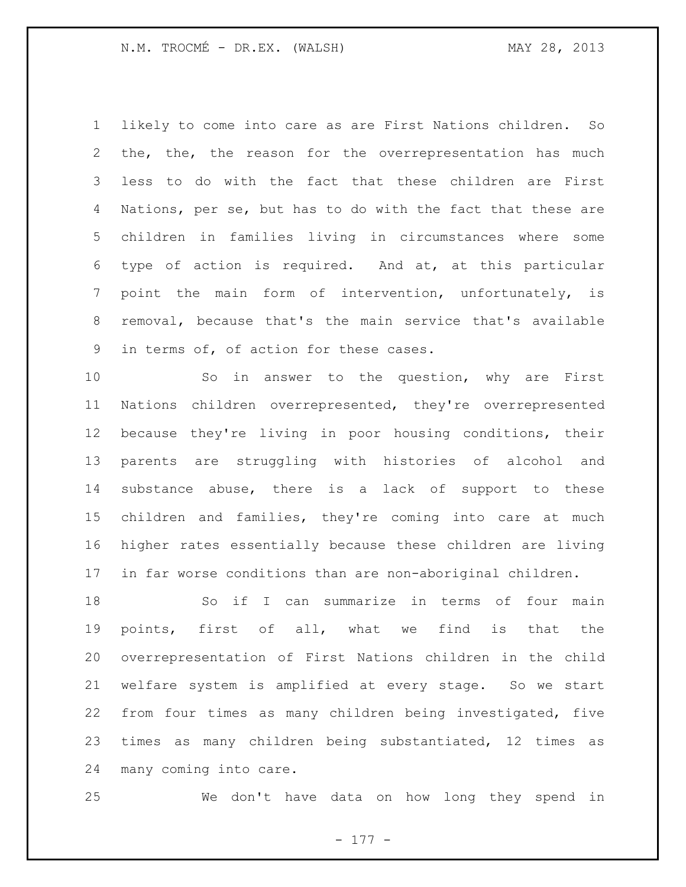likely to come into care as are First Nations children. So the, the, the reason for the overrepresentation has much less to do with the fact that these children are First Nations, per se, but has to do with the fact that these are children in families living in circumstances where some type of action is required. And at, at this particular point the main form of intervention, unfortunately, is removal, because that's the main service that's available in terms of, of action for these cases.

 So in answer to the question, why are First Nations children overrepresented, they're overrepresented because they're living in poor housing conditions, their parents are struggling with histories of alcohol and substance abuse, there is a lack of support to these children and families, they're coming into care at much higher rates essentially because these children are living in far worse conditions than are non-aboriginal children.

 So if I can summarize in terms of four main points, first of all, what we find is that the overrepresentation of First Nations children in the child welfare system is amplified at every stage. So we start from four times as many children being investigated, five times as many children being substantiated, 12 times as many coming into care.

We don't have data on how long they spend in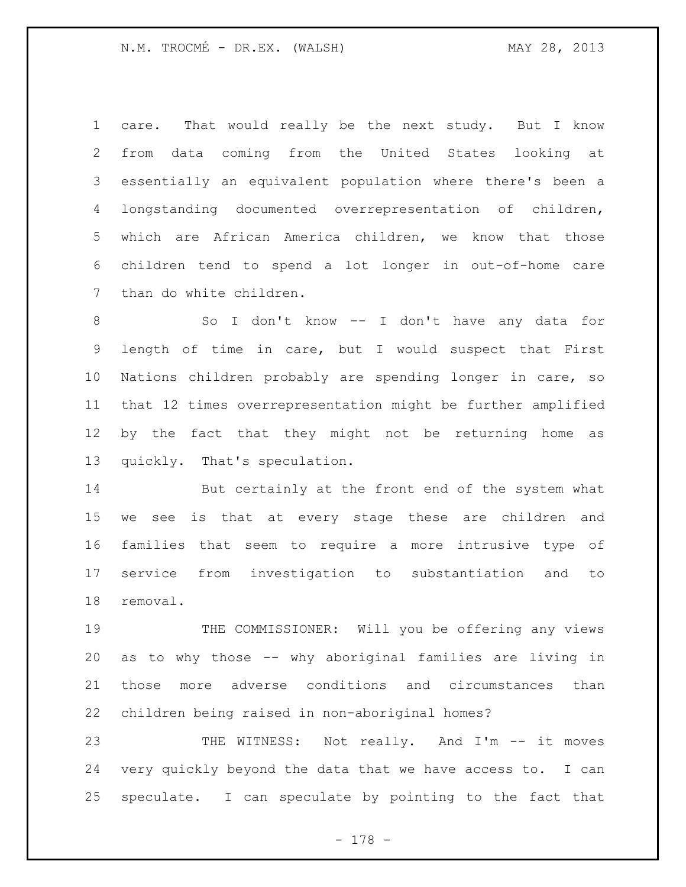care. That would really be the next study. But I know from data coming from the United States looking at essentially an equivalent population where there's been a longstanding documented overrepresentation of children, which are African America children, we know that those children tend to spend a lot longer in out-of-home care than do white children.

 So I don't know -- I don't have any data for length of time in care, but I would suspect that First Nations children probably are spending longer in care, so that 12 times overrepresentation might be further amplified by the fact that they might not be returning home as quickly. That's speculation.

 But certainly at the front end of the system what we see is that at every stage these are children and families that seem to require a more intrusive type of service from investigation to substantiation and to removal.

 THE COMMISSIONER: Will you be offering any views as to why those -- why aboriginal families are living in those more adverse conditions and circumstances than children being raised in non-aboriginal homes?

23 THE WITNESS: Not really. And I'm -- it moves very quickly beyond the data that we have access to. I can speculate. I can speculate by pointing to the fact that

- 178 -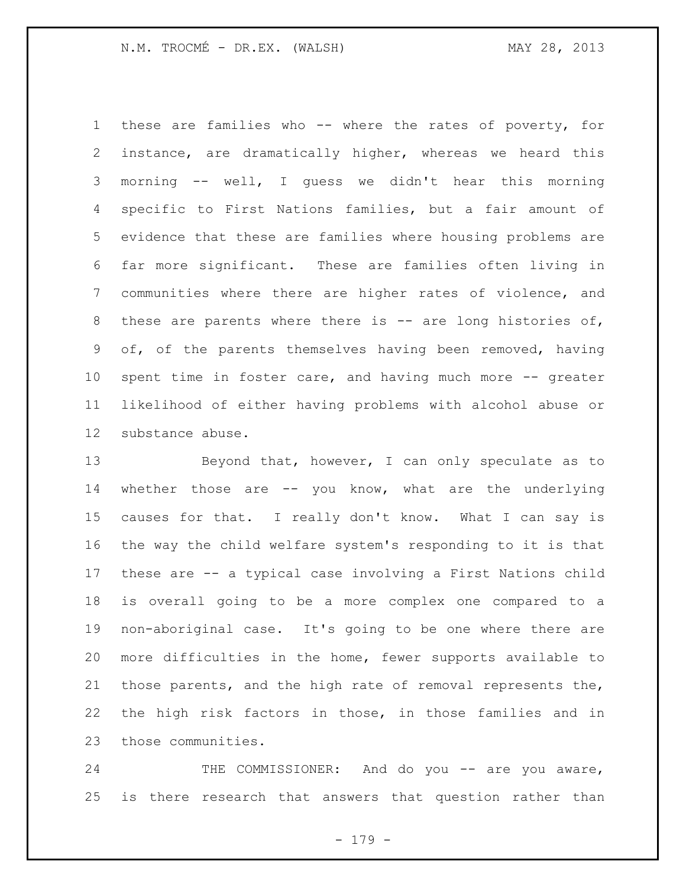these are families who -- where the rates of poverty, for instance, are dramatically higher, whereas we heard this morning -- well, I guess we didn't hear this morning specific to First Nations families, but a fair amount of evidence that these are families where housing problems are far more significant. These are families often living in communities where there are higher rates of violence, and these are parents where there is -- are long histories of, of, of the parents themselves having been removed, having spent time in foster care, and having much more -- greater likelihood of either having problems with alcohol abuse or substance abuse.

13 Beyond that, however, I can only speculate as to whether those are -- you know, what are the underlying causes for that. I really don't know. What I can say is the way the child welfare system's responding to it is that these are -- a typical case involving a First Nations child is overall going to be a more complex one compared to a non-aboriginal case. It's going to be one where there are more difficulties in the home, fewer supports available to those parents, and the high rate of removal represents the, the high risk factors in those, in those families and in those communities.

24 THE COMMISSIONER: And do you -- are you aware, is there research that answers that question rather than

- 179 -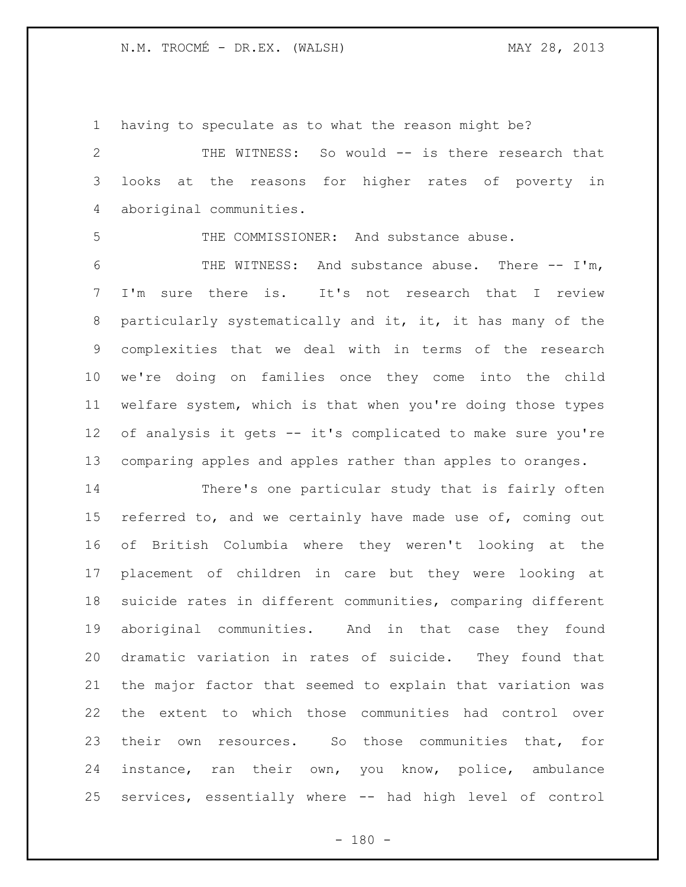having to speculate as to what the reason might be? THE WITNESS: So would -- is there research that looks at the reasons for higher rates of poverty in aboriginal communities. THE COMMISSIONER: And substance abuse. THE WITNESS: And substance abuse. There -- I'm, I'm sure there is. It's not research that I review particularly systematically and it, it, it has many of the complexities that we deal with in terms of the research we're doing on families once they come into the child welfare system, which is that when you're doing those types of analysis it gets -- it's complicated to make sure you're comparing apples and apples rather than apples to oranges. There's one particular study that is fairly often

15 referred to, and we certainly have made use of, coming out of British Columbia where they weren't looking at the placement of children in care but they were looking at suicide rates in different communities, comparing different aboriginal communities. And in that case they found dramatic variation in rates of suicide. They found that the major factor that seemed to explain that variation was the extent to which those communities had control over their own resources. So those communities that, for instance, ran their own, you know, police, ambulance services, essentially where -- had high level of control

 $- 180 -$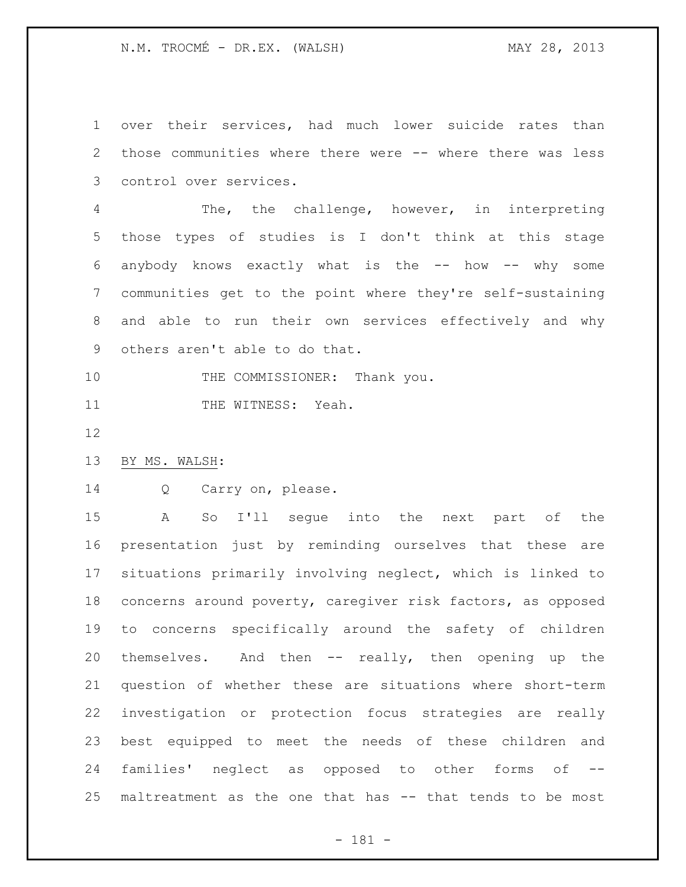over their services, had much lower suicide rates than those communities where there were -- where there was less control over services.

 The, the challenge, however, in interpreting those types of studies is I don't think at this stage anybody knows exactly what is the -- how -- why some communities get to the point where they're self-sustaining and able to run their own services effectively and why others aren't able to do that.

10 THE COMMISSIONER: Thank you.

11 THE WITNESS: Yeah.

- 
- BY MS. WALSH:

Q Carry on, please.

 A So I'll segue into the next part of the presentation just by reminding ourselves that these are situations primarily involving neglect, which is linked to concerns around poverty, caregiver risk factors, as opposed to concerns specifically around the safety of children themselves. And then -- really, then opening up the question of whether these are situations where short-term investigation or protection focus strategies are really best equipped to meet the needs of these children and families' neglect as opposed to other forms of -- maltreatment as the one that has -- that tends to be most

- 181 -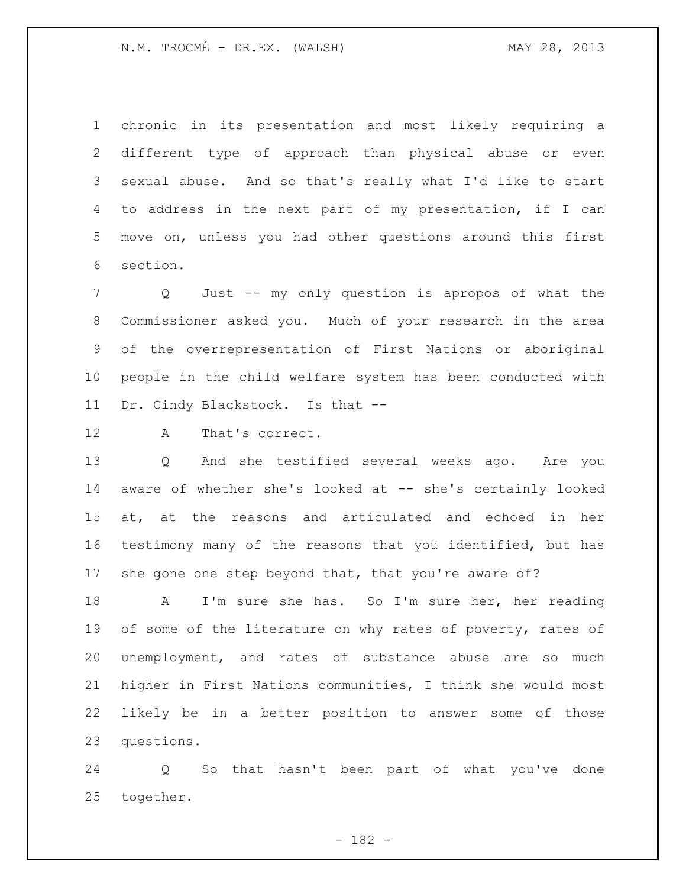chronic in its presentation and most likely requiring a different type of approach than physical abuse or even sexual abuse. And so that's really what I'd like to start to address in the next part of my presentation, if I can move on, unless you had other questions around this first section.

 Q Just -- my only question is apropos of what the Commissioner asked you. Much of your research in the area of the overrepresentation of First Nations or aboriginal people in the child welfare system has been conducted with Dr. Cindy Blackstock. Is that --

A That's correct.

 Q And she testified several weeks ago. Are you 14 aware of whether she's looked at -- she's certainly looked at, at the reasons and articulated and echoed in her testimony many of the reasons that you identified, but has she gone one step beyond that, that you're aware of?

 A I'm sure she has. So I'm sure her, her reading 19 of some of the literature on why rates of poverty, rates of unemployment, and rates of substance abuse are so much higher in First Nations communities, I think she would most likely be in a better position to answer some of those questions.

 Q So that hasn't been part of what you've done together.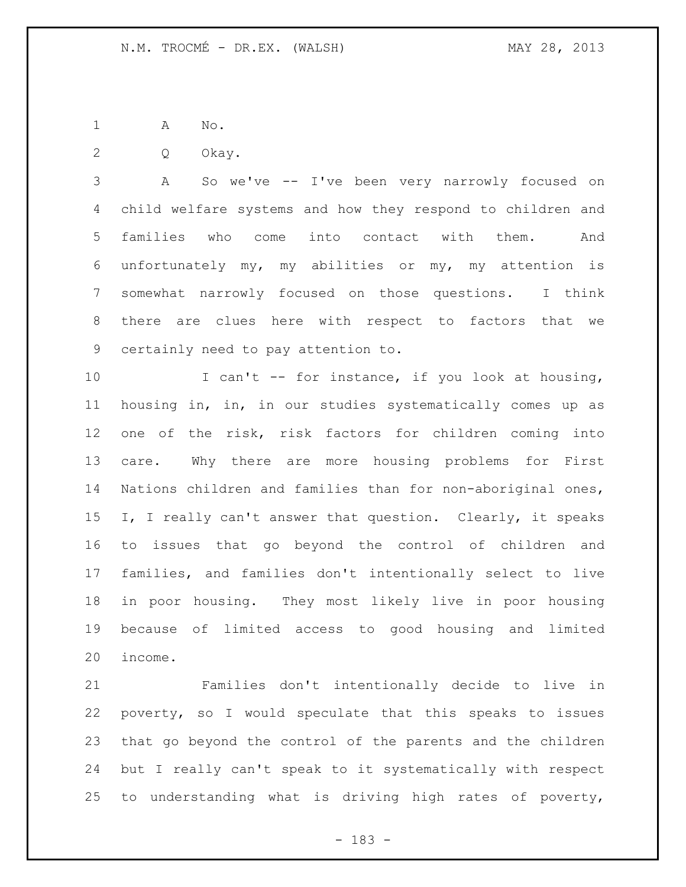A No.

Q Okay.

 A So we've -- I've been very narrowly focused on child welfare systems and how they respond to children and families who come into contact with them. And unfortunately my, my abilities or my, my attention is somewhat narrowly focused on those questions. I think there are clues here with respect to factors that we certainly need to pay attention to.

10 I can't -- for instance, if you look at housing, housing in, in, in our studies systematically comes up as one of the risk, risk factors for children coming into care. Why there are more housing problems for First Nations children and families than for non-aboriginal ones, I, I really can't answer that question. Clearly, it speaks to issues that go beyond the control of children and families, and families don't intentionally select to live in poor housing. They most likely live in poor housing because of limited access to good housing and limited income.

 Families don't intentionally decide to live in poverty, so I would speculate that this speaks to issues that go beyond the control of the parents and the children but I really can't speak to it systematically with respect to understanding what is driving high rates of poverty,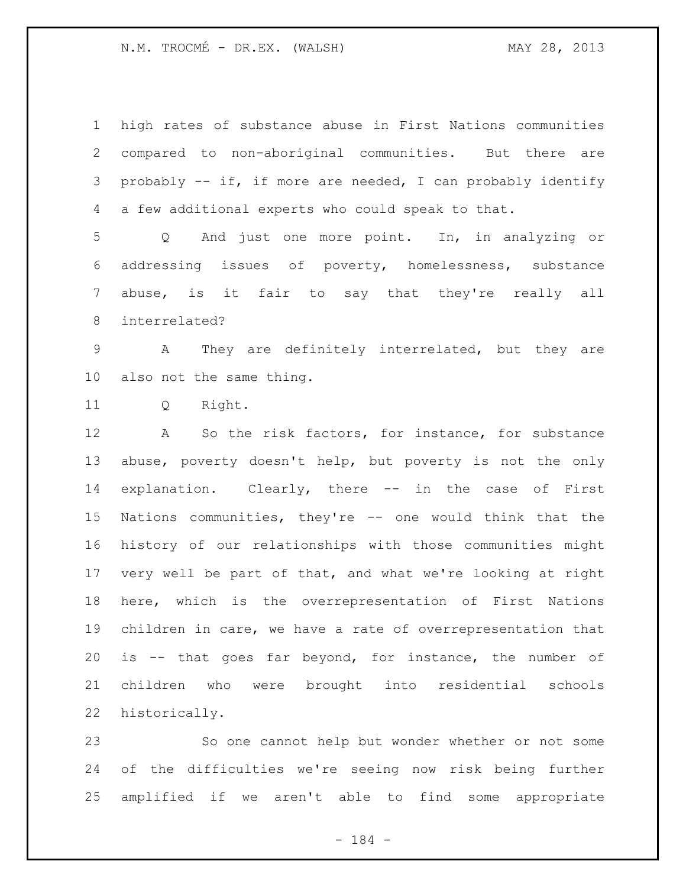N.M. TROCMÉ - DR.EX. (WALSH) MAY 28, 2013

 high rates of substance abuse in First Nations communities compared to non-aboriginal communities. But there are probably -- if, if more are needed, I can probably identify a few additional experts who could speak to that.

 Q And just one more point. In, in analyzing or addressing issues of poverty, homelessness, substance abuse, is it fair to say that they're really all interrelated?

 A They are definitely interrelated, but they are also not the same thing.

Q Right.

 A So the risk factors, for instance, for substance abuse, poverty doesn't help, but poverty is not the only explanation. Clearly, there -- in the case of First Nations communities, they're -- one would think that the history of our relationships with those communities might very well be part of that, and what we're looking at right here, which is the overrepresentation of First Nations children in care, we have a rate of overrepresentation that is -- that goes far beyond, for instance, the number of children who were brought into residential schools historically.

 So one cannot help but wonder whether or not some of the difficulties we're seeing now risk being further amplified if we aren't able to find some appropriate

- 184 -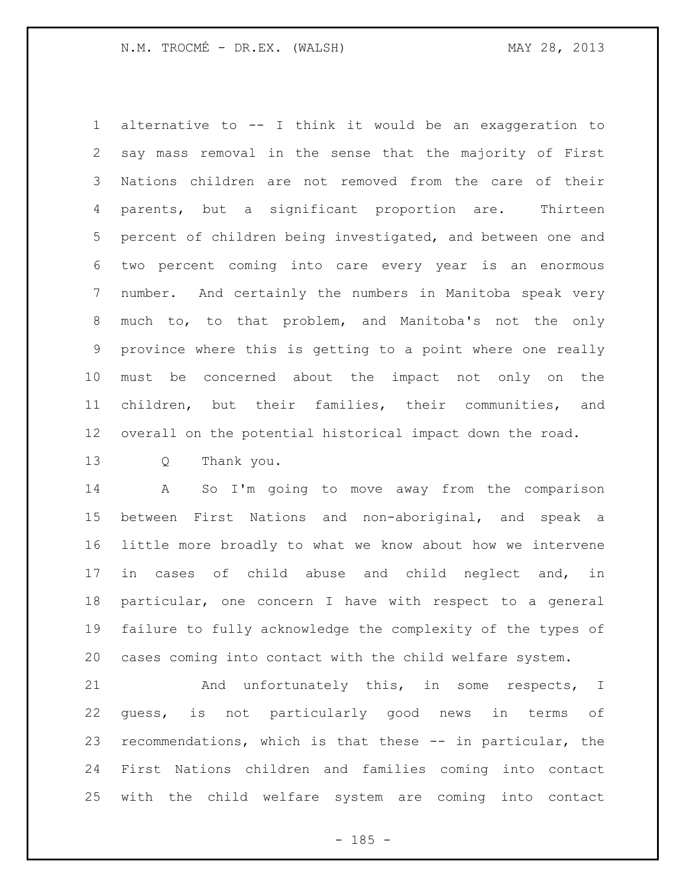alternative to -- I think it would be an exaggeration to say mass removal in the sense that the majority of First Nations children are not removed from the care of their parents, but a significant proportion are. Thirteen percent of children being investigated, and between one and two percent coming into care every year is an enormous number. And certainly the numbers in Manitoba speak very much to, to that problem, and Manitoba's not the only province where this is getting to a point where one really must be concerned about the impact not only on the children, but their families, their communities, and overall on the potential historical impact down the road.

Q Thank you.

 A So I'm going to move away from the comparison between First Nations and non-aboriginal, and speak a little more broadly to what we know about how we intervene in cases of child abuse and child neglect and, in particular, one concern I have with respect to a general failure to fully acknowledge the complexity of the types of cases coming into contact with the child welfare system.

 And unfortunately this, in some respects, I guess, is not particularly good news in terms of recommendations, which is that these -- in particular, the First Nations children and families coming into contact with the child welfare system are coming into contact

 $- 185 -$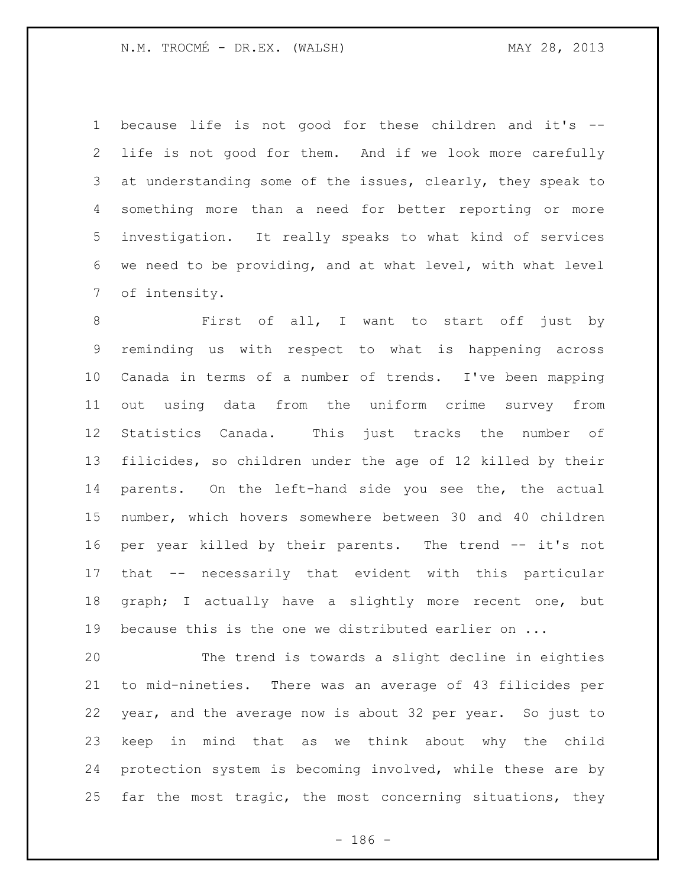because life is not good for these children and it's -- life is not good for them. And if we look more carefully at understanding some of the issues, clearly, they speak to something more than a need for better reporting or more investigation. It really speaks to what kind of services we need to be providing, and at what level, with what level of intensity.

 First of all, I want to start off just by reminding us with respect to what is happening across Canada in terms of a number of trends. I've been mapping out using data from the uniform crime survey from Statistics Canada. This just tracks the number of filicides, so children under the age of 12 killed by their parents. On the left-hand side you see the, the actual number, which hovers somewhere between 30 and 40 children per year killed by their parents. The trend -- it's not that -- necessarily that evident with this particular graph; I actually have a slightly more recent one, but because this is the one we distributed earlier on ...

 The trend is towards a slight decline in eighties to mid-nineties. There was an average of 43 filicides per year, and the average now is about 32 per year. So just to keep in mind that as we think about why the child protection system is becoming involved, while these are by far the most tragic, the most concerning situations, they

- 186 -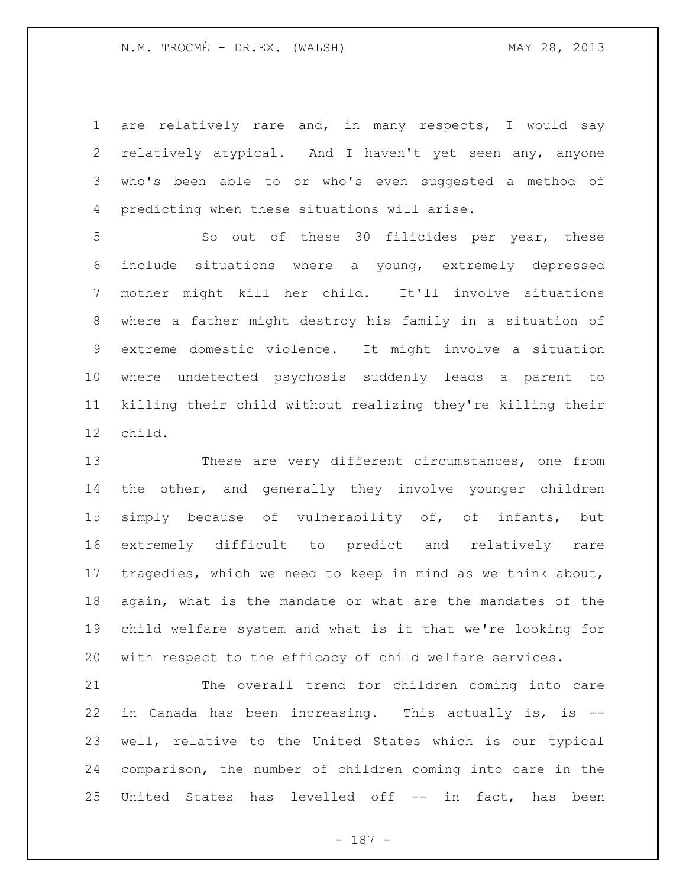are relatively rare and, in many respects, I would say relatively atypical. And I haven't yet seen any, anyone who's been able to or who's even suggested a method of predicting when these situations will arise.

 So out of these 30 filicides per year, these include situations where a young, extremely depressed mother might kill her child. It'll involve situations where a father might destroy his family in a situation of extreme domestic violence. It might involve a situation where undetected psychosis suddenly leads a parent to killing their child without realizing they're killing their child.

 These are very different circumstances, one from the other, and generally they involve younger children simply because of vulnerability of, of infants, but extremely difficult to predict and relatively rare tragedies, which we need to keep in mind as we think about, again, what is the mandate or what are the mandates of the child welfare system and what is it that we're looking for with respect to the efficacy of child welfare services.

 The overall trend for children coming into care in Canada has been increasing. This actually is, is -- well, relative to the United States which is our typical comparison, the number of children coming into care in the United States has levelled off -- in fact, has been

- 187 -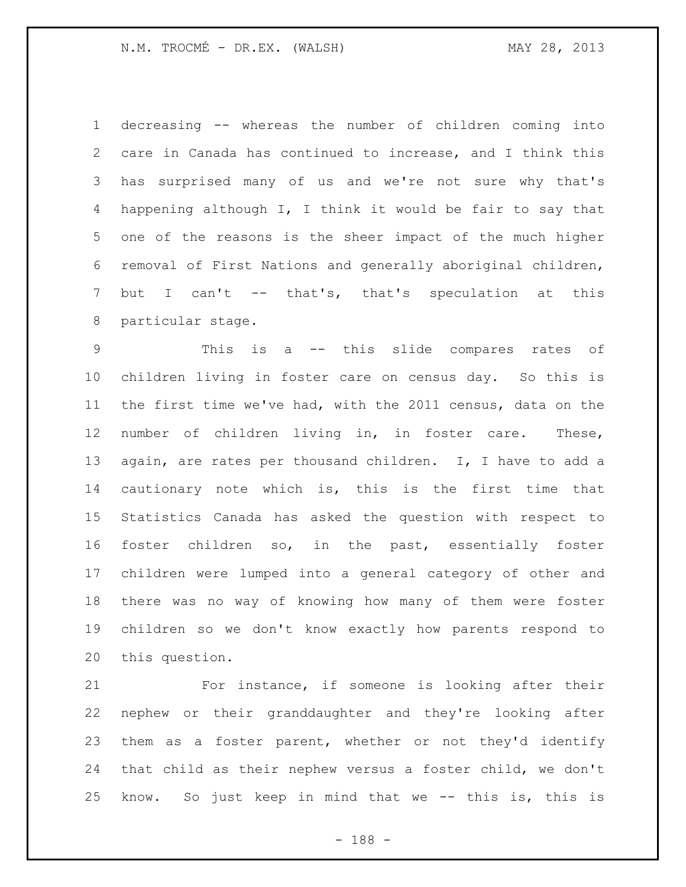N.M. TROCMÉ - DR.EX. (WALSH) MAY 28, 2013

 decreasing -- whereas the number of children coming into care in Canada has continued to increase, and I think this has surprised many of us and we're not sure why that's happening although I, I think it would be fair to say that one of the reasons is the sheer impact of the much higher removal of First Nations and generally aboriginal children, but I can't -- that's, that's speculation at this particular stage.

 This is a -- this slide compares rates of children living in foster care on census day. So this is the first time we've had, with the 2011 census, data on the number of children living in, in foster care. These, again, are rates per thousand children. I, I have to add a cautionary note which is, this is the first time that Statistics Canada has asked the question with respect to foster children so, in the past, essentially foster children were lumped into a general category of other and there was no way of knowing how many of them were foster children so we don't know exactly how parents respond to this question.

 For instance, if someone is looking after their nephew or their granddaughter and they're looking after them as a foster parent, whether or not they'd identify that child as their nephew versus a foster child, we don't know. So just keep in mind that we -- this is, this is

- 188 -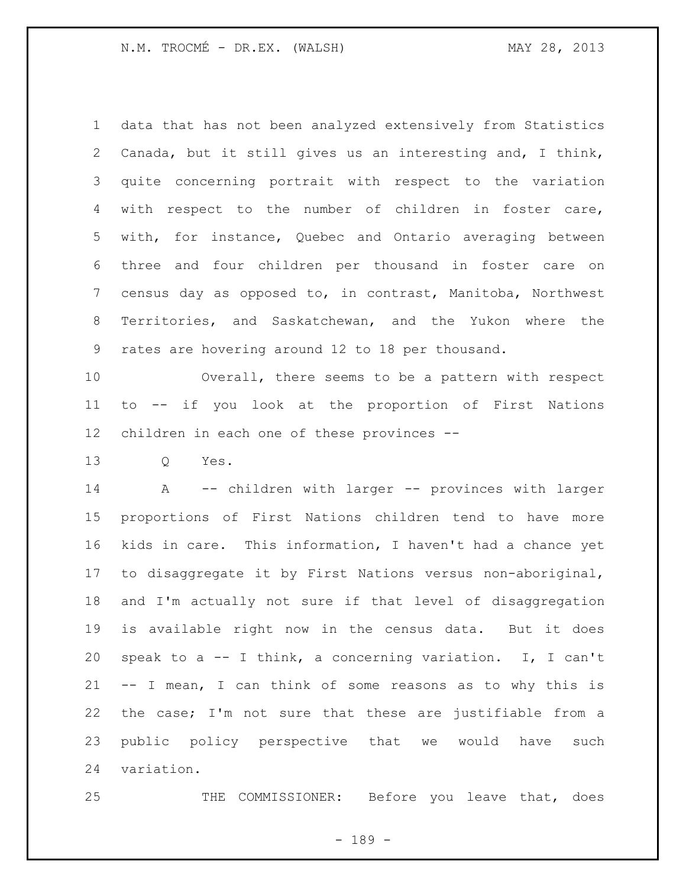data that has not been analyzed extensively from Statistics Canada, but it still gives us an interesting and, I think, quite concerning portrait with respect to the variation with respect to the number of children in foster care, with, for instance, Quebec and Ontario averaging between three and four children per thousand in foster care on census day as opposed to, in contrast, Manitoba, Northwest Territories, and Saskatchewan, and the Yukon where the rates are hovering around 12 to 18 per thousand.

 Overall, there seems to be a pattern with respect to -- if you look at the proportion of First Nations children in each one of these provinces --

Q Yes.

 A -- children with larger -- provinces with larger proportions of First Nations children tend to have more kids in care. This information, I haven't had a chance yet to disaggregate it by First Nations versus non-aboriginal, and I'm actually not sure if that level of disaggregation is available right now in the census data. But it does speak to a -- I think, a concerning variation. I, I can't -- I mean, I can think of some reasons as to why this is the case; I'm not sure that these are justifiable from a public policy perspective that we would have such variation.

THE COMMISSIONER: Before you leave that, does

- 189 -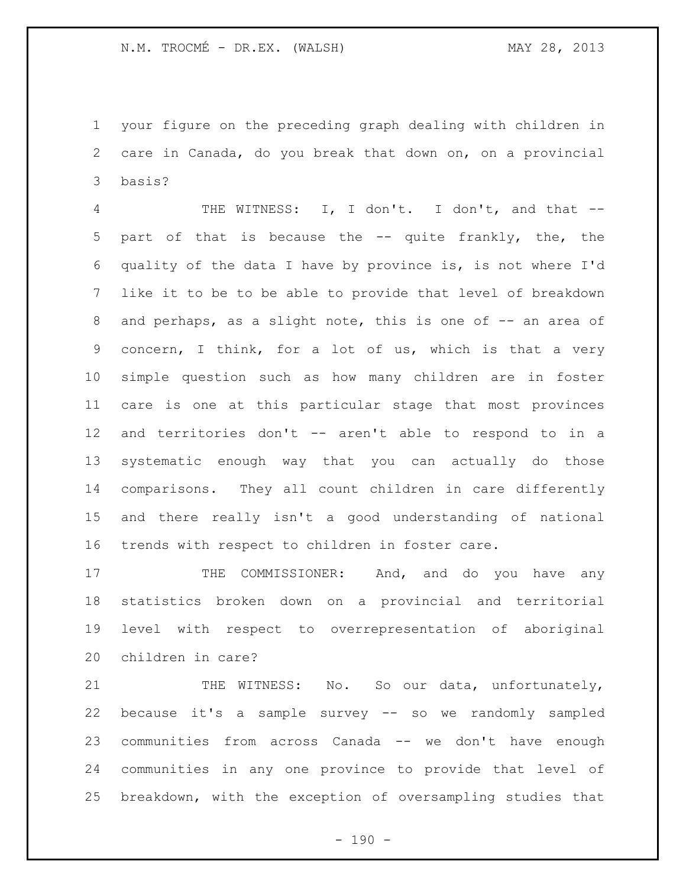your figure on the preceding graph dealing with children in care in Canada, do you break that down on, on a provincial basis?

 THE WITNESS: I, I don't. I don't, and that -- part of that is because the -- quite frankly, the, the quality of the data I have by province is, is not where I'd like it to be to be able to provide that level of breakdown 8 and perhaps, as a slight note, this is one of -- an area of concern, I think, for a lot of us, which is that a very simple question such as how many children are in foster care is one at this particular stage that most provinces and territories don't -- aren't able to respond to in a systematic enough way that you can actually do those comparisons. They all count children in care differently and there really isn't a good understanding of national trends with respect to children in foster care.

17 THE COMMISSIONER: And, and do you have any statistics broken down on a provincial and territorial level with respect to overrepresentation of aboriginal children in care?

21 THE WITNESS: No. So our data, unfortunately, because it's a sample survey -- so we randomly sampled communities from across Canada -- we don't have enough communities in any one province to provide that level of breakdown, with the exception of oversampling studies that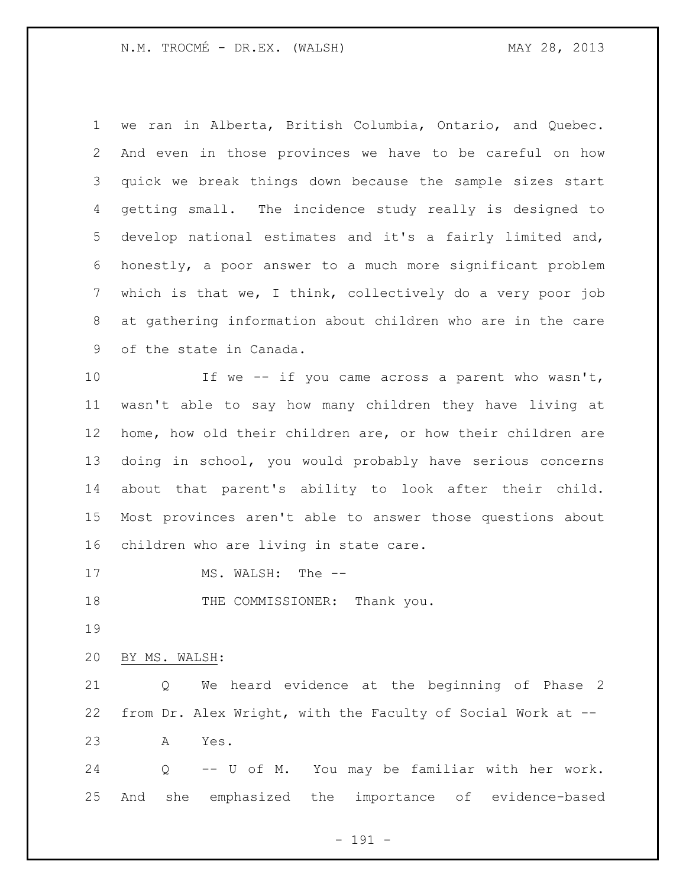N.M. TROCMÉ - DR.EX. (WALSH) MAY 28, 2013

 we ran in Alberta, British Columbia, Ontario, and Quebec. And even in those provinces we have to be careful on how quick we break things down because the sample sizes start getting small. The incidence study really is designed to develop national estimates and it's a fairly limited and, honestly, a poor answer to a much more significant problem which is that we, I think, collectively do a very poor job at gathering information about children who are in the care of the state in Canada. 10 If we -- if you came across a parent who wasn't, wasn't able to say how many children they have living at home, how old their children are, or how their children are doing in school, you would probably have serious concerns about that parent's ability to look after their child. Most provinces aren't able to answer those questions about children who are living in state care. 17 MS. WALSH: The --18 THE COMMISSIONER: Thank you. BY MS. WALSH: Q We heard evidence at the beginning of Phase 2 from Dr. Alex Wright, with the Faculty of Social Work at -- A Yes. Q -- U of M. You may be familiar with her work. And she emphasized the importance of evidence-based

- 191 -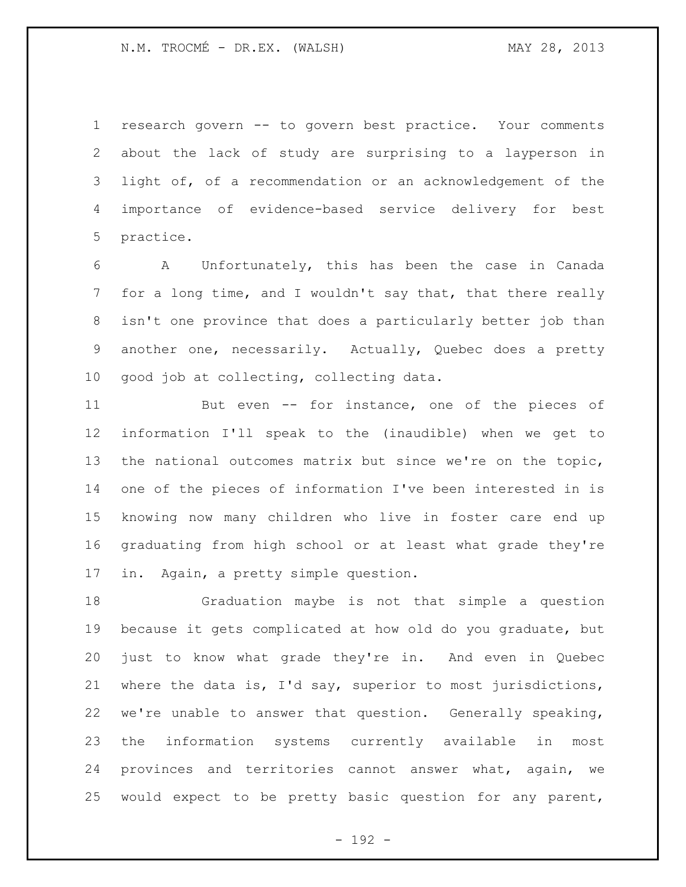research govern -- to govern best practice. Your comments about the lack of study are surprising to a layperson in light of, of a recommendation or an acknowledgement of the importance of evidence-based service delivery for best practice.

 A Unfortunately, this has been the case in Canada 7 for a long time, and I wouldn't say that, that there really isn't one province that does a particularly better job than another one, necessarily. Actually, Quebec does a pretty good job at collecting, collecting data.

 But even -- for instance, one of the pieces of information I'll speak to the (inaudible) when we get to the national outcomes matrix but since we're on the topic, one of the pieces of information I've been interested in is knowing now many children who live in foster care end up graduating from high school or at least what grade they're in. Again, a pretty simple question.

 Graduation maybe is not that simple a question because it gets complicated at how old do you graduate, but just to know what grade they're in. And even in Quebec where the data is, I'd say, superior to most jurisdictions, we're unable to answer that question. Generally speaking, the information systems currently available in most provinces and territories cannot answer what, again, we would expect to be pretty basic question for any parent,

- 192 -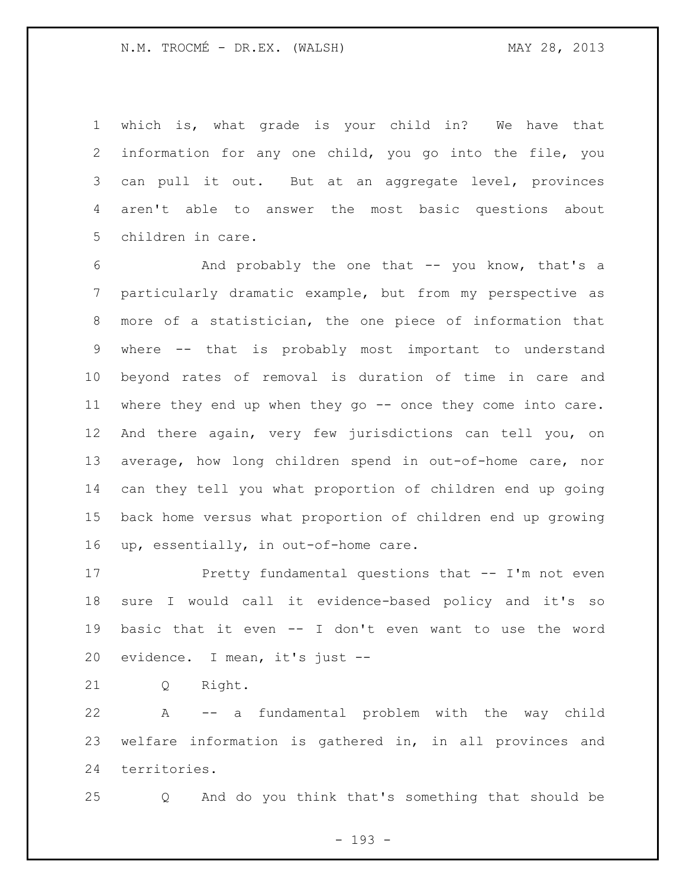which is, what grade is your child in? We have that information for any one child, you go into the file, you can pull it out. But at an aggregate level, provinces aren't able to answer the most basic questions about children in care.

 And probably the one that -- you know, that's a particularly dramatic example, but from my perspective as more of a statistician, the one piece of information that where -- that is probably most important to understand beyond rates of removal is duration of time in care and where they end up when they go -- once they come into care. And there again, very few jurisdictions can tell you, on average, how long children spend in out-of-home care, nor can they tell you what proportion of children end up going back home versus what proportion of children end up growing up, essentially, in out-of-home care.

 Pretty fundamental questions that -- I'm not even sure I would call it evidence-based policy and it's so basic that it even -- I don't even want to use the word evidence. I mean, it's just --

Q Right.

 A -- a fundamental problem with the way child welfare information is gathered in, in all provinces and territories.

Q And do you think that's something that should be

- 193 -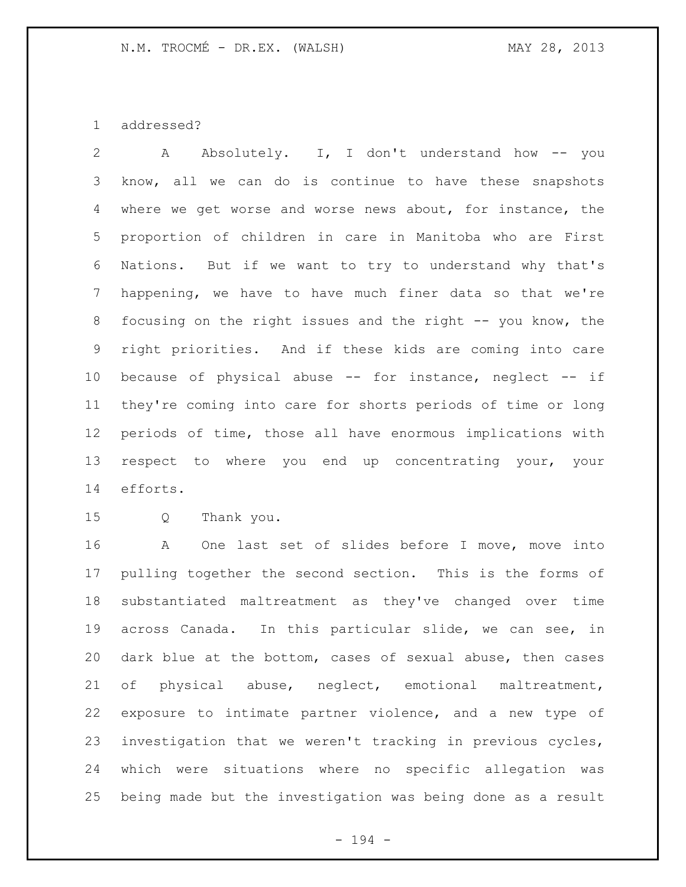addressed?

 A Absolutely. I, I don't understand how -- you know, all we can do is continue to have these snapshots where we get worse and worse news about, for instance, the proportion of children in care in Manitoba who are First Nations. But if we want to try to understand why that's happening, we have to have much finer data so that we're 8 focusing on the right issues and the right -- you know, the right priorities. And if these kids are coming into care because of physical abuse -- for instance, neglect -- if they're coming into care for shorts periods of time or long periods of time, those all have enormous implications with respect to where you end up concentrating your, your efforts.

Q Thank you.

 A One last set of slides before I move, move into pulling together the second section. This is the forms of substantiated maltreatment as they've changed over time across Canada. In this particular slide, we can see, in dark blue at the bottom, cases of sexual abuse, then cases of physical abuse, neglect, emotional maltreatment, exposure to intimate partner violence, and a new type of investigation that we weren't tracking in previous cycles, which were situations where no specific allegation was being made but the investigation was being done as a result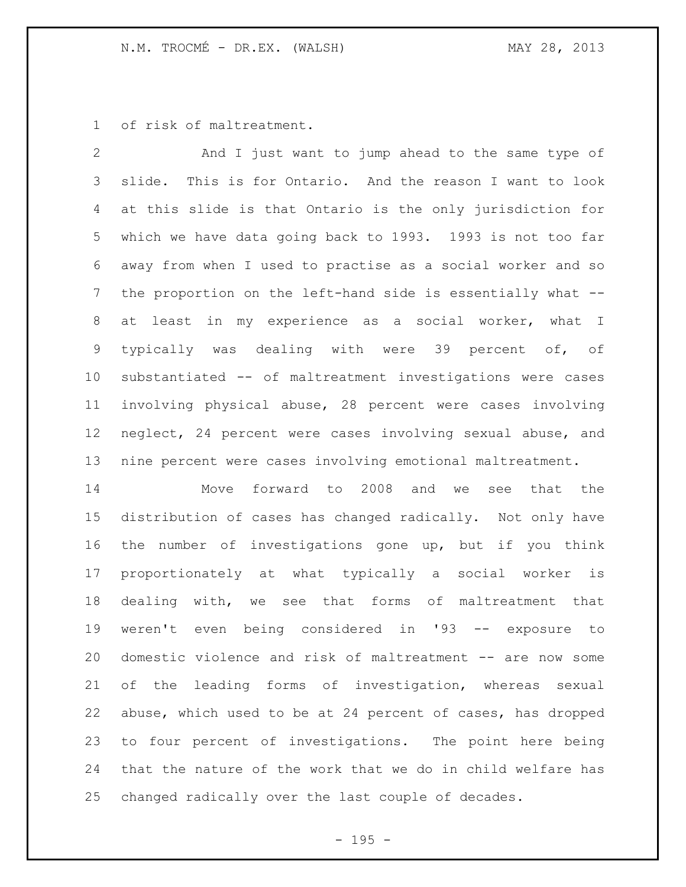of risk of maltreatment.

 And I just want to jump ahead to the same type of slide. This is for Ontario. And the reason I want to look at this slide is that Ontario is the only jurisdiction for which we have data going back to 1993. 1993 is not too far away from when I used to practise as a social worker and so the proportion on the left-hand side is essentially what -- at least in my experience as a social worker, what I typically was dealing with were 39 percent of, of substantiated -- of maltreatment investigations were cases involving physical abuse, 28 percent were cases involving neglect, 24 percent were cases involving sexual abuse, and nine percent were cases involving emotional maltreatment.

 Move forward to 2008 and we see that the distribution of cases has changed radically. Not only have the number of investigations gone up, but if you think proportionately at what typically a social worker is dealing with, we see that forms of maltreatment that weren't even being considered in '93 -- exposure to domestic violence and risk of maltreatment -- are now some of the leading forms of investigation, whereas sexual abuse, which used to be at 24 percent of cases, has dropped to four percent of investigations. The point here being that the nature of the work that we do in child welfare has changed radically over the last couple of decades.

- 195 -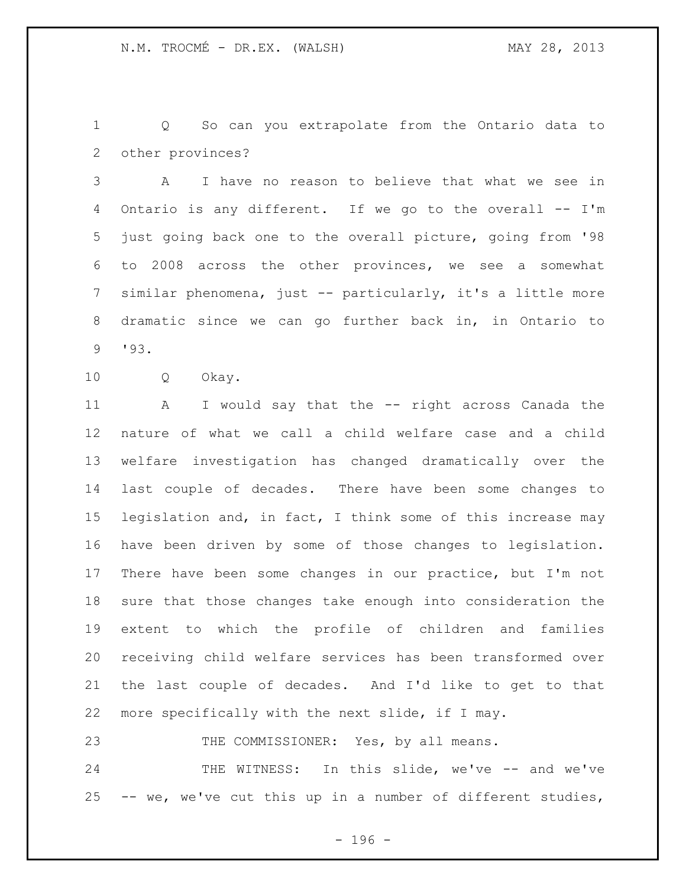Q So can you extrapolate from the Ontario data to other provinces?

 A I have no reason to believe that what we see in Ontario is any different. If we go to the overall -- I'm just going back one to the overall picture, going from '98 to 2008 across the other provinces, we see a somewhat similar phenomena, just -- particularly, it's a little more dramatic since we can go further back in, in Ontario to '93.

Q Okay.

 A I would say that the -- right across Canada the nature of what we call a child welfare case and a child welfare investigation has changed dramatically over the last couple of decades. There have been some changes to 15 legislation and, in fact, I think some of this increase may have been driven by some of those changes to legislation. There have been some changes in our practice, but I'm not sure that those changes take enough into consideration the extent to which the profile of children and families receiving child welfare services has been transformed over the last couple of decades. And I'd like to get to that more specifically with the next slide, if I may.

23 THE COMMISSIONER: Yes, by all means.

24 THE WITNESS: In this slide, we've -- and we've -- we, we've cut this up in a number of different studies,

- 196 -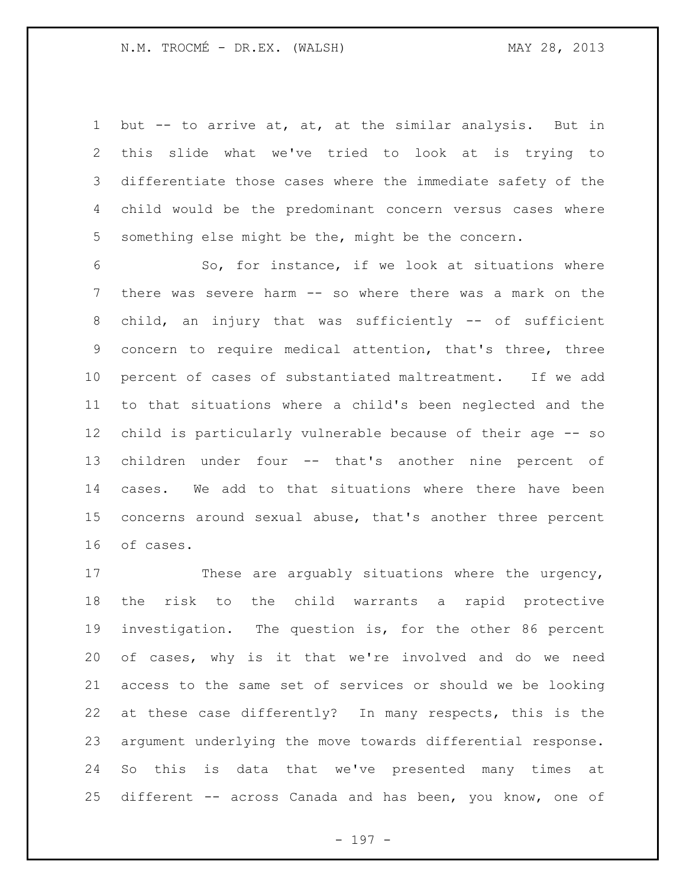but -- to arrive at, at, at the similar analysis. But in this slide what we've tried to look at is trying to differentiate those cases where the immediate safety of the child would be the predominant concern versus cases where something else might be the, might be the concern.

 So, for instance, if we look at situations where there was severe harm -- so where there was a mark on the child, an injury that was sufficiently -- of sufficient concern to require medical attention, that's three, three percent of cases of substantiated maltreatment. If we add to that situations where a child's been neglected and the child is particularly vulnerable because of their age -- so children under four -- that's another nine percent of cases. We add to that situations where there have been concerns around sexual abuse, that's another three percent of cases.

17 These are arguably situations where the urgency, the risk to the child warrants a rapid protective investigation. The question is, for the other 86 percent of cases, why is it that we're involved and do we need access to the same set of services or should we be looking at these case differently? In many respects, this is the argument underlying the move towards differential response. So this is data that we've presented many times at different -- across Canada and has been, you know, one of

- 197 -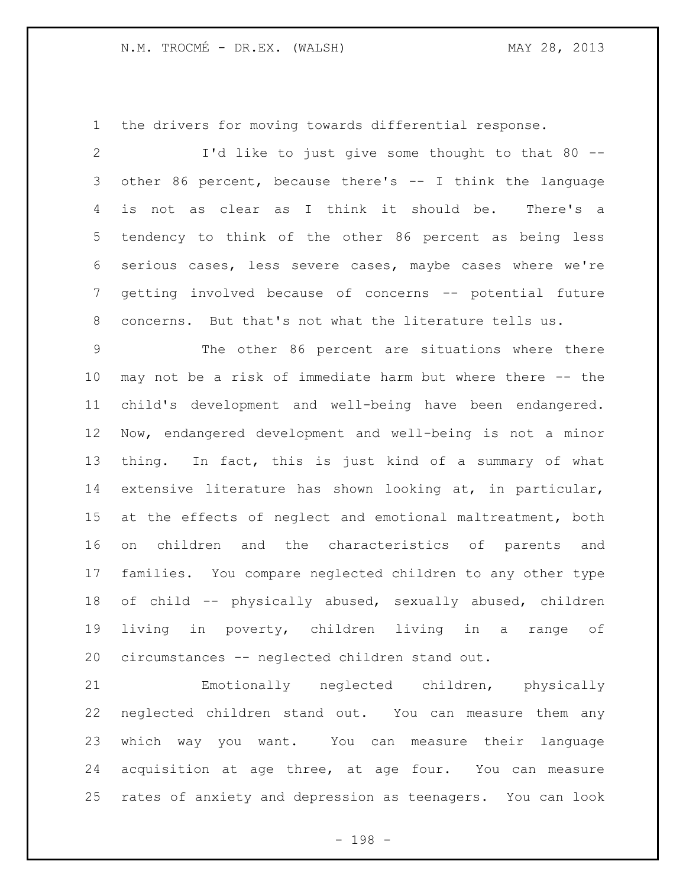the drivers for moving towards differential response.

 I'd like to just give some thought to that 80 -- other 86 percent, because there's -- I think the language is not as clear as I think it should be. There's a tendency to think of the other 86 percent as being less serious cases, less severe cases, maybe cases where we're getting involved because of concerns -- potential future concerns. But that's not what the literature tells us.

 The other 86 percent are situations where there may not be a risk of immediate harm but where there -- the child's development and well-being have been endangered. Now, endangered development and well-being is not a minor thing. In fact, this is just kind of a summary of what extensive literature has shown looking at, in particular, at the effects of neglect and emotional maltreatment, both on children and the characteristics of parents and families. You compare neglected children to any other type of child -- physically abused, sexually abused, children living in poverty, children living in a range of circumstances -- neglected children stand out.

 Emotionally neglected children, physically neglected children stand out. You can measure them any which way you want. You can measure their language acquisition at age three, at age four. You can measure rates of anxiety and depression as teenagers. You can look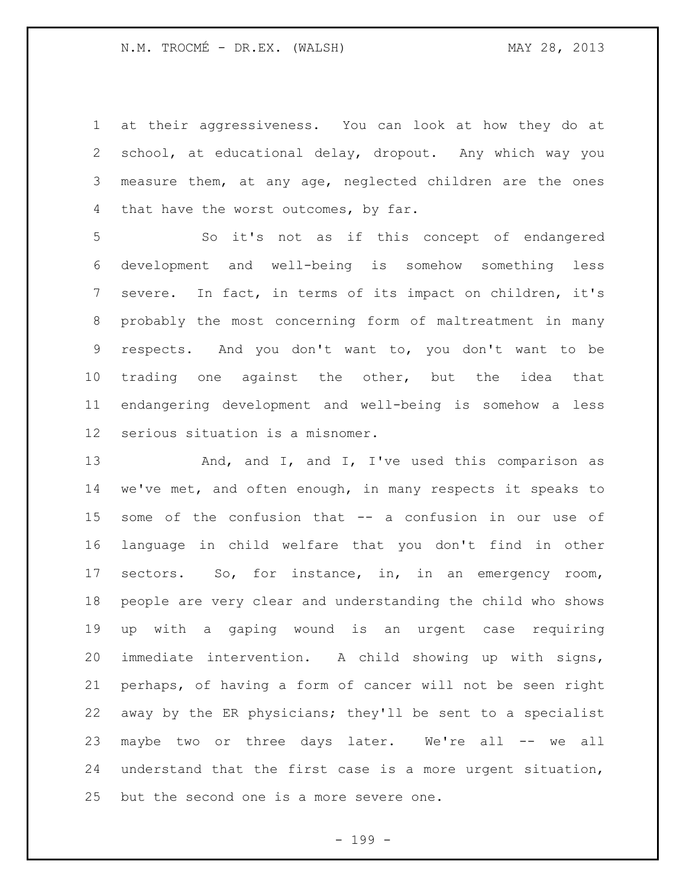at their aggressiveness. You can look at how they do at school, at educational delay, dropout. Any which way you measure them, at any age, neglected children are the ones 4 that have the worst outcomes, by far.

 So it's not as if this concept of endangered development and well-being is somehow something less severe. In fact, in terms of its impact on children, it's probably the most concerning form of maltreatment in many respects. And you don't want to, you don't want to be trading one against the other, but the idea that endangering development and well-being is somehow a less serious situation is a misnomer.

13 And, and I, and I, I've used this comparison as we've met, and often enough, in many respects it speaks to some of the confusion that -- a confusion in our use of language in child welfare that you don't find in other sectors. So, for instance, in, in an emergency room, people are very clear and understanding the child who shows up with a gaping wound is an urgent case requiring immediate intervention. A child showing up with signs, perhaps, of having a form of cancer will not be seen right away by the ER physicians; they'll be sent to a specialist maybe two or three days later. We're all -- we all understand that the first case is a more urgent situation, but the second one is a more severe one.

- 199 -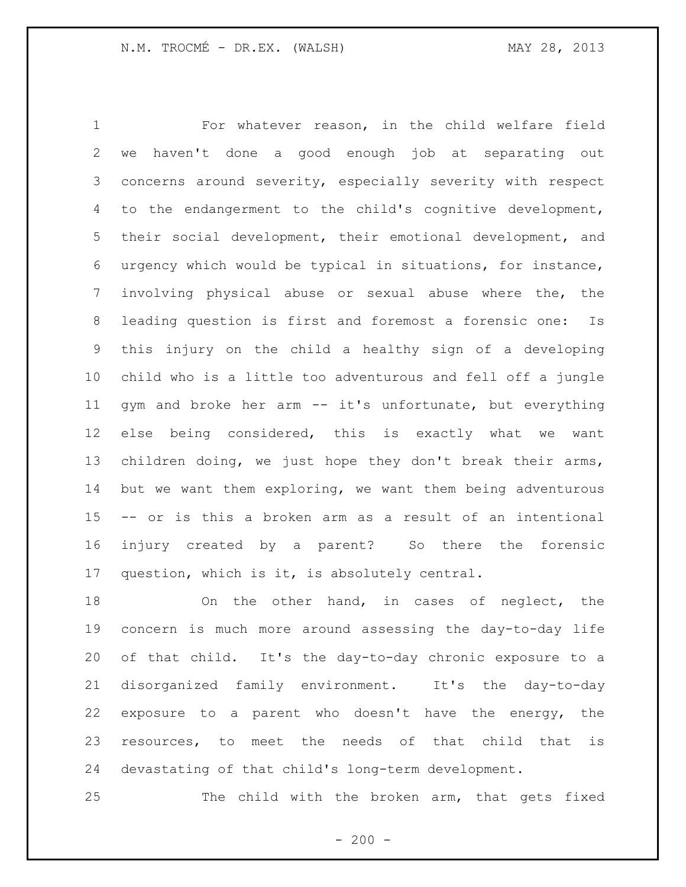For whatever reason, in the child welfare field we haven't done a good enough job at separating out concerns around severity, especially severity with respect to the endangerment to the child's cognitive development, their social development, their emotional development, and urgency which would be typical in situations, for instance, involving physical abuse or sexual abuse where the, the leading question is first and foremost a forensic one: Is this injury on the child a healthy sign of a developing child who is a little too adventurous and fell off a jungle gym and broke her arm -- it's unfortunate, but everything else being considered, this is exactly what we want children doing, we just hope they don't break their arms, but we want them exploring, we want them being adventurous -- or is this a broken arm as a result of an intentional injury created by a parent? So there the forensic question, which is it, is absolutely central.

 On the other hand, in cases of neglect, the concern is much more around assessing the day-to-day life of that child. It's the day-to-day chronic exposure to a disorganized family environment. It's the day-to-day exposure to a parent who doesn't have the energy, the resources, to meet the needs of that child that is devastating of that child's long-term development.

The child with the broken arm, that gets fixed

 $-200 -$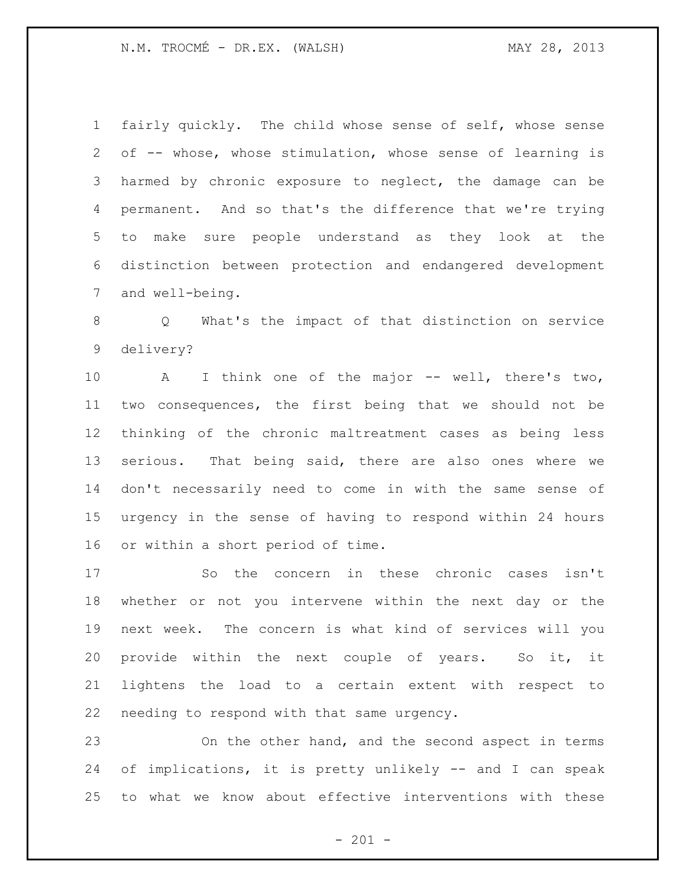fairly quickly. The child whose sense of self, whose sense of -- whose, whose stimulation, whose sense of learning is harmed by chronic exposure to neglect, the damage can be permanent. And so that's the difference that we're trying to make sure people understand as they look at the distinction between protection and endangered development and well-being.

 Q What's the impact of that distinction on service delivery?

 A I think one of the major -- well, there's two, two consequences, the first being that we should not be thinking of the chronic maltreatment cases as being less serious. That being said, there are also ones where we don't necessarily need to come in with the same sense of urgency in the sense of having to respond within 24 hours or within a short period of time.

 So the concern in these chronic cases isn't whether or not you intervene within the next day or the next week. The concern is what kind of services will you provide within the next couple of years. So it, it lightens the load to a certain extent with respect to needing to respond with that same urgency.

 On the other hand, and the second aspect in terms of implications, it is pretty unlikely -- and I can speak to what we know about effective interventions with these

 $- 201 -$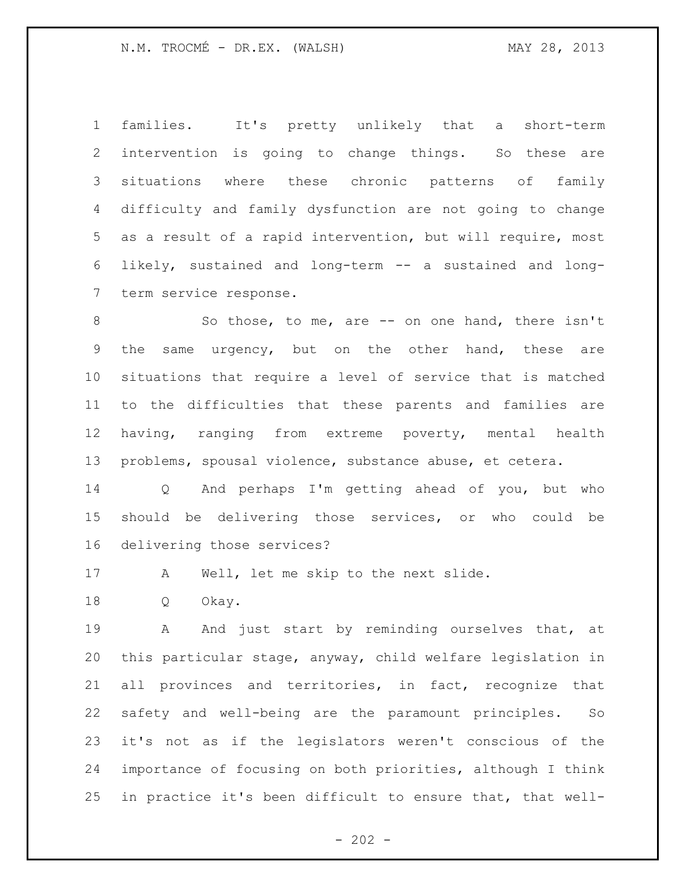N.M. TROCMÉ - DR.EX. (WALSH) MAY 28, 2013

 families. It's pretty unlikely that a short-term intervention is going to change things. So these are situations where these chronic patterns of family difficulty and family dysfunction are not going to change as a result of a rapid intervention, but will require, most likely, sustained and long-term -- a sustained and long-term service response.

 So those, to me, are -- on one hand, there isn't the same urgency, but on the other hand, these are situations that require a level of service that is matched to the difficulties that these parents and families are having, ranging from extreme poverty, mental health problems, spousal violence, substance abuse, et cetera.

 Q And perhaps I'm getting ahead of you, but who should be delivering those services, or who could be delivering those services?

A Well, let me skip to the next slide.

Q Okay.

19 A And just start by reminding ourselves that, at this particular stage, anyway, child welfare legislation in all provinces and territories, in fact, recognize that safety and well-being are the paramount principles. So it's not as if the legislators weren't conscious of the importance of focusing on both priorities, although I think in practice it's been difficult to ensure that, that well-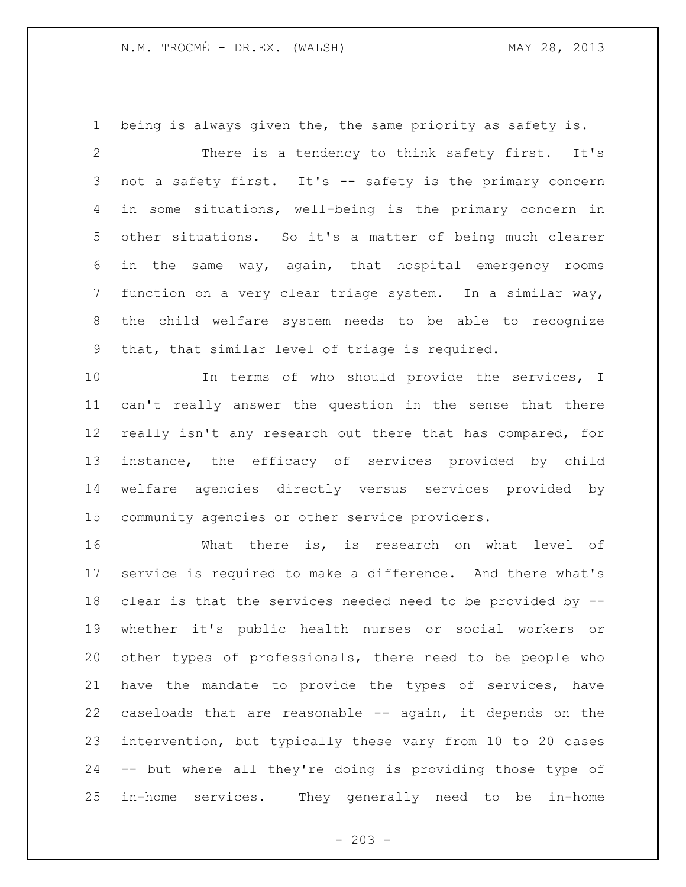## N.M. TROCMÉ - DR.EX. (WALSH) MAY 28, 2013

 being is always given the, the same priority as safety is. There is a tendency to think safety first. It's not a safety first. It's -- safety is the primary concern in some situations, well-being is the primary concern in other situations. So it's a matter of being much clearer in the same way, again, that hospital emergency rooms function on a very clear triage system. In a similar way, the child welfare system needs to be able to recognize that, that similar level of triage is required.

10 In terms of who should provide the services, I can't really answer the question in the sense that there really isn't any research out there that has compared, for instance, the efficacy of services provided by child welfare agencies directly versus services provided by community agencies or other service providers.

 What there is, is research on what level of service is required to make a difference. And there what's clear is that the services needed need to be provided by -- whether it's public health nurses or social workers or other types of professionals, there need to be people who have the mandate to provide the types of services, have caseloads that are reasonable -- again, it depends on the intervention, but typically these vary from 10 to 20 cases -- but where all they're doing is providing those type of in-home services. They generally need to be in-home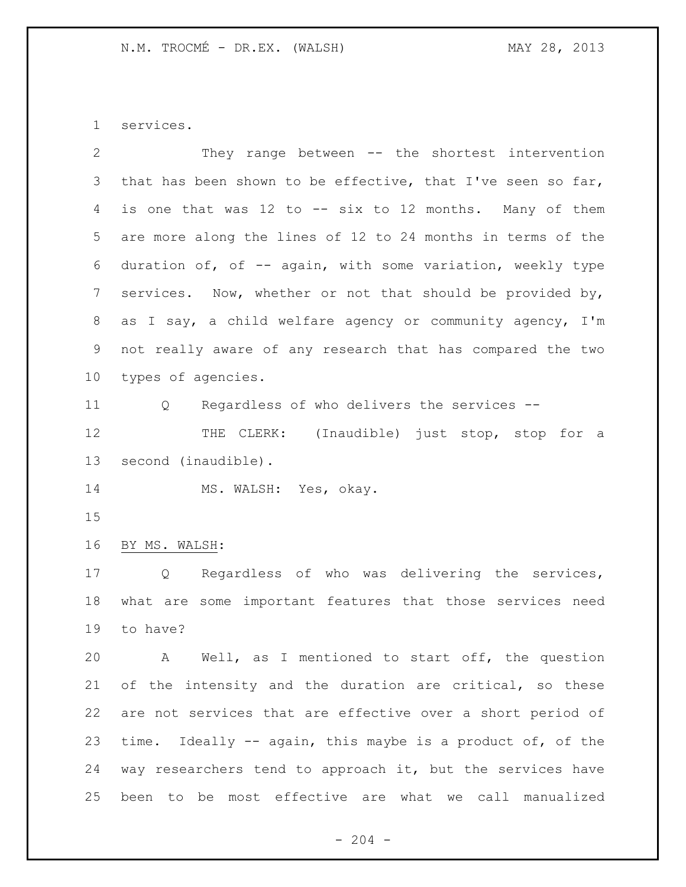services.

| 2               | They range between -- the shortest intervention                |
|-----------------|----------------------------------------------------------------|
| 3               | that has been shown to be effective, that I've seen so far,    |
| 4               | is one that was 12 to -- six to 12 months. Many of them        |
| 5               | are more along the lines of 12 to 24 months in terms of the    |
| 6               | duration of, of -- again, with some variation, weekly type     |
| $7\phantom{.0}$ | services. Now, whether or not that should be provided by,      |
| 8               | as I say, a child welfare agency or community agency, I'm      |
| 9               | not really aware of any research that has compared the two     |
| 10 <sub>o</sub> | types of agencies.                                             |
| 11              | Regardless of who delivers the services --<br>Q                |
| 12              | THE CLERK: (Inaudible) just stop, stop for a                   |
| 13              | second (inaudible).                                            |
| 14              | MS. WALSH: Yes, okay.                                          |
| 15              |                                                                |
| 16              | BY MS. WALSH:                                                  |
| 17              | Regardless of who was delivering the services,<br>Q            |
| 18              | what are some important features that those services need      |
| 19              | to have?                                                       |
| 20              | Well, as I mentioned to start off, the question<br>$\mathbb A$ |
| 21              | of the intensity and the duration are critical, so these       |
| 22              | are not services that are effective over a short period of     |
| 23              |                                                                |
|                 | time. Ideally -- again, this maybe is a product of, of the     |
| 24              | way researchers tend to approach it, but the services have     |

 $- 204 -$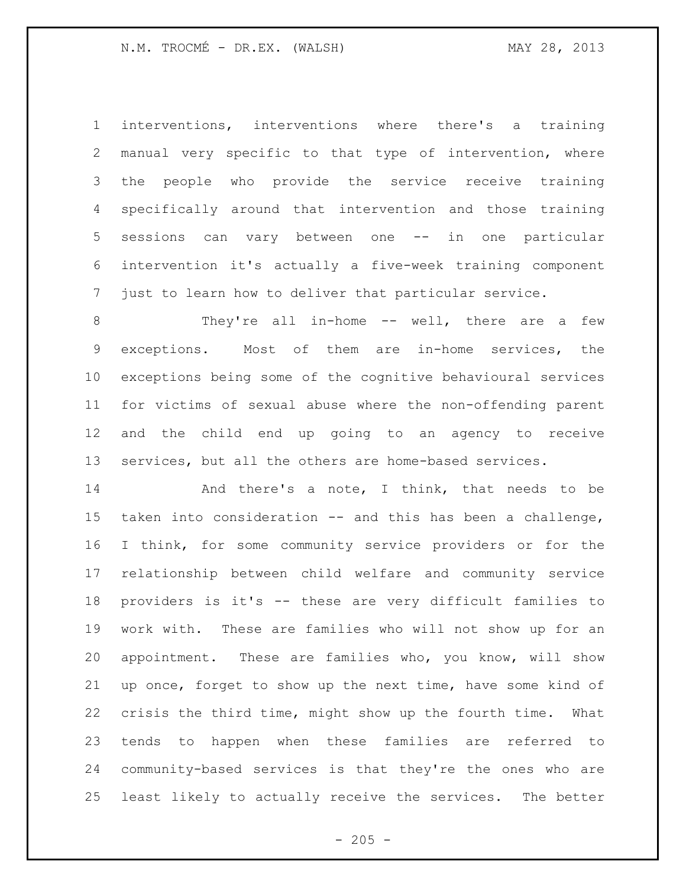interventions, interventions where there's a training manual very specific to that type of intervention, where the people who provide the service receive training specifically around that intervention and those training sessions can vary between one -- in one particular intervention it's actually a five-week training component just to learn how to deliver that particular service.

8 They're all in-home -- well, there are a few exceptions. Most of them are in-home services, the exceptions being some of the cognitive behavioural services for victims of sexual abuse where the non-offending parent and the child end up going to an agency to receive services, but all the others are home-based services.

14 And there's a note, I think, that needs to be taken into consideration -- and this has been a challenge, I think, for some community service providers or for the relationship between child welfare and community service providers is it's -- these are very difficult families to work with. These are families who will not show up for an appointment. These are families who, you know, will show up once, forget to show up the next time, have some kind of crisis the third time, might show up the fourth time. What tends to happen when these families are referred to community-based services is that they're the ones who are least likely to actually receive the services. The better

 $- 205 -$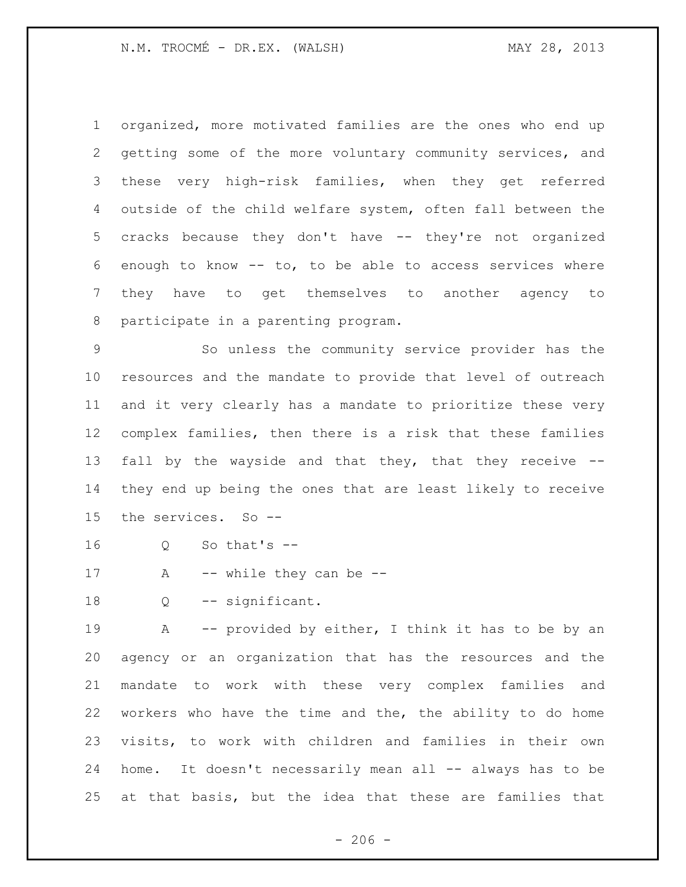organized, more motivated families are the ones who end up getting some of the more voluntary community services, and these very high-risk families, when they get referred outside of the child welfare system, often fall between the cracks because they don't have -- they're not organized enough to know -- to, to be able to access services where they have to get themselves to another agency to participate in a parenting program.

 So unless the community service provider has the resources and the mandate to provide that level of outreach and it very clearly has a mandate to prioritize these very complex families, then there is a risk that these families fall by the wayside and that they, that they receive -- they end up being the ones that are least likely to receive the services. So --

- Q So that's --
- 17 A -- while they can be --
- 18 Q -- significant.

 A -- provided by either, I think it has to be by an agency or an organization that has the resources and the mandate to work with these very complex families and workers who have the time and the, the ability to do home visits, to work with children and families in their own home. It doesn't necessarily mean all -- always has to be at that basis, but the idea that these are families that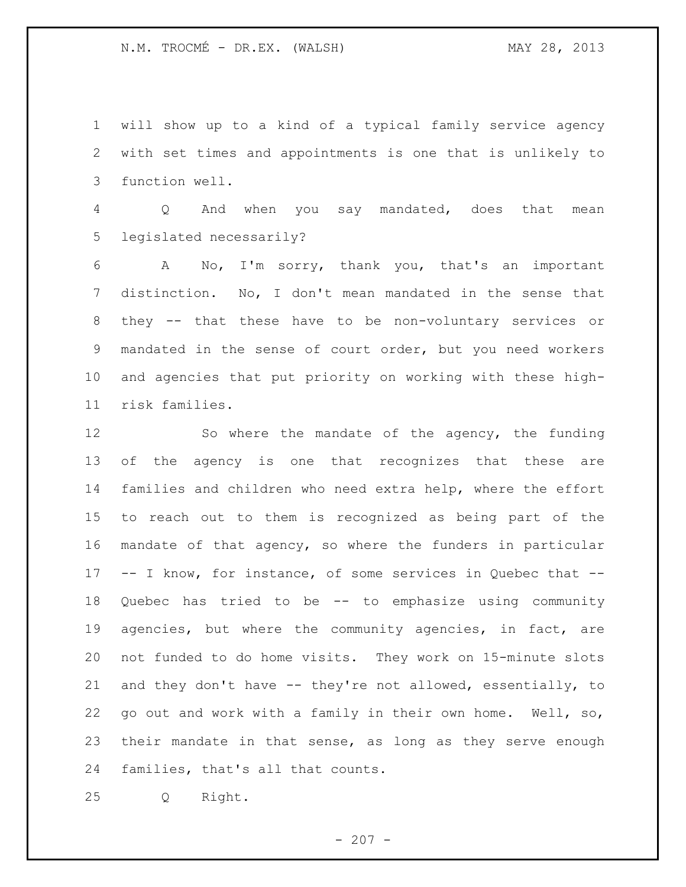will show up to a kind of a typical family service agency with set times and appointments is one that is unlikely to function well.

 Q And when you say mandated, does that mean legislated necessarily?

 A No, I'm sorry, thank you, that's an important distinction. No, I don't mean mandated in the sense that they -- that these have to be non-voluntary services or mandated in the sense of court order, but you need workers and agencies that put priority on working with these high-risk families.

12 So where the mandate of the agency, the funding of the agency is one that recognizes that these are families and children who need extra help, where the effort to reach out to them is recognized as being part of the mandate of that agency, so where the funders in particular -- I know, for instance, of some services in Quebec that -- Quebec has tried to be -- to emphasize using community agencies, but where the community agencies, in fact, are not funded to do home visits. They work on 15-minute slots and they don't have -- they're not allowed, essentially, to go out and work with a family in their own home. Well, so, their mandate in that sense, as long as they serve enough families, that's all that counts.

Q Right.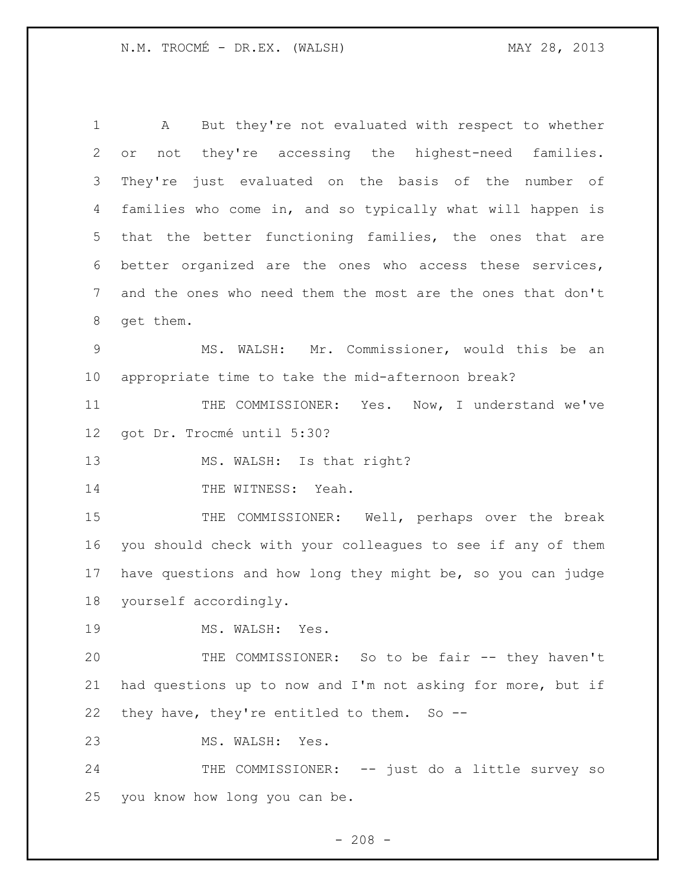A But they're not evaluated with respect to whether or not they're accessing the highest-need families. They're just evaluated on the basis of the number of families who come in, and so typically what will happen is that the better functioning families, the ones that are better organized are the ones who access these services, and the ones who need them the most are the ones that don't get them. MS. WALSH: Mr. Commissioner, would this be an appropriate time to take the mid-afternoon break?

11 THE COMMISSIONER: Yes. Now, I understand we've got Dr. Trocmé until 5:30?

13 MS. WALSH: Is that right?

14 THE WITNESS: Yeah.

15 THE COMMISSIONER: Well, perhaps over the break you should check with your colleagues to see if any of them have questions and how long they might be, so you can judge yourself accordingly.

19 MS. WALSH: Yes.

 THE COMMISSIONER: So to be fair -- they haven't had questions up to now and I'm not asking for more, but if they have, they're entitled to them. So --

MS. WALSH: Yes.

24 THE COMMISSIONER: -- just do a little survey so you know how long you can be.

 $- 208 -$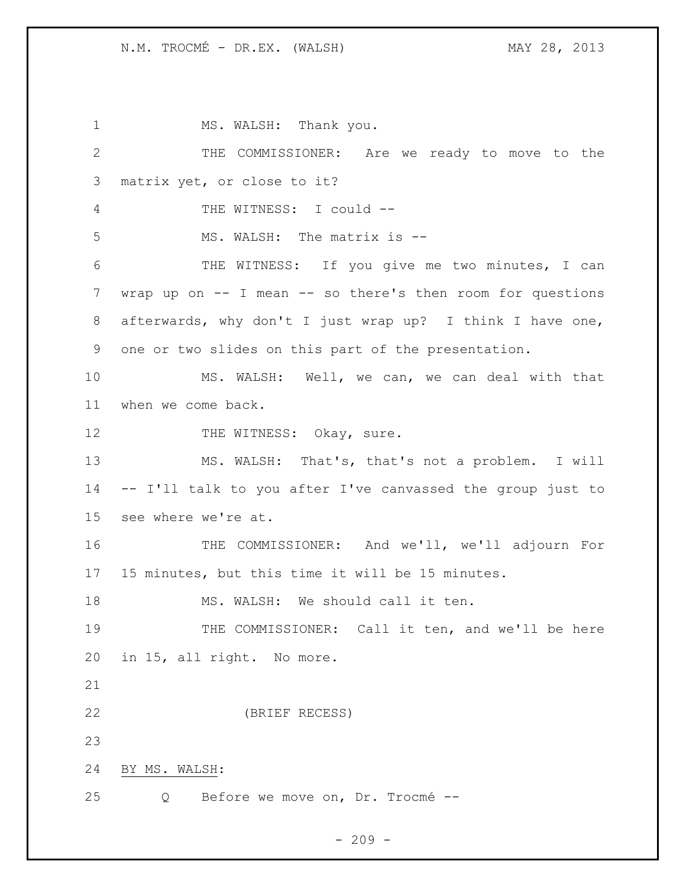1 MS. WALSH: Thank you. THE COMMISSIONER: Are we ready to move to the matrix yet, or close to it? THE WITNESS: I could -- MS. WALSH: The matrix is -- THE WITNESS: If you give me two minutes, I can wrap up on -- I mean -- so there's then room for questions afterwards, why don't I just wrap up? I think I have one, one or two slides on this part of the presentation. MS. WALSH: Well, we can, we can deal with that when we come back. 12 THE WITNESS: Okay, sure. MS. WALSH: That's, that's not a problem. I will -- I'll talk to you after I've canvassed the group just to see where we're at. THE COMMISSIONER: And we'll, we'll adjourn For 15 minutes, but this time it will be 15 minutes. 18 MS. WALSH: We should call it ten. 19 THE COMMISSIONER: Call it ten, and we'll be here in 15, all right. No more. (BRIEF RECESS) BY MS. WALSH: Q Before we move on, Dr. Trocmé --

## $-209 -$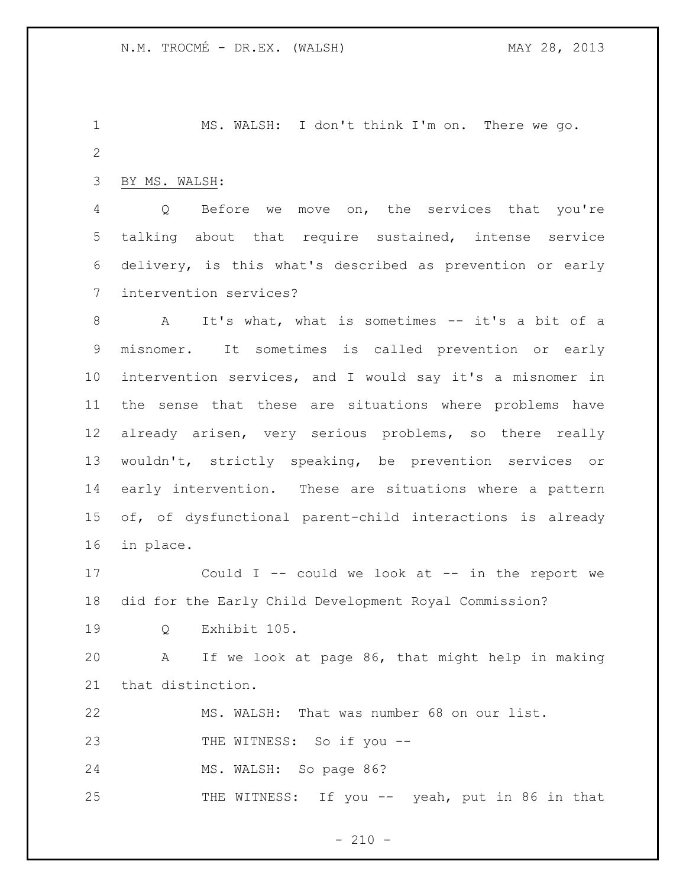MS. WALSH: I don't think I'm on. There we go. 

BY MS. WALSH:

 Q Before we move on, the services that you're talking about that require sustained, intense service delivery, is this what's described as prevention or early intervention services?

 A It's what, what is sometimes -- it's a bit of a misnomer. It sometimes is called prevention or early intervention services, and I would say it's a misnomer in the sense that these are situations where problems have already arisen, very serious problems, so there really wouldn't, strictly speaking, be prevention services or early intervention. These are situations where a pattern of, of dysfunctional parent-child interactions is already in place.

 Could I -- could we look at -- in the report we did for the Early Child Development Royal Commission?

Q Exhibit 105.

 A If we look at page 86, that might help in making that distinction.

MS. WALSH: That was number 68 on our list.

THE WITNESS: So if you --

MS. WALSH: So page 86?

25 THE WITNESS: If you -- yeah, put in 86 in that

 $- 210 -$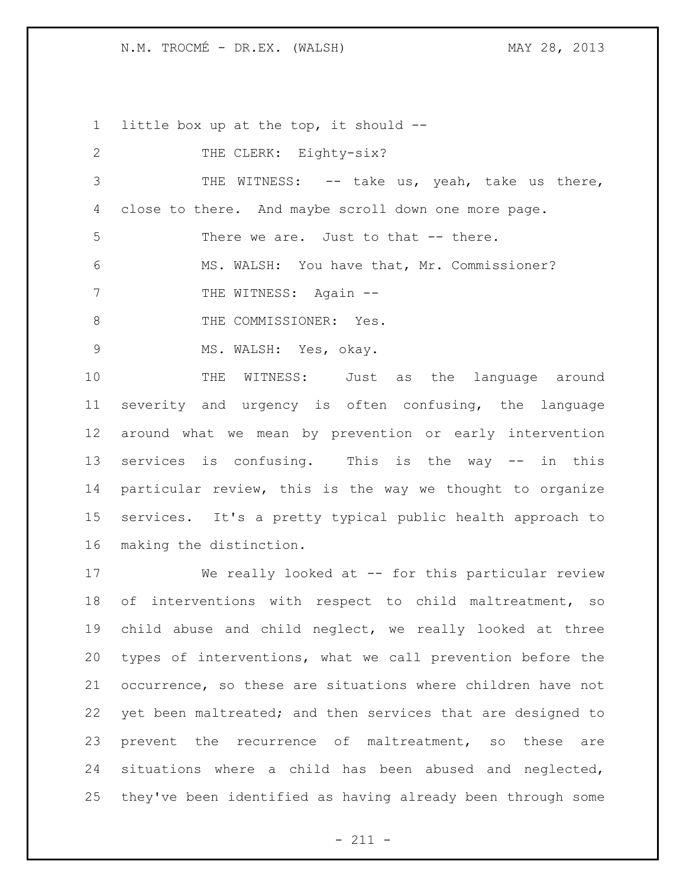N.M. TROCMÉ - DR.EX. (WALSH) MAY 28, 2013

 little box up at the top, it should -- 2 THE CLERK: Eighty-six? THE WITNESS: -- take us, yeah, take us there, close to there. And maybe scroll down one more page. There we are. Just to that -- there. MS. WALSH: You have that, Mr. Commissioner? 7 THE WITNESS: Again --8 THE COMMISSIONER: Yes. 9 MS. WALSH: Yes, okay. THE WITNESS: Just as the language around severity and urgency is often confusing, the language around what we mean by prevention or early intervention services is confusing. This is the way -- in this particular review, this is the way we thought to organize services. It's a pretty typical public health approach to making the distinction. We really looked at -- for this particular review of interventions with respect to child maltreatment, so child abuse and child neglect, we really looked at three

 types of interventions, what we call prevention before the occurrence, so these are situations where children have not yet been maltreated; and then services that are designed to prevent the recurrence of maltreatment, so these are situations where a child has been abused and neglected, they've been identified as having already been through some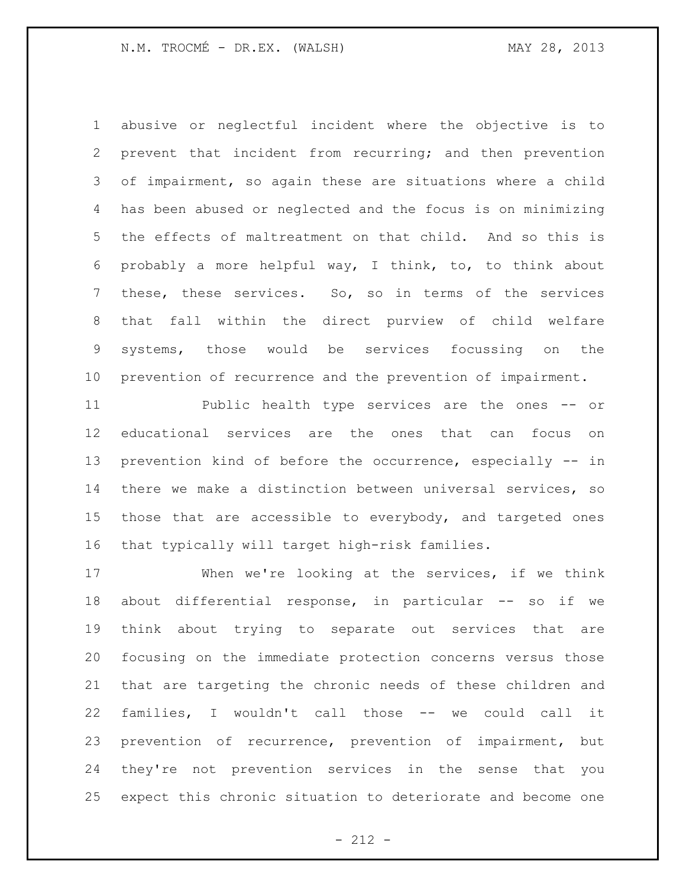abusive or neglectful incident where the objective is to prevent that incident from recurring; and then prevention of impairment, so again these are situations where a child has been abused or neglected and the focus is on minimizing the effects of maltreatment on that child. And so this is probably a more helpful way, I think, to, to think about these, these services. So, so in terms of the services that fall within the direct purview of child welfare systems, those would be services focussing on the prevention of recurrence and the prevention of impairment.

 Public health type services are the ones -- or educational services are the ones that can focus on prevention kind of before the occurrence, especially -- in there we make a distinction between universal services, so those that are accessible to everybody, and targeted ones that typically will target high-risk families.

 When we're looking at the services, if we think 18 about differential response, in particular -- so if we think about trying to separate out services that are focusing on the immediate protection concerns versus those that are targeting the chronic needs of these children and families, I wouldn't call those -- we could call it prevention of recurrence, prevention of impairment, but they're not prevention services in the sense that you expect this chronic situation to deteriorate and become one

- 212 -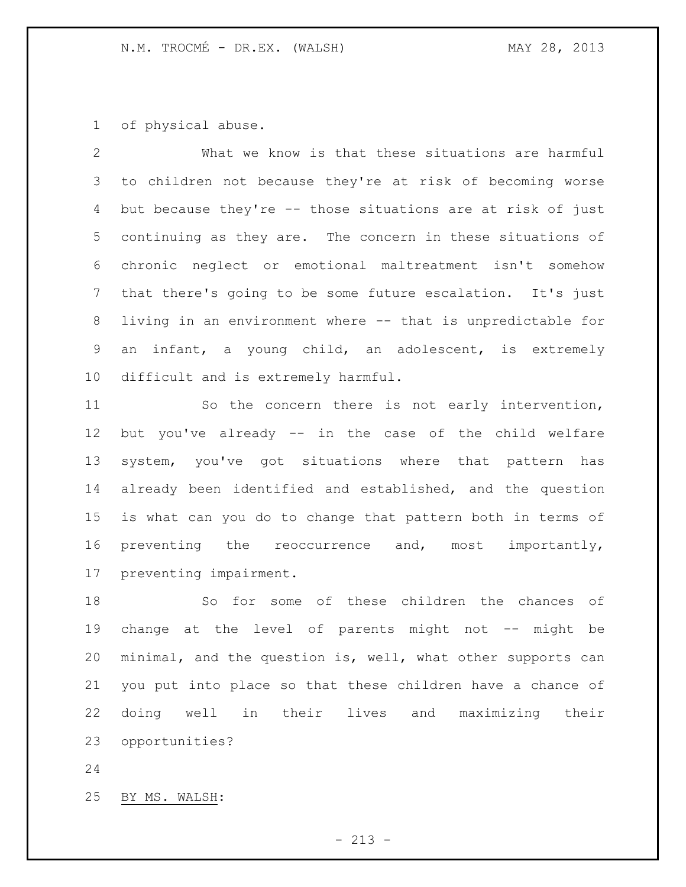of physical abuse.

 What we know is that these situations are harmful to children not because they're at risk of becoming worse but because they're -- those situations are at risk of just continuing as they are. The concern in these situations of chronic neglect or emotional maltreatment isn't somehow that there's going to be some future escalation. It's just living in an environment where -- that is unpredictable for an infant, a young child, an adolescent, is extremely difficult and is extremely harmful.

 So the concern there is not early intervention, but you've already -- in the case of the child welfare system, you've got situations where that pattern has already been identified and established, and the question is what can you do to change that pattern both in terms of preventing the reoccurrence and, most importantly, preventing impairment.

 So for some of these children the chances of change at the level of parents might not -- might be minimal, and the question is, well, what other supports can you put into place so that these children have a chance of doing well in their lives and maximizing their opportunities?

BY MS. WALSH: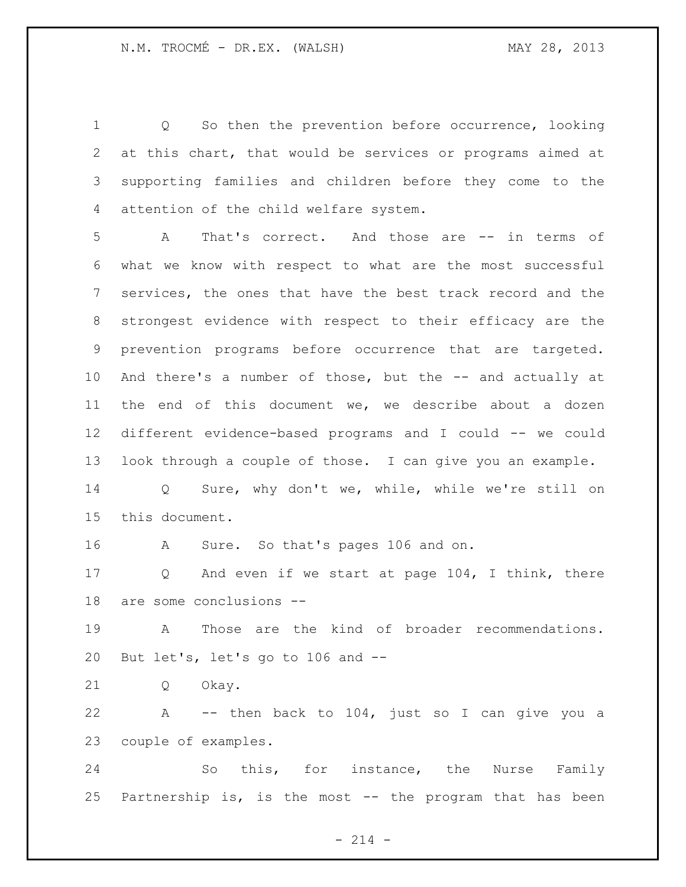Q So then the prevention before occurrence, looking at this chart, that would be services or programs aimed at supporting families and children before they come to the attention of the child welfare system.

 A That's correct. And those are -- in terms of what we know with respect to what are the most successful services, the ones that have the best track record and the strongest evidence with respect to their efficacy are the prevention programs before occurrence that are targeted. And there's a number of those, but the -- and actually at the end of this document we, we describe about a dozen different evidence-based programs and I could -- we could look through a couple of those. I can give you an example.

 Q Sure, why don't we, while, while we're still on this document.

A Sure. So that's pages 106 and on.

 Q And even if we start at page 104, I think, there are some conclusions --

 A Those are the kind of broader recommendations. But let's, let's go to 106 and --

Q Okay.

 A -- then back to 104, just so I can give you a couple of examples.

 So this, for instance, the Nurse Family Partnership is, is the most -- the program that has been

 $- 214 -$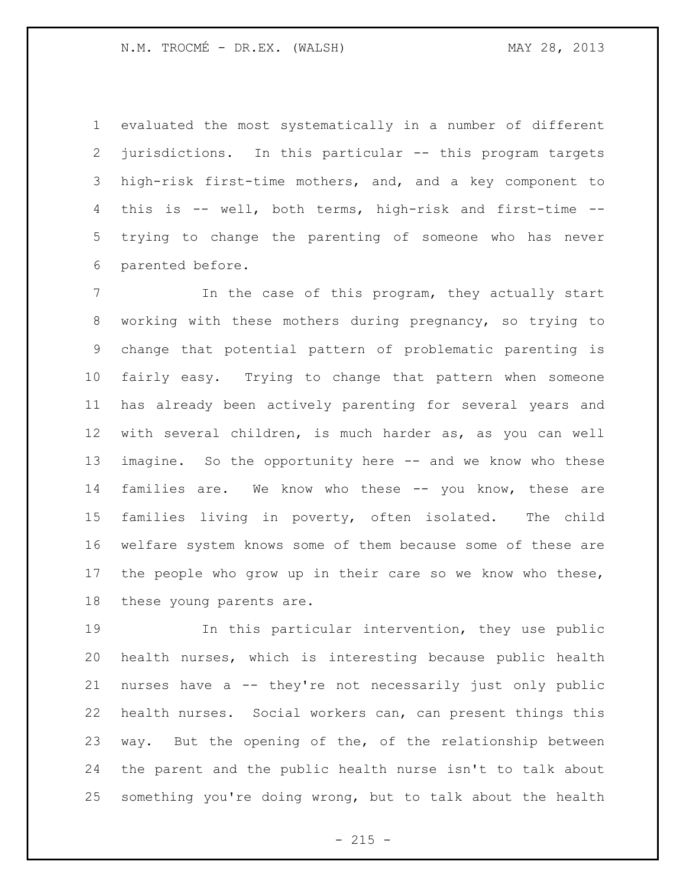evaluated the most systematically in a number of different jurisdictions. In this particular -- this program targets high-risk first-time mothers, and, and a key component to this is -- well, both terms, high-risk and first-time -- trying to change the parenting of someone who has never parented before.

 In the case of this program, they actually start working with these mothers during pregnancy, so trying to change that potential pattern of problematic parenting is fairly easy. Trying to change that pattern when someone has already been actively parenting for several years and with several children, is much harder as, as you can well imagine. So the opportunity here -- and we know who these families are. We know who these -- you know, these are families living in poverty, often isolated. The child welfare system knows some of them because some of these are the people who grow up in their care so we know who these, these young parents are.

 In this particular intervention, they use public health nurses, which is interesting because public health nurses have a -- they're not necessarily just only public health nurses. Social workers can, can present things this way. But the opening of the, of the relationship between the parent and the public health nurse isn't to talk about something you're doing wrong, but to talk about the health

 $- 215 -$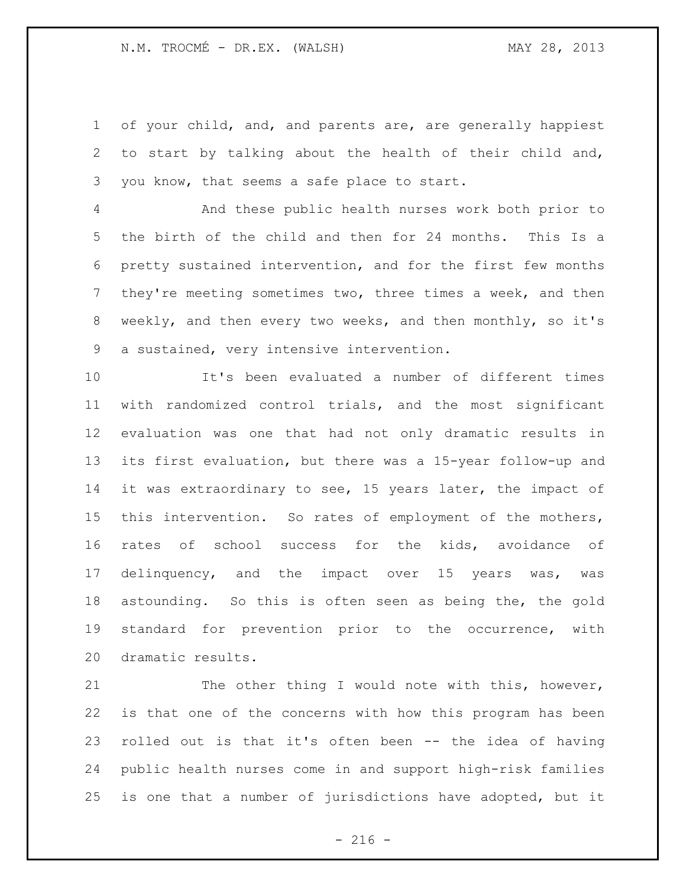of your child, and, and parents are, are generally happiest to start by talking about the health of their child and, you know, that seems a safe place to start.

 And these public health nurses work both prior to the birth of the child and then for 24 months. This Is a pretty sustained intervention, and for the first few months they're meeting sometimes two, three times a week, and then weekly, and then every two weeks, and then monthly, so it's a sustained, very intensive intervention.

 It's been evaluated a number of different times with randomized control trials, and the most significant evaluation was one that had not only dramatic results in its first evaluation, but there was a 15-year follow-up and it was extraordinary to see, 15 years later, the impact of this intervention. So rates of employment of the mothers, rates of school success for the kids, avoidance of delinquency, and the impact over 15 years was, was astounding. So this is often seen as being the, the gold standard for prevention prior to the occurrence, with dramatic results.

21 The other thing I would note with this, however, is that one of the concerns with how this program has been rolled out is that it's often been -- the idea of having public health nurses come in and support high-risk families is one that a number of jurisdictions have adopted, but it

 $-216 -$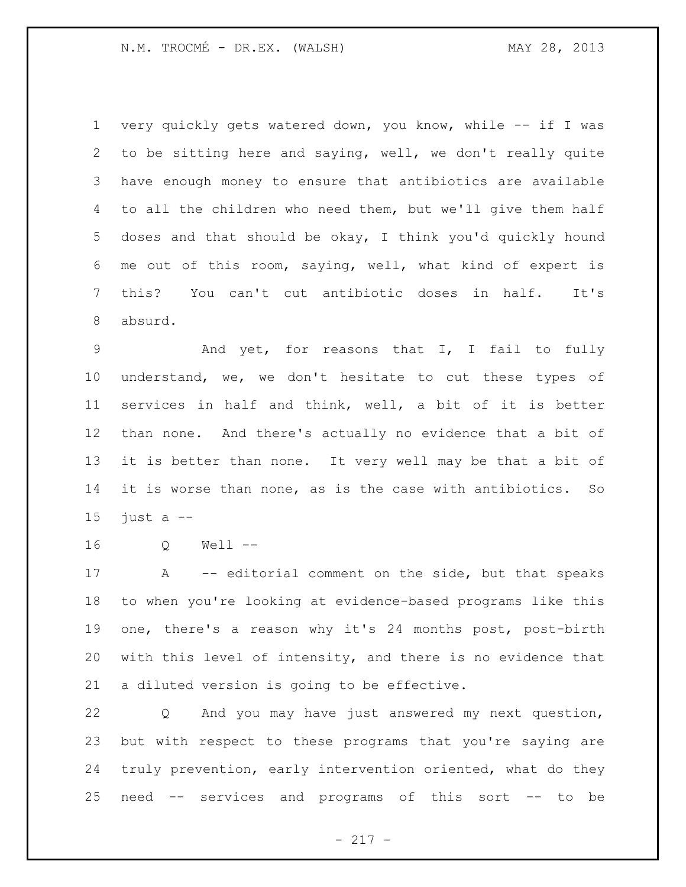very quickly gets watered down, you know, while -- if I was to be sitting here and saying, well, we don't really quite have enough money to ensure that antibiotics are available to all the children who need them, but we'll give them half doses and that should be okay, I think you'd quickly hound me out of this room, saying, well, what kind of expert is this? You can't cut antibiotic doses in half. It's absurd.

 And yet, for reasons that I, I fail to fully understand, we, we don't hesitate to cut these types of services in half and think, well, a bit of it is better than none. And there's actually no evidence that a bit of it is better than none. It very well may be that a bit of it is worse than none, as is the case with antibiotics. So 15 just  $a$  --

Q Well --

 A -- editorial comment on the side, but that speaks to when you're looking at evidence-based programs like this one, there's a reason why it's 24 months post, post-birth with this level of intensity, and there is no evidence that a diluted version is going to be effective.

 Q And you may have just answered my next question, but with respect to these programs that you're saying are truly prevention, early intervention oriented, what do they need -- services and programs of this sort -- to be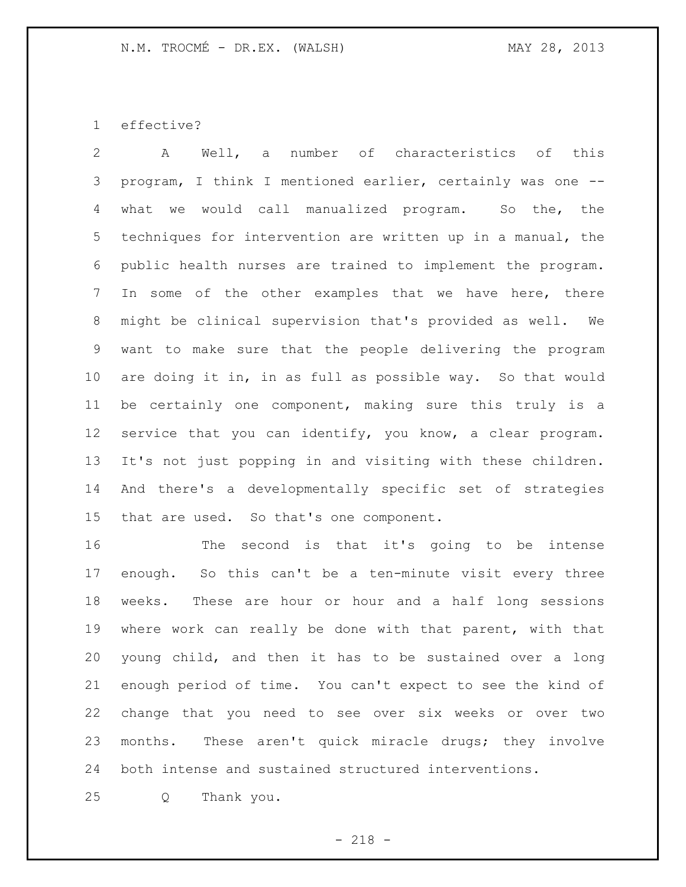effective?

 A Well, a number of characteristics of this program, I think I mentioned earlier, certainly was one -- what we would call manualized program. So the, the techniques for intervention are written up in a manual, the public health nurses are trained to implement the program. In some of the other examples that we have here, there might be clinical supervision that's provided as well. We want to make sure that the people delivering the program are doing it in, in as full as possible way. So that would be certainly one component, making sure this truly is a service that you can identify, you know, a clear program. It's not just popping in and visiting with these children. And there's a developmentally specific set of strategies that are used. So that's one component.

 The second is that it's going to be intense enough. So this can't be a ten-minute visit every three weeks. These are hour or hour and a half long sessions where work can really be done with that parent, with that young child, and then it has to be sustained over a long enough period of time. You can't expect to see the kind of change that you need to see over six weeks or over two months. These aren't quick miracle drugs; they involve both intense and sustained structured interventions.

Q Thank you.

- 218 -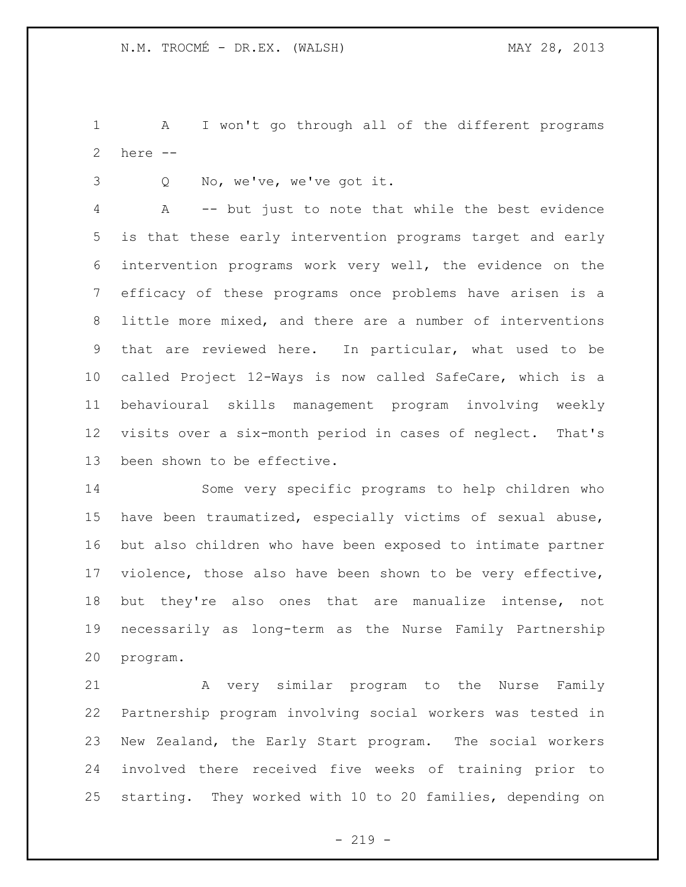A I won't go through all of the different programs here --

Q No, we've, we've got it.

 A -- but just to note that while the best evidence is that these early intervention programs target and early intervention programs work very well, the evidence on the efficacy of these programs once problems have arisen is a little more mixed, and there are a number of interventions that are reviewed here. In particular, what used to be called Project 12-Ways is now called SafeCare, which is a behavioural skills management program involving weekly visits over a six-month period in cases of neglect. That's been shown to be effective.

 Some very specific programs to help children who have been traumatized, especially victims of sexual abuse, but also children who have been exposed to intimate partner violence, those also have been shown to be very effective, but they're also ones that are manualize intense, not necessarily as long-term as the Nurse Family Partnership program.

 A very similar program to the Nurse Family Partnership program involving social workers was tested in New Zealand, the Early Start program. The social workers involved there received five weeks of training prior to starting. They worked with 10 to 20 families, depending on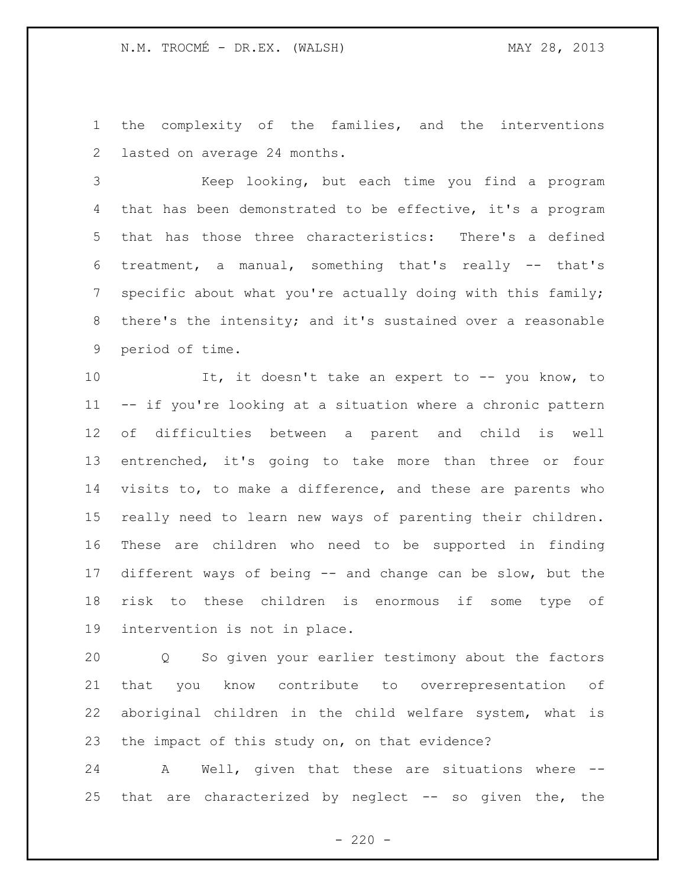the complexity of the families, and the interventions lasted on average 24 months.

 Keep looking, but each time you find a program that has been demonstrated to be effective, it's a program that has those three characteristics: There's a defined treatment, a manual, something that's really -- that's specific about what you're actually doing with this family; there's the intensity; and it's sustained over a reasonable period of time.

10 It, it doesn't take an expert to -- you know, to -- if you're looking at a situation where a chronic pattern of difficulties between a parent and child is well entrenched, it's going to take more than three or four visits to, to make a difference, and these are parents who really need to learn new ways of parenting their children. These are children who need to be supported in finding different ways of being -- and change can be slow, but the risk to these children is enormous if some type of intervention is not in place.

 Q So given your earlier testimony about the factors that you know contribute to overrepresentation of aboriginal children in the child welfare system, what is the impact of this study on, on that evidence?

 A Well, given that these are situations where -- that are characterized by neglect -- so given the, the

 $- 220 -$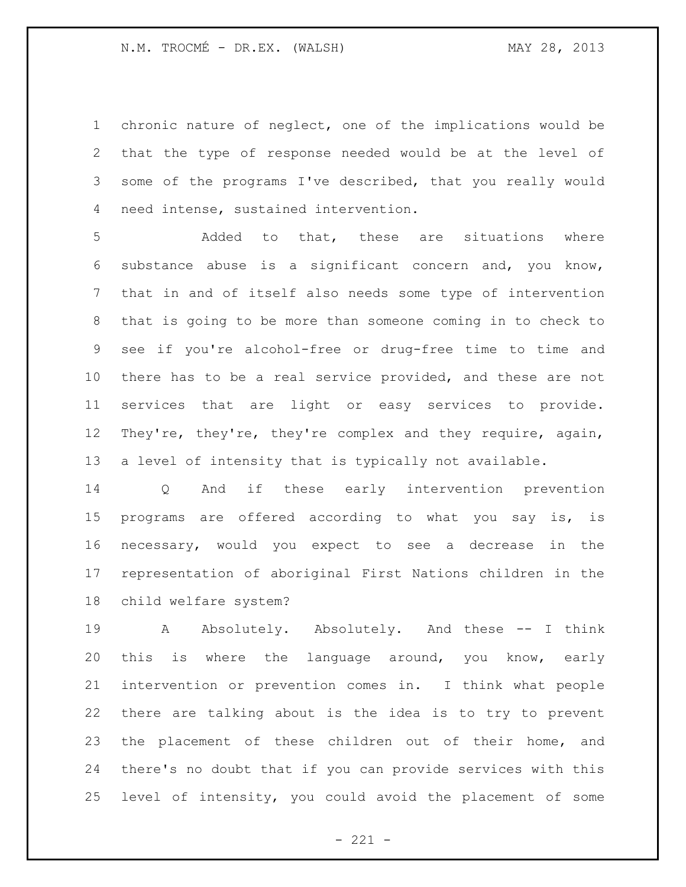chronic nature of neglect, one of the implications would be that the type of response needed would be at the level of some of the programs I've described, that you really would need intense, sustained intervention.

 Added to that, these are situations where substance abuse is a significant concern and, you know, that in and of itself also needs some type of intervention that is going to be more than someone coming in to check to see if you're alcohol-free or drug-free time to time and there has to be a real service provided, and these are not services that are light or easy services to provide. They're, they're, they're complex and they require, again, a level of intensity that is typically not available.

 Q And if these early intervention prevention programs are offered according to what you say is, is necessary, would you expect to see a decrease in the representation of aboriginal First Nations children in the child welfare system?

19 A Absolutely. Absolutely. And these -- I think this is where the language around, you know, early intervention or prevention comes in. I think what people there are talking about is the idea is to try to prevent the placement of these children out of their home, and there's no doubt that if you can provide services with this level of intensity, you could avoid the placement of some

 $- 221 -$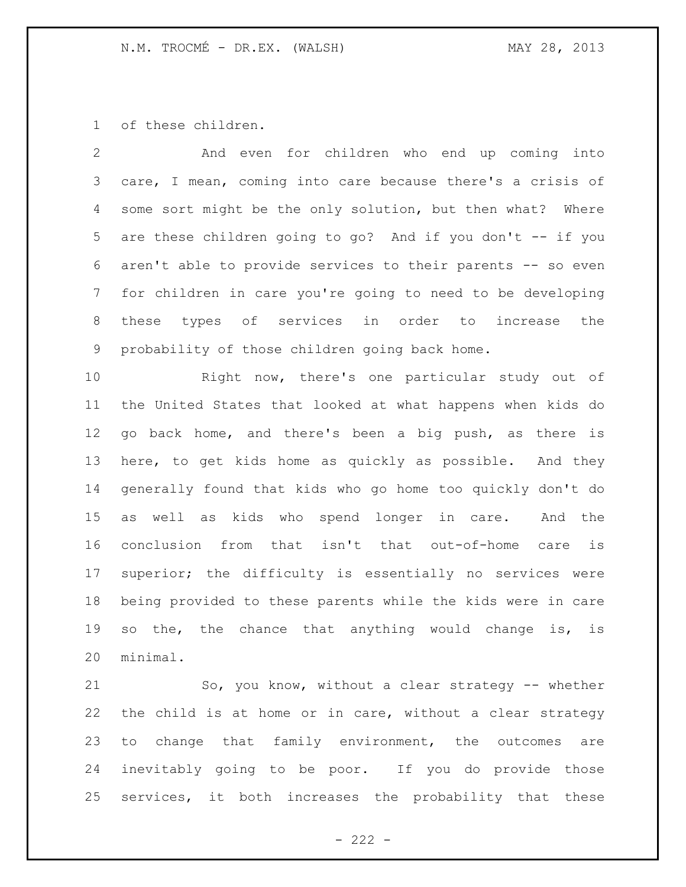of these children.

| 2 | And even for children who end up coming into                  |
|---|---------------------------------------------------------------|
|   | 3 care, I mean, coming into care because there's a crisis of  |
|   | 4 some sort might be the only solution, but then what? Where  |
|   | 5 are these children going to go? And if you don't -- if you  |
|   | 6 aren't able to provide services to their parents -- so even |
|   | 7 for children in care you're going to need to be developing  |
|   | 8 these types of services in order to increase the            |
| 9 | probability of those children going back home.                |

 Right now, there's one particular study out of the United States that looked at what happens when kids do go back home, and there's been a big push, as there is here, to get kids home as quickly as possible. And they generally found that kids who go home too quickly don't do as well as kids who spend longer in care. And the conclusion from that isn't that out-of-home care is superior; the difficulty is essentially no services were being provided to these parents while the kids were in care so the, the chance that anything would change is, is minimal.

 So, you know, without a clear strategy -- whether the child is at home or in care, without a clear strategy to change that family environment, the outcomes are inevitably going to be poor. If you do provide those services, it both increases the probability that these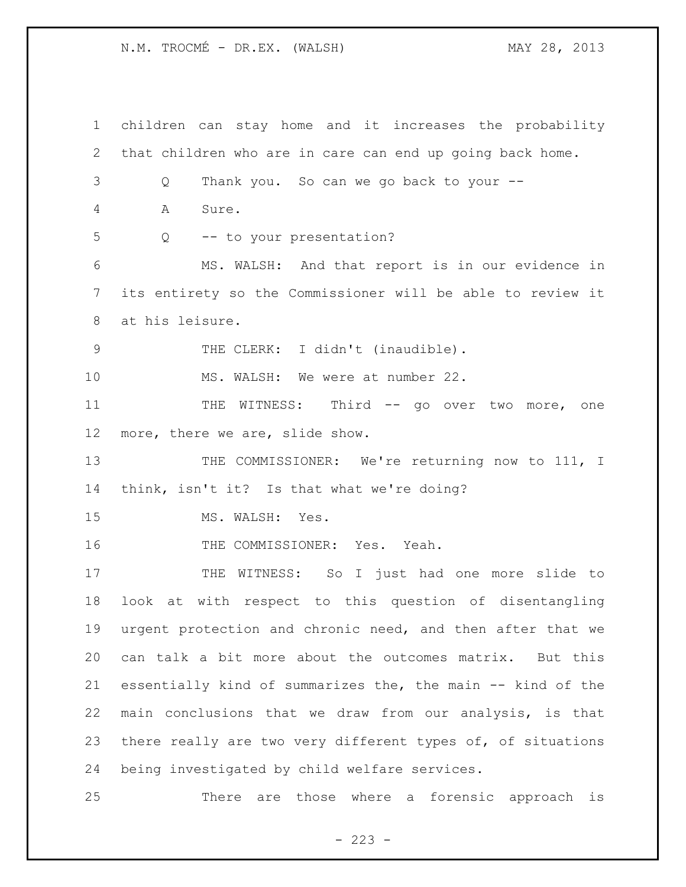N.M. TROCMÉ - DR.EX. (WALSH) MAY 28, 2013

 children can stay home and it increases the probability that children who are in care can end up going back home. Q Thank you. So can we go back to your -- A Sure. Q -- to your presentation? MS. WALSH: And that report is in our evidence in its entirety so the Commissioner will be able to review it at his leisure. 9 THE CLERK: I didn't (inaudible). MS. WALSH: We were at number 22. 11 THE WITNESS: Third -- go over two more, one more, there we are, slide show. 13 THE COMMISSIONER: We're returning now to 111, I think, isn't it? Is that what we're doing? 15 MS. WALSH: Yes. 16 THE COMMISSIONER: Yes. Yeah. THE WITNESS: So I just had one more slide to look at with respect to this question of disentangling urgent protection and chronic need, and then after that we can talk a bit more about the outcomes matrix. But this essentially kind of summarizes the, the main -- kind of the main conclusions that we draw from our analysis, is that there really are two very different types of, of situations being investigated by child welfare services. There are those where a forensic approach is

 $- 223 -$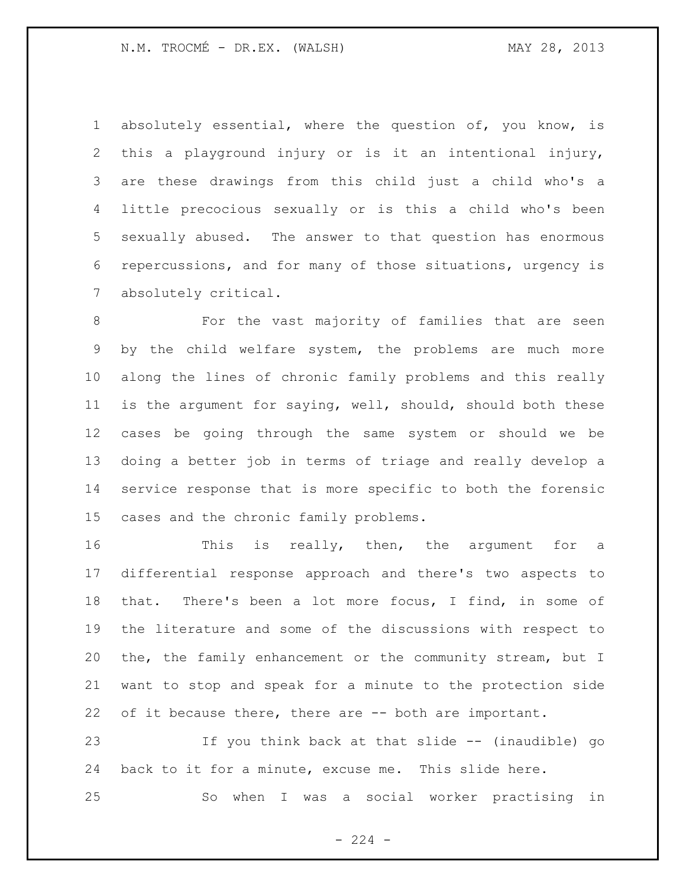absolutely essential, where the question of, you know, is this a playground injury or is it an intentional injury, are these drawings from this child just a child who's a little precocious sexually or is this a child who's been sexually abused. The answer to that question has enormous repercussions, and for many of those situations, urgency is absolutely critical.

 For the vast majority of families that are seen by the child welfare system, the problems are much more along the lines of chronic family problems and this really is the argument for saying, well, should, should both these cases be going through the same system or should we be doing a better job in terms of triage and really develop a service response that is more specific to both the forensic cases and the chronic family problems.

16 This is really, then, the argument for a differential response approach and there's two aspects to that. There's been a lot more focus, I find, in some of the literature and some of the discussions with respect to the, the family enhancement or the community stream, but I want to stop and speak for a minute to the protection side 22 of it because there, there are -- both are important.

 If you think back at that slide -- (inaudible) go back to it for a minute, excuse me. This slide here.

So when I was a social worker practising in

 $-224 -$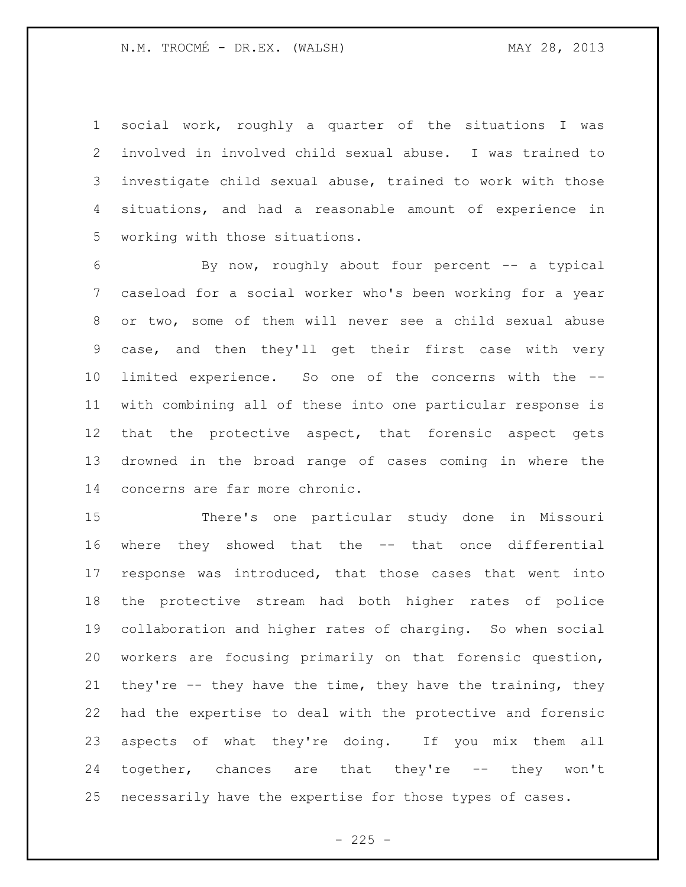social work, roughly a quarter of the situations I was involved in involved child sexual abuse. I was trained to investigate child sexual abuse, trained to work with those situations, and had a reasonable amount of experience in working with those situations.

 By now, roughly about four percent -- a typical caseload for a social worker who's been working for a year or two, some of them will never see a child sexual abuse case, and then they'll get their first case with very limited experience. So one of the concerns with the -- with combining all of these into one particular response is 12 that the protective aspect, that forensic aspect gets drowned in the broad range of cases coming in where the concerns are far more chronic.

 There's one particular study done in Missouri where they showed that the -- that once differential response was introduced, that those cases that went into the protective stream had both higher rates of police collaboration and higher rates of charging. So when social workers are focusing primarily on that forensic question, they're -- they have the time, they have the training, they had the expertise to deal with the protective and forensic aspects of what they're doing. If you mix them all together, chances are that they're -- they won't necessarily have the expertise for those types of cases.

 $- 225 -$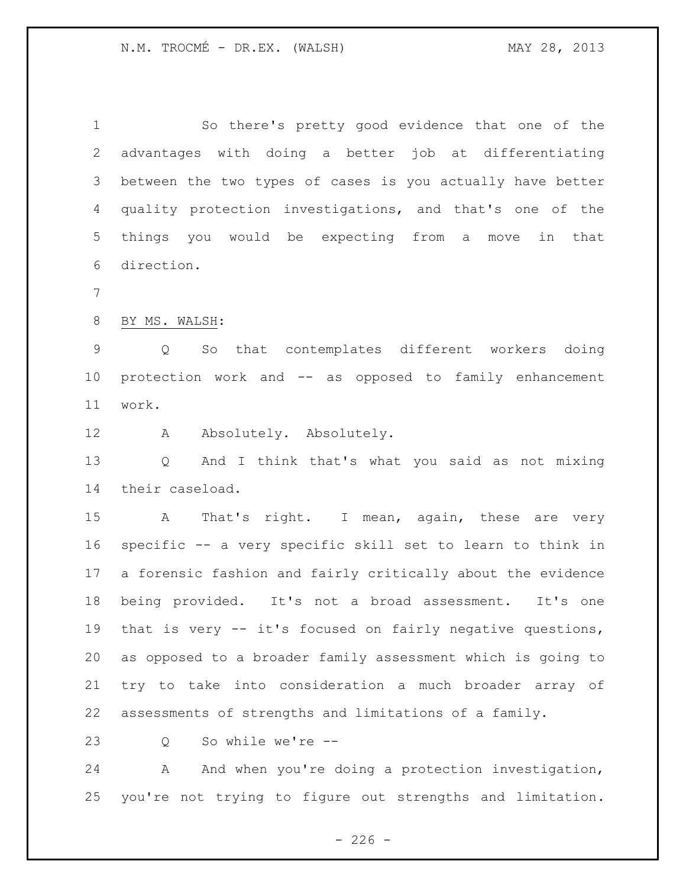So there's pretty good evidence that one of the advantages with doing a better job at differentiating between the two types of cases is you actually have better quality protection investigations, and that's one of the things you would be expecting from a move in that direction.

BY MS. WALSH:

 Q So that contemplates different workers doing protection work and -- as opposed to family enhancement work.

12 A Absolutely. Absolutely.

 Q And I think that's what you said as not mixing their caseload.

15 A That's right. I mean, again, these are very specific -- a very specific skill set to learn to think in a forensic fashion and fairly critically about the evidence being provided. It's not a broad assessment. It's one that is very -- it's focused on fairly negative questions, as opposed to a broader family assessment which is going to try to take into consideration a much broader array of assessments of strengths and limitations of a family.

Q So while we're --

24 A And when you're doing a protection investigation, you're not trying to figure out strengths and limitation.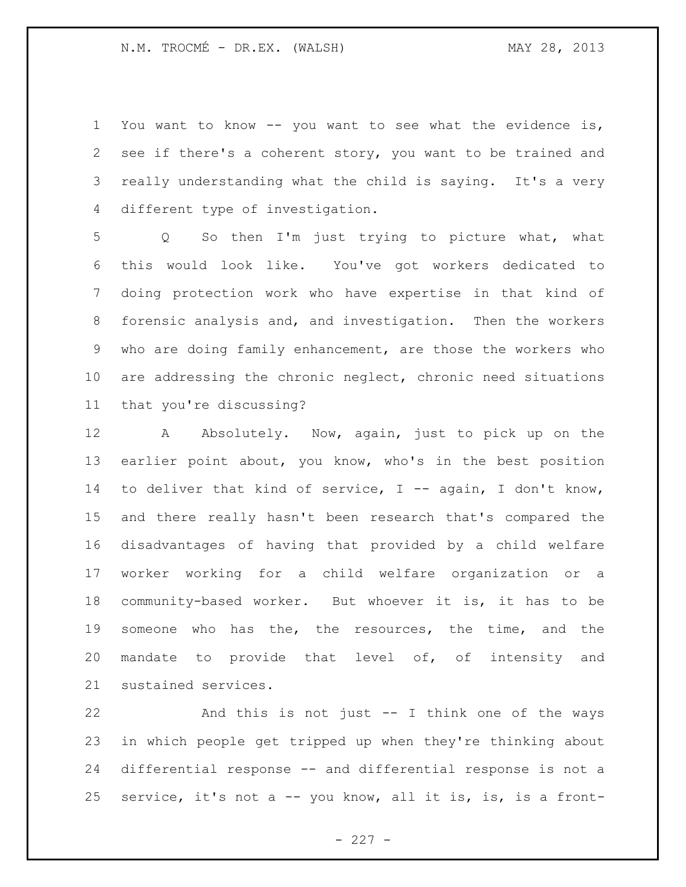You want to know -- you want to see what the evidence is, see if there's a coherent story, you want to be trained and really understanding what the child is saying. It's a very different type of investigation.

 Q So then I'm just trying to picture what, what this would look like. You've got workers dedicated to doing protection work who have expertise in that kind of forensic analysis and, and investigation. Then the workers who are doing family enhancement, are those the workers who are addressing the chronic neglect, chronic need situations that you're discussing?

12 A Absolutely. Now, again, just to pick up on the earlier point about, you know, who's in the best position to deliver that kind of service, I -- again, I don't know, and there really hasn't been research that's compared the disadvantages of having that provided by a child welfare worker working for a child welfare organization or a community-based worker. But whoever it is, it has to be someone who has the, the resources, the time, and the mandate to provide that level of, of intensity and sustained services.

 And this is not just -- I think one of the ways in which people get tripped up when they're thinking about differential response -- and differential response is not a service, it's not a -- you know, all it is, is, is a front-

 $- 227 -$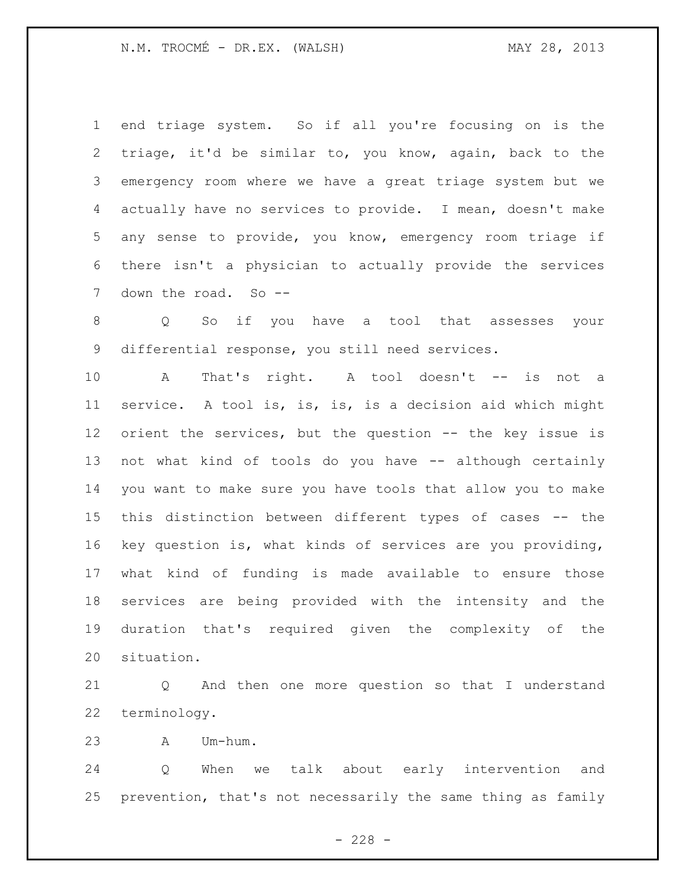N.M. TROCMÉ - DR.EX. (WALSH) MAY 28, 2013

 end triage system. So if all you're focusing on is the triage, it'd be similar to, you know, again, back to the emergency room where we have a great triage system but we actually have no services to provide. I mean, doesn't make any sense to provide, you know, emergency room triage if there isn't a physician to actually provide the services 7 down the road. So --

 Q So if you have a tool that assesses your differential response, you still need services.

10 A That's right. A tool doesn't -- is not a service. A tool is, is, is, is a decision aid which might orient the services, but the question -- the key issue is not what kind of tools do you have -- although certainly you want to make sure you have tools that allow you to make this distinction between different types of cases -- the key question is, what kinds of services are you providing, what kind of funding is made available to ensure those services are being provided with the intensity and the duration that's required given the complexity of the situation.

 Q And then one more question so that I understand terminology.

A Um-hum.

 Q When we talk about early intervention and prevention, that's not necessarily the same thing as family

 $- 228 -$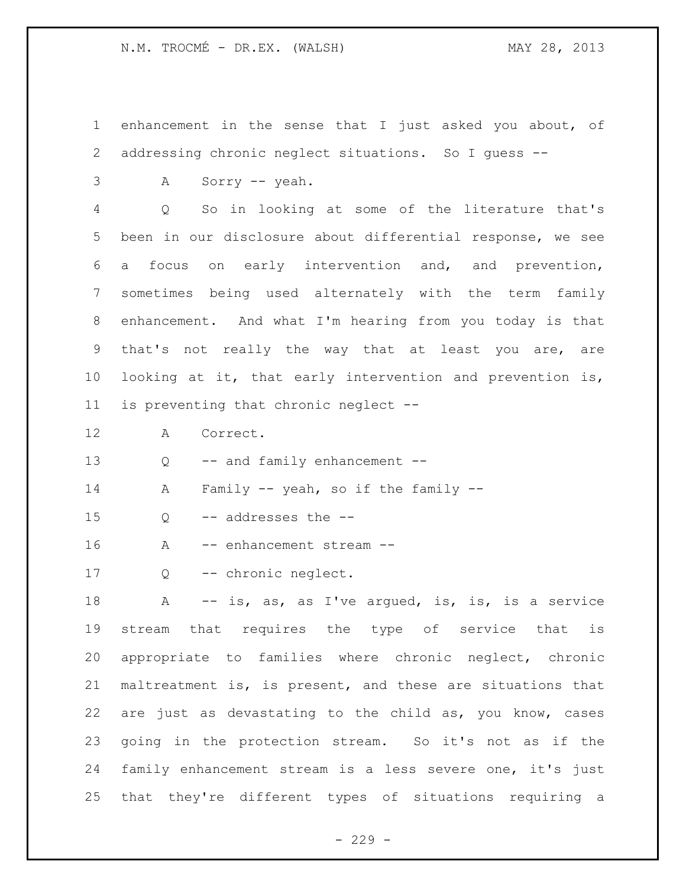enhancement in the sense that I just asked you about, of addressing chronic neglect situations. So I guess --

A Sorry -- yeah.

 Q So in looking at some of the literature that's been in our disclosure about differential response, we see a focus on early intervention and, and prevention, sometimes being used alternately with the term family enhancement. And what I'm hearing from you today is that that's not really the way that at least you are, are looking at it, that early intervention and prevention is, is preventing that chronic neglect --

A Correct.

13 Q -- and family enhancement --

- A Family -- yeah, so if the family --
- Q -- addresses the --
- 16 A -- enhancement stream --
- Q -- chronic neglect.

18 A -- is, as, as I've argued, is, is, is a service stream that requires the type of service that is appropriate to families where chronic neglect, chronic maltreatment is, is present, and these are situations that are just as devastating to the child as, you know, cases going in the protection stream. So it's not as if the family enhancement stream is a less severe one, it's just that they're different types of situations requiring a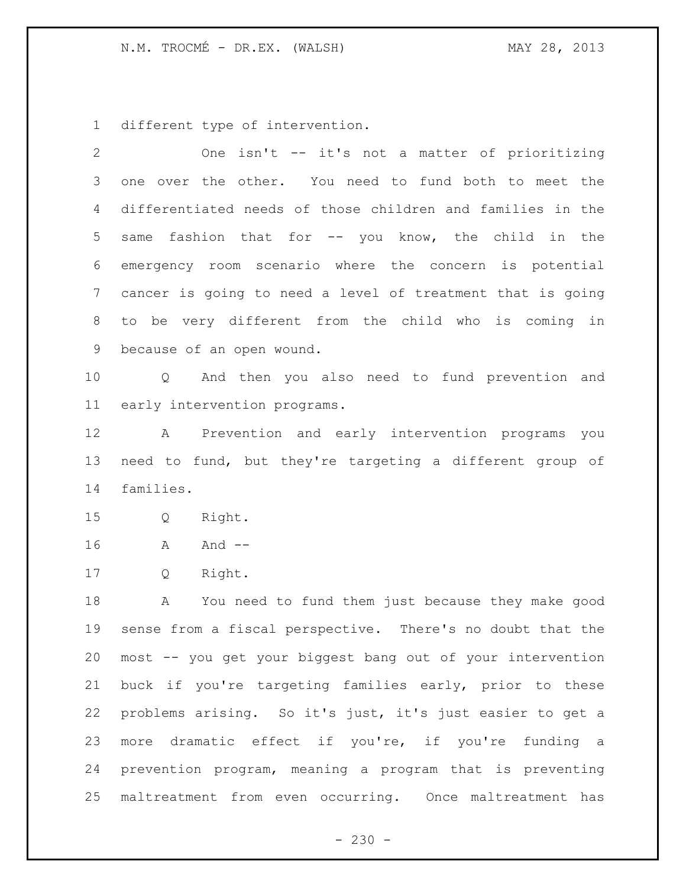different type of intervention.

| $\overline{2}$ | One isn't -- it's not a matter of prioritizing             |
|----------------|------------------------------------------------------------|
| 3              | one over the other. You need to fund both to meet the      |
| 4              | differentiated needs of those children and families in the |
| 5              | fashion that for -- you know, the child in the<br>same     |
| 6              | emergency room scenario where the concern is potential     |
| $\overline{7}$ | cancer is going to need a level of treatment that is going |
| 8              | to be very different from the child who is coming in       |
| 9              | because of an open wound.                                  |
| 10             | Q And then you also need to fund prevention and            |
| 11             | early intervention programs.                               |
| 12             | A Prevention and early intervention programs you           |
| 13             | need to fund, but they're targeting a different group of   |
| 14             | families.                                                  |
| 15             | Right.<br>Q                                                |
| 16             | And $--$<br>A                                              |
| 17             | Right.<br>Q                                                |
| 18             | You need to fund them just because they make good<br>A     |
| 19             | sense from a fiscal perspective. There's no doubt that the |
| 20             | most -- you get your biggest bang out of your intervention |
| 21             | buck if you're targeting families early, prior to these    |
| 22             | problems arising. So it's just, it's just easier to get a  |
| 23             | more dramatic effect if you're, if you're funding a        |
| 24             | prevention program, meaning a program that is preventing   |
| 25             | maltreatment from even occurring. Once maltreatment has    |

- 230 -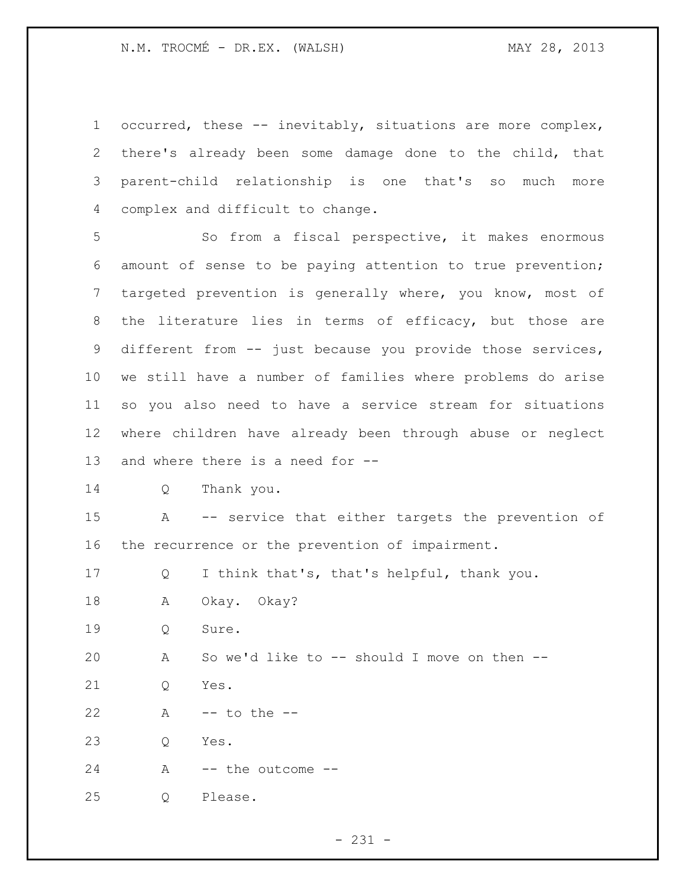occurred, these -- inevitably, situations are more complex, there's already been some damage done to the child, that parent-child relationship is one that's so much more complex and difficult to change.

 So from a fiscal perspective, it makes enormous amount of sense to be paying attention to true prevention; targeted prevention is generally where, you know, most of the literature lies in terms of efficacy, but those are different from -- just because you provide those services, we still have a number of families where problems do arise so you also need to have a service stream for situations where children have already been through abuse or neglect and where there is a need for --

```
14 Q Thank you.
```
 A -- service that either targets the prevention of the recurrence or the prevention of impairment.

| 17 |  |  |  |  |  | I think that's, that's helpful, thank you. |
|----|--|--|--|--|--|--------------------------------------------|
|----|--|--|--|--|--|--------------------------------------------|

A Okay. Okay?

Q Sure.

A So we'd like to -- should I move on then --

Q Yes.

A -- to the --

Q Yes.

A -- the outcome --

Q Please.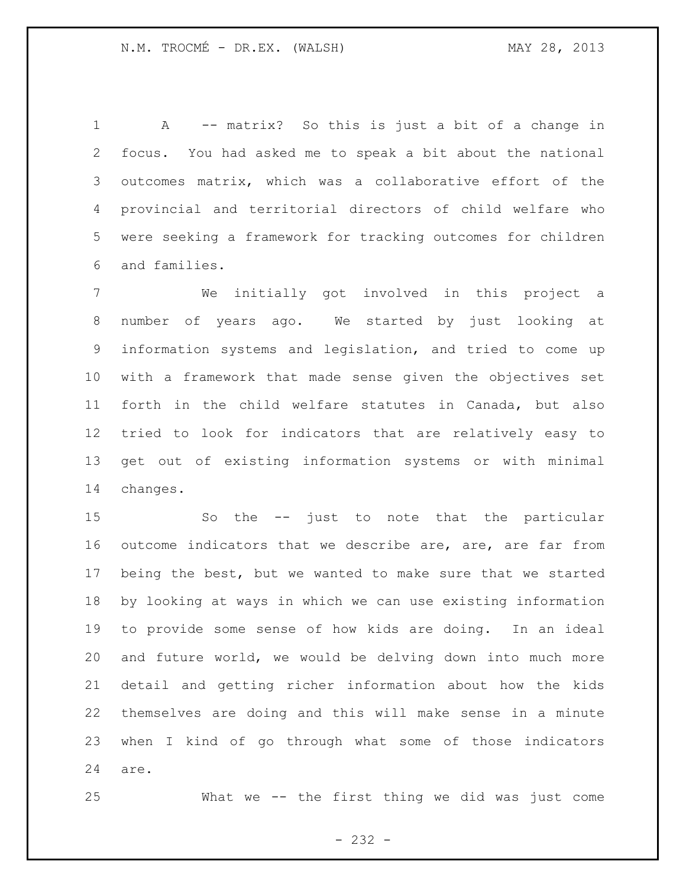A -- matrix? So this is just a bit of a change in focus. You had asked me to speak a bit about the national outcomes matrix, which was a collaborative effort of the provincial and territorial directors of child welfare who were seeking a framework for tracking outcomes for children and families.

 We initially got involved in this project a number of years ago. We started by just looking at information systems and legislation, and tried to come up with a framework that made sense given the objectives set forth in the child welfare statutes in Canada, but also tried to look for indicators that are relatively easy to get out of existing information systems or with minimal changes.

 So the -- just to note that the particular 16 outcome indicators that we describe are, are, are far from being the best, but we wanted to make sure that we started by looking at ways in which we can use existing information to provide some sense of how kids are doing. In an ideal and future world, we would be delving down into much more detail and getting richer information about how the kids themselves are doing and this will make sense in a minute when I kind of go through what some of those indicators are.

What we -- the first thing we did was just come

- 232 -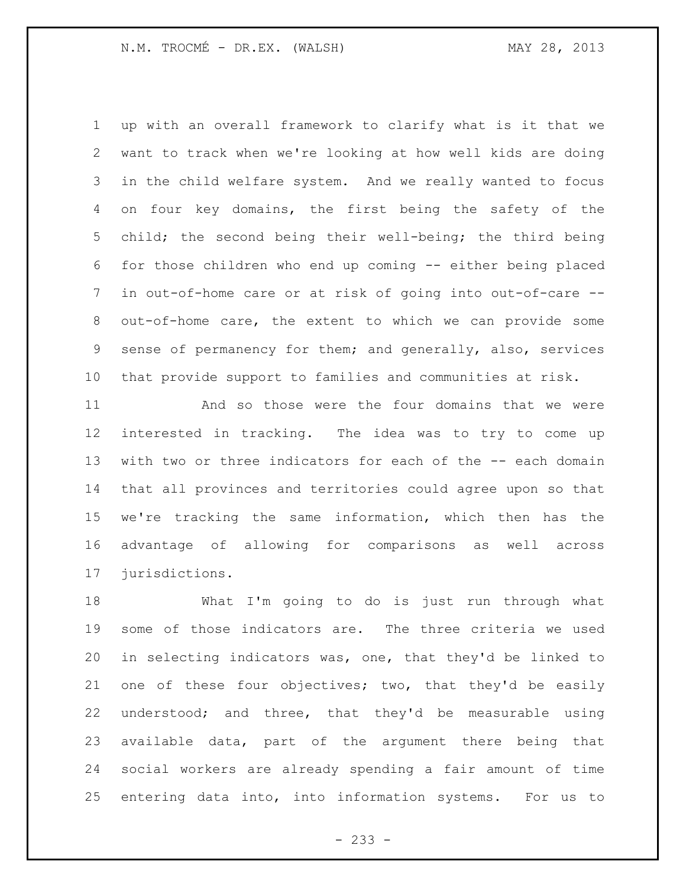up with an overall framework to clarify what is it that we want to track when we're looking at how well kids are doing in the child welfare system. And we really wanted to focus on four key domains, the first being the safety of the child; the second being their well-being; the third being for those children who end up coming -- either being placed in out-of-home care or at risk of going into out-of-care -- out-of-home care, the extent to which we can provide some sense of permanency for them; and generally, also, services that provide support to families and communities at risk.

 And so those were the four domains that we were interested in tracking. The idea was to try to come up with two or three indicators for each of the -- each domain that all provinces and territories could agree upon so that we're tracking the same information, which then has the advantage of allowing for comparisons as well across jurisdictions.

 What I'm going to do is just run through what some of those indicators are. The three criteria we used in selecting indicators was, one, that they'd be linked to one of these four objectives; two, that they'd be easily understood; and three, that they'd be measurable using available data, part of the argument there being that social workers are already spending a fair amount of time entering data into, into information systems. For us to

- 233 -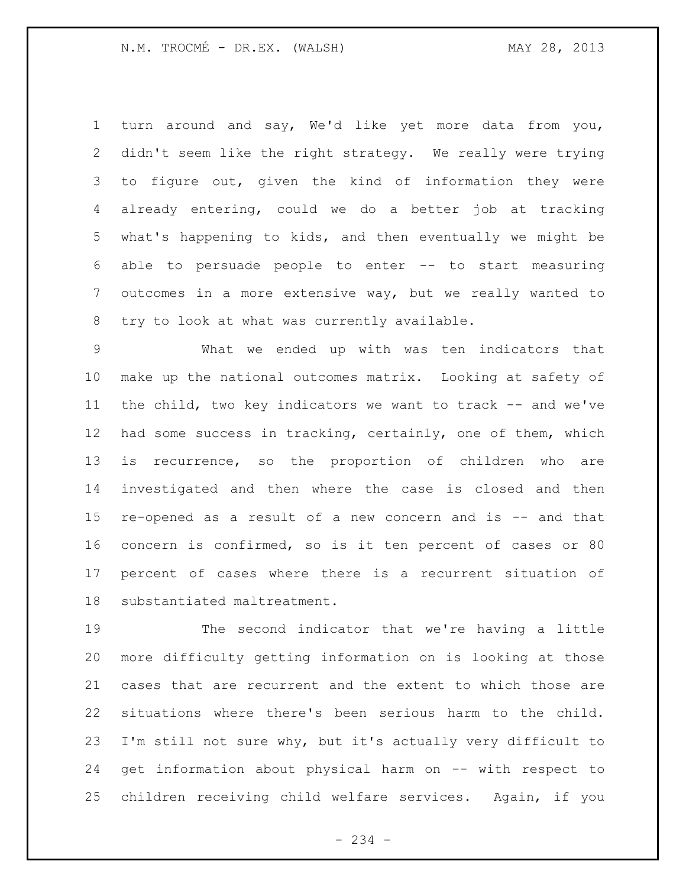turn around and say, We'd like yet more data from you, didn't seem like the right strategy. We really were trying to figure out, given the kind of information they were already entering, could we do a better job at tracking what's happening to kids, and then eventually we might be able to persuade people to enter -- to start measuring outcomes in a more extensive way, but we really wanted to try to look at what was currently available.

 What we ended up with was ten indicators that make up the national outcomes matrix. Looking at safety of the child, two key indicators we want to track -- and we've had some success in tracking, certainly, one of them, which is recurrence, so the proportion of children who are investigated and then where the case is closed and then re-opened as a result of a new concern and is -- and that concern is confirmed, so is it ten percent of cases or 80 percent of cases where there is a recurrent situation of substantiated maltreatment.

 The second indicator that we're having a little more difficulty getting information on is looking at those cases that are recurrent and the extent to which those are situations where there's been serious harm to the child. I'm still not sure why, but it's actually very difficult to get information about physical harm on -- with respect to children receiving child welfare services. Again, if you

- 234 -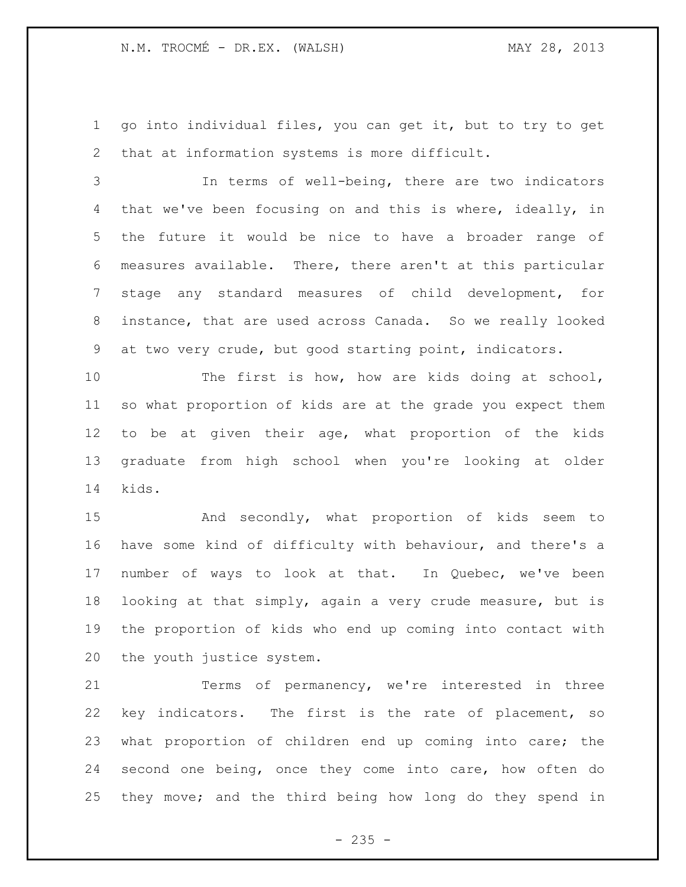go into individual files, you can get it, but to try to get that at information systems is more difficult.

 In terms of well-being, there are two indicators that we've been focusing on and this is where, ideally, in the future it would be nice to have a broader range of measures available. There, there aren't at this particular stage any standard measures of child development, for instance, that are used across Canada. So we really looked at two very crude, but good starting point, indicators.

 The first is how, how are kids doing at school, so what proportion of kids are at the grade you expect them to be at given their age, what proportion of the kids graduate from high school when you're looking at older kids.

 And secondly, what proportion of kids seem to have some kind of difficulty with behaviour, and there's a number of ways to look at that. In Quebec, we've been looking at that simply, again a very crude measure, but is the proportion of kids who end up coming into contact with the youth justice system.

 Terms of permanency, we're interested in three key indicators. The first is the rate of placement, so what proportion of children end up coming into care; the second one being, once they come into care, how often do they move; and the third being how long do they spend in

 $- 235 -$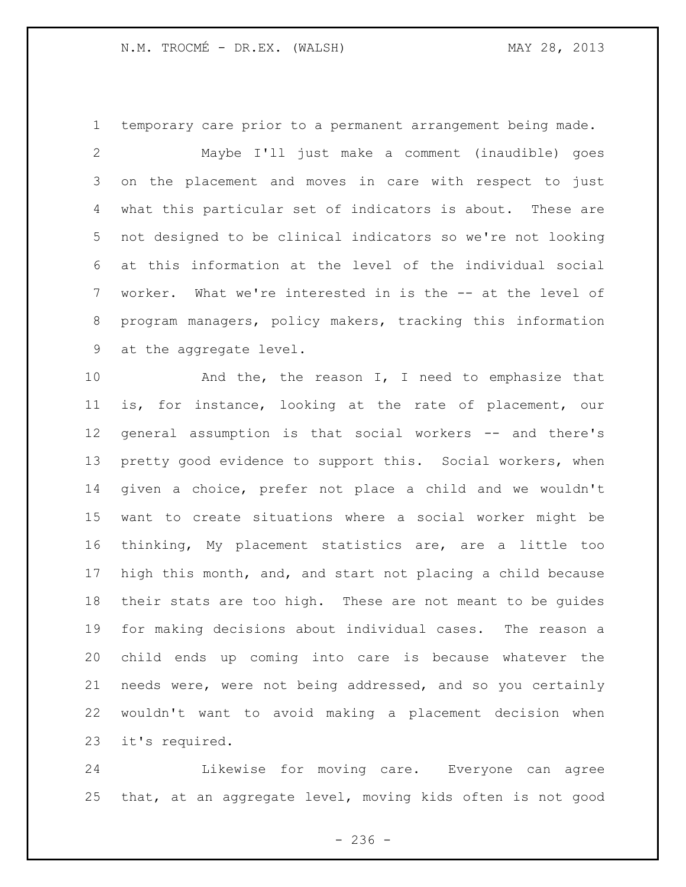temporary care prior to a permanent arrangement being made.

 Maybe I'll just make a comment (inaudible) goes on the placement and moves in care with respect to just what this particular set of indicators is about. These are not designed to be clinical indicators so we're not looking at this information at the level of the individual social worker. What we're interested in is the -- at the level of program managers, policy makers, tracking this information at the aggregate level.

10 And the, the reason I, I need to emphasize that is, for instance, looking at the rate of placement, our general assumption is that social workers -- and there's 13 pretty good evidence to support this. Social workers, when given a choice, prefer not place a child and we wouldn't want to create situations where a social worker might be thinking, My placement statistics are, are a little too high this month, and, and start not placing a child because their stats are too high. These are not meant to be guides for making decisions about individual cases. The reason a child ends up coming into care is because whatever the needs were, were not being addressed, and so you certainly wouldn't want to avoid making a placement decision when it's required.

 Likewise for moving care. Everyone can agree that, at an aggregate level, moving kids often is not good

 $-236 -$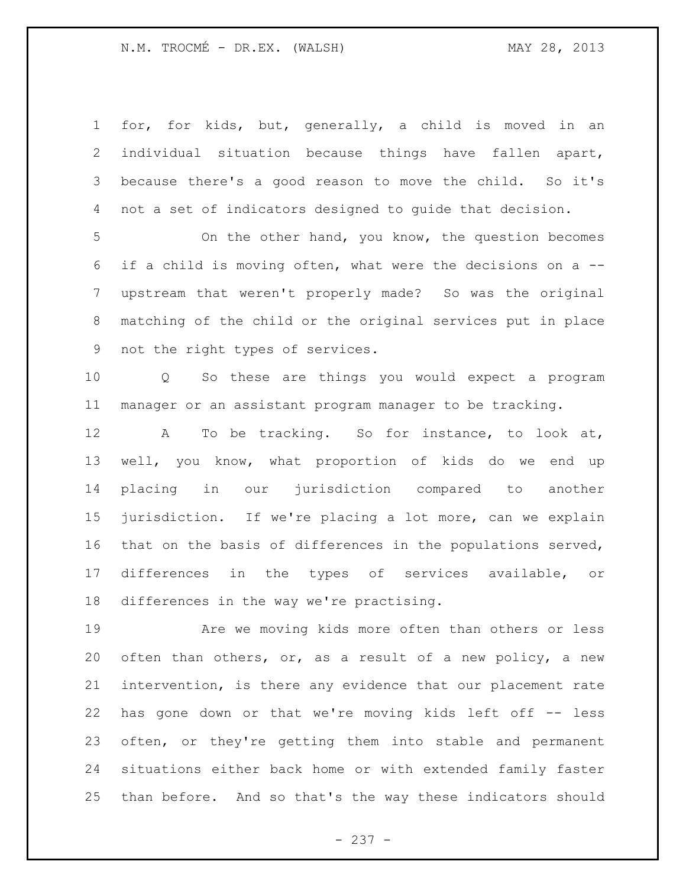for, for kids, but, generally, a child is moved in an individual situation because things have fallen apart, because there's a good reason to move the child. So it's not a set of indicators designed to guide that decision.

 On the other hand, you know, the question becomes if a child is moving often, what were the decisions on a -- upstream that weren't properly made? So was the original matching of the child or the original services put in place not the right types of services.

 Q So these are things you would expect a program manager or an assistant program manager to be tracking.

 A To be tracking. So for instance, to look at, well, you know, what proportion of kids do we end up placing in our jurisdiction compared to another jurisdiction. If we're placing a lot more, can we explain that on the basis of differences in the populations served, differences in the types of services available, or differences in the way we're practising.

 Are we moving kids more often than others or less often than others, or, as a result of a new policy, a new intervention, is there any evidence that our placement rate has gone down or that we're moving kids left off -- less often, or they're getting them into stable and permanent situations either back home or with extended family faster than before. And so that's the way these indicators should

- 237 -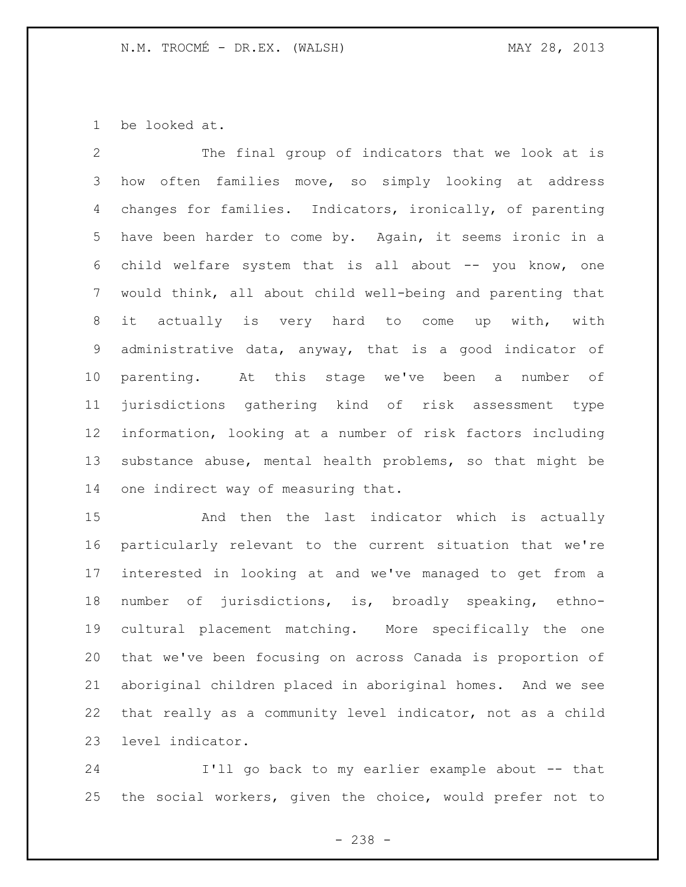be looked at.

 The final group of indicators that we look at is how often families move, so simply looking at address changes for families. Indicators, ironically, of parenting have been harder to come by. Again, it seems ironic in a child welfare system that is all about -- you know, one would think, all about child well-being and parenting that it actually is very hard to come up with, with administrative data, anyway, that is a good indicator of parenting. At this stage we've been a number of jurisdictions gathering kind of risk assessment type information, looking at a number of risk factors including substance abuse, mental health problems, so that might be one indirect way of measuring that.

 And then the last indicator which is actually particularly relevant to the current situation that we're interested in looking at and we've managed to get from a number of jurisdictions, is, broadly speaking, ethno- cultural placement matching. More specifically the one that we've been focusing on across Canada is proportion of aboriginal children placed in aboriginal homes. And we see that really as a community level indicator, not as a child level indicator.

 I'll go back to my earlier example about -- that the social workers, given the choice, would prefer not to

- 238 -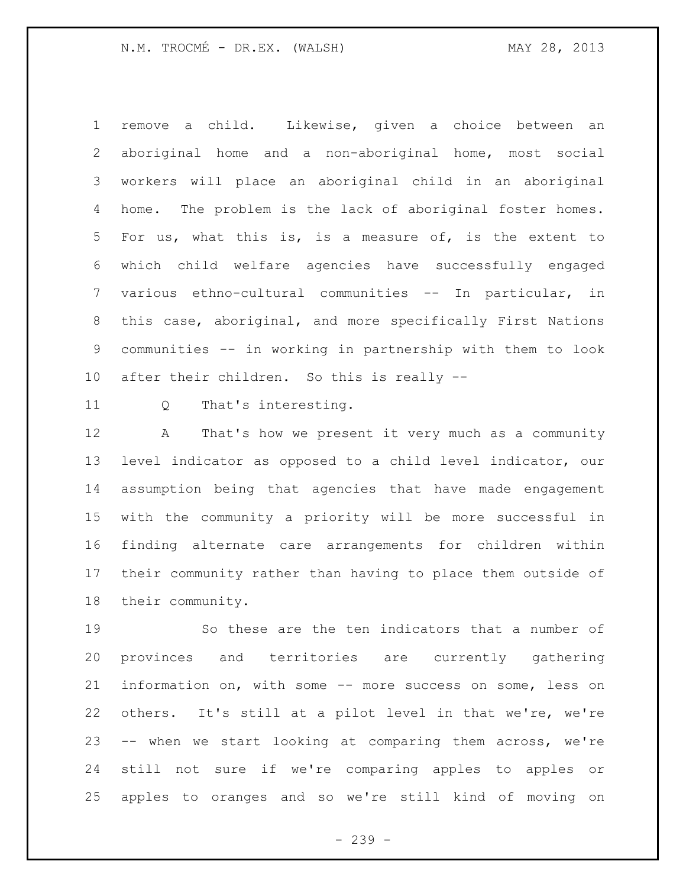remove a child. Likewise, given a choice between an aboriginal home and a non-aboriginal home, most social workers will place an aboriginal child in an aboriginal home. The problem is the lack of aboriginal foster homes. For us, what this is, is a measure of, is the extent to which child welfare agencies have successfully engaged various ethno-cultural communities -- In particular, in this case, aboriginal, and more specifically First Nations communities -- in working in partnership with them to look after their children. So this is really --

Q That's interesting.

 A That's how we present it very much as a community level indicator as opposed to a child level indicator, our assumption being that agencies that have made engagement with the community a priority will be more successful in finding alternate care arrangements for children within their community rather than having to place them outside of their community.

 So these are the ten indicators that a number of provinces and territories are currently gathering information on, with some -- more success on some, less on others. It's still at a pilot level in that we're, we're -- when we start looking at comparing them across, we're still not sure if we're comparing apples to apples or apples to oranges and so we're still kind of moving on

- 239 -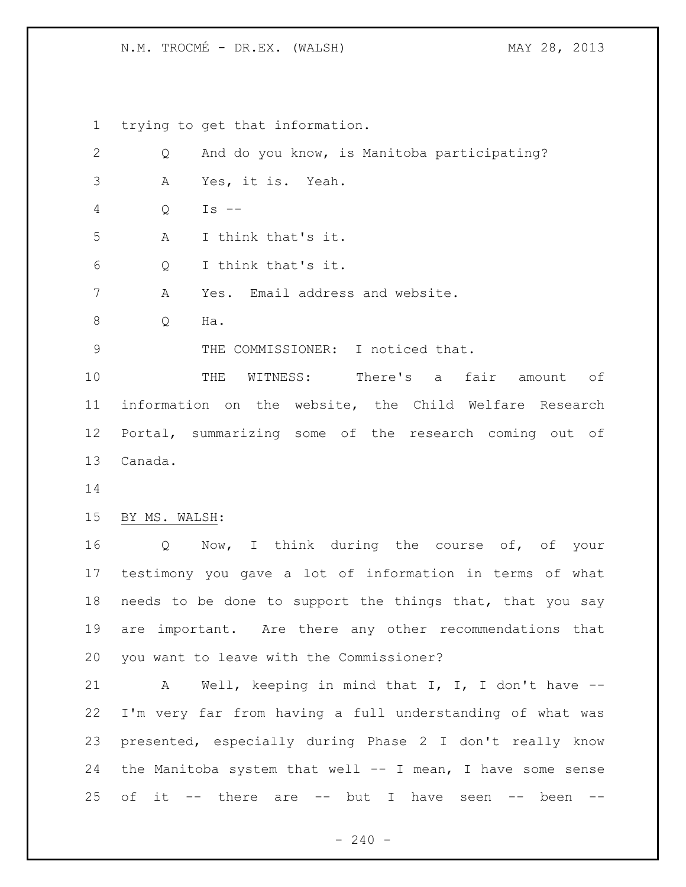N.M. TROCMÉ - DR.EX. (WALSH) MAY 28, 2013

 trying to get that information. Q And do you know, is Manitoba participating? A Yes, it is. Yeah. Q Is -- A I think that's it. Q I think that's it. A Yes. Email address and website. Q Ha. 9 THE COMMISSIONER: I noticed that. THE WITNESS: There's a fair amount of information on the website, the Child Welfare Research Portal, summarizing some of the research coming out of Canada. BY MS. WALSH: Q Now, I think during the course of, of your testimony you gave a lot of information in terms of what needs to be done to support the things that, that you say are important. Are there any other recommendations that you want to leave with the Commissioner? A Well, keeping in mind that I, I, I don't have -- I'm very far from having a full understanding of what was presented, especially during Phase 2 I don't really know the Manitoba system that well -- I mean, I have some sense 25 of it  $--$  there are  $--$  but I have seen  $--$  been  $--$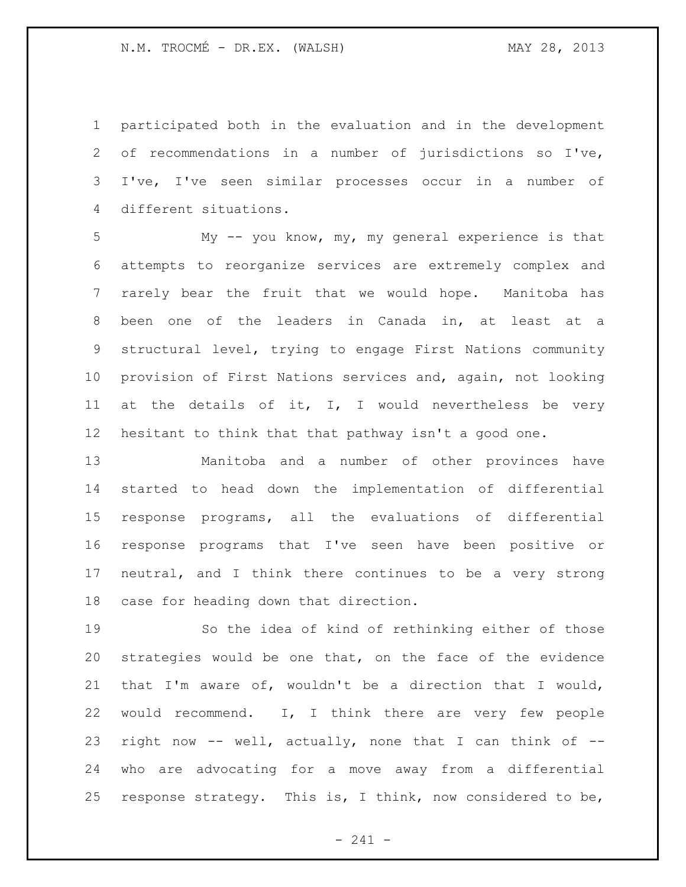participated both in the evaluation and in the development of recommendations in a number of jurisdictions so I've, I've, I've seen similar processes occur in a number of different situations.

 My -- you know, my, my general experience is that attempts to reorganize services are extremely complex and rarely bear the fruit that we would hope. Manitoba has been one of the leaders in Canada in, at least at a structural level, trying to engage First Nations community provision of First Nations services and, again, not looking 11 at the details of it, I, I would nevertheless be very hesitant to think that that pathway isn't a good one.

 Manitoba and a number of other provinces have started to head down the implementation of differential response programs, all the evaluations of differential response programs that I've seen have been positive or neutral, and I think there continues to be a very strong case for heading down that direction.

 So the idea of kind of rethinking either of those strategies would be one that, on the face of the evidence that I'm aware of, wouldn't be a direction that I would, would recommend. I, I think there are very few people right now -- well, actually, none that I can think of -- who are advocating for a move away from a differential response strategy. This is, I think, now considered to be,

- 241 -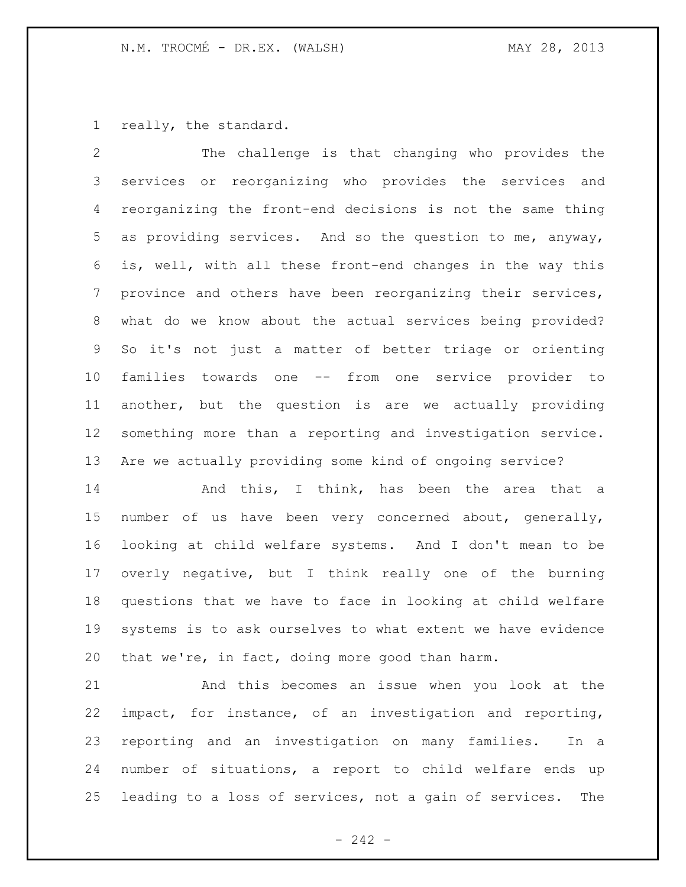really, the standard.

 The challenge is that changing who provides the services or reorganizing who provides the services and reorganizing the front-end decisions is not the same thing as providing services. And so the question to me, anyway, is, well, with all these front-end changes in the way this province and others have been reorganizing their services, what do we know about the actual services being provided? So it's not just a matter of better triage or orienting families towards one -- from one service provider to another, but the question is are we actually providing something more than a reporting and investigation service. Are we actually providing some kind of ongoing service?

14 And this, I think, has been the area that a number of us have been very concerned about, generally, looking at child welfare systems. And I don't mean to be overly negative, but I think really one of the burning questions that we have to face in looking at child welfare systems is to ask ourselves to what extent we have evidence that we're, in fact, doing more good than harm.

 And this becomes an issue when you look at the impact, for instance, of an investigation and reporting, reporting and an investigation on many families. In a number of situations, a report to child welfare ends up leading to a loss of services, not a gain of services. The

 $- 242 -$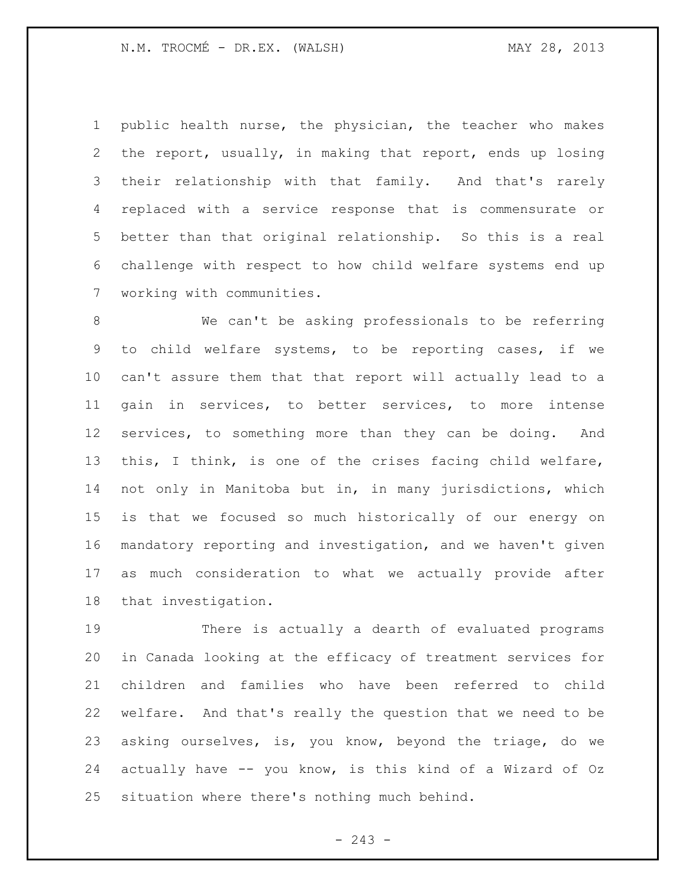N.M. TROCMÉ - DR.EX. (WALSH) MAY 28, 2013

 public health nurse, the physician, the teacher who makes the report, usually, in making that report, ends up losing their relationship with that family. And that's rarely replaced with a service response that is commensurate or better than that original relationship. So this is a real challenge with respect to how child welfare systems end up working with communities.

 We can't be asking professionals to be referring to child welfare systems, to be reporting cases, if we can't assure them that that report will actually lead to a gain in services, to better services, to more intense services, to something more than they can be doing. And this, I think, is one of the crises facing child welfare, not only in Manitoba but in, in many jurisdictions, which is that we focused so much historically of our energy on mandatory reporting and investigation, and we haven't given as much consideration to what we actually provide after that investigation.

 There is actually a dearth of evaluated programs in Canada looking at the efficacy of treatment services for children and families who have been referred to child welfare. And that's really the question that we need to be asking ourselves, is, you know, beyond the triage, do we actually have -- you know, is this kind of a Wizard of Oz situation where there's nothing much behind.

 $-243 -$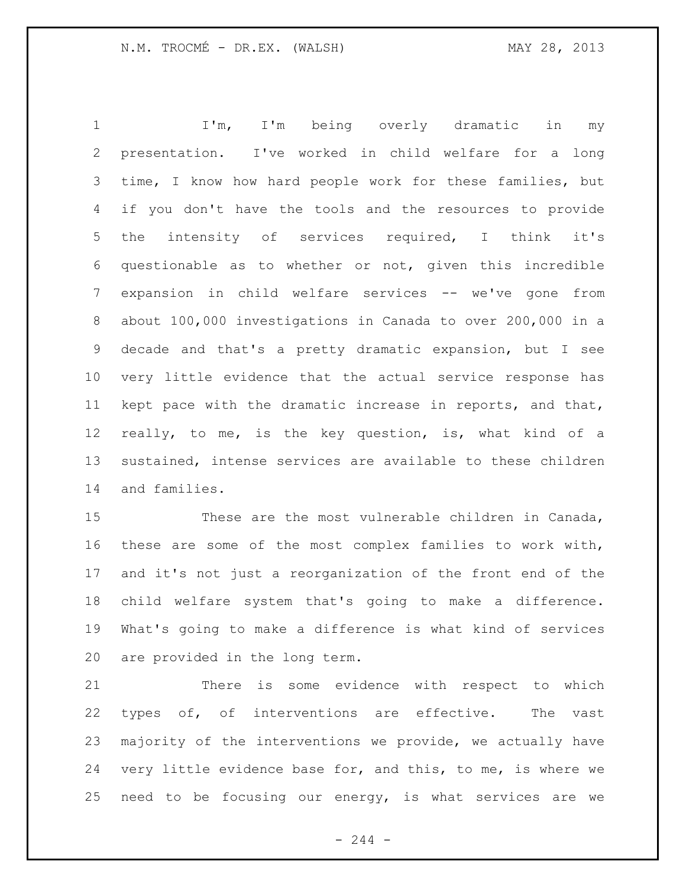1 I'm, I'm being overly dramatic in my presentation. I've worked in child welfare for a long time, I know how hard people work for these families, but if you don't have the tools and the resources to provide the intensity of services required, I think it's questionable as to whether or not, given this incredible expansion in child welfare services -- we've gone from about 100,000 investigations in Canada to over 200,000 in a decade and that's a pretty dramatic expansion, but I see very little evidence that the actual service response has kept pace with the dramatic increase in reports, and that, really, to me, is the key question, is, what kind of a sustained, intense services are available to these children and families.

 These are the most vulnerable children in Canada, these are some of the most complex families to work with, and it's not just a reorganization of the front end of the child welfare system that's going to make a difference. What's going to make a difference is what kind of services are provided in the long term.

 There is some evidence with respect to which types of, of interventions are effective. The vast majority of the interventions we provide, we actually have very little evidence base for, and this, to me, is where we need to be focusing our energy, is what services are we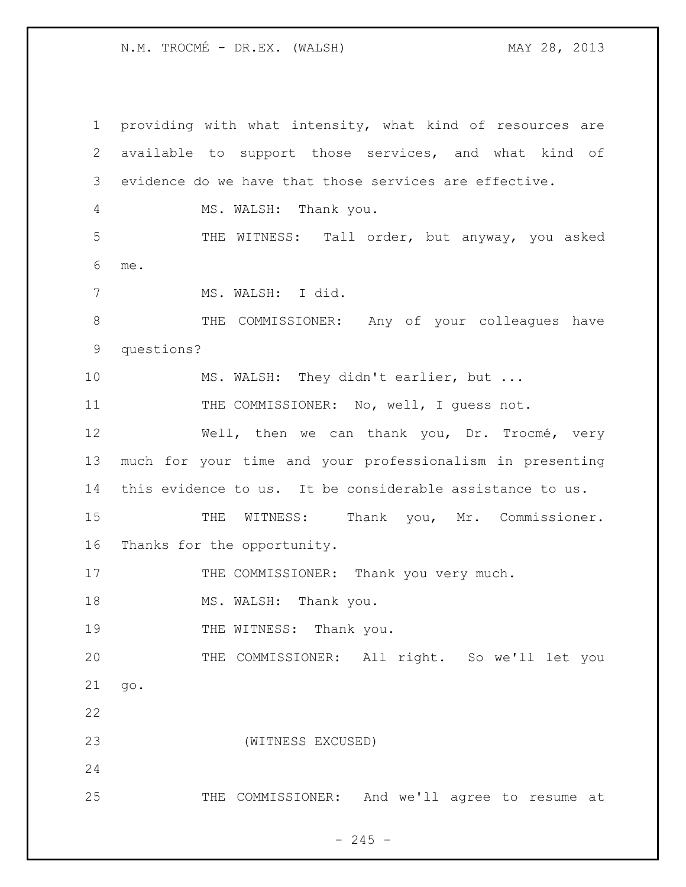N.M. TROCMÉ - DR.EX. (WALSH) MAY 28, 2013

 providing with what intensity, what kind of resources are available to support those services, and what kind of evidence do we have that those services are effective. MS. WALSH: Thank you. THE WITNESS: Tall order, but anyway, you asked me. MS. WALSH: I did. 8 THE COMMISSIONER: Any of your colleagues have questions? MS. WALSH: They didn't earlier, but ... 11 THE COMMISSIONER: No, well, I quess not. Well, then we can thank you, Dr. Trocmé, very much for your time and your professionalism in presenting this evidence to us. It be considerable assistance to us. 15 THE WITNESS: Thank you, Mr. Commissioner. Thanks for the opportunity. 17 THE COMMISSIONER: Thank you very much. 18 MS. WALSH: Thank you. 19 THE WITNESS: Thank you. THE COMMISSIONER: All right. So we'll let you go. (WITNESS EXCUSED) THE COMMISSIONER: And we'll agree to resume at

 $- 245 -$